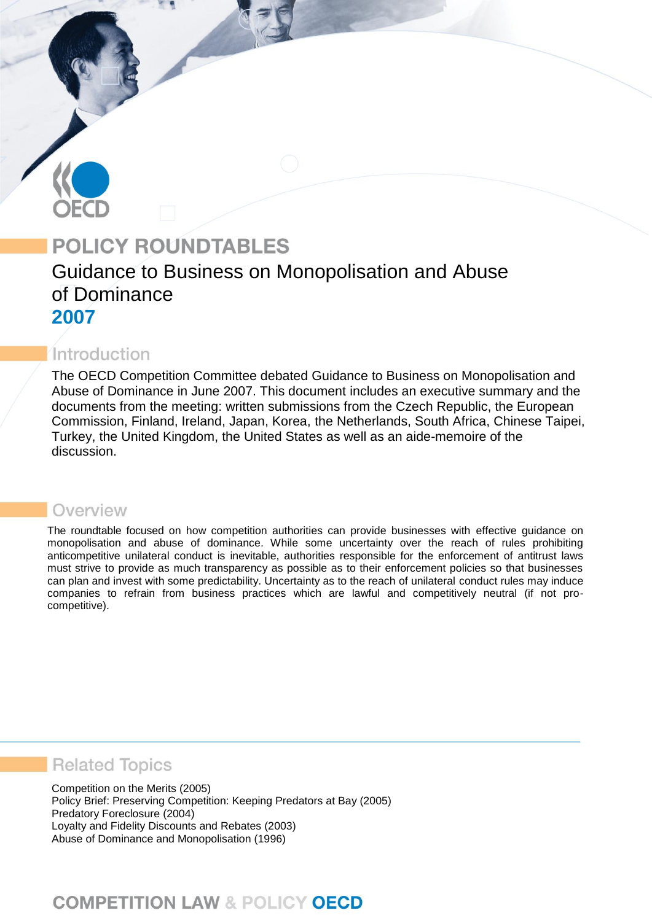# **POLICY ROUNDTABLES**

# Guidance to Business on Monopolisation and Abuse of Dominance **2007**

## Introduction

The OECD Competition Committee debated Guidance to Business on Monopolisation and Abuse of Dominance in June 2007. This document includes an executive summary and the documents from the meeting: written submissions from the Czech Republic, the European Commission, Finland, Ireland, Japan, Korea, the Netherlands, South Africa, Chinese Taipei, Turkey, the United Kingdom, the United States as well as an aide-memoire of the discussion.

## Overview

The roundtable focused on how competition authorities can provide businesses with effective guidance on monopolisation and abuse of dominance. While some uncertainty over the reach of rules prohibiting anticompetitive unilateral conduct is inevitable, authorities responsible for the enforcement of antitrust laws must strive to provide as much transparency as possible as to their enforcement policies so that businesses can plan and invest with some predictability. Uncertainty as to the reach of unilateral conduct rules may induce companies to refrain from business practices which are lawful and competitively neutral (if not procompetitive).

## **Related Topics**

Competition on the Merits (2005) Policy Brief: Preserving Competition: Keeping Predators at Bay (2005) Predatory Foreclosure (2004) Loyalty and Fidelity Discounts and Rebates (2003) Abuse of Dominance and Monopolisation (1996)

# **COMPETITION LAW & POLICY OECD**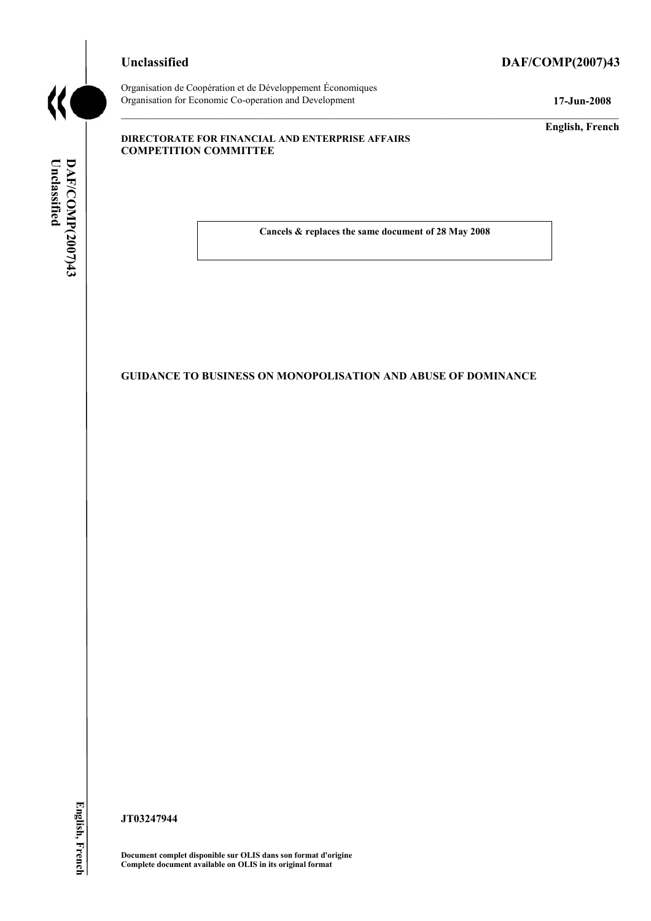## **Unclassified DAF/COMP(2007)43**



Organisation de Coopération et de Développement Économiques Organisation for Economic Co-operation and Development **17-Jun-2008** 

**English, French** 

#### **DIRECTORATE FOR FINANCIAL AND ENTERPRISE AFFAIRS COMPETITION COMMITTEE**

Unclassified DAF/COMP(2007)43 **Unclassified DAF/COMP(2007)43 English, French**

**Cancels & replaces the same document of 28 May 2008** 

#### **GUIDANCE TO BUSINESS ON MONOPOLISATION AND ABUSE OF DOMINANCE**

**JT03247944** 

**Document complet disponible sur OLIS dans son format d'origine Complete document available on OLIS in its original format**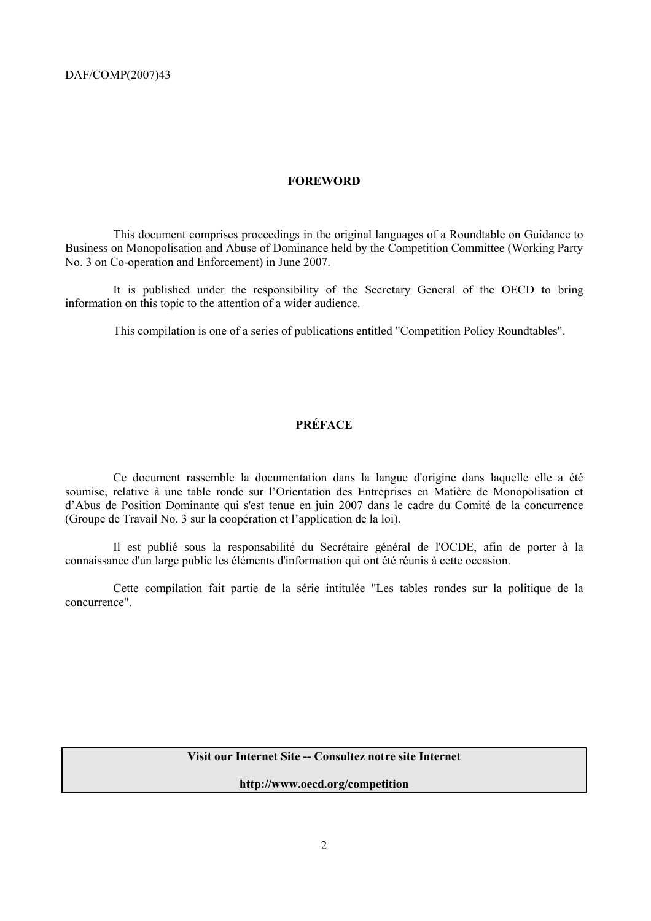#### **FOREWORD**

 This document comprises proceedings in the original languages of a Roundtable on Guidance to Business on Monopolisation and Abuse of Dominance held by the Competition Committee (Working Party No. 3 on Co-operation and Enforcement) in June 2007.

 It is published under the responsibility of the Secretary General of the OECD to bring information on this topic to the attention of a wider audience.

This compilation is one of a series of publications entitled "Competition Policy Roundtables".

### **PRÉFACE**

 Ce document rassemble la documentation dans la langue d'origine dans laquelle elle a été soumise, relative à une table ronde sur l'Orientation des Entreprises en Matière de Monopolisation et d'Abus de Position Dominante qui s'est tenue en juin 2007 dans le cadre du Comité de la concurrence (Groupe de Travail No. 3 sur la coopération et l'application de la loi).

 Il est publié sous la responsabilité du Secrétaire général de l'OCDE, afin de porter à la connaissance d'un large public les éléments d'information qui ont été réunis à cette occasion.

 Cette compilation fait partie de la série intitulée "Les tables rondes sur la politique de la concurrence".

#### **Visit our Internet Site -- Consultez notre site Internet**

**http://www.oecd.org/competition**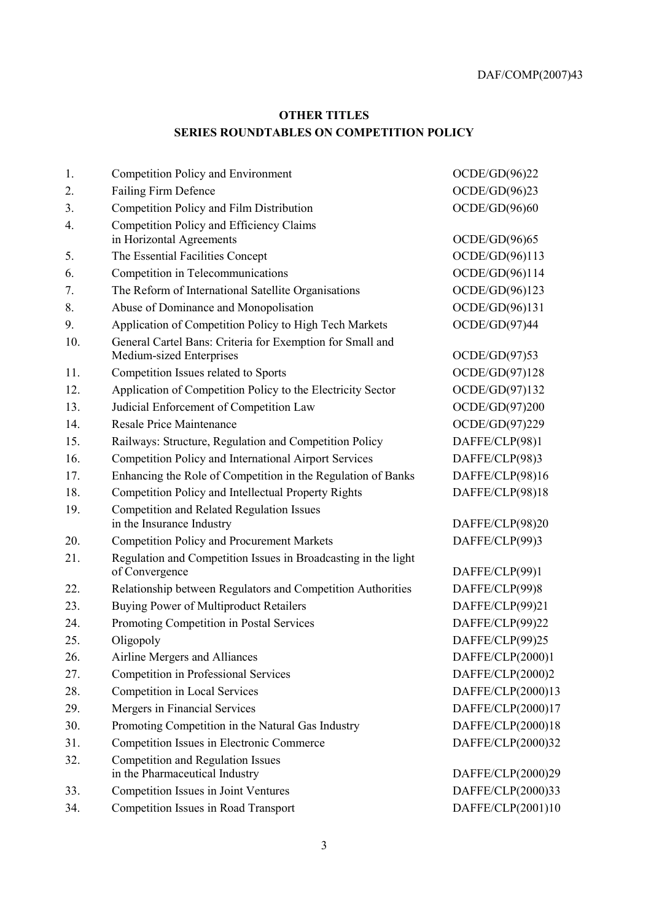## **OTHER TITLES SERIES ROUNDTABLES ON COMPETITION POLICY**

| 1.  | Competition Policy and Environment                                                    | OCDE/GD(96)22     |
|-----|---------------------------------------------------------------------------------------|-------------------|
| 2.  | <b>Failing Firm Defence</b>                                                           | OCDE/GD(96)23     |
| 3.  | Competition Policy and Film Distribution                                              | OCDE/GD(96)60     |
| 4.  | Competition Policy and Efficiency Claims                                              |                   |
|     | in Horizontal Agreements                                                              | OCDE/GD(96)65     |
| 5.  | The Essential Facilities Concept                                                      | OCDE/GD(96)113    |
| 6.  | Competition in Telecommunications                                                     | OCDE/GD(96)114    |
| 7.  | The Reform of International Satellite Organisations                                   | OCDE/GD(96)123    |
| 8.  | Abuse of Dominance and Monopolisation                                                 | OCDE/GD(96)131    |
| 9.  | Application of Competition Policy to High Tech Markets                                | OCDE/GD(97)44     |
| 10. | General Cartel Bans: Criteria for Exemption for Small and<br>Medium-sized Enterprises | OCDE/GD(97)53     |
| 11. | Competition Issues related to Sports                                                  | OCDE/GD(97)128    |
| 12. | Application of Competition Policy to the Electricity Sector                           | OCDE/GD(97)132    |
| 13. | Judicial Enforcement of Competition Law                                               | OCDE/GD(97)200    |
| 14. | <b>Resale Price Maintenance</b>                                                       | OCDE/GD(97)229    |
| 15. | Railways: Structure, Regulation and Competition Policy                                | DAFFE/CLP(98)1    |
| 16. | Competition Policy and International Airport Services                                 | DAFFE/CLP(98)3    |
| 17. | Enhancing the Role of Competition in the Regulation of Banks                          | DAFFE/CLP(98)16   |
| 18. | Competition Policy and Intellectual Property Rights                                   | DAFFE/CLP(98)18   |
| 19. | <b>Competition and Related Regulation Issues</b>                                      |                   |
|     | in the Insurance Industry                                                             | DAFFE/CLP(98)20   |
| 20. | <b>Competition Policy and Procurement Markets</b>                                     | DAFFE/CLP(99)3    |
| 21. | Regulation and Competition Issues in Broadcasting in the light                        |                   |
|     | of Convergence                                                                        | DAFFE/CLP(99)1    |
| 22. | Relationship between Regulators and Competition Authorities                           | DAFFE/CLP(99)8    |
| 23. | <b>Buying Power of Multiproduct Retailers</b>                                         | DAFFE/CLP(99)21   |
| 24. | Promoting Competition in Postal Services                                              | DAFFE/CLP(99)22   |
| 25. | Oligopoly                                                                             | DAFFE/CLP(99)25   |
| 26. | Airline Mergers and Alliances                                                         | DAFFE/CLP(2000)1  |
| 27. | <b>Competition in Professional Services</b>                                           | DAFFE/CLP(2000)2  |
| 28. | <b>Competition in Local Services</b>                                                  | DAFFE/CLP(2000)13 |
| 29. | Mergers in Financial Services                                                         | DAFFE/CLP(2000)17 |
| 30. | Promoting Competition in the Natural Gas Industry                                     | DAFFE/CLP(2000)18 |
| 31. | Competition Issues in Electronic Commerce                                             | DAFFE/CLP(2000)32 |
| 32. | <b>Competition and Regulation Issues</b>                                              |                   |
|     | in the Pharmaceutical Industry                                                        | DAFFE/CLP(2000)29 |
| 33. | Competition Issues in Joint Ventures                                                  | DAFFE/CLP(2000)33 |
| 34. | Competition Issues in Road Transport                                                  | DAFFE/CLP(2001)10 |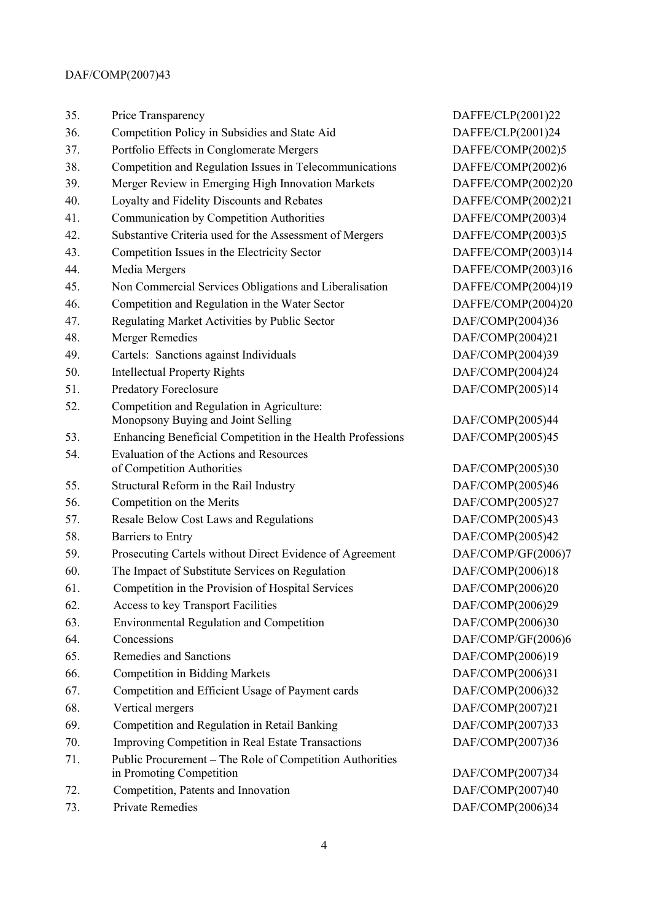| 35. | Price Transparency                                         | DAFFE/CLP(2001)22  |
|-----|------------------------------------------------------------|--------------------|
| 36. | Competition Policy in Subsidies and State Aid              | DAFFE/CLP(2001)24  |
| 37. | Portfolio Effects in Conglomerate Mergers                  | DAFFE/COMP(2002)5  |
| 38. | Competition and Regulation Issues in Telecommunications    | DAFFE/COMP(2002)6  |
| 39. | Merger Review in Emerging High Innovation Markets          | DAFFE/COMP(2002)20 |
| 40. | Loyalty and Fidelity Discounts and Rebates                 | DAFFE/COMP(2002)21 |
| 41. | Communication by Competition Authorities                   | DAFFE/COMP(2003)4  |
| 42. | Substantive Criteria used for the Assessment of Mergers    | DAFFE/COMP(2003)5  |
| 43. | Competition Issues in the Electricity Sector               | DAFFE/COMP(2003)14 |
| 44. | Media Mergers                                              | DAFFE/COMP(2003)16 |
| 45. | Non Commercial Services Obligations and Liberalisation     | DAFFE/COMP(2004)19 |
| 46. | Competition and Regulation in the Water Sector             | DAFFE/COMP(2004)20 |
| 47. | Regulating Market Activities by Public Sector              | DAF/COMP(2004)36   |
| 48. | <b>Merger Remedies</b>                                     | DAF/COMP(2004)21   |
| 49. | Cartels: Sanctions against Individuals                     | DAF/COMP(2004)39   |
| 50. | <b>Intellectual Property Rights</b>                        | DAF/COMP(2004)24   |
| 51. | <b>Predatory Foreclosure</b>                               | DAF/COMP(2005)14   |
| 52. | Competition and Regulation in Agriculture:                 |                    |
|     | Monopsony Buying and Joint Selling                         | DAF/COMP(2005)44   |
| 53. | Enhancing Beneficial Competition in the Health Professions | DAF/COMP(2005)45   |
| 54. | <b>Evaluation of the Actions and Resources</b>             |                    |
|     | of Competition Authorities                                 | DAF/COMP(2005)30   |
| 55. | Structural Reform in the Rail Industry                     | DAF/COMP(2005)46   |
| 56. | Competition on the Merits                                  | DAF/COMP(2005)27   |
| 57. | Resale Below Cost Laws and Regulations                     | DAF/COMP(2005)43   |
| 58. | Barriers to Entry                                          | DAF/COMP(2005)42   |
| 59. | Prosecuting Cartels without Direct Evidence of Agreement   | DAF/COMP/GF(2006)7 |
| 60. | The Impact of Substitute Services on Regulation            | DAF/COMP(2006)18   |
| 61. | Competition in the Provision of Hospital Services          | DAF/COMP(2006)20   |
| 62. | Access to key Transport Facilities                         | DAF/COMP(2006)29   |
| 63. | <b>Environmental Regulation and Competition</b>            | DAF/COMP(2006)30   |
| 64. | Concessions                                                | DAF/COMP/GF(2006)6 |
| 65. | Remedies and Sanctions                                     | DAF/COMP(2006)19   |
| 66. | <b>Competition in Bidding Markets</b>                      | DAF/COMP(2006)31   |
| 67. | Competition and Efficient Usage of Payment cards           | DAF/COMP(2006)32   |
| 68. | Vertical mergers                                           | DAF/COMP(2007)21   |
| 69. | Competition and Regulation in Retail Banking               | DAF/COMP(2007)33   |
| 70. | Improving Competition in Real Estate Transactions          | DAF/COMP(2007)36   |
| 71. | Public Procurement - The Role of Competition Authorities   |                    |
|     | in Promoting Competition                                   | DAF/COMP(2007)34   |
| 72. | Competition, Patents and Innovation                        | DAF/COMP(2007)40   |
| 73. | <b>Private Remedies</b>                                    | DAF/COMP(2006)34   |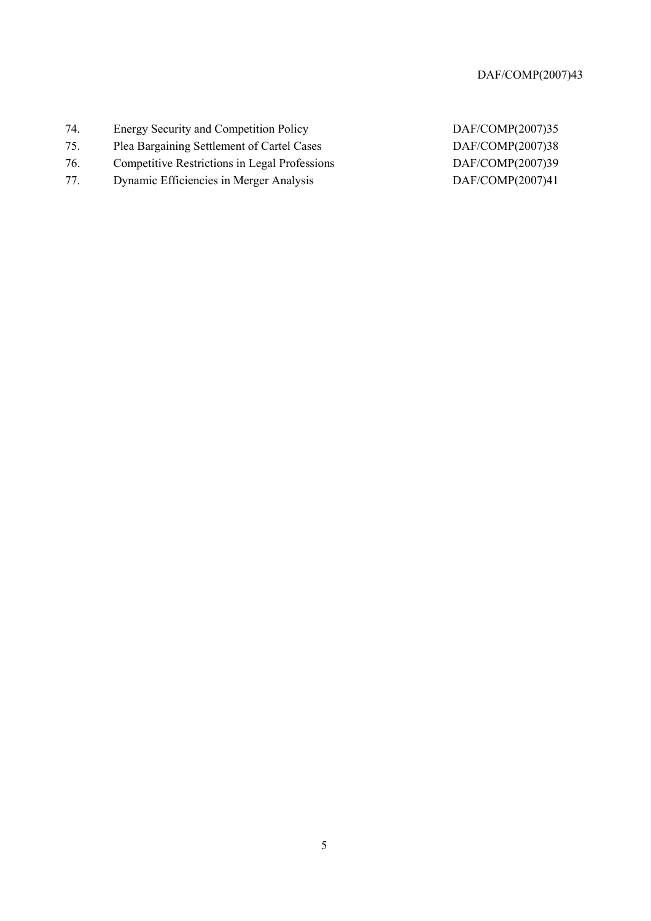- 74. Energy Security and Competition Policy DAF/COMP(2007)35
- 75. Plea Bargaining Settlement of Cartel Cases DAF/COMP(2007)38
- 76. Competitive Restrictions in Legal Professions DAF/COMP(2007)39
- 77. Dynamic Efficiencies in Merger Analysis DAF/COMP(2007)41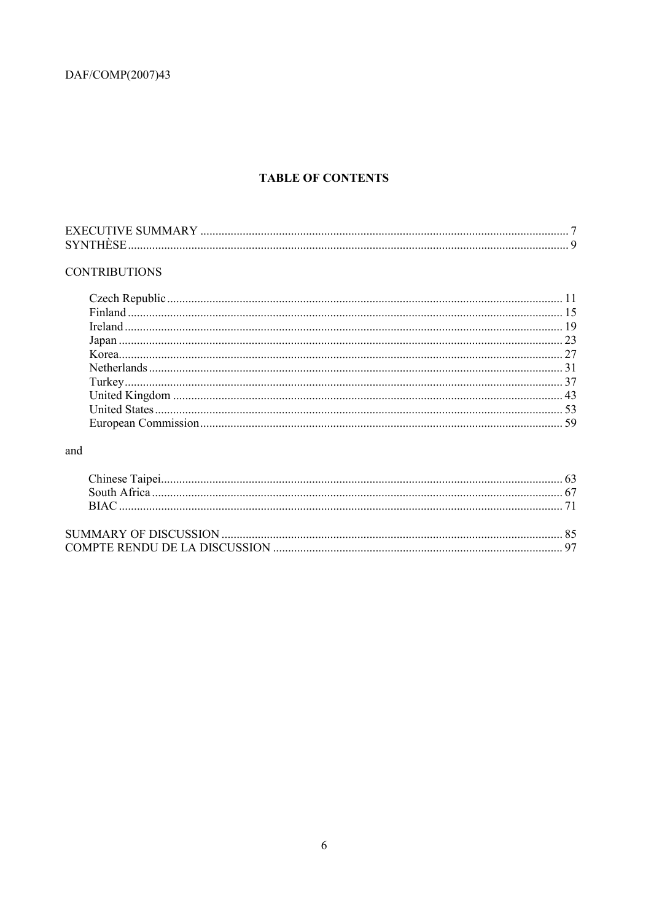## **TABLE OF CONTENTS**

| <b>EXECUTIVE SUMMARY</b> |  |
|--------------------------|--|
| <b>SYNTHÈSE</b>          |  |

## **CONTRIBUTIONS**

## and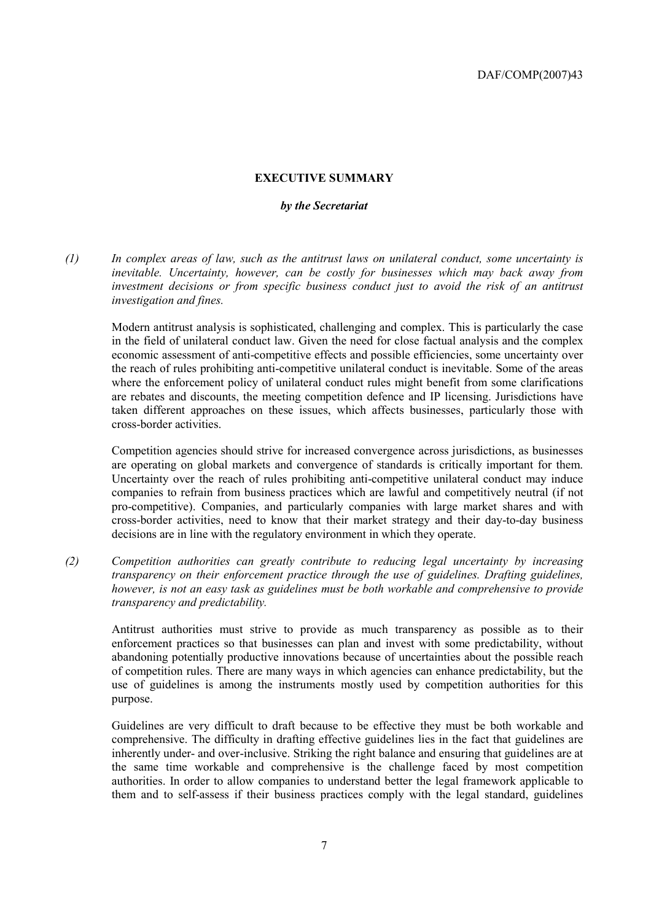#### **EXECUTIVE SUMMARY**

#### *by the Secretariat*

*(1) In complex areas of law, such as the antitrust laws on unilateral conduct, some uncertainty is inevitable. Uncertainty, however, can be costly for businesses which may back away from investment decisions or from specific business conduct just to avoid the risk of an antitrust investigation and fines.* 

Modern antitrust analysis is sophisticated, challenging and complex. This is particularly the case in the field of unilateral conduct law. Given the need for close factual analysis and the complex economic assessment of anti-competitive effects and possible efficiencies, some uncertainty over the reach of rules prohibiting anti-competitive unilateral conduct is inevitable. Some of the areas where the enforcement policy of unilateral conduct rules might benefit from some clarifications are rebates and discounts, the meeting competition defence and IP licensing. Jurisdictions have taken different approaches on these issues, which affects businesses, particularly those with cross-border activities.

Competition agencies should strive for increased convergence across jurisdictions, as businesses are operating on global markets and convergence of standards is critically important for them. Uncertainty over the reach of rules prohibiting anti-competitive unilateral conduct may induce companies to refrain from business practices which are lawful and competitively neutral (if not pro-competitive). Companies, and particularly companies with large market shares and with cross-border activities, need to know that their market strategy and their day-to-day business decisions are in line with the regulatory environment in which they operate.

*(2) Competition authorities can greatly contribute to reducing legal uncertainty by increasing transparency on their enforcement practice through the use of guidelines. Drafting guidelines, however, is not an easy task as guidelines must be both workable and comprehensive to provide transparency and predictability.* 

Antitrust authorities must strive to provide as much transparency as possible as to their enforcement practices so that businesses can plan and invest with some predictability, without abandoning potentially productive innovations because of uncertainties about the possible reach of competition rules. There are many ways in which agencies can enhance predictability, but the use of guidelines is among the instruments mostly used by competition authorities for this purpose.

Guidelines are very difficult to draft because to be effective they must be both workable and comprehensive. The difficulty in drafting effective guidelines lies in the fact that guidelines are inherently under- and over-inclusive. Striking the right balance and ensuring that guidelines are at the same time workable and comprehensive is the challenge faced by most competition authorities. In order to allow companies to understand better the legal framework applicable to them and to self-assess if their business practices comply with the legal standard, guidelines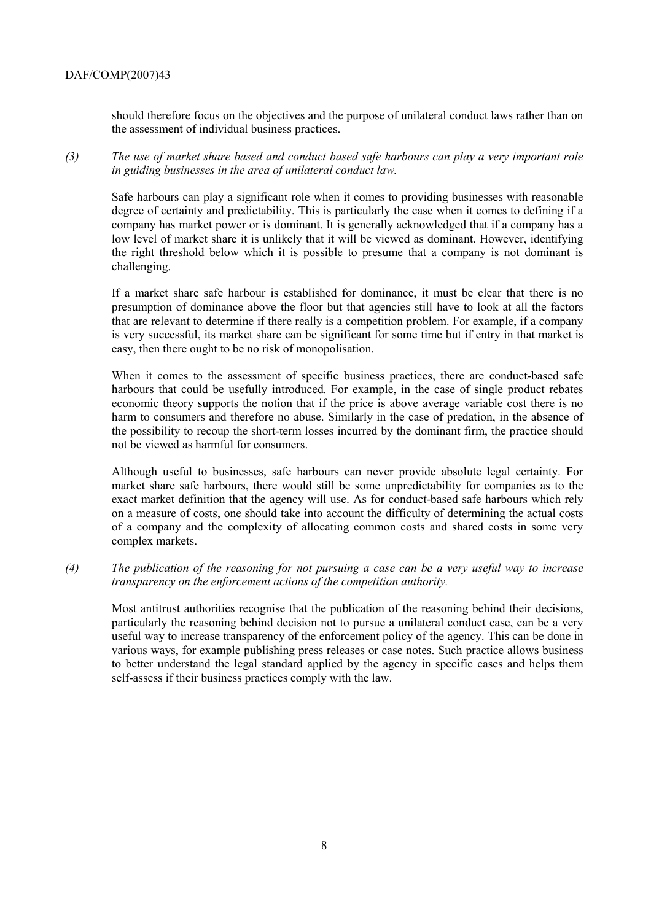should therefore focus on the objectives and the purpose of unilateral conduct laws rather than on the assessment of individual business practices.

*(3) The use of market share based and conduct based safe harbours can play a very important role in guiding businesses in the area of unilateral conduct law.* 

Safe harbours can play a significant role when it comes to providing businesses with reasonable degree of certainty and predictability. This is particularly the case when it comes to defining if a company has market power or is dominant. It is generally acknowledged that if a company has a low level of market share it is unlikely that it will be viewed as dominant. However, identifying the right threshold below which it is possible to presume that a company is not dominant is challenging.

If a market share safe harbour is established for dominance, it must be clear that there is no presumption of dominance above the floor but that agencies still have to look at all the factors that are relevant to determine if there really is a competition problem. For example, if a company is very successful, its market share can be significant for some time but if entry in that market is easy, then there ought to be no risk of monopolisation.

When it comes to the assessment of specific business practices, there are conduct-based safe harbours that could be usefully introduced. For example, in the case of single product rebates economic theory supports the notion that if the price is above average variable cost there is no harm to consumers and therefore no abuse. Similarly in the case of predation, in the absence of the possibility to recoup the short-term losses incurred by the dominant firm, the practice should not be viewed as harmful for consumers.

Although useful to businesses, safe harbours can never provide absolute legal certainty. For market share safe harbours, there would still be some unpredictability for companies as to the exact market definition that the agency will use. As for conduct-based safe harbours which rely on a measure of costs, one should take into account the difficulty of determining the actual costs of a company and the complexity of allocating common costs and shared costs in some very complex markets.

*(4) The publication of the reasoning for not pursuing a case can be a very useful way to increase transparency on the enforcement actions of the competition authority.* 

Most antitrust authorities recognise that the publication of the reasoning behind their decisions, particularly the reasoning behind decision not to pursue a unilateral conduct case, can be a very useful way to increase transparency of the enforcement policy of the agency. This can be done in various ways, for example publishing press releases or case notes. Such practice allows business to better understand the legal standard applied by the agency in specific cases and helps them self-assess if their business practices comply with the law.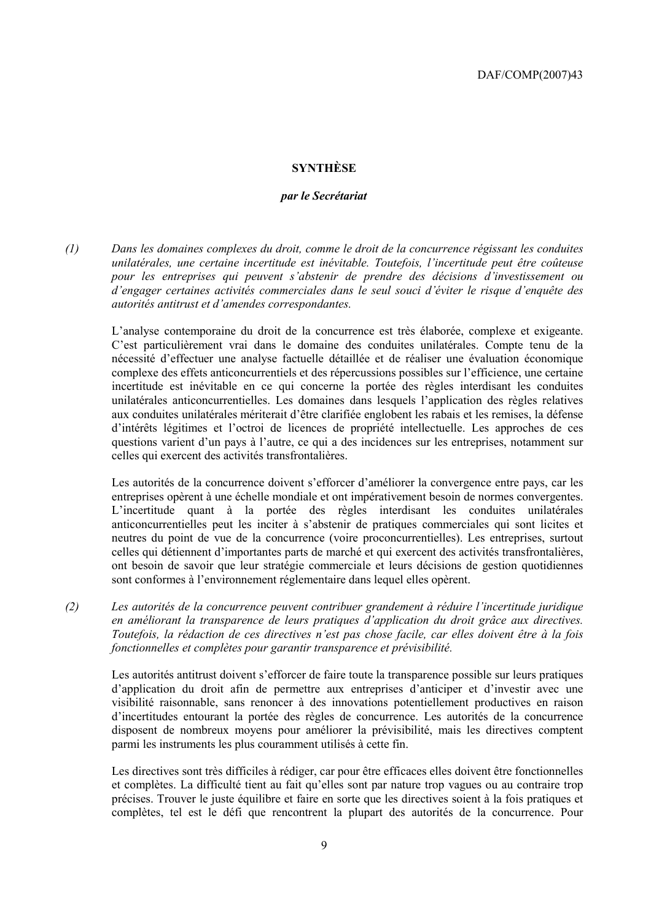#### **SYNTHÈSE**

#### *par le Secrétariat*

*(1) Dans les domaines complexes du droit, comme le droit de la concurrence régissant les conduites unilatérales, une certaine incertitude est inévitable. Toutefois, l'incertitude peut être coûteuse pour les entreprises qui peuvent s'abstenir de prendre des décisions d'investissement ou d'engager certaines activités commerciales dans le seul souci d'éviter le risque d'enquête des autorités antitrust et d'amendes correspondantes.* 

L'analyse contemporaine du droit de la concurrence est très élaborée, complexe et exigeante. C'est particulièrement vrai dans le domaine des conduites unilatérales. Compte tenu de la nécessité d'effectuer une analyse factuelle détaillée et de réaliser une évaluation économique complexe des effets anticoncurrentiels et des répercussions possibles sur l'efficience, une certaine incertitude est inévitable en ce qui concerne la portée des règles interdisant les conduites unilatérales anticoncurrentielles. Les domaines dans lesquels l'application des règles relatives aux conduites unilatérales mériterait d'être clarifiée englobent les rabais et les remises, la défense d'intérêts légitimes et l'octroi de licences de propriété intellectuelle. Les approches de ces questions varient d'un pays à l'autre, ce qui a des incidences sur les entreprises, notamment sur celles qui exercent des activités transfrontalières.

Les autorités de la concurrence doivent s'efforcer d'améliorer la convergence entre pays, car les entreprises opèrent à une échelle mondiale et ont impérativement besoin de normes convergentes. L'incertitude quant à la portée des règles interdisant les conduites unilatérales anticoncurrentielles peut les inciter à s'abstenir de pratiques commerciales qui sont licites et neutres du point de vue de la concurrence (voire proconcurrentielles). Les entreprises, surtout celles qui détiennent d'importantes parts de marché et qui exercent des activités transfrontalières, ont besoin de savoir que leur stratégie commerciale et leurs décisions de gestion quotidiennes sont conformes à l'environnement réglementaire dans lequel elles opèrent.

*(2) Les autorités de la concurrence peuvent contribuer grandement à réduire l'incertitude juridique en améliorant la transparence de leurs pratiques d'application du droit grâce aux directives. Toutefois, la rédaction de ces directives n'est pas chose facile, car elles doivent être à la fois fonctionnelles et complètes pour garantir transparence et prévisibilité.* 

Les autorités antitrust doivent s'efforcer de faire toute la transparence possible sur leurs pratiques d'application du droit afin de permettre aux entreprises d'anticiper et d'investir avec une visibilité raisonnable, sans renoncer à des innovations potentiellement productives en raison d'incertitudes entourant la portée des règles de concurrence. Les autorités de la concurrence disposent de nombreux moyens pour améliorer la prévisibilité, mais les directives comptent parmi les instruments les plus couramment utilisés à cette fin.

Les directives sont très difficiles à rédiger, car pour être efficaces elles doivent être fonctionnelles et complètes. La difficulté tient au fait qu'elles sont par nature trop vagues ou au contraire trop précises. Trouver le juste équilibre et faire en sorte que les directives soient à la fois pratiques et complètes, tel est le défi que rencontrent la plupart des autorités de la concurrence. Pour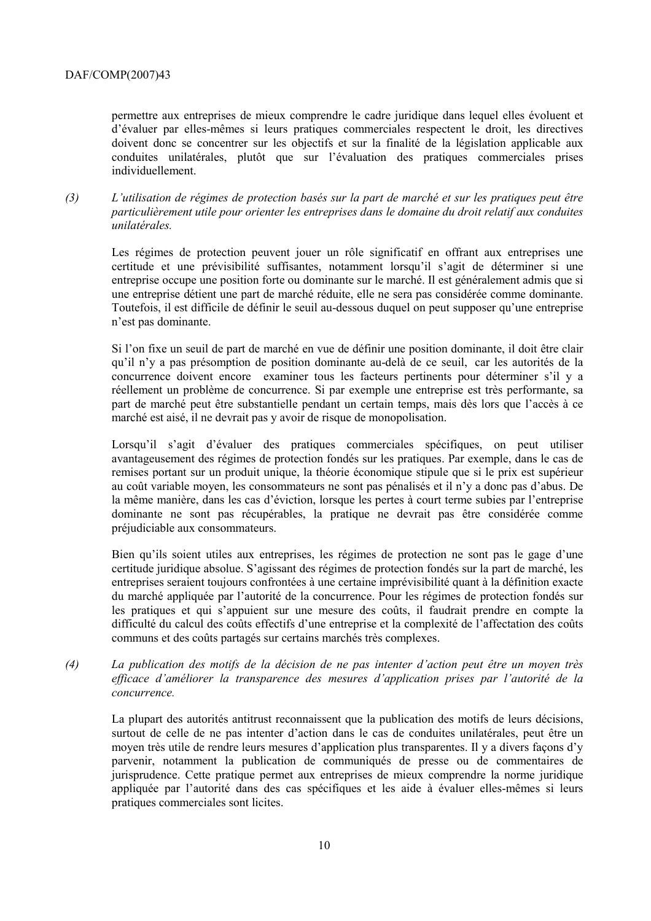permettre aux entreprises de mieux comprendre le cadre juridique dans lequel elles évoluent et d'évaluer par elles-mêmes si leurs pratiques commerciales respectent le droit, les directives doivent donc se concentrer sur les objectifs et sur la finalité de la législation applicable aux conduites unilatérales, plutôt que sur l'évaluation des pratiques commerciales prises individuellement.

*(3) L'utilisation de régimes de protection basés sur la part de marché et sur les pratiques peut être particulièrement utile pour orienter les entreprises dans le domaine du droit relatif aux conduites unilatérales.* 

Les régimes de protection peuvent jouer un rôle significatif en offrant aux entreprises une certitude et une prévisibilité suffisantes, notamment lorsqu'il s'agit de déterminer si une entreprise occupe une position forte ou dominante sur le marché. Il est généralement admis que si une entreprise détient une part de marché réduite, elle ne sera pas considérée comme dominante. Toutefois, il est difficile de définir le seuil au-dessous duquel on peut supposer qu'une entreprise n'est pas dominante.

Si l'on fixe un seuil de part de marché en vue de définir une position dominante, il doit être clair qu'il n'y a pas présomption de position dominante au-delà de ce seuil, car les autorités de la concurrence doivent encore examiner tous les facteurs pertinents pour déterminer s'il y a réellement un problème de concurrence. Si par exemple une entreprise est très performante, sa part de marché peut être substantielle pendant un certain temps, mais dès lors que l'accès à ce marché est aisé, il ne devrait pas y avoir de risque de monopolisation.

Lorsqu'il s'agit d'évaluer des pratiques commerciales spécifiques, on peut utiliser avantageusement des régimes de protection fondés sur les pratiques. Par exemple, dans le cas de remises portant sur un produit unique, la théorie économique stipule que si le prix est supérieur au coût variable moyen, les consommateurs ne sont pas pénalisés et il n'y a donc pas d'abus. De la même manière, dans les cas d'éviction, lorsque les pertes à court terme subies par l'entreprise dominante ne sont pas récupérables, la pratique ne devrait pas être considérée comme préjudiciable aux consommateurs.

Bien qu'ils soient utiles aux entreprises, les régimes de protection ne sont pas le gage d'une certitude juridique absolue. S'agissant des régimes de protection fondés sur la part de marché, les entreprises seraient toujours confrontées à une certaine imprévisibilité quant à la définition exacte du marché appliquée par l'autorité de la concurrence. Pour les régimes de protection fondés sur les pratiques et qui s'appuient sur une mesure des coûts, il faudrait prendre en compte la difficulté du calcul des coûts effectifs d'une entreprise et la complexité de l'affectation des coûts communs et des coûts partagés sur certains marchés très complexes.

*(4) La publication des motifs de la décision de ne pas intenter d'action peut être un moyen très efficace d'améliorer la transparence des mesures d'application prises par l'autorité de la concurrence.* 

La plupart des autorités antitrust reconnaissent que la publication des motifs de leurs décisions, surtout de celle de ne pas intenter d'action dans le cas de conduites unilatérales, peut être un moyen très utile de rendre leurs mesures d'application plus transparentes. Il y a divers façons d'y parvenir, notamment la publication de communiqués de presse ou de commentaires de jurisprudence. Cette pratique permet aux entreprises de mieux comprendre la norme juridique appliquée par l'autorité dans des cas spécifiques et les aide à évaluer elles-mêmes si leurs pratiques commerciales sont licites.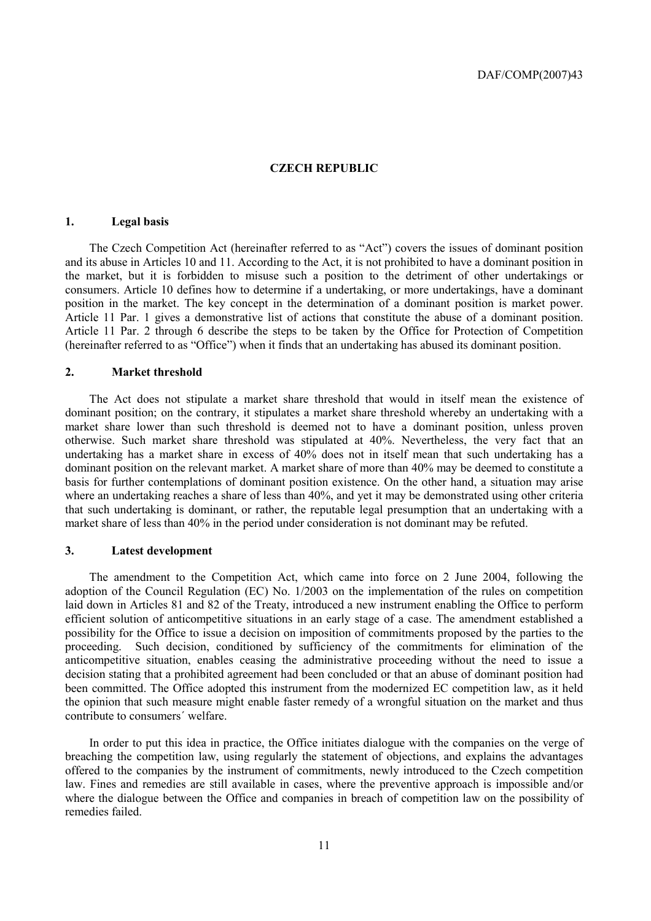#### **CZECH REPUBLIC**

#### **1. Legal basis**

The Czech Competition Act (hereinafter referred to as "Act") covers the issues of dominant position and its abuse in Articles 10 and 11. According to the Act, it is not prohibited to have a dominant position in the market, but it is forbidden to misuse such a position to the detriment of other undertakings or consumers. Article 10 defines how to determine if a undertaking, or more undertakings, have a dominant position in the market. The key concept in the determination of a dominant position is market power. Article 11 Par. 1 gives a demonstrative list of actions that constitute the abuse of a dominant position. Article 11 Par. 2 through 6 describe the steps to be taken by the Office for Protection of Competition (hereinafter referred to as "Office") when it finds that an undertaking has abused its dominant position.

#### **2. Market threshold**

The Act does not stipulate a market share threshold that would in itself mean the existence of dominant position; on the contrary, it stipulates a market share threshold whereby an undertaking with a market share lower than such threshold is deemed not to have a dominant position, unless proven otherwise. Such market share threshold was stipulated at 40%. Nevertheless, the very fact that an undertaking has a market share in excess of 40% does not in itself mean that such undertaking has a dominant position on the relevant market. A market share of more than 40% may be deemed to constitute a basis for further contemplations of dominant position existence. On the other hand, a situation may arise where an undertaking reaches a share of less than 40%, and yet it may be demonstrated using other criteria that such undertaking is dominant, or rather, the reputable legal presumption that an undertaking with a market share of less than 40% in the period under consideration is not dominant may be refuted.

#### **3. Latest development**

The amendment to the Competition Act, which came into force on 2 June 2004, following the adoption of the Council Regulation (EC) No. 1/2003 on the implementation of the rules on competition laid down in Articles 81 and 82 of the Treaty, introduced a new instrument enabling the Office to perform efficient solution of anticompetitive situations in an early stage of a case. The amendment established a possibility for the Office to issue a decision on imposition of commitments proposed by the parties to the proceeding. Such decision, conditioned by sufficiency of the commitments for elimination of the anticompetitive situation, enables ceasing the administrative proceeding without the need to issue a decision stating that a prohibited agreement had been concluded or that an abuse of dominant position had been committed. The Office adopted this instrument from the modernized EC competition law, as it held the opinion that such measure might enable faster remedy of a wrongful situation on the market and thus contribute to consumers´ welfare.

In order to put this idea in practice, the Office initiates dialogue with the companies on the verge of breaching the competition law, using regularly the statement of objections, and explains the advantages offered to the companies by the instrument of commitments, newly introduced to the Czech competition law. Fines and remedies are still available in cases, where the preventive approach is impossible and/or where the dialogue between the Office and companies in breach of competition law on the possibility of remedies failed.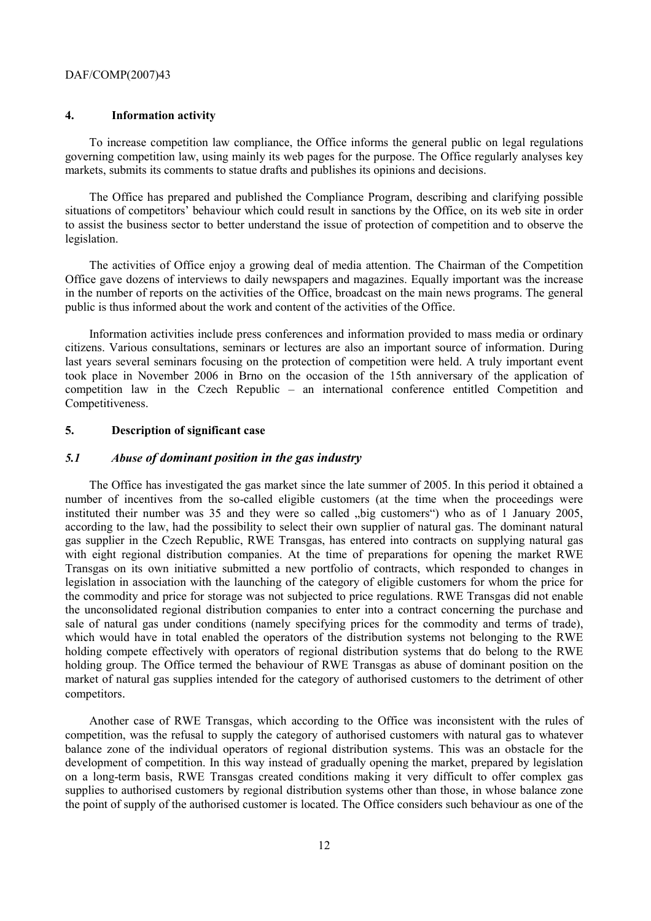#### **4. Information activity**

To increase competition law compliance, the Office informs the general public on legal regulations governing competition law, using mainly its web pages for the purpose. The Office regularly analyses key markets, submits its comments to statue drafts and publishes its opinions and decisions.

The Office has prepared and published the Compliance Program, describing and clarifying possible situations of competitors' behaviour which could result in sanctions by the Office, on its web site in order to assist the business sector to better understand the issue of protection of competition and to observe the legislation.

The activities of Office enjoy a growing deal of media attention. The Chairman of the Competition Office gave dozens of interviews to daily newspapers and magazines. Equally important was the increase in the number of reports on the activities of the Office, broadcast on the main news programs. The general public is thus informed about the work and content of the activities of the Office.

Information activities include press conferences and information provided to mass media or ordinary citizens. Various consultations, seminars or lectures are also an important source of information. During last years several seminars focusing on the protection of competition were held. A truly important event took place in November 2006 in Brno on the occasion of the 15th anniversary of the application of competition law in the Czech Republic – an international conference entitled Competition and Competitiveness.

### **5. Description of significant case**

#### *5.1 Abuse of dominant position in the gas industry*

The Office has investigated the gas market since the late summer of 2005. In this period it obtained a number of incentives from the so-called eligible customers (at the time when the proceedings were instituted their number was  $35$  and they were so called  $\mu$ big customers") who as of 1 January 2005, according to the law, had the possibility to select their own supplier of natural gas. The dominant natural gas supplier in the Czech Republic, RWE Transgas, has entered into contracts on supplying natural gas with eight regional distribution companies. At the time of preparations for opening the market RWE Transgas on its own initiative submitted a new portfolio of contracts, which responded to changes in legislation in association with the launching of the category of eligible customers for whom the price for the commodity and price for storage was not subjected to price regulations. RWE Transgas did not enable the unconsolidated regional distribution companies to enter into a contract concerning the purchase and sale of natural gas under conditions (namely specifying prices for the commodity and terms of trade), which would have in total enabled the operators of the distribution systems not belonging to the RWE holding compete effectively with operators of regional distribution systems that do belong to the RWE holding group. The Office termed the behaviour of RWE Transgas as abuse of dominant position on the market of natural gas supplies intended for the category of authorised customers to the detriment of other competitors.

Another case of RWE Transgas, which according to the Office was inconsistent with the rules of competition, was the refusal to supply the category of authorised customers with natural gas to whatever balance zone of the individual operators of regional distribution systems. This was an obstacle for the development of competition. In this way instead of gradually opening the market, prepared by legislation on a long-term basis, RWE Transgas created conditions making it very difficult to offer complex gas supplies to authorised customers by regional distribution systems other than those, in whose balance zone the point of supply of the authorised customer is located. The Office considers such behaviour as one of the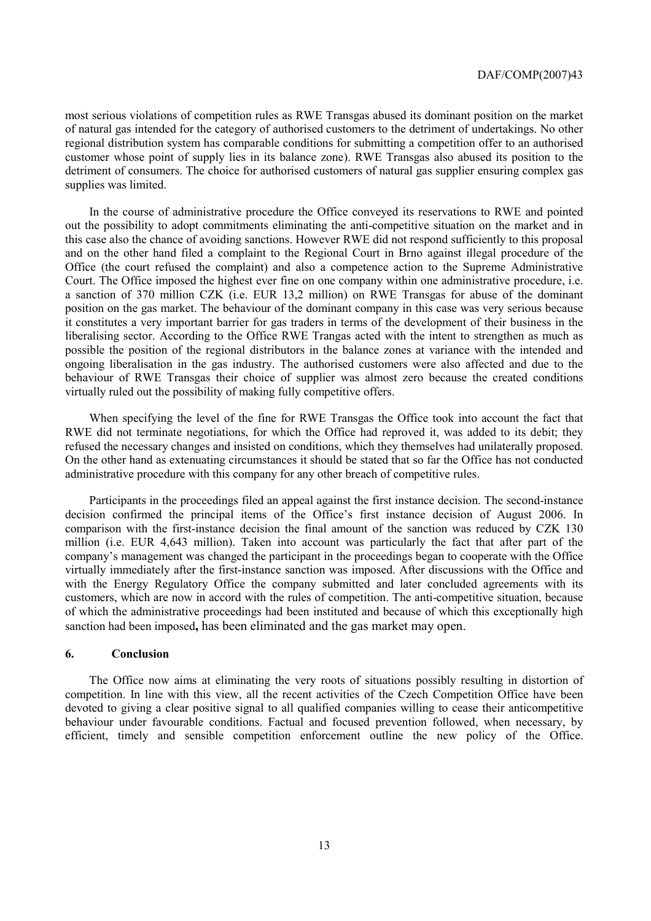most serious violations of competition rules as RWE Transgas abused its dominant position on the market of natural gas intended for the category of authorised customers to the detriment of undertakings. No other regional distribution system has comparable conditions for submitting a competition offer to an authorised customer whose point of supply lies in its balance zone). RWE Transgas also abused its position to the detriment of consumers. The choice for authorised customers of natural gas supplier ensuring complex gas supplies was limited.

In the course of administrative procedure the Office conveyed its reservations to RWE and pointed out the possibility to adopt commitments eliminating the anti-competitive situation on the market and in this case also the chance of avoiding sanctions. However RWE did not respond sufficiently to this proposal and on the other hand filed a complaint to the Regional Court in Brno against illegal procedure of the Office (the court refused the complaint) and also a competence action to the Supreme Administrative Court. The Office imposed the highest ever fine on one company within one administrative procedure, i.e. a sanction of 370 million CZK (i.e. EUR 13,2 million) on RWE Transgas for abuse of the dominant position on the gas market. The behaviour of the dominant company in this case was very serious because it constitutes a very important barrier for gas traders in terms of the development of their business in the liberalising sector. According to the Office RWE Trangas acted with the intent to strengthen as much as possible the position of the regional distributors in the balance zones at variance with the intended and ongoing liberalisation in the gas industry. The authorised customers were also affected and due to the behaviour of RWE Transgas their choice of supplier was almost zero because the created conditions virtually ruled out the possibility of making fully competitive offers.

When specifying the level of the fine for RWE Transgas the Office took into account the fact that RWE did not terminate negotiations, for which the Office had reproved it, was added to its debit; they refused the necessary changes and insisted on conditions, which they themselves had unilaterally proposed. On the other hand as extenuating circumstances it should be stated that so far the Office has not conducted administrative procedure with this company for any other breach of competitive rules.

Participants in the proceedings filed an appeal against the first instance decision. The second-instance decision confirmed the principal items of the Office's first instance decision of August 2006. In comparison with the first-instance decision the final amount of the sanction was reduced by CZK 130 million (i.e. EUR 4,643 million). Taken into account was particularly the fact that after part of the company's management was changed the participant in the proceedings began to cooperate with the Office virtually immediately after the first-instance sanction was imposed. After discussions with the Office and with the Energy Regulatory Office the company submitted and later concluded agreements with its customers, which are now in accord with the rules of competition. The anti-competitive situation, because of which the administrative proceedings had been instituted and because of which this exceptionally high sanction had been imposed**,** has been eliminated and the gas market may open.

#### **6. Conclusion**

The Office now aims at eliminating the very roots of situations possibly resulting in distortion of competition. In line with this view, all the recent activities of the Czech Competition Office have been devoted to giving a clear positive signal to all qualified companies willing to cease their anticompetitive behaviour under favourable conditions. Factual and focused prevention followed, when necessary, by efficient, timely and sensible competition enforcement outline the new policy of the Office.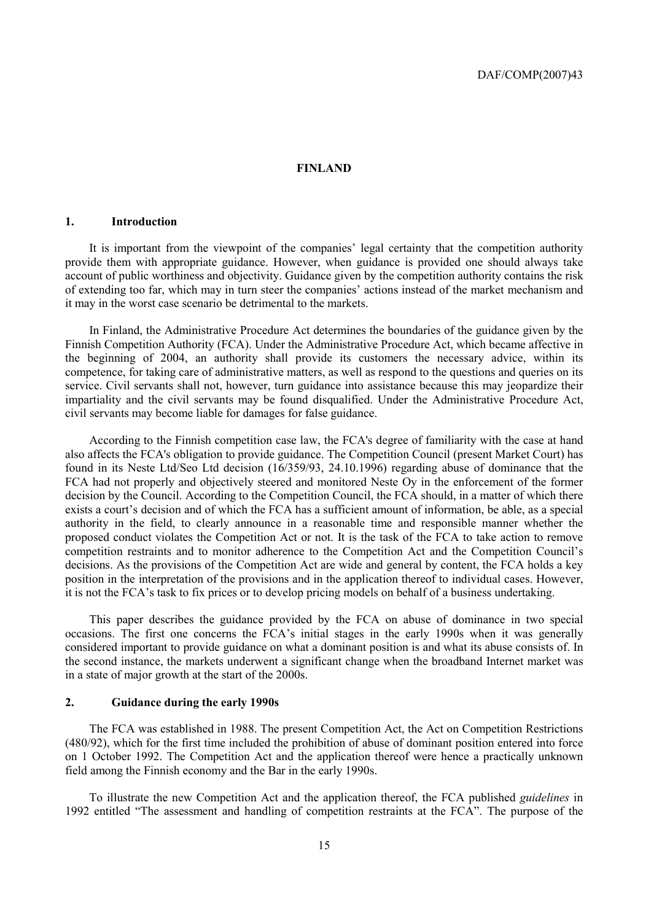#### **FINLAND**

#### **1. Introduction**

It is important from the viewpoint of the companies' legal certainty that the competition authority provide them with appropriate guidance. However, when guidance is provided one should always take account of public worthiness and objectivity. Guidance given by the competition authority contains the risk of extending too far, which may in turn steer the companies' actions instead of the market mechanism and it may in the worst case scenario be detrimental to the markets.

In Finland, the Administrative Procedure Act determines the boundaries of the guidance given by the Finnish Competition Authority (FCA). Under the Administrative Procedure Act, which became affective in the beginning of 2004, an authority shall provide its customers the necessary advice, within its competence, for taking care of administrative matters, as well as respond to the questions and queries on its service. Civil servants shall not, however, turn guidance into assistance because this may jeopardize their impartiality and the civil servants may be found disqualified. Under the Administrative Procedure Act, civil servants may become liable for damages for false guidance.

According to the Finnish competition case law, the FCA's degree of familiarity with the case at hand also affects the FCA's obligation to provide guidance. The Competition Council (present Market Court) has found in its Neste Ltd/Seo Ltd decision (16/359/93, 24.10.1996) regarding abuse of dominance that the FCA had not properly and objectively steered and monitored Neste Oy in the enforcement of the former decision by the Council. According to the Competition Council, the FCA should, in a matter of which there exists a court's decision and of which the FCA has a sufficient amount of information, be able, as a special authority in the field, to clearly announce in a reasonable time and responsible manner whether the proposed conduct violates the Competition Act or not. It is the task of the FCA to take action to remove competition restraints and to monitor adherence to the Competition Act and the Competition Council's decisions. As the provisions of the Competition Act are wide and general by content, the FCA holds a key position in the interpretation of the provisions and in the application thereof to individual cases. However, it is not the FCA's task to fix prices or to develop pricing models on behalf of a business undertaking.

This paper describes the guidance provided by the FCA on abuse of dominance in two special occasions. The first one concerns the FCA's initial stages in the early 1990s when it was generally considered important to provide guidance on what a dominant position is and what its abuse consists of. In the second instance, the markets underwent a significant change when the broadband Internet market was in a state of major growth at the start of the 2000s.

#### **2. Guidance during the early 1990s**

The FCA was established in 1988. The present Competition Act, the Act on Competition Restrictions (480/92), which for the first time included the prohibition of abuse of dominant position entered into force on 1 October 1992. The Competition Act and the application thereof were hence a practically unknown field among the Finnish economy and the Bar in the early 1990s.

To illustrate the new Competition Act and the application thereof, the FCA published *guidelines* in 1992 entitled "The assessment and handling of competition restraints at the FCA". The purpose of the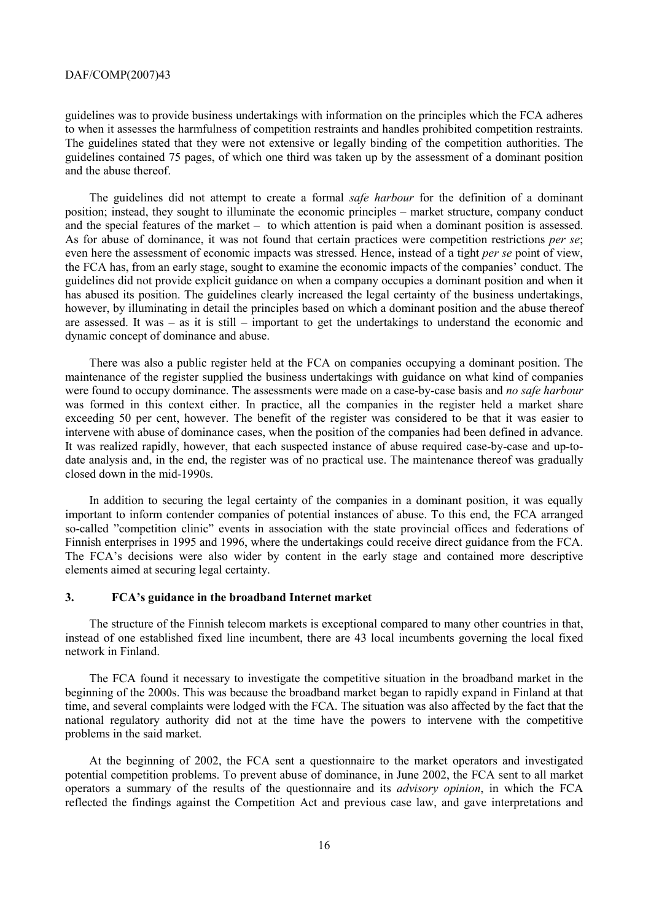guidelines was to provide business undertakings with information on the principles which the FCA adheres to when it assesses the harmfulness of competition restraints and handles prohibited competition restraints. The guidelines stated that they were not extensive or legally binding of the competition authorities. The guidelines contained 75 pages, of which one third was taken up by the assessment of a dominant position and the abuse thereof.

The guidelines did not attempt to create a formal *safe harbour* for the definition of a dominant position; instead, they sought to illuminate the economic principles – market structure, company conduct and the special features of the market – to which attention is paid when a dominant position is assessed. As for abuse of dominance, it was not found that certain practices were competition restrictions *per se*; even here the assessment of economic impacts was stressed. Hence, instead of a tight *per se* point of view, the FCA has, from an early stage, sought to examine the economic impacts of the companies' conduct. The guidelines did not provide explicit guidance on when a company occupies a dominant position and when it has abused its position. The guidelines clearly increased the legal certainty of the business undertakings, however, by illuminating in detail the principles based on which a dominant position and the abuse thereof are assessed. It was – as it is still – important to get the undertakings to understand the economic and dynamic concept of dominance and abuse.

There was also a public register held at the FCA on companies occupying a dominant position. The maintenance of the register supplied the business undertakings with guidance on what kind of companies were found to occupy dominance. The assessments were made on a case-by-case basis and *no safe harbour* was formed in this context either. In practice, all the companies in the register held a market share exceeding 50 per cent, however. The benefit of the register was considered to be that it was easier to intervene with abuse of dominance cases, when the position of the companies had been defined in advance. It was realized rapidly, however, that each suspected instance of abuse required case-by-case and up-todate analysis and, in the end, the register was of no practical use. The maintenance thereof was gradually closed down in the mid-1990s.

In addition to securing the legal certainty of the companies in a dominant position, it was equally important to inform contender companies of potential instances of abuse. To this end, the FCA arranged so-called "competition clinic" events in association with the state provincial offices and federations of Finnish enterprises in 1995 and 1996, where the undertakings could receive direct guidance from the FCA. The FCA's decisions were also wider by content in the early stage and contained more descriptive elements aimed at securing legal certainty.

#### **3. FCA's guidance in the broadband Internet market**

The structure of the Finnish telecom markets is exceptional compared to many other countries in that, instead of one established fixed line incumbent, there are 43 local incumbents governing the local fixed network in Finland.

The FCA found it necessary to investigate the competitive situation in the broadband market in the beginning of the 2000s. This was because the broadband market began to rapidly expand in Finland at that time, and several complaints were lodged with the FCA. The situation was also affected by the fact that the national regulatory authority did not at the time have the powers to intervene with the competitive problems in the said market.

At the beginning of 2002, the FCA sent a questionnaire to the market operators and investigated potential competition problems. To prevent abuse of dominance, in June 2002, the FCA sent to all market operators a summary of the results of the questionnaire and its *advisory opinion*, in which the FCA reflected the findings against the Competition Act and previous case law, and gave interpretations and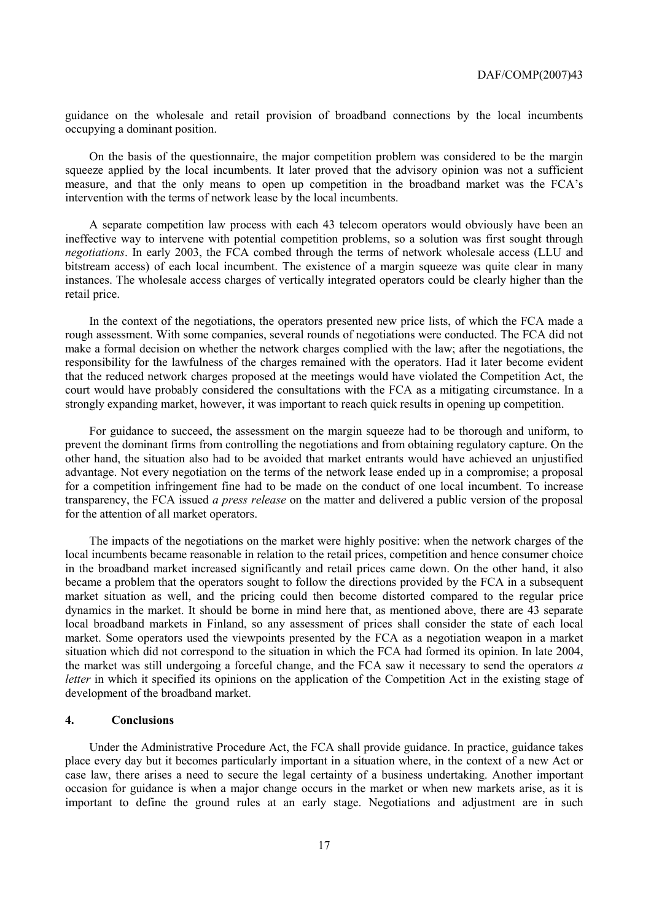guidance on the wholesale and retail provision of broadband connections by the local incumbents occupying a dominant position.

On the basis of the questionnaire, the major competition problem was considered to be the margin squeeze applied by the local incumbents. It later proved that the advisory opinion was not a sufficient measure, and that the only means to open up competition in the broadband market was the FCA's intervention with the terms of network lease by the local incumbents.

A separate competition law process with each 43 telecom operators would obviously have been an ineffective way to intervene with potential competition problems, so a solution was first sought through *negotiations*. In early 2003, the FCA combed through the terms of network wholesale access (LLU and bitstream access) of each local incumbent. The existence of a margin squeeze was quite clear in many instances. The wholesale access charges of vertically integrated operators could be clearly higher than the retail price.

In the context of the negotiations, the operators presented new price lists, of which the FCA made a rough assessment. With some companies, several rounds of negotiations were conducted. The FCA did not make a formal decision on whether the network charges complied with the law; after the negotiations, the responsibility for the lawfulness of the charges remained with the operators. Had it later become evident that the reduced network charges proposed at the meetings would have violated the Competition Act, the court would have probably considered the consultations with the FCA as a mitigating circumstance. In a strongly expanding market, however, it was important to reach quick results in opening up competition.

For guidance to succeed, the assessment on the margin squeeze had to be thorough and uniform, to prevent the dominant firms from controlling the negotiations and from obtaining regulatory capture. On the other hand, the situation also had to be avoided that market entrants would have achieved an unjustified advantage. Not every negotiation on the terms of the network lease ended up in a compromise; a proposal for a competition infringement fine had to be made on the conduct of one local incumbent. To increase transparency, the FCA issued *a press release* on the matter and delivered a public version of the proposal for the attention of all market operators.

The impacts of the negotiations on the market were highly positive: when the network charges of the local incumbents became reasonable in relation to the retail prices, competition and hence consumer choice in the broadband market increased significantly and retail prices came down. On the other hand, it also became a problem that the operators sought to follow the directions provided by the FCA in a subsequent market situation as well, and the pricing could then become distorted compared to the regular price dynamics in the market. It should be borne in mind here that, as mentioned above, there are 43 separate local broadband markets in Finland, so any assessment of prices shall consider the state of each local market. Some operators used the viewpoints presented by the FCA as a negotiation weapon in a market situation which did not correspond to the situation in which the FCA had formed its opinion. In late 2004, the market was still undergoing a forceful change, and the FCA saw it necessary to send the operators *a letter* in which it specified its opinions on the application of the Competition Act in the existing stage of development of the broadband market.

#### **4. Conclusions**

Under the Administrative Procedure Act, the FCA shall provide guidance. In practice, guidance takes place every day but it becomes particularly important in a situation where, in the context of a new Act or case law, there arises a need to secure the legal certainty of a business undertaking. Another important occasion for guidance is when a major change occurs in the market or when new markets arise, as it is important to define the ground rules at an early stage. Negotiations and adjustment are in such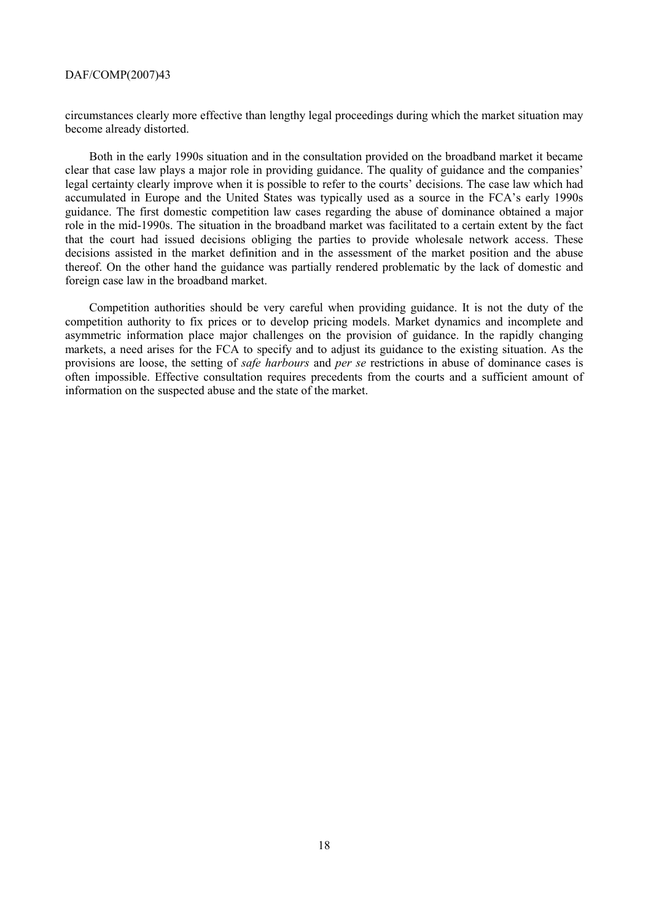circumstances clearly more effective than lengthy legal proceedings during which the market situation may become already distorted.

Both in the early 1990s situation and in the consultation provided on the broadband market it became clear that case law plays a major role in providing guidance. The quality of guidance and the companies' legal certainty clearly improve when it is possible to refer to the courts' decisions. The case law which had accumulated in Europe and the United States was typically used as a source in the FCA's early 1990s guidance. The first domestic competition law cases regarding the abuse of dominance obtained a major role in the mid-1990s. The situation in the broadband market was facilitated to a certain extent by the fact that the court had issued decisions obliging the parties to provide wholesale network access. These decisions assisted in the market definition and in the assessment of the market position and the abuse thereof. On the other hand the guidance was partially rendered problematic by the lack of domestic and foreign case law in the broadband market.

Competition authorities should be very careful when providing guidance. It is not the duty of the competition authority to fix prices or to develop pricing models. Market dynamics and incomplete and asymmetric information place major challenges on the provision of guidance. In the rapidly changing markets, a need arises for the FCA to specify and to adjust its guidance to the existing situation. As the provisions are loose, the setting of *safe harbours* and *per se* restrictions in abuse of dominance cases is often impossible. Effective consultation requires precedents from the courts and a sufficient amount of information on the suspected abuse and the state of the market.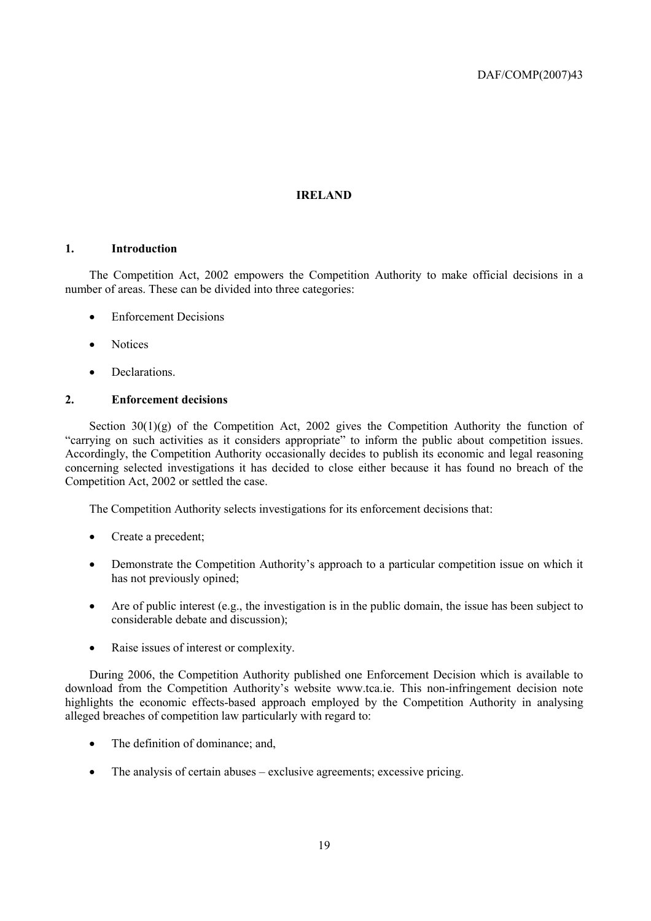#### **IRELAND**

#### **1. Introduction**

The Competition Act, 2002 empowers the Competition Authority to make official decisions in a number of areas. These can be divided into three categories:

- Enforcement Decisions
- Notices
- Declarations.

#### **2. Enforcement decisions**

Section  $30(1)(g)$  of the Competition Act, 2002 gives the Competition Authority the function of "carrying on such activities as it considers appropriate" to inform the public about competition issues. Accordingly, the Competition Authority occasionally decides to publish its economic and legal reasoning concerning selected investigations it has decided to close either because it has found no breach of the Competition Act, 2002 or settled the case.

The Competition Authority selects investigations for its enforcement decisions that:

- Create a precedent;
- Demonstrate the Competition Authority's approach to a particular competition issue on which it has not previously opined;
- Are of public interest  $(e.g., the investigation is in the public domain, the issue has been subject to  $e^{-\lambda}$ .$ considerable debate and discussion);
- Raise issues of interest or complexity.

During 2006, the Competition Authority published one Enforcement Decision which is available to download from the Competition Authority's website www.tca.ie. This non-infringement decision note highlights the economic effects-based approach employed by the Competition Authority in analysing alleged breaches of competition law particularly with regard to:

- The definition of dominance; and,
- The analysis of certain abuses exclusive agreements; excessive pricing.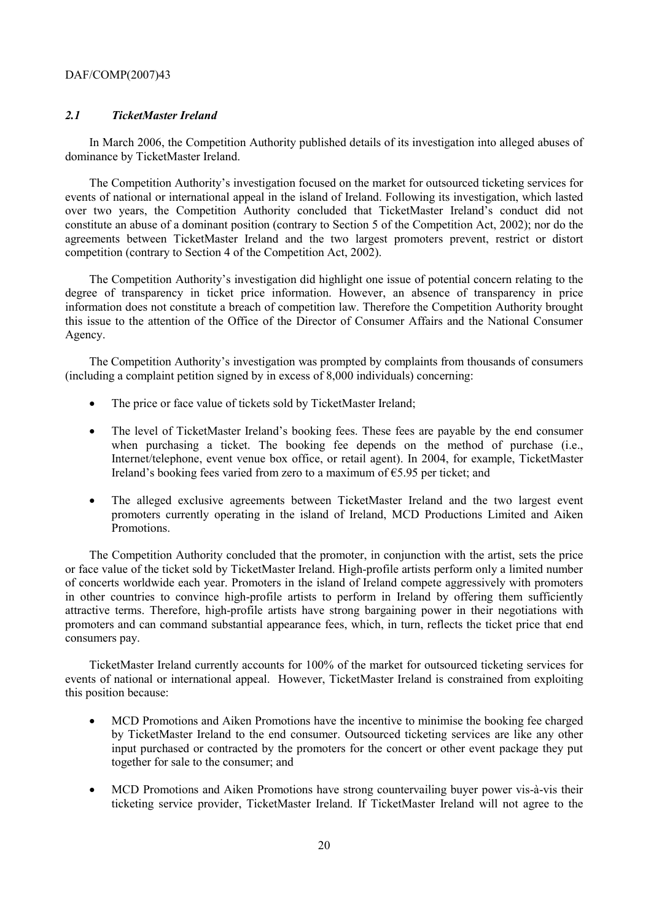#### *2.1 TicketMaster Ireland*

In March 2006, the Competition Authority published details of its investigation into alleged abuses of dominance by TicketMaster Ireland.

The Competition Authority's investigation focused on the market for outsourced ticketing services for events of national or international appeal in the island of Ireland. Following its investigation, which lasted over two years, the Competition Authority concluded that TicketMaster Ireland's conduct did not constitute an abuse of a dominant position (contrary to Section 5 of the Competition Act, 2002); nor do the agreements between TicketMaster Ireland and the two largest promoters prevent, restrict or distort competition (contrary to Section 4 of the Competition Act, 2002).

The Competition Authority's investigation did highlight one issue of potential concern relating to the degree of transparency in ticket price information. However, an absence of transparency in price information does not constitute a breach of competition law. Therefore the Competition Authority brought this issue to the attention of the Office of the Director of Consumer Affairs and the National Consumer Agency.

The Competition Authority's investigation was prompted by complaints from thousands of consumers (including a complaint petition signed by in excess of 8,000 individuals) concerning:

- The price or face value of tickets sold by TicketMaster Ireland;
- The level of TicketMaster Ireland's booking fees. These fees are payable by the end consumer when purchasing a ticket. The booking fee depends on the method of purchase (i.e., Internet/telephone, event venue box office, or retail agent). In 2004, for example, TicketMaster Ireland's booking fees varied from zero to a maximum of  $\epsilon$ 5.95 per ticket; and
- The alleged exclusive agreements between TicketMaster Ireland and the two largest event promoters currently operating in the island of Ireland, MCD Productions Limited and Aiken Promotions.

The Competition Authority concluded that the promoter, in conjunction with the artist, sets the price or face value of the ticket sold by TicketMaster Ireland. High-profile artists perform only a limited number of concerts worldwide each year. Promoters in the island of Ireland compete aggressively with promoters in other countries to convince high-profile artists to perform in Ireland by offering them sufficiently attractive terms. Therefore, high-profile artists have strong bargaining power in their negotiations with promoters and can command substantial appearance fees, which, in turn, reflects the ticket price that end consumers pay.

TicketMaster Ireland currently accounts for 100% of the market for outsourced ticketing services for events of national or international appeal. However, TicketMaster Ireland is constrained from exploiting this position because:

- MCD Promotions and Aiken Promotions have the incentive to minimise the booking fee charged by TicketMaster Ireland to the end consumer. Outsourced ticketing services are like any other input purchased or contracted by the promoters for the concert or other event package they put together for sale to the consumer; and
- MCD Promotions and Aiken Promotions have strong countervailing buyer power vis-à-vis their ticketing service provider, TicketMaster Ireland. If TicketMaster Ireland will not agree to the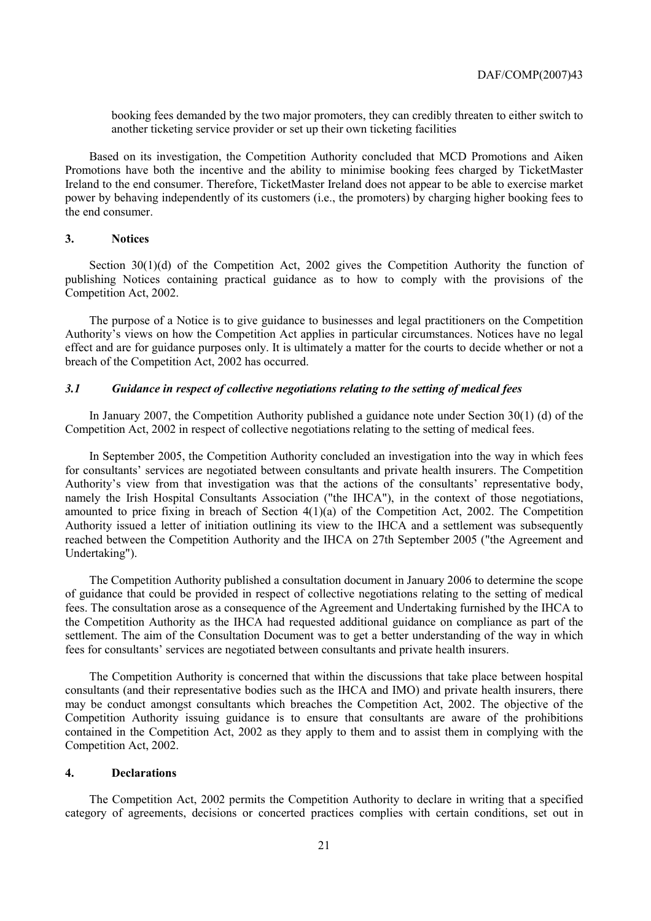booking fees demanded by the two major promoters, they can credibly threaten to either switch to another ticketing service provider or set up their own ticketing facilities

Based on its investigation, the Competition Authority concluded that MCD Promotions and Aiken Promotions have both the incentive and the ability to minimise booking fees charged by TicketMaster Ireland to the end consumer. Therefore, TicketMaster Ireland does not appear to be able to exercise market power by behaving independently of its customers (i.e., the promoters) by charging higher booking fees to the end consumer.

#### **3. Notices**

Section 30(1)(d) of the Competition Act, 2002 gives the Competition Authority the function of publishing Notices containing practical guidance as to how to comply with the provisions of the Competition Act, 2002.

The purpose of a Notice is to give guidance to businesses and legal practitioners on the Competition Authority's views on how the Competition Act applies in particular circumstances. Notices have no legal effect and are for guidance purposes only. It is ultimately a matter for the courts to decide whether or not a breach of the Competition Act, 2002 has occurred.

#### *3.1 Guidance in respect of collective negotiations relating to the setting of medical fees*

In January 2007, the Competition Authority published a guidance note under Section 30(1) (d) of the Competition Act, 2002 in respect of collective negotiations relating to the setting of medical fees.

In September 2005, the Competition Authority concluded an investigation into the way in which fees for consultants' services are negotiated between consultants and private health insurers. The Competition Authority's view from that investigation was that the actions of the consultants' representative body, namely the Irish Hospital Consultants Association ("the IHCA"), in the context of those negotiations, amounted to price fixing in breach of Section 4(1)(a) of the Competition Act, 2002. The Competition Authority issued a letter of initiation outlining its view to the IHCA and a settlement was subsequently reached between the Competition Authority and the IHCA on 27th September 2005 ("the Agreement and Undertaking").

The Competition Authority published a consultation document in January 2006 to determine the scope of guidance that could be provided in respect of collective negotiations relating to the setting of medical fees. The consultation arose as a consequence of the Agreement and Undertaking furnished by the IHCA to the Competition Authority as the IHCA had requested additional guidance on compliance as part of the settlement. The aim of the Consultation Document was to get a better understanding of the way in which fees for consultants' services are negotiated between consultants and private health insurers.

The Competition Authority is concerned that within the discussions that take place between hospital consultants (and their representative bodies such as the IHCA and IMO) and private health insurers, there may be conduct amongst consultants which breaches the Competition Act, 2002. The objective of the Competition Authority issuing guidance is to ensure that consultants are aware of the prohibitions contained in the Competition Act, 2002 as they apply to them and to assist them in complying with the Competition Act, 2002.

#### **4. Declarations**

The Competition Act, 2002 permits the Competition Authority to declare in writing that a specified category of agreements, decisions or concerted practices complies with certain conditions, set out in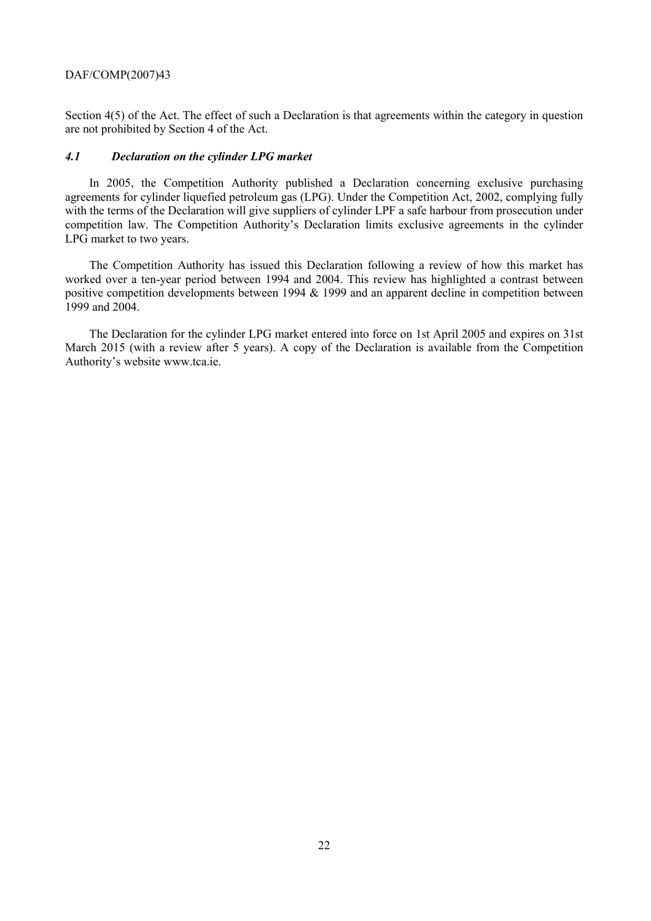Section 4(5) of the Act. The effect of such a Declaration is that agreements within the category in question are not prohibited by Section 4 of the Act.

#### *4.1 Declaration on the cylinder LPG market*

In 2005, the Competition Authority published a Declaration concerning exclusive purchasing agreements for cylinder liquefied petroleum gas (LPG). Under the Competition Act, 2002, complying fully with the terms of the Declaration will give suppliers of cylinder LPF a safe harbour from prosecution under competition law. The Competition Authority's Declaration limits exclusive agreements in the cylinder LPG market to two years.

The Competition Authority has issued this Declaration following a review of how this market has worked over a ten-year period between 1994 and 2004. This review has highlighted a contrast between positive competition developments between 1994 & 1999 and an apparent decline in competition between  $1999$  and  $2004$ .

The Declaration for the cylinder LPG market entered into force on 1st April 2005 and expires on 31st March 2015 (with a review after 5 years). A copy of the Declaration is available from the Competition Authority's website www.tca.ie.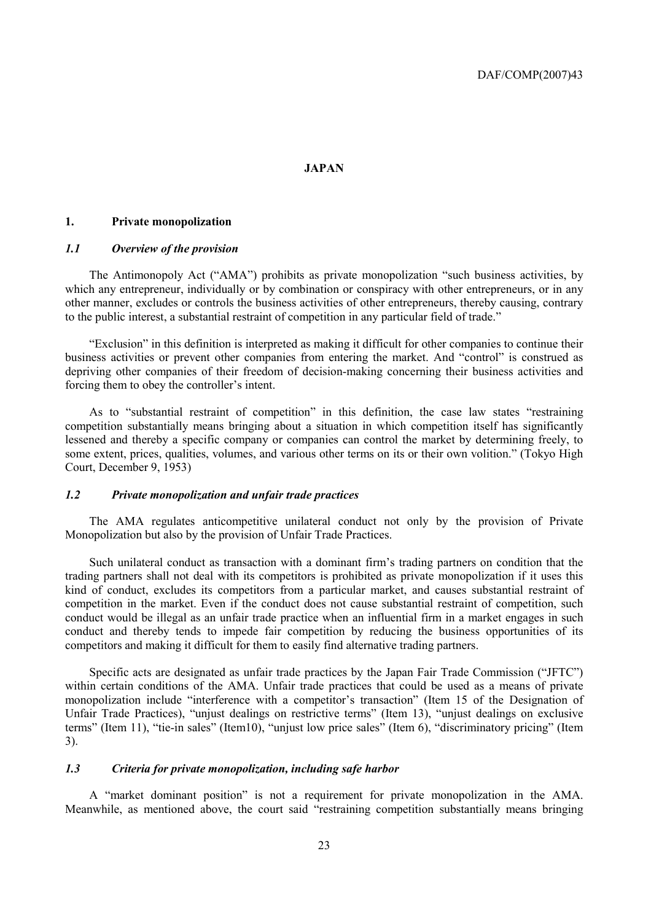#### **JAPAN**

#### **1. Private monopolization**

#### *1.1 Overview of the provision*

The Antimonopoly Act ("AMA") prohibits as private monopolization "such business activities, by which any entrepreneur, individually or by combination or conspiracy with other entrepreneurs, or in any other manner, excludes or controls the business activities of other entrepreneurs, thereby causing, contrary to the public interest, a substantial restraint of competition in any particular field of trade."

"Exclusion" in this definition is interpreted as making it difficult for other companies to continue their business activities or prevent other companies from entering the market. And "control" is construed as depriving other companies of their freedom of decision-making concerning their business activities and forcing them to obey the controller's intent.

As to "substantial restraint of competition" in this definition, the case law states "restraining competition substantially means bringing about a situation in which competition itself has significantly lessened and thereby a specific company or companies can control the market by determining freely, to some extent, prices, qualities, volumes, and various other terms on its or their own volition." (Tokyo High Court, December 9, 1953)

#### *1.2 Private monopolization and unfair trade practices*

The AMA regulates anticompetitive unilateral conduct not only by the provision of Private Monopolization but also by the provision of Unfair Trade Practices.

Such unilateral conduct as transaction with a dominant firm's trading partners on condition that the trading partners shall not deal with its competitors is prohibited as private monopolization if it uses this kind of conduct, excludes its competitors from a particular market, and causes substantial restraint of competition in the market. Even if the conduct does not cause substantial restraint of competition, such conduct would be illegal as an unfair trade practice when an influential firm in a market engages in such conduct and thereby tends to impede fair competition by reducing the business opportunities of its competitors and making it difficult for them to easily find alternative trading partners.

Specific acts are designated as unfair trade practices by the Japan Fair Trade Commission ("JFTC") within certain conditions of the AMA. Unfair trade practices that could be used as a means of private monopolization include "interference with a competitor's transaction" (Item 15 of the Designation of Unfair Trade Practices), "unjust dealings on restrictive terms" (Item 13), "unjust dealings on exclusive terms" (Item 11), "tie-in sales" (Item10), "unjust low price sales" (Item 6), "discriminatory pricing" (Item 3).

#### *1.3 Criteria for private monopolization, including safe harbor*

A "market dominant position" is not a requirement for private monopolization in the AMA. Meanwhile, as mentioned above, the court said "restraining competition substantially means bringing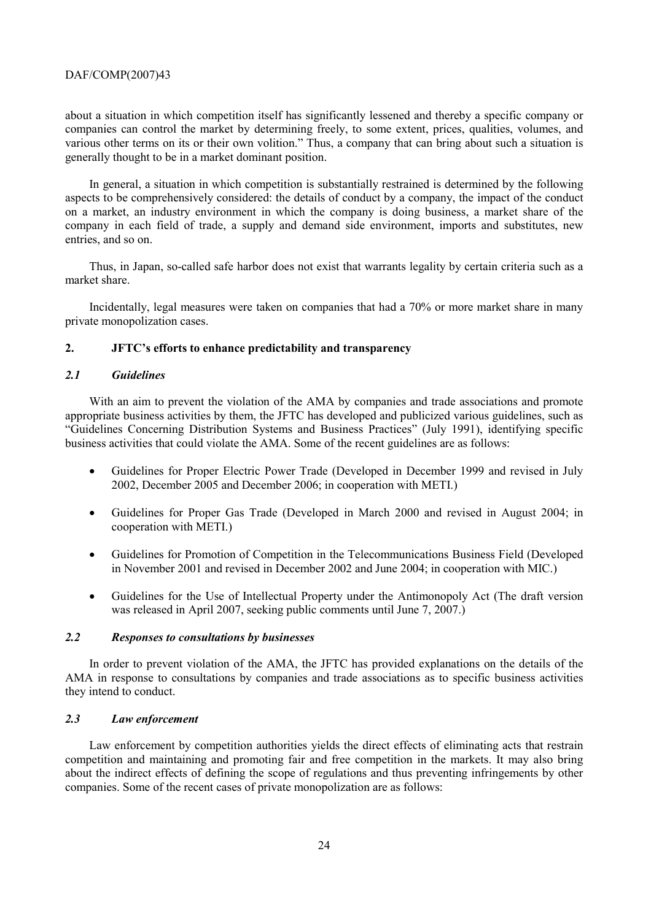about a situation in which competition itself has significantly lessened and thereby a specific company or companies can control the market by determining freely, to some extent, prices, qualities, volumes, and various other terms on its or their own volition." Thus, a company that can bring about such a situation is generally thought to be in a market dominant position.

In general, a situation in which competition is substantially restrained is determined by the following aspects to be comprehensively considered: the details of conduct by a company, the impact of the conduct on a market, an industry environment in which the company is doing business, a market share of the company in each field of trade, a supply and demand side environment, imports and substitutes, new entries, and so on.

Thus, in Japan, so-called safe harbor does not exist that warrants legality by certain criteria such as a market share.

Incidentally, legal measures were taken on companies that had a 70% or more market share in many private monopolization cases.

#### **2. JFTC's efforts to enhance predictability and transparency**

#### *2.1 Guidelines*

With an aim to prevent the violation of the AMA by companies and trade associations and promote appropriate business activities by them, the JFTC has developed and publicized various guidelines, such as "Guidelines Concerning Distribution Systems and Business Practices" (July 1991), identifying specific business activities that could violate the AMA. Some of the recent guidelines are as follows:

- Guidelines for Proper Electric Power Trade (Developed in December 1999 and revised in July 2002, December 2005 and December 2006; in cooperation with METI.)
- Guidelines for Proper Gas Trade (Developed in March 2000 and revised in August 2004; in cooperation with METI.)
- Guidelines for Promotion of Competition in the Telecommunications Business Field (Developed in November 2001 and revised in December 2002 and June 2004; in cooperation with MIC.)
- Guidelines for the Use of Intellectual Property under the Antimonopoly Act (The draft version was released in April 2007, seeking public comments until June 7, 2007.)

#### *2.2 Responses to consultations by businesses*

In order to prevent violation of the AMA, the JFTC has provided explanations on the details of the AMA in response to consultations by companies and trade associations as to specific business activities they intend to conduct.

#### *2.3 Law enforcement*

Law enforcement by competition authorities yields the direct effects of eliminating acts that restrain competition and maintaining and promoting fair and free competition in the markets. It may also bring about the indirect effects of defining the scope of regulations and thus preventing infringements by other companies. Some of the recent cases of private monopolization are as follows: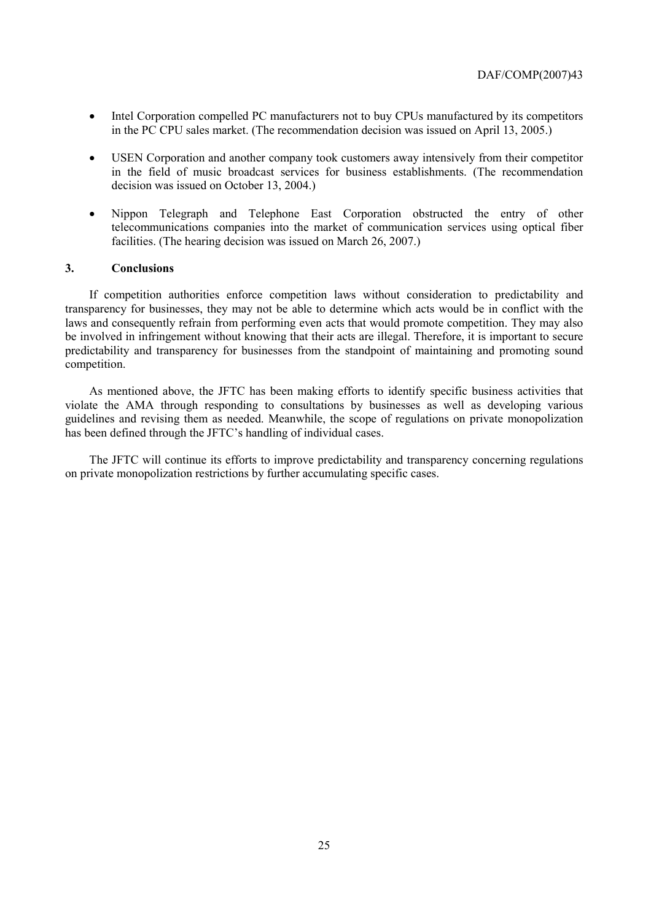- Intel Corporation compelled PC manufacturers not to buy CPUs manufactured by its competitors in the PC CPU sales market. (The recommendation decision was issued on April 13, 2005.)
- USEN Corporation and another company took customers away intensively from their competitor in the field of music broadcast services for business establishments. (The recommendation decision was issued on October 13, 2004.)
- Nippon Telegraph and Telephone East Corporation obstructed the entry of other telecommunications companies into the market of communication services using optical fiber facilities. (The hearing decision was issued on March 26, 2007.)

#### **3. Conclusions**

If competition authorities enforce competition laws without consideration to predictability and transparency for businesses, they may not be able to determine which acts would be in conflict with the laws and consequently refrain from performing even acts that would promote competition. They may also be involved in infringement without knowing that their acts are illegal. Therefore, it is important to secure predictability and transparency for businesses from the standpoint of maintaining and promoting sound competition.

As mentioned above, the JFTC has been making efforts to identify specific business activities that violate the AMA through responding to consultations by businesses as well as developing various guidelines and revising them as needed. Meanwhile, the scope of regulations on private monopolization has been defined through the JFTC's handling of individual cases.

The JFTC will continue its efforts to improve predictability and transparency concerning regulations on private monopolization restrictions by further accumulating specific cases.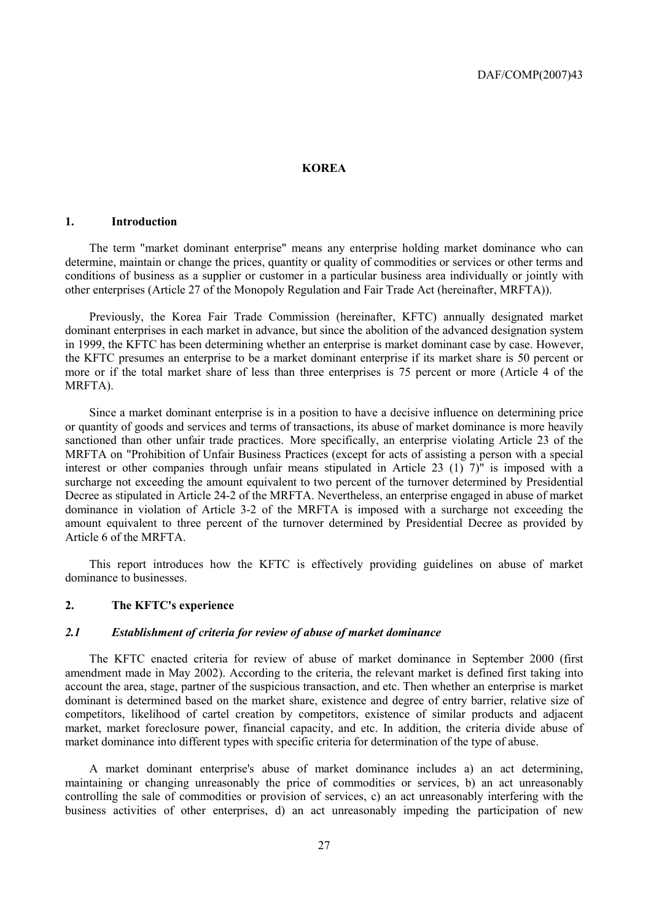#### **KOREA**

#### **1. Introduction**

The term "market dominant enterprise" means any enterprise holding market dominance who can determine, maintain or change the prices, quantity or quality of commodities or services or other terms and conditions of business as a supplier or customer in a particular business area individually or jointly with other enterprises (Article 27 of the Monopoly Regulation and Fair Trade Act (hereinafter, MRFTA)).

Previously, the Korea Fair Trade Commission (hereinafter, KFTC) annually designated market dominant enterprises in each market in advance, but since the abolition of the advanced designation system in 1999, the KFTC has been determining whether an enterprise is market dominant case by case. However, the KFTC presumes an enterprise to be a market dominant enterprise if its market share is 50 percent or more or if the total market share of less than three enterprises is 75 percent or more (Article 4 of the MRFTA).

Since a market dominant enterprise is in a position to have a decisive influence on determining price or quantity of goods and services and terms of transactions, its abuse of market dominance is more heavily sanctioned than other unfair trade practices. More specifically, an enterprise violating Article 23 of the MRFTA on "Prohibition of Unfair Business Practices (except for acts of assisting a person with a special interest or other companies through unfair means stipulated in Article 23 (1) 7)" is imposed with a surcharge not exceeding the amount equivalent to two percent of the turnover determined by Presidential Decree as stipulated in Article 24-2 of the MRFTA. Nevertheless, an enterprise engaged in abuse of market dominance in violation of Article 3-2 of the MRFTA is imposed with a surcharge not exceeding the amount equivalent to three percent of the turnover determined by Presidential Decree as provided by Article 6 of the MRFTA.

This report introduces how the KFTC is effectively providing guidelines on abuse of market dominance to businesses.

#### **2. The KFTC's experience**

#### *2.1 Establishment of criteria for review of abuse of market dominance*

The KFTC enacted criteria for review of abuse of market dominance in September 2000 (first amendment made in May 2002). According to the criteria, the relevant market is defined first taking into account the area, stage, partner of the suspicious transaction, and etc. Then whether an enterprise is market dominant is determined based on the market share, existence and degree of entry barrier, relative size of competitors, likelihood of cartel creation by competitors, existence of similar products and adjacent market, market foreclosure power, financial capacity, and etc. In addition, the criteria divide abuse of market dominance into different types with specific criteria for determination of the type of abuse.

A market dominant enterprise's abuse of market dominance includes a) an act determining, maintaining or changing unreasonably the price of commodities or services, b) an act unreasonably controlling the sale of commodities or provision of services, c) an act unreasonably interfering with the business activities of other enterprises, d) an act unreasonably impeding the participation of new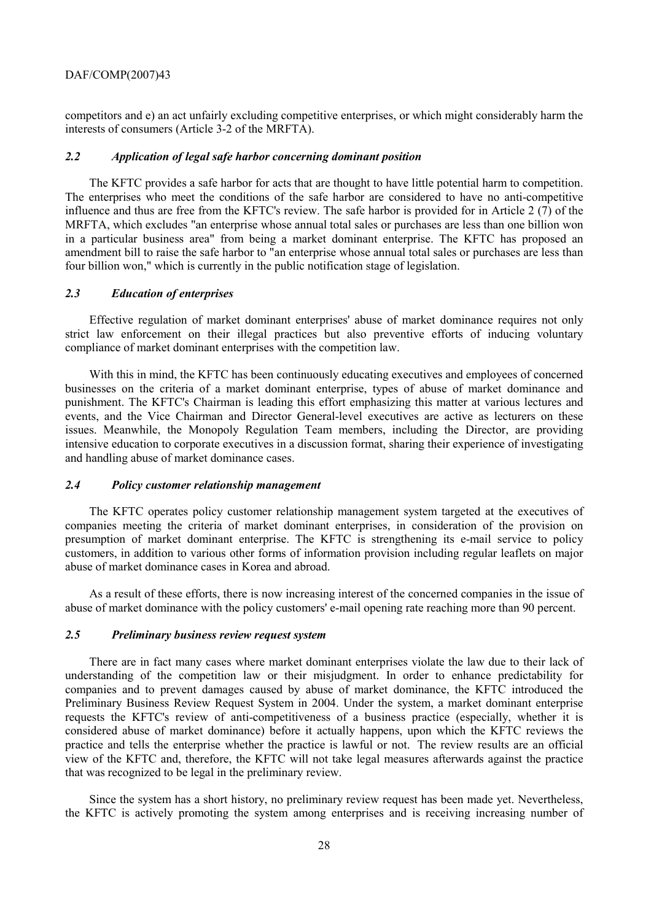competitors and e) an act unfairly excluding competitive enterprises, or which might considerably harm the interests of consumers (Article 3-2 of the MRFTA).

#### *2.2 Application of legal safe harbor concerning dominant position*

The KFTC provides a safe harbor for acts that are thought to have little potential harm to competition. The enterprises who meet the conditions of the safe harbor are considered to have no anti-competitive influence and thus are free from the KFTC's review. The safe harbor is provided for in Article 2 (7) of the MRFTA, which excludes "an enterprise whose annual total sales or purchases are less than one billion won in a particular business area" from being a market dominant enterprise. The KFTC has proposed an amendment bill to raise the safe harbor to "an enterprise whose annual total sales or purchases are less than four billion won," which is currently in the public notification stage of legislation.

#### *2.3 Education of enterprises*

Effective regulation of market dominant enterprises' abuse of market dominance requires not only strict law enforcement on their illegal practices but also preventive efforts of inducing voluntary compliance of market dominant enterprises with the competition law.

With this in mind, the KFTC has been continuously educating executives and employees of concerned businesses on the criteria of a market dominant enterprise, types of abuse of market dominance and punishment. The KFTC's Chairman is leading this effort emphasizing this matter at various lectures and events, and the Vice Chairman and Director General-level executives are active as lecturers on these issues. Meanwhile, the Monopoly Regulation Team members, including the Director, are providing intensive education to corporate executives in a discussion format, sharing their experience of investigating and handling abuse of market dominance cases.

#### *2.4 Policy customer relationship management*

The KFTC operates policy customer relationship management system targeted at the executives of companies meeting the criteria of market dominant enterprises, in consideration of the provision on presumption of market dominant enterprise. The KFTC is strengthening its e-mail service to policy customers, in addition to various other forms of information provision including regular leaflets on major abuse of market dominance cases in Korea and abroad.

As a result of these efforts, there is now increasing interest of the concerned companies in the issue of abuse of market dominance with the policy customers' e-mail opening rate reaching more than 90 percent.

#### *2.5 Preliminary business review request system*

There are in fact many cases where market dominant enterprises violate the law due to their lack of understanding of the competition law or their misjudgment. In order to enhance predictability for companies and to prevent damages caused by abuse of market dominance, the KFTC introduced the Preliminary Business Review Request System in 2004. Under the system, a market dominant enterprise requests the KFTC's review of anti-competitiveness of a business practice (especially, whether it is considered abuse of market dominance) before it actually happens, upon which the KFTC reviews the practice and tells the enterprise whether the practice is lawful or not. The review results are an official view of the KFTC and, therefore, the KFTC will not take legal measures afterwards against the practice that was recognized to be legal in the preliminary review.

Since the system has a short history, no preliminary review request has been made yet. Nevertheless, the KFTC is actively promoting the system among enterprises and is receiving increasing number of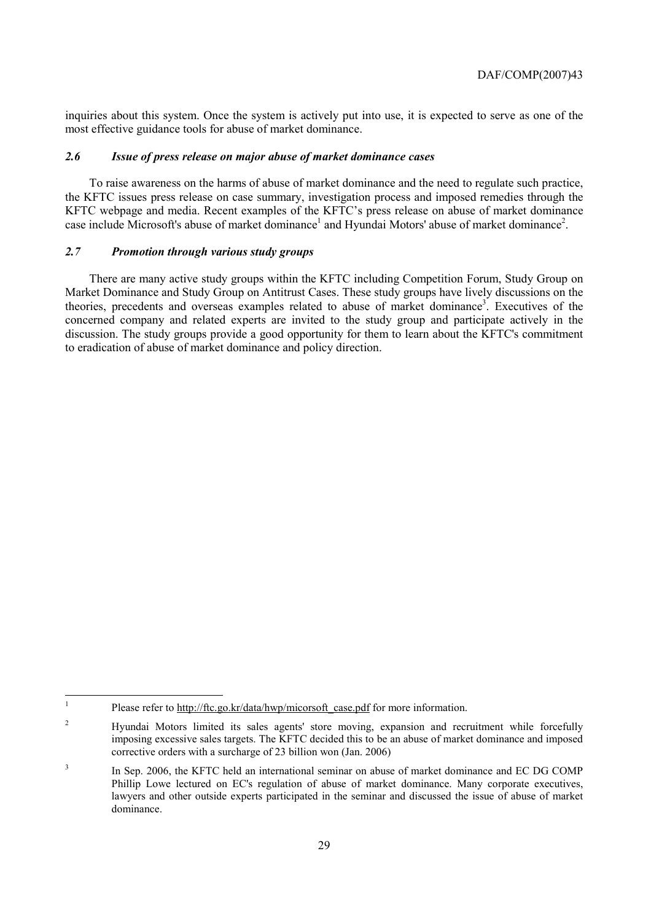inquiries about this system. Once the system is actively put into use, it is expected to serve as one of the most effective guidance tools for abuse of market dominance.

#### *2.6 Issue of press release on major abuse of market dominance cases*

To raise awareness on the harms of abuse of market dominance and the need to regulate such practice, the KFTC issues press release on case summary, investigation process and imposed remedies through the KFTC webpage and media. Recent examples of the KFTC's press release on abuse of market dominance case include Microsoft's abuse of market dominance<sup>1</sup> and Hyundai Motors' abuse of market dominance<sup>2</sup>.

#### *2.7 Promotion through various study groups*

There are many active study groups within the KFTC including Competition Forum, Study Group on Market Dominance and Study Group on Antitrust Cases. These study groups have lively discussions on the theories, precedents and overseas examples related to abuse of market dominance<sup>3</sup>. Executives of the concerned company and related experts are invited to the study group and participate actively in the discussion. The study groups provide a good opportunity for them to learn about the KFTC's commitment to eradication of abuse of market dominance and policy direction.

<sup>|&</sup>lt;br>|<br>| Please refer to http://ftc.go.kr/data/hwp/micorsoft\_case.pdf for more information.

<sup>2</sup> Hyundai Motors limited its sales agents' store moving, expansion and recruitment while forcefully imposing excessive sales targets. The KFTC decided this to be an abuse of market dominance and imposed corrective orders with a surcharge of 23 billion won (Jan. 2006)

<sup>3</sup> In Sep. 2006, the KFTC held an international seminar on abuse of market dominance and EC DG COMP Phillip Lowe lectured on EC's regulation of abuse of market dominance. Many corporate executives, lawyers and other outside experts participated in the seminar and discussed the issue of abuse of market dominance.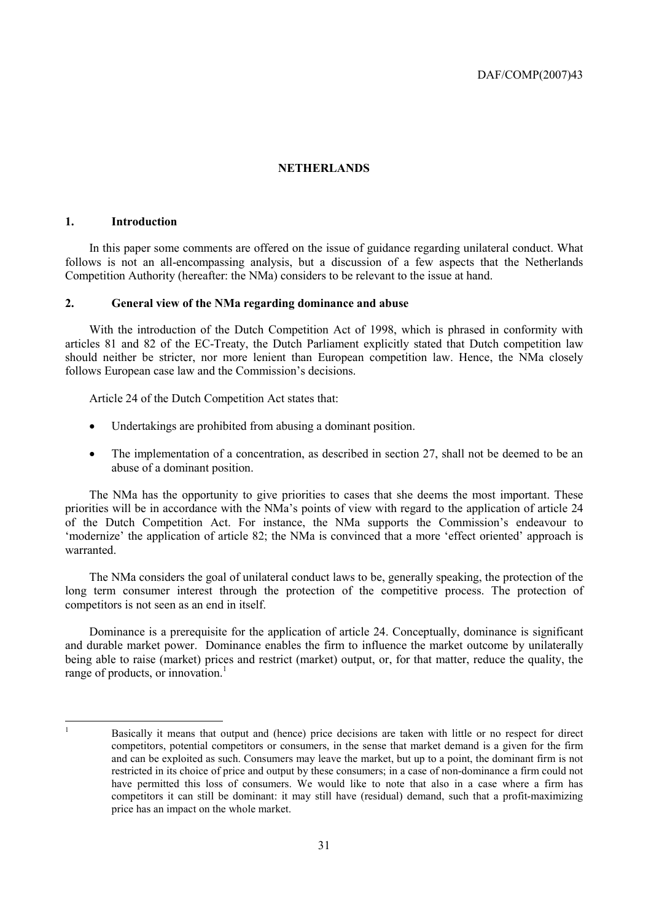#### **NETHERLANDS**

#### **1. Introduction**

In this paper some comments are offered on the issue of guidance regarding unilateral conduct. What follows is not an all-encompassing analysis, but a discussion of a few aspects that the Netherlands Competition Authority (hereafter: the NMa) considers to be relevant to the issue at hand.

#### **2. General view of the NMa regarding dominance and abuse**

With the introduction of the Dutch Competition Act of 1998, which is phrased in conformity with articles 81 and 82 of the EC-Treaty, the Dutch Parliament explicitly stated that Dutch competition law should neither be stricter, nor more lenient than European competition law. Hence, the NMa closely follows European case law and the Commission's decisions.

Article 24 of the Dutch Competition Act states that:

- Undertakings are prohibited from abusing a dominant position.
- The implementation of a concentration, as described in section 27, shall not be deemed to be an abuse of a dominant position.

The NMa has the opportunity to give priorities to cases that she deems the most important. These priorities will be in accordance with the NMa's points of view with regard to the application of article 24 of the Dutch Competition Act. For instance, the NMa supports the Commission's endeavour to 'modernize' the application of article 82; the NMa is convinced that a more 'effect oriented' approach is warranted.

The NMa considers the goal of unilateral conduct laws to be, generally speaking, the protection of the long term consumer interest through the protection of the competitive process. The protection of competitors is not seen as an end in itself.

Dominance is a prerequisite for the application of article 24. Conceptually, dominance is significant and durable market power. Dominance enables the firm to influence the market outcome by unilaterally being able to raise (market) prices and restrict (market) output, or, for that matter, reduce the quality, the range of products, or innovation.<sup>1</sup>

 $\mathbf{1}$ <sup>1</sup> Basically it means that output and (hence) price decisions are taken with little or no respect for direct competitors, potential competitors or consumers, in the sense that market demand is a given for the firm and can be exploited as such. Consumers may leave the market, but up to a point, the dominant firm is not restricted in its choice of price and output by these consumers; in a case of non-dominance a firm could not have permitted this loss of consumers. We would like to note that also in a case where a firm has competitors it can still be dominant: it may still have (residual) demand, such that a profit-maximizing price has an impact on the whole market.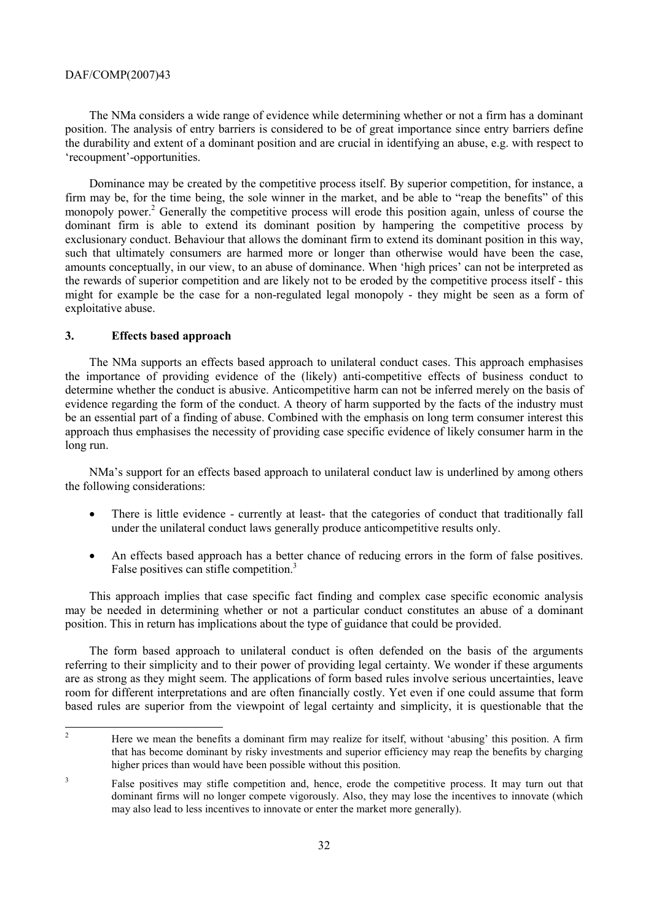The NMa considers a wide range of evidence while determining whether or not a firm has a dominant position. The analysis of entry barriers is considered to be of great importance since entry barriers define the durability and extent of a dominant position and are crucial in identifying an abuse, e.g. with respect to 'recoupment'-opportunities.

Dominance may be created by the competitive process itself. By superior competition, for instance, a firm may be, for the time being, the sole winner in the market, and be able to "reap the benefits" of this monopoly power.<sup>2</sup> Generally the competitive process will erode this position again, unless of course the dominant firm is able to extend its dominant position by hampering the competitive process by exclusionary conduct. Behaviour that allows the dominant firm to extend its dominant position in this way, such that ultimately consumers are harmed more or longer than otherwise would have been the case, amounts conceptually, in our view, to an abuse of dominance. When 'high prices' can not be interpreted as the rewards of superior competition and are likely not to be eroded by the competitive process itself - this might for example be the case for a non-regulated legal monopoly - they might be seen as a form of exploitative abuse.

#### **3. Effects based approach**

The NMa supports an effects based approach to unilateral conduct cases. This approach emphasises the importance of providing evidence of the (likely) anti-competitive effects of business conduct to determine whether the conduct is abusive. Anticompetitive harm can not be inferred merely on the basis of evidence regarding the form of the conduct. A theory of harm supported by the facts of the industry must be an essential part of a finding of abuse. Combined with the emphasis on long term consumer interest this approach thus emphasises the necessity of providing case specific evidence of likely consumer harm in the long run.

NMa's support for an effects based approach to unilateral conduct law is underlined by among others the following considerations:

- There is little evidence currently at least- that the categories of conduct that traditionally fall under the unilateral conduct laws generally produce anticompetitive results only.
- An effects based approach has a better chance of reducing errors in the form of false positives. False positives can stifle competition.<sup>3</sup>

This approach implies that case specific fact finding and complex case specific economic analysis may be needed in determining whether or not a particular conduct constitutes an abuse of a dominant position. This in return has implications about the type of guidance that could be provided.

The form based approach to unilateral conduct is often defended on the basis of the arguments referring to their simplicity and to their power of providing legal certainty. We wonder if these arguments are as strong as they might seem. The applications of form based rules involve serious uncertainties, leave room for different interpretations and are often financially costly. Yet even if one could assume that form based rules are superior from the viewpoint of legal certainty and simplicity, it is questionable that the

 $\frac{1}{2}$  Here we mean the benefits a dominant firm may realize for itself, without 'abusing' this position. A firm that has become dominant by risky investments and superior efficiency may reap the benefits by charging higher prices than would have been possible without this position.

<sup>3</sup> False positives may stifle competition and, hence, erode the competitive process. It may turn out that dominant firms will no longer compete vigorously. Also, they may lose the incentives to innovate (which may also lead to less incentives to innovate or enter the market more generally).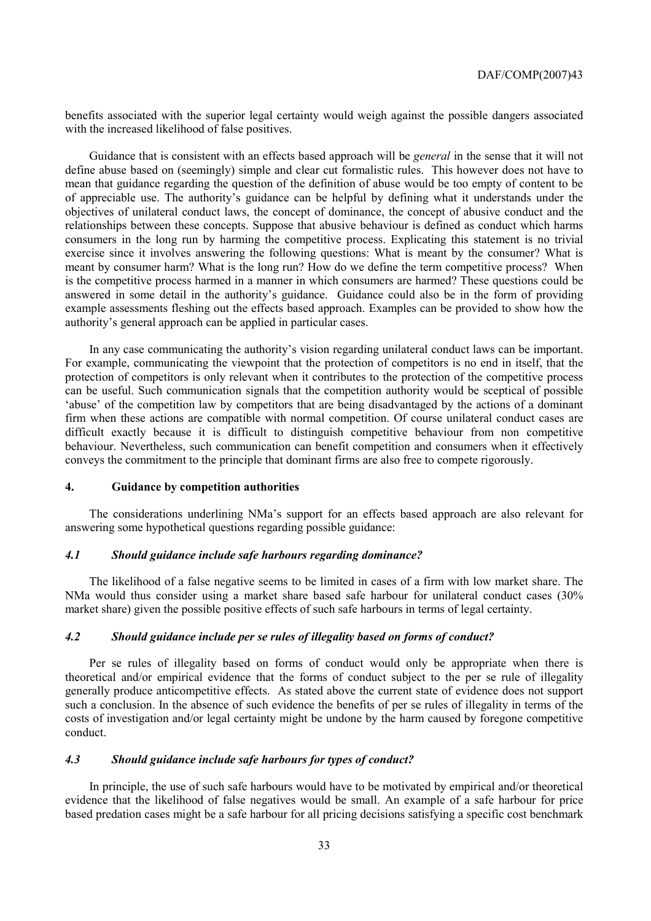benefits associated with the superior legal certainty would weigh against the possible dangers associated with the increased likelihood of false positives.

Guidance that is consistent with an effects based approach will be *general* in the sense that it will not define abuse based on (seemingly) simple and clear cut formalistic rules. This however does not have to mean that guidance regarding the question of the definition of abuse would be too empty of content to be of appreciable use. The authority's guidance can be helpful by defining what it understands under the objectives of unilateral conduct laws, the concept of dominance, the concept of abusive conduct and the relationships between these concepts. Suppose that abusive behaviour is defined as conduct which harms consumers in the long run by harming the competitive process. Explicating this statement is no trivial exercise since it involves answering the following questions: What is meant by the consumer? What is meant by consumer harm? What is the long run? How do we define the term competitive process? When is the competitive process harmed in a manner in which consumers are harmed? These questions could be answered in some detail in the authority's guidance. Guidance could also be in the form of providing example assessments fleshing out the effects based approach. Examples can be provided to show how the authority's general approach can be applied in particular cases.

In any case communicating the authority's vision regarding unilateral conduct laws can be important. For example, communicating the viewpoint that the protection of competitors is no end in itself, that the protection of competitors is only relevant when it contributes to the protection of the competitive process can be useful. Such communication signals that the competition authority would be sceptical of possible 'abuse' of the competition law by competitors that are being disadvantaged by the actions of a dominant firm when these actions are compatible with normal competition. Of course unilateral conduct cases are difficult exactly because it is difficult to distinguish competitive behaviour from non competitive behaviour. Nevertheless, such communication can benefit competition and consumers when it effectively conveys the commitment to the principle that dominant firms are also free to compete rigorously.

#### **4. Guidance by competition authorities**

The considerations underlining NMa's support for an effects based approach are also relevant for answering some hypothetical questions regarding possible guidance:

#### *4.1 Should guidance include safe harbours regarding dominance?*

The likelihood of a false negative seems to be limited in cases of a firm with low market share. The NMa would thus consider using a market share based safe harbour for unilateral conduct cases (30% market share) given the possible positive effects of such safe harbours in terms of legal certainty.

#### *4.2 Should guidance include per se rules of illegality based on forms of conduct?*

Per se rules of illegality based on forms of conduct would only be appropriate when there is theoretical and/or empirical evidence that the forms of conduct subject to the per se rule of illegality generally produce anticompetitive effects. As stated above the current state of evidence does not support such a conclusion. In the absence of such evidence the benefits of per se rules of illegality in terms of the costs of investigation and/or legal certainty might be undone by the harm caused by foregone competitive conduct.

#### *4.3 Should guidance include safe harbours for types of conduct?*

In principle, the use of such safe harbours would have to be motivated by empirical and/or theoretical evidence that the likelihood of false negatives would be small. An example of a safe harbour for price based predation cases might be a safe harbour for all pricing decisions satisfying a specific cost benchmark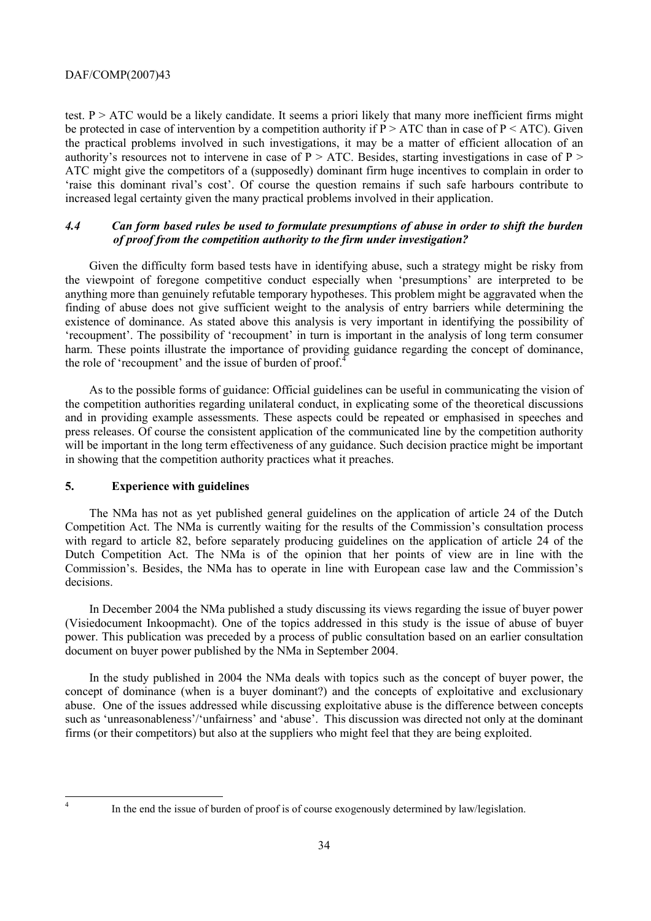test.  $P > ATC$  would be a likely candidate. It seems a priori likely that many more inefficient firms might be protected in case of intervention by a competition authority if  $P > ATC$  than in case of  $P < ATC$ ). Given the practical problems involved in such investigations, it may be a matter of efficient allocation of an authority's resources not to intervene in case of  $P > ATC$ . Besides, starting investigations in case of  $P >$ ATC might give the competitors of a (supposedly) dominant firm huge incentives to complain in order to 'raise this dominant rival's cost'. Of course the question remains if such safe harbours contribute to increased legal certainty given the many practical problems involved in their application.

### *4.4 Can form based rules be used to formulate presumptions of abuse in order to shift the burden of proof from the competition authority to the firm under investigation?*

Given the difficulty form based tests have in identifying abuse, such a strategy might be risky from the viewpoint of foregone competitive conduct especially when 'presumptions' are interpreted to be anything more than genuinely refutable temporary hypotheses. This problem might be aggravated when the finding of abuse does not give sufficient weight to the analysis of entry barriers while determining the existence of dominance. As stated above this analysis is very important in identifying the possibility of 'recoupment'. The possibility of 'recoupment' in turn is important in the analysis of long term consumer harm. These points illustrate the importance of providing guidance regarding the concept of dominance, the role of 'recoupment' and the issue of burden of proof.<sup>4</sup>

As to the possible forms of guidance: Official guidelines can be useful in communicating the vision of the competition authorities regarding unilateral conduct, in explicating some of the theoretical discussions and in providing example assessments. These aspects could be repeated or emphasised in speeches and press releases. Of course the consistent application of the communicated line by the competition authority will be important in the long term effectiveness of any guidance. Such decision practice might be important in showing that the competition authority practices what it preaches.

#### **5. Experience with guidelines**

The NMa has not as yet published general guidelines on the application of article 24 of the Dutch Competition Act. The NMa is currently waiting for the results of the Commission's consultation process with regard to article 82, before separately producing guidelines on the application of article 24 of the Dutch Competition Act. The NMa is of the opinion that her points of view are in line with the Commission's. Besides, the NMa has to operate in line with European case law and the Commission's decisions.

In December 2004 the NMa published a study discussing its views regarding the issue of buyer power (Visiedocument Inkoopmacht). One of the topics addressed in this study is the issue of abuse of buyer power. This publication was preceded by a process of public consultation based on an earlier consultation document on buyer power published by the NMa in September 2004.

In the study published in 2004 the NMa deals with topics such as the concept of buyer power, the concept of dominance (when is a buyer dominant?) and the concepts of exploitative and exclusionary abuse. One of the issues addressed while discussing exploitative abuse is the difference between concepts such as 'unreasonableness'/'unfairness' and 'abuse'. This discussion was directed not only at the dominant firms (or their competitors) but also at the suppliers who might feel that they are being exploited.

 4

In the end the issue of burden of proof is of course exogenously determined by law/legislation.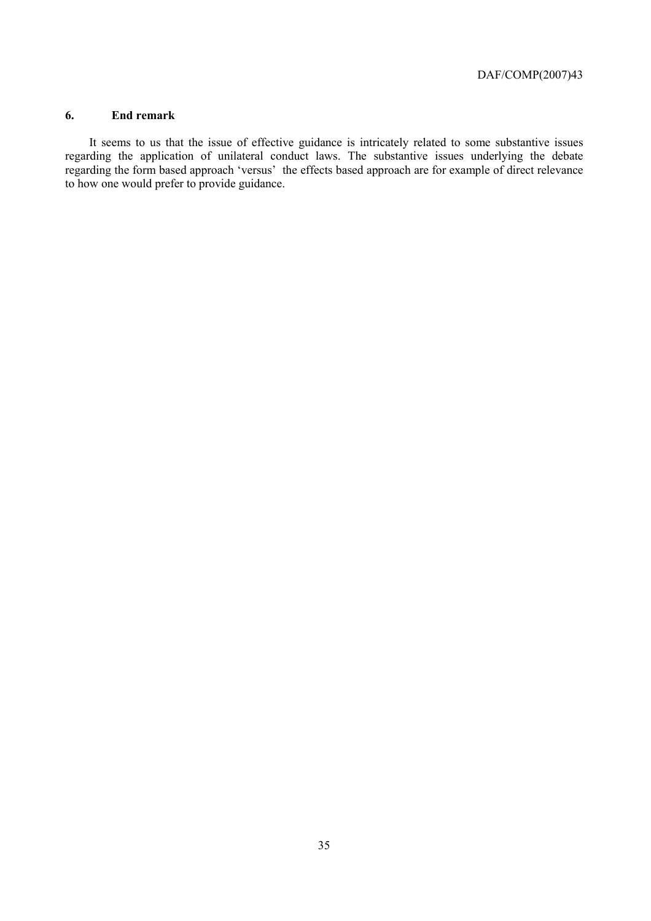#### **6. End remark**

It seems to us that the issue of effective guidance is intricately related to some substantive issues regarding the application of unilateral conduct laws. The substantive issues underlying the debate regarding the form based approach 'versus' the effects based approach are for example of direct relevance to how one would prefer to provide guidance.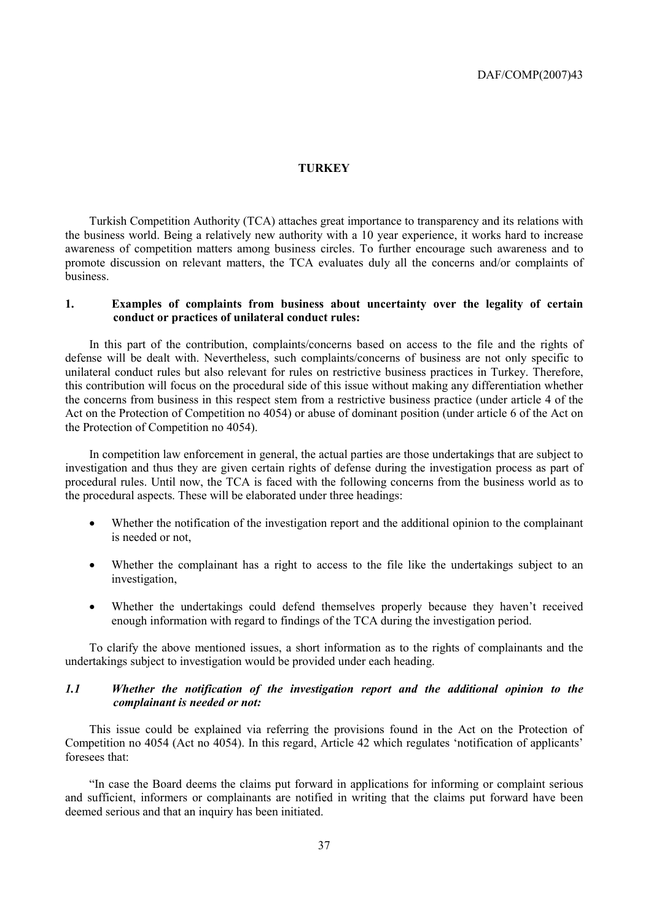### **TURKEY**

Turkish Competition Authority (TCA) attaches great importance to transparency and its relations with the business world. Being a relatively new authority with a 10 year experience, it works hard to increase awareness of competition matters among business circles. To further encourage such awareness and to promote discussion on relevant matters, the TCA evaluates duly all the concerns and/or complaints of business.

### **1. Examples of complaints from business about uncertainty over the legality of certain conduct or practices of unilateral conduct rules:**

In this part of the contribution, complaints/concerns based on access to the file and the rights of defense will be dealt with. Nevertheless, such complaints/concerns of business are not only specific to unilateral conduct rules but also relevant for rules on restrictive business practices in Turkey. Therefore, this contribution will focus on the procedural side of this issue without making any differentiation whether the concerns from business in this respect stem from a restrictive business practice (under article 4 of the Act on the Protection of Competition no 4054) or abuse of dominant position (under article 6 of the Act on the Protection of Competition no 4054).

In competition law enforcement in general, the actual parties are those undertakings that are subject to investigation and thus they are given certain rights of defense during the investigation process as part of procedural rules. Until now, the TCA is faced with the following concerns from the business world as to the procedural aspects. These will be elaborated under three headings:

- Whether the notification of the investigation report and the additional opinion to the complainant is needed or not,
- Whether the complainant has a right to access to the file like the undertakings subject to an investigation,
- Whether the undertakings could defend themselves properly because they haven't received enough information with regard to findings of the TCA during the investigation period.

To clarify the above mentioned issues, a short information as to the rights of complainants and the undertakings subject to investigation would be provided under each heading.

# *1.1 Whether the notification of the investigation report and the additional opinion to the complainant is needed or not:*

This issue could be explained via referring the provisions found in the Act on the Protection of Competition no 4054 (Act no 4054). In this regard, Article 42 which regulates 'notification of applicants' foresees that:

"In case the Board deems the claims put forward in applications for informing or complaint serious and sufficient, informers or complainants are notified in writing that the claims put forward have been deemed serious and that an inquiry has been initiated.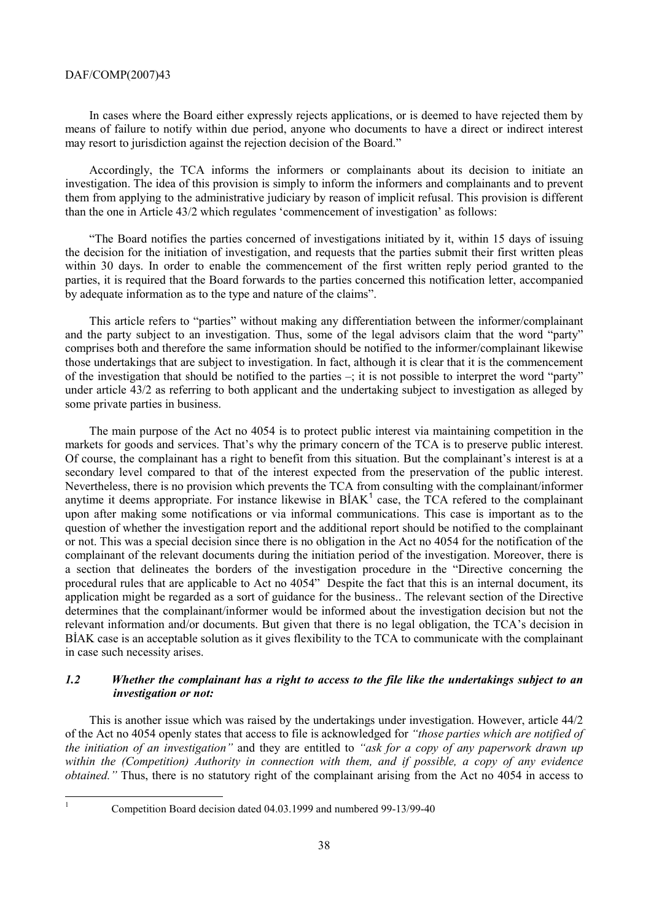In cases where the Board either expressly rejects applications, or is deemed to have rejected them by means of failure to notify within due period, anyone who documents to have a direct or indirect interest may resort to jurisdiction against the rejection decision of the Board."

Accordingly, the TCA informs the informers or complainants about its decision to initiate an investigation. The idea of this provision is simply to inform the informers and complainants and to prevent them from applying to the administrative judiciary by reason of implicit refusal. This provision is different than the one in Article 43/2 which regulates 'commencement of investigation' as follows:

"The Board notifies the parties concerned of investigations initiated by it, within 15 days of issuing the decision for the initiation of investigation, and requests that the parties submit their first written pleas within 30 days. In order to enable the commencement of the first written reply period granted to the parties, it is required that the Board forwards to the parties concerned this notification letter, accompanied by adequate information as to the type and nature of the claims".

This article refers to "parties" without making any differentiation between the informer/complainant and the party subject to an investigation. Thus, some of the legal advisors claim that the word "party" comprises both and therefore the same information should be notified to the informer/complainant likewise those undertakings that are subject to investigation. In fact, although it is clear that it is the commencement of the investigation that should be notified to the parties –; it is not possible to interpret the word "party" under article 43/2 as referring to both applicant and the undertaking subject to investigation as alleged by some private parties in business.

The main purpose of the Act no 4054 is to protect public interest via maintaining competition in the markets for goods and services. That's why the primary concern of the TCA is to preserve public interest. Of course, the complainant has a right to benefit from this situation. But the complainant's interest is at a secondary level compared to that of the interest expected from the preservation of the public interest. Nevertheless, there is no provision which prevents the TCA from consulting with the complainant/informer anytime it deems appropriate. For instance likewise in  $BIAK<sup>1</sup>$  case, the TCA refered to the complainant upon after making some notifications or via informal communications. This case is important as to the question of whether the investigation report and the additional report should be notified to the complainant or not. This was a special decision since there is no obligation in the Act no 4054 for the notification of the complainant of the relevant documents during the initiation period of the investigation. Moreover, there is a section that delineates the borders of the investigation procedure in the "Directive concerning the procedural rules that are applicable to Act no 4054" Despite the fact that this is an internal document, its application might be regarded as a sort of guidance for the business.. The relevant section of the Directive determines that the complainant/informer would be informed about the investigation decision but not the relevant information and/or documents. But given that there is no legal obligation, the TCA's decision in BİAK case is an acceptable solution as it gives flexibility to the TCA to communicate with the complainant in case such necessity arises.

# *1.2 Whether the complainant has a right to access to the file like the undertakings subject to an investigation or not:*

This is another issue which was raised by the undertakings under investigation. However, article 44/2 of the Act no 4054 openly states that access to file is acknowledged for *"those parties which are notified of the initiation of an investigation"* and they are entitled to *"ask for a copy of any paperwork drawn up within the (Competition) Authority in connection with them, and if possible, a copy of any evidence obtained.*" Thus, there is no statutory right of the complainant arising from the Act no 4054 in access to

|<br>|<br>|

Competition Board decision dated 04.03.1999 and numbered 99-13/99-40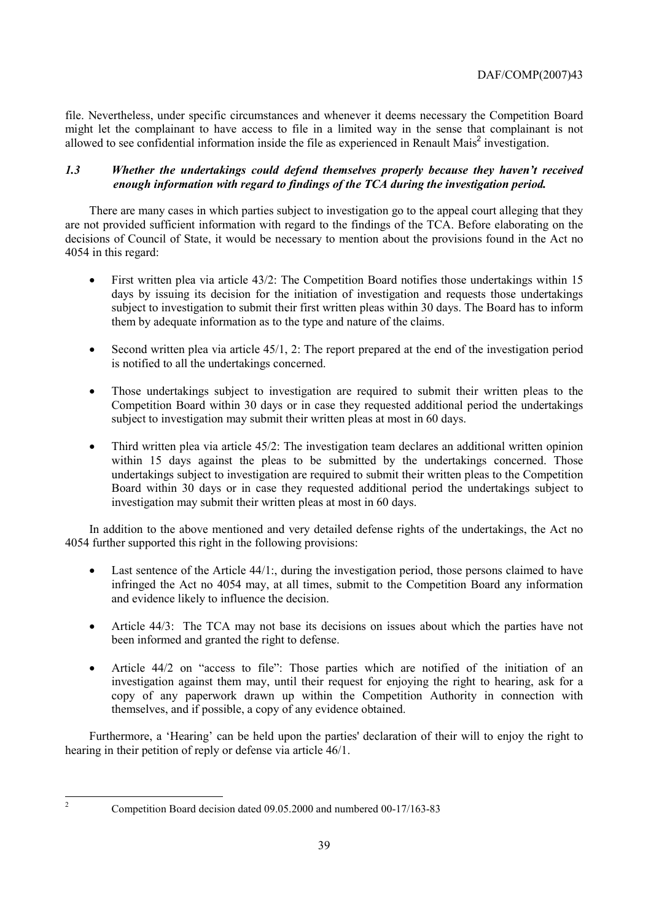file. Nevertheless, under specific circumstances and whenever it deems necessary the Competition Board might let the complainant to have access to file in a limited way in the sense that complainant is not allowed to see confidential information inside the file as experienced in Renault Mais<sup>2</sup> investigation.

# *1.3 Whether the undertakings could defend themselves properly because they haven't received enough information with regard to findings of the TCA during the investigation period.*

There are many cases in which parties subject to investigation go to the appeal court alleging that they are not provided sufficient information with regard to the findings of the TCA. Before elaborating on the decisions of Council of State, it would be necessary to mention about the provisions found in the Act no 4054 in this regard:

- First written plea via article 43/2: The Competition Board notifies those undertakings within 15 days by issuing its decision for the initiation of investigation and requests those undertakings subject to investigation to submit their first written pleas within 30 days. The Board has to inform them by adequate information as to the type and nature of the claims.
- Second written plea via article 45/1, 2: The report prepared at the end of the investigation period is notified to all the undertakings concerned.
- Those undertakings subject to investigation are required to submit their written pleas to the Competition Board within 30 days or in case they requested additional period the undertakings subject to investigation may submit their written pleas at most in 60 days.
- Third written plea via article 45/2: The investigation team declares an additional written opinion within 15 days against the pleas to be submitted by the undertakings concerned. Those undertakings subject to investigation are required to submit their written pleas to the Competition Board within 30 days or in case they requested additional period the undertakings subject to investigation may submit their written pleas at most in 60 days.

In addition to the above mentioned and very detailed defense rights of the undertakings, the Act no 4054 further supported this right in the following provisions:

- Last sentence of the Article 44/1; during the investigation period, those persons claimed to have infringed the Act no 4054 may, at all times, submit to the Competition Board any information and evidence likely to influence the decision.
- Article 44/3: The TCA may not base its decisions on issues about which the parties have not been informed and granted the right to defense.
- Article 44/2 on "access to file": Those parties which are notified of the initiation of an investigation against them may, until their request for enjoying the right to hearing, ask for a copy of any paperwork drawn up within the Competition Authority in connection with themselves, and if possible, a copy of any evidence obtained.

Furthermore, a 'Hearing' can be held upon the parties' declaration of their will to enjoy the right to hearing in their petition of reply or defense via article 46/1.

 $\frac{1}{2}$ 

Competition Board decision dated 09.05.2000 and numbered 00-17/163-83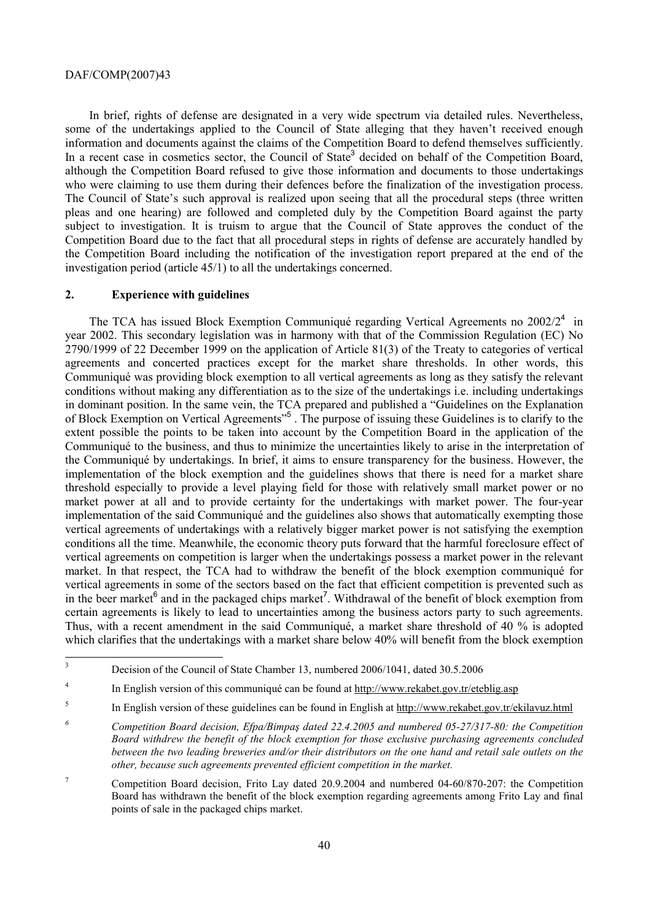In brief, rights of defense are designated in a very wide spectrum via detailed rules. Nevertheless, some of the undertakings applied to the Council of State alleging that they haven't received enough information and documents against the claims of the Competition Board to defend themselves sufficiently. In a recent case in cosmetics sector, the Council of State<sup>3</sup> decided on behalf of the Competition Board, although the Competition Board refused to give those information and documents to those undertakings who were claiming to use them during their defences before the finalization of the investigation process. The Council of State's such approval is realized upon seeing that all the procedural steps (three written pleas and one hearing) are followed and completed duly by the Competition Board against the party subject to investigation. It is truism to argue that the Council of State approves the conduct of the Competition Board due to the fact that all procedural steps in rights of defense are accurately handled by the Competition Board including the notification of the investigation report prepared at the end of the investigation period (article 45/1) to all the undertakings concerned.

# **2. Experience with guidelines**

The TCA has issued Block Exemption Communiqué regarding Vertical Agreements no  $2002/2^4$  in year 2002. This secondary legislation was in harmony with that of the Commission Regulation (EC) No 2790/1999 of 22 December 1999 on the application of Article 81(3) of the Treaty to categories of vertical agreements and concerted practices except for the market share thresholds. In other words, this Communiqué was providing block exemption to all vertical agreements as long as they satisfy the relevant conditions without making any differentiation as to the size of the undertakings i.e. including undertakings in dominant position. In the same vein, the TCA prepared and published a "Guidelines on the Explanation of Block Exemption on Vertical Agreements<sup>55</sup>. The purpose of issuing these Guidelines is to clarify to the extent possible the points to be taken into account by the Competition Board in the application of the Communiqué to the business, and thus to minimize the uncertainties likely to arise in the interpretation of the Communiqué by undertakings. In brief, it aims to ensure transparency for the business. However, the implementation of the block exemption and the guidelines shows that there is need for a market share threshold especially to provide a level playing field for those with relatively small market power or no market power at all and to provide certainty for the undertakings with market power. The four-year implementation of the said Communiqué and the guidelines also shows that automatically exempting those vertical agreements of undertakings with a relatively bigger market power is not satisfying the exemption conditions all the time. Meanwhile, the economic theory puts forward that the harmful foreclosure effect of vertical agreements on competition is larger when the undertakings possess a market power in the relevant market. In that respect, the TCA had to withdraw the benefit of the block exemption communiqué for vertical agreements in some of the sectors based on the fact that efficient competition is prevented such as in the beer market $\delta$  and in the packaged chips market<sup>7</sup>. Withdrawal of the benefit of block exemption from certain agreements is likely to lead to uncertainties among the business actors party to such agreements. Thus, with a recent amendment in the said Communiqué, a market share threshold of 40 % is adopted which clarifies that the undertakings with a market share below 40% will benefit from the block exemption

 3 Decision of the Council of State Chamber 13, numbered 2006/1041, dated 30.5.2006

<sup>4</sup> In English version of this communiqué can be found at http://www.rekabet.gov.tr/eteblig.asp

<sup>5</sup> In English version of these guidelines can be found in English at http://www.rekabet.gov.tr/ekilavuz.html

*<sup>6</sup> Competition Board decision, Efpa/Bimpaş dated 22.4.2005 and numbered 05-27/317-80: the Competition Board withdrew the benefit of the block exemption for those exclusive purchasing agreements concluded between the two leading breweries and/or their distributors on the one hand and retail sale outlets on the other, because such agreements prevented efficient competition in the market.* 

<sup>7</sup> Competition Board decision, Frito Lay dated 20.9.2004 and numbered 04-60/870-207: the Competition Board has withdrawn the benefit of the block exemption regarding agreements among Frito Lay and final points of sale in the packaged chips market.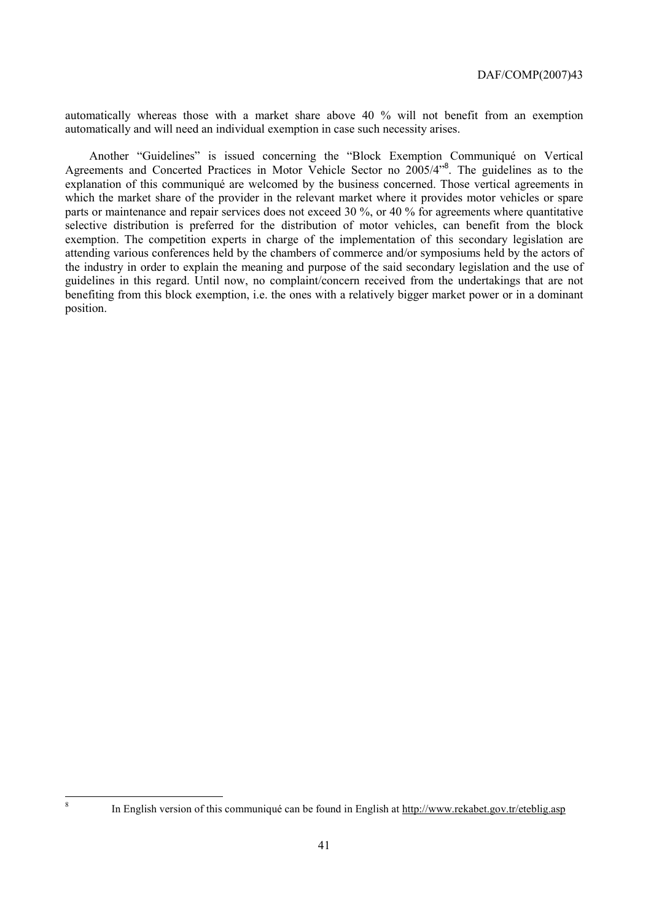automatically whereas those with a market share above 40 % will not benefit from an exemption automatically and will need an individual exemption in case such necessity arises.

Another "Guidelines" is issued concerning the "Block Exemption Communiqué on Vertical Agreements and Concerted Practices in Motor Vehicle Sector no 2005/4<sup>18</sup>. The guidelines as to the explanation of this communiqué are welcomed by the business concerned. Those vertical agreements in which the market share of the provider in the relevant market where it provides motor vehicles or spare parts or maintenance and repair services does not exceed 30 %, or 40 % for agreements where quantitative selective distribution is preferred for the distribution of motor vehicles, can benefit from the block exemption. The competition experts in charge of the implementation of this secondary legislation are attending various conferences held by the chambers of commerce and/or symposiums held by the actors of the industry in order to explain the meaning and purpose of the said secondary legislation and the use of guidelines in this regard. Until now, no complaint/concern received from the undertakings that are not benefiting from this block exemption, i.e. the ones with a relatively bigger market power or in a dominant position.

8

In English version of this communiqué can be found in English at http://www.rekabet.gov.tr/eteblig.asp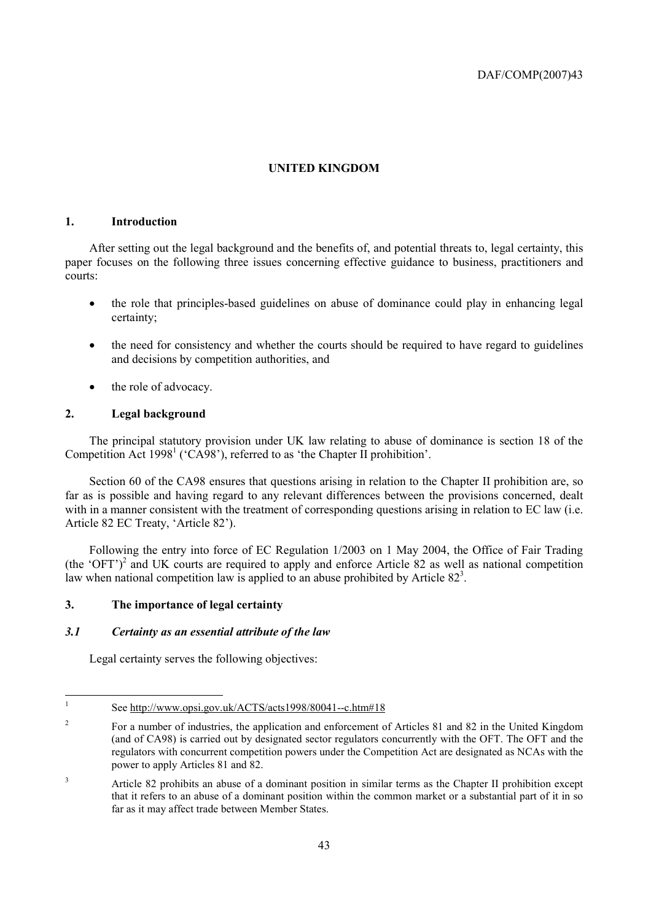# **UNITED KINGDOM**

# **1. Introduction**

After setting out the legal background and the benefits of, and potential threats to, legal certainty, this paper focuses on the following three issues concerning effective guidance to business, practitioners and courts:

- the role that principles-based guidelines on abuse of dominance could play in enhancing legal certainty;
- the need for consistency and whether the courts should be required to have regard to guidelines and decisions by competition authorities, and
- the role of advocacy.

# **2. Legal background**

The principal statutory provision under UK law relating to abuse of dominance is section 18 of the Competition Act 1998<sup>1</sup> ('CA98'), referred to as 'the Chapter II prohibition'.

Section 60 of the CA98 ensures that questions arising in relation to the Chapter II prohibition are, so far as is possible and having regard to any relevant differences between the provisions concerned, dealt with in a manner consistent with the treatment of corresponding questions arising in relation to EC law (i.e. Article 82 EC Treaty, 'Article 82').

Following the entry into force of EC Regulation 1/2003 on 1 May 2004, the Office of Fair Trading  $(the 'OFT')^2$  and UK courts are required to apply and enforce Article 82 as well as national competition law when national competition law is applied to an abuse prohibited by Article  $82<sup>3</sup>$ .

# **3. The importance of legal certainty**

# *3.1 Certainty as an essential attribute of the law*

Legal certainty serves the following objectives:

<sup>|&</sup>lt;br>|<br>| See http://www.opsi.gov.uk/ACTS/acts1998/80041--c.htm#18

<sup>2</sup> For a number of industries, the application and enforcement of Articles 81 and 82 in the United Kingdom (and of CA98) is carried out by designated sector regulators concurrently with the OFT. The OFT and the regulators with concurrent competition powers under the Competition Act are designated as NCAs with the power to apply Articles 81 and 82.

<sup>3</sup> Article 82 prohibits an abuse of a dominant position in similar terms as the Chapter II prohibition except that it refers to an abuse of a dominant position within the common market or a substantial part of it in so far as it may affect trade between Member States.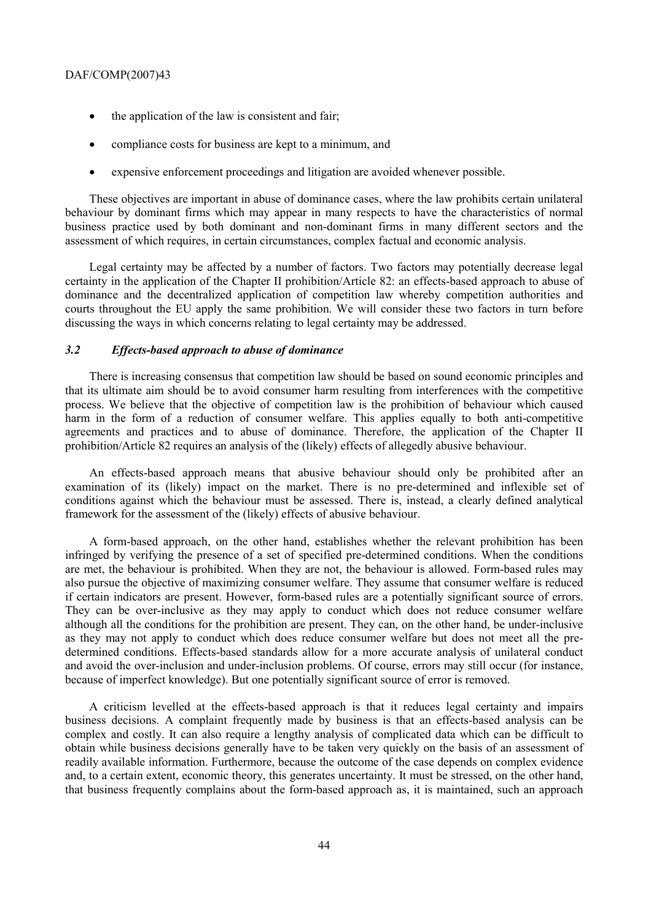- the application of the law is consistent and fair;
- compliance costs for business are kept to a minimum, and
- expensive enforcement proceedings and litigation are avoided whenever possible.

These objectives are important in abuse of dominance cases, where the law prohibits certain unilateral behaviour by dominant firms which may appear in many respects to have the characteristics of normal business practice used by both dominant and non-dominant firms in many different sectors and the assessment of which requires, in certain circumstances, complex factual and economic analysis.

Legal certainty may be affected by a number of factors. Two factors may potentially decrease legal certainty in the application of the Chapter II prohibition/Article 82: an effects-based approach to abuse of dominance and the decentralized application of competition law whereby competition authorities and courts throughout the EU apply the same prohibition. We will consider these two factors in turn before discussing the ways in which concerns relating to legal certainty may be addressed.

# *3.2 Effects-based approach to abuse of dominance*

There is increasing consensus that competition law should be based on sound economic principles and that its ultimate aim should be to avoid consumer harm resulting from interferences with the competitive process. We believe that the objective of competition law is the prohibition of behaviour which caused harm in the form of a reduction of consumer welfare. This applies equally to both anti-competitive agreements and practices and to abuse of dominance. Therefore, the application of the Chapter II prohibition/Article 82 requires an analysis of the (likely) effects of allegedly abusive behaviour.

An effects-based approach means that abusive behaviour should only be prohibited after an examination of its (likely) impact on the market. There is no pre-determined and inflexible set of conditions against which the behaviour must be assessed. There is, instead, a clearly defined analytical framework for the assessment of the (likely) effects of abusive behaviour.

A form-based approach, on the other hand, establishes whether the relevant prohibition has been infringed by verifying the presence of a set of specified pre-determined conditions. When the conditions are met, the behaviour is prohibited. When they are not, the behaviour is allowed. Form-based rules may also pursue the objective of maximizing consumer welfare. They assume that consumer welfare is reduced if certain indicators are present. However, form-based rules are a potentially significant source of errors. They can be over-inclusive as they may apply to conduct which does not reduce consumer welfare although all the conditions for the prohibition are present. They can, on the other hand, be under-inclusive as they may not apply to conduct which does reduce consumer welfare but does not meet all the predetermined conditions. Effects-based standards allow for a more accurate analysis of unilateral conduct and avoid the over-inclusion and under-inclusion problems. Of course, errors may still occur (for instance, because of imperfect knowledge). But one potentially significant source of error is removed.

A criticism levelled at the effects-based approach is that it reduces legal certainty and impairs business decisions. A complaint frequently made by business is that an effects-based analysis can be complex and costly. It can also require a lengthy analysis of complicated data which can be difficult to obtain while business decisions generally have to be taken very quickly on the basis of an assessment of readily available information. Furthermore, because the outcome of the case depends on complex evidence and, to a certain extent, economic theory, this generates uncertainty. It must be stressed, on the other hand, that business frequently complains about the form-based approach as, it is maintained, such an approach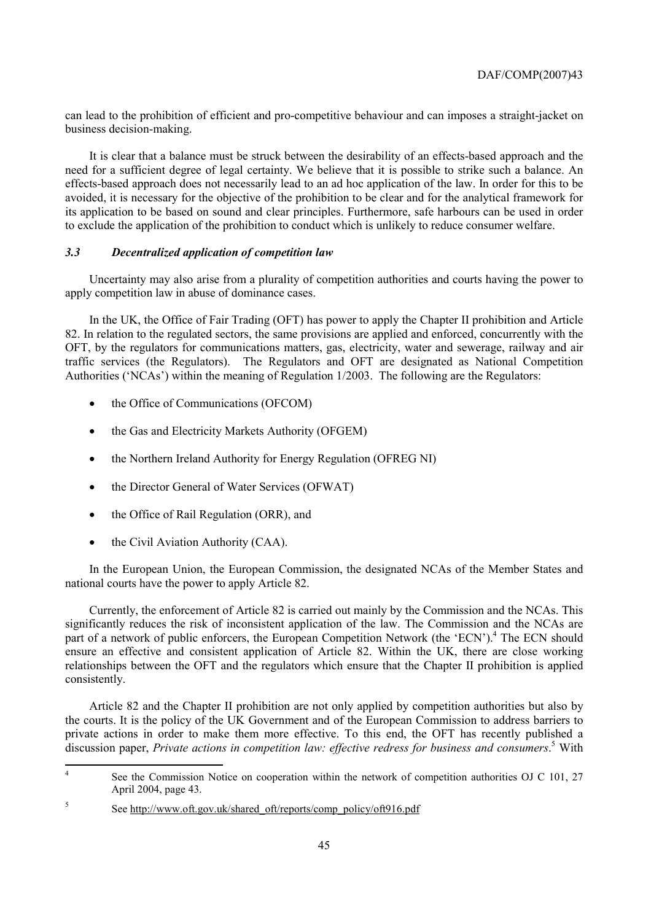can lead to the prohibition of efficient and pro-competitive behaviour and can imposes a straight-jacket on business decision-making.

It is clear that a balance must be struck between the desirability of an effects-based approach and the need for a sufficient degree of legal certainty. We believe that it is possible to strike such a balance. An effects-based approach does not necessarily lead to an ad hoc application of the law. In order for this to be avoided, it is necessary for the objective of the prohibition to be clear and for the analytical framework for its application to be based on sound and clear principles. Furthermore, safe harbours can be used in order to exclude the application of the prohibition to conduct which is unlikely to reduce consumer welfare.

# *3.3 Decentralized application of competition law*

Uncertainty may also arise from a plurality of competition authorities and courts having the power to apply competition law in abuse of dominance cases.

In the UK, the Office of Fair Trading (OFT) has power to apply the Chapter II prohibition and Article 82. In relation to the regulated sectors, the same provisions are applied and enforced, concurrently with the OFT, by the regulators for communications matters, gas, electricity, water and sewerage, railway and air traffic services (the Regulators). The Regulators and OFT are designated as National Competition Authorities ('NCAs') within the meaning of Regulation 1/2003. The following are the Regulators:

- the Office of Communications (OFCOM)
- the Gas and Electricity Markets Authority (OFGEM)
- the Northern Ireland Authority for Energy Regulation (OFREG NI)
- the Director General of Water Services (OFWAT)
- the Office of Rail Regulation (ORR), and
- the Civil Aviation Authority (CAA).

In the European Union, the European Commission, the designated NCAs of the Member States and national courts have the power to apply Article 82.

Currently, the enforcement of Article 82 is carried out mainly by the Commission and the NCAs. This significantly reduces the risk of inconsistent application of the law. The Commission and the NCAs are part of a network of public enforcers, the European Competition Network (the 'ECN').<sup>4</sup> The ECN should ensure an effective and consistent application of Article 82. Within the UK, there are close working relationships between the OFT and the regulators which ensure that the Chapter II prohibition is applied consistently.

Article 82 and the Chapter II prohibition are not only applied by competition authorities but also by the courts. It is the policy of the UK Government and of the European Commission to address barriers to private actions in order to make them more effective. To this end, the OFT has recently published a discussion paper, *Private actions in competition law: effective redress for business and consumers*.<sup>5</sup> With

 $\frac{1}{4}$ See the Commission Notice on cooperation within the network of competition authorities OJ C 101, 27 April 2004, page 43.

<sup>5</sup> See http://www.oft.gov.uk/shared\_oft/reports/comp\_policy/oft916.pdf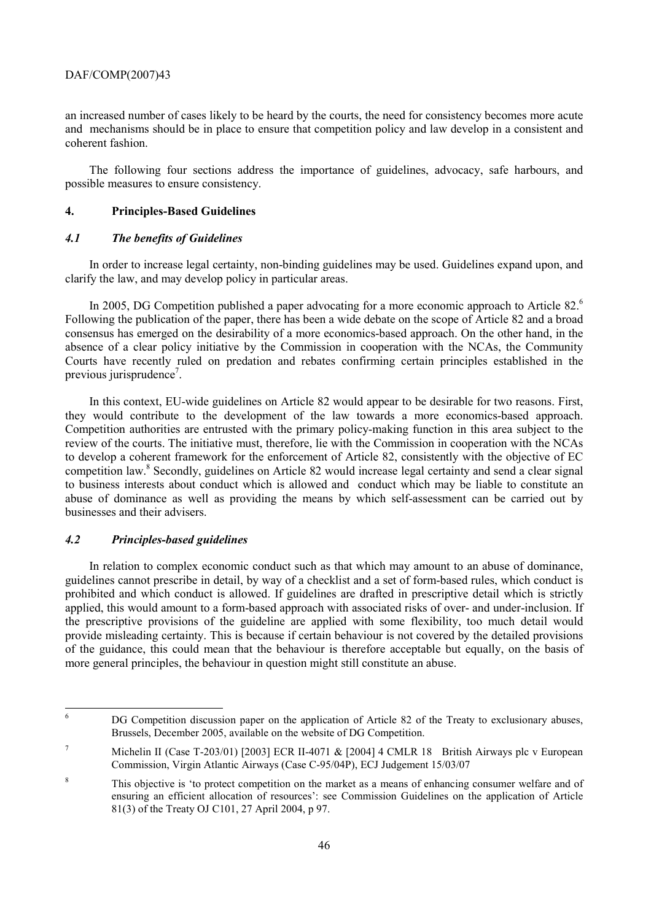an increased number of cases likely to be heard by the courts, the need for consistency becomes more acute and mechanisms should be in place to ensure that competition policy and law develop in a consistent and coherent fashion.

The following four sections address the importance of guidelines, advocacy, safe harbours, and possible measures to ensure consistency.

# **4. Principles-Based Guidelines**

# *4.1 The benefits of Guidelines*

In order to increase legal certainty, non-binding guidelines may be used. Guidelines expand upon, and clarify the law, and may develop policy in particular areas.

In 2005, DG Competition published a paper advocating for a more economic approach to Article 82.<sup>6</sup> Following the publication of the paper, there has been a wide debate on the scope of Article 82 and a broad consensus has emerged on the desirability of a more economics-based approach. On the other hand, in the absence of a clear policy initiative by the Commission in cooperation with the NCAs, the Community Courts have recently ruled on predation and rebates confirming certain principles established in the previous jurisprudence<sup>7</sup>.

In this context, EU-wide guidelines on Article 82 would appear to be desirable for two reasons. First, they would contribute to the development of the law towards a more economics-based approach. Competition authorities are entrusted with the primary policy-making function in this area subject to the review of the courts. The initiative must, therefore, lie with the Commission in cooperation with the NCAs to develop a coherent framework for the enforcement of Article 82, consistently with the objective of EC competition law.<sup>8</sup> Secondly, guidelines on Article 82 would increase legal certainty and send a clear signal to business interests about conduct which is allowed and conduct which may be liable to constitute an abuse of dominance as well as providing the means by which self-assessment can be carried out by businesses and their advisers.

# *4.2 Principles-based guidelines*

In relation to complex economic conduct such as that which may amount to an abuse of dominance, guidelines cannot prescribe in detail, by way of a checklist and a set of form-based rules, which conduct is prohibited and which conduct is allowed. If guidelines are drafted in prescriptive detail which is strictly applied, this would amount to a form-based approach with associated risks of over- and under-inclusion. If the prescriptive provisions of the guideline are applied with some flexibility, too much detail would provide misleading certainty. This is because if certain behaviour is not covered by the detailed provisions of the guidance, this could mean that the behaviour is therefore acceptable but equally, on the basis of more general principles, the behaviour in question might still constitute an abuse.

 6 DG Competition discussion paper on the application of Article 82 of the Treaty to exclusionary abuses, Brussels, December 2005, available on the website of DG Competition.

<sup>7</sup> Michelin II (Case T-203/01) [2003] ECR II-4071 & [2004] 4 CMLR 18 British Airways plc v European Commission, Virgin Atlantic Airways (Case C-95/04P), ECJ Judgement 15/03/07

<sup>8</sup> This objective is 'to protect competition on the market as a means of enhancing consumer welfare and of ensuring an efficient allocation of resources': see Commission Guidelines on the application of Article 81(3) of the Treaty OJ C101, 27 April 2004, p 97.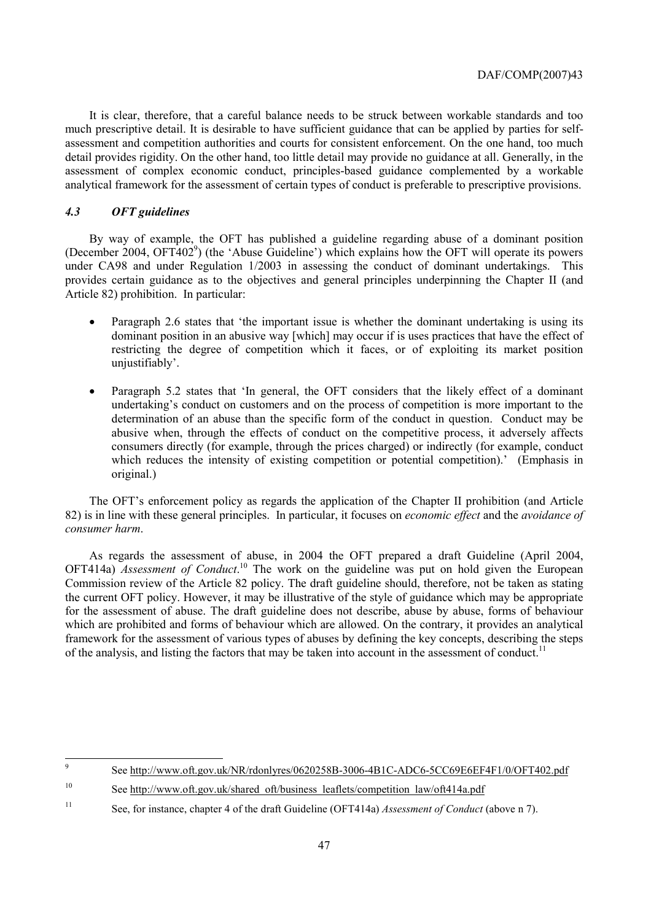It is clear, therefore, that a careful balance needs to be struck between workable standards and too much prescriptive detail. It is desirable to have sufficient guidance that can be applied by parties for selfassessment and competition authorities and courts for consistent enforcement. On the one hand, too much detail provides rigidity. On the other hand, too little detail may provide no guidance at all. Generally, in the assessment of complex economic conduct, principles-based guidance complemented by a workable analytical framework for the assessment of certain types of conduct is preferable to prescriptive provisions.

# *4.3 OFT guidelines*

By way of example, the OFT has published a guideline regarding abuse of a dominant position (December 2004, OFT402<sup>9</sup>) (the 'Abuse Guideline') which explains how the OFT will operate its powers under CA98 and under Regulation 1/2003 in assessing the conduct of dominant undertakings. This provides certain guidance as to the objectives and general principles underpinning the Chapter II (and Article 82) prohibition. In particular:

- Paragraph 2.6 states that 'the important issue is whether the dominant undertaking is using its dominant position in an abusive way [which] may occur if is uses practices that have the effect of restricting the degree of competition which it faces, or of exploiting its market position unjustifiably'.
- Paragraph 5.2 states that 'In general, the OFT considers that the likely effect of a dominant undertaking's conduct on customers and on the process of competition is more important to the determination of an abuse than the specific form of the conduct in question. Conduct may be abusive when, through the effects of conduct on the competitive process, it adversely affects consumers directly (for example, through the prices charged) or indirectly (for example, conduct which reduces the intensity of existing competition or potential competition).' (Emphasis in original.)

The OFT's enforcement policy as regards the application of the Chapter II prohibition (and Article 82) is in line with these general principles. In particular, it focuses on *economic effect* and the *avoidance of consumer harm*.

As regards the assessment of abuse, in 2004 the OFT prepared a draft Guideline (April 2004, OFT414a) *Assessment of Conduct*.<sup>10</sup> The work on the guideline was put on hold given the European Commission review of the Article 82 policy. The draft guideline should, therefore, not be taken as stating the current OFT policy. However, it may be illustrative of the style of guidance which may be appropriate for the assessment of abuse. The draft guideline does not describe, abuse by abuse, forms of behaviour which are prohibited and forms of behaviour which are allowed. On the contrary, it provides an analytical framework for the assessment of various types of abuses by defining the key concepts, describing the steps of the analysis, and listing the factors that may be taken into account in the assessment of conduct.<sup>11</sup>

<sup>&</sup>lt;sup>9</sup> See http://www.oft.gov.uk/NR/rdonlyres/0620258B-3006-4B1C-ADC6-5CC69E6EF4F1/0/OFT402.pdf

<sup>&</sup>lt;sup>10</sup> See http://www.oft.gov.uk/shared\_oft/business\_leaflets/competition\_law/oft414a.pdf

<sup>11</sup> See, for instance, chapter 4 of the draft Guideline (OFT414a) *Assessment of Conduct* (above n 7).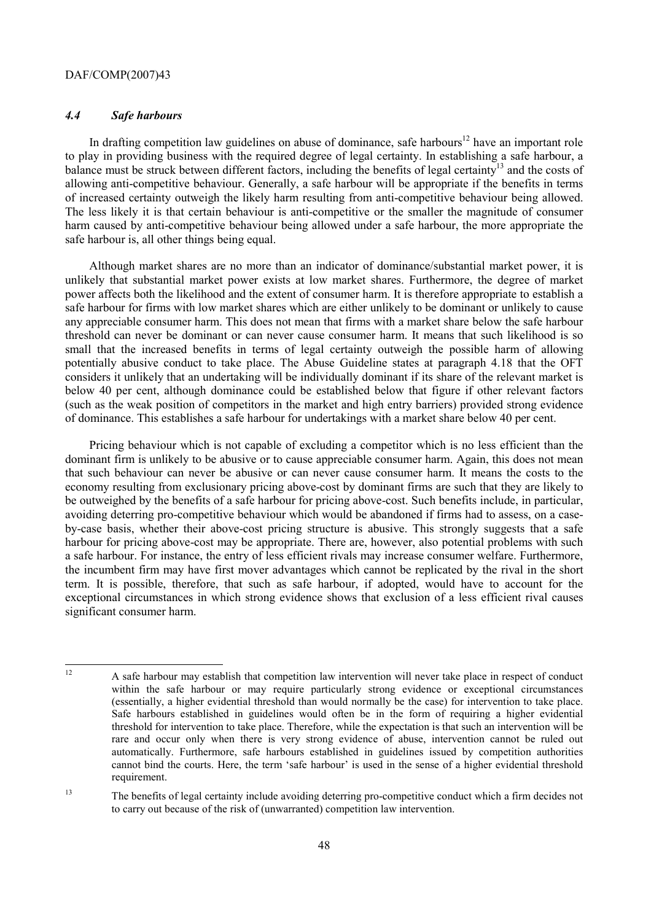# *4.4 Safe harbours*

In drafting competition law guidelines on abuse of dominance, safe harbours<sup>12</sup> have an important role to play in providing business with the required degree of legal certainty. In establishing a safe harbour, a balance must be struck between different factors, including the benefits of legal certainty<sup>13</sup> and the costs of allowing anti-competitive behaviour. Generally, a safe harbour will be appropriate if the benefits in terms of increased certainty outweigh the likely harm resulting from anti-competitive behaviour being allowed. The less likely it is that certain behaviour is anti-competitive or the smaller the magnitude of consumer harm caused by anti-competitive behaviour being allowed under a safe harbour, the more appropriate the safe harbour is, all other things being equal.

Although market shares are no more than an indicator of dominance/substantial market power, it is unlikely that substantial market power exists at low market shares. Furthermore, the degree of market power affects both the likelihood and the extent of consumer harm. It is therefore appropriate to establish a safe harbour for firms with low market shares which are either unlikely to be dominant or unlikely to cause any appreciable consumer harm. This does not mean that firms with a market share below the safe harbour threshold can never be dominant or can never cause consumer harm. It means that such likelihood is so small that the increased benefits in terms of legal certainty outweigh the possible harm of allowing potentially abusive conduct to take place. The Abuse Guideline states at paragraph 4.18 that the OFT considers it unlikely that an undertaking will be individually dominant if its share of the relevant market is below 40 per cent, although dominance could be established below that figure if other relevant factors (such as the weak position of competitors in the market and high entry barriers) provided strong evidence of dominance. This establishes a safe harbour for undertakings with a market share below 40 per cent.

Pricing behaviour which is not capable of excluding a competitor which is no less efficient than the dominant firm is unlikely to be abusive or to cause appreciable consumer harm. Again, this does not mean that such behaviour can never be abusive or can never cause consumer harm. It means the costs to the economy resulting from exclusionary pricing above-cost by dominant firms are such that they are likely to be outweighed by the benefits of a safe harbour for pricing above-cost. Such benefits include, in particular, avoiding deterring pro-competitive behaviour which would be abandoned if firms had to assess, on a caseby-case basis, whether their above-cost pricing structure is abusive. This strongly suggests that a safe harbour for pricing above-cost may be appropriate. There are, however, also potential problems with such a safe harbour. For instance, the entry of less efficient rivals may increase consumer welfare. Furthermore, the incumbent firm may have first mover advantages which cannot be replicated by the rival in the short term. It is possible, therefore, that such as safe harbour, if adopted, would have to account for the exceptional circumstances in which strong evidence shows that exclusion of a less efficient rival causes significant consumer harm.

 $12$ 12 A safe harbour may establish that competition law intervention will never take place in respect of conduct within the safe harbour or may require particularly strong evidence or exceptional circumstances (essentially, a higher evidential threshold than would normally be the case) for intervention to take place. Safe harbours established in guidelines would often be in the form of requiring a higher evidential threshold for intervention to take place. Therefore, while the expectation is that such an intervention will be rare and occur only when there is very strong evidence of abuse, intervention cannot be ruled out automatically. Furthermore, safe harbours established in guidelines issued by competition authorities cannot bind the courts. Here, the term 'safe harbour' is used in the sense of a higher evidential threshold requirement.

<sup>&</sup>lt;sup>13</sup> The benefits of legal certainty include avoiding deterring pro-competitive conduct which a firm decides not to carry out because of the risk of (unwarranted) competition law intervention.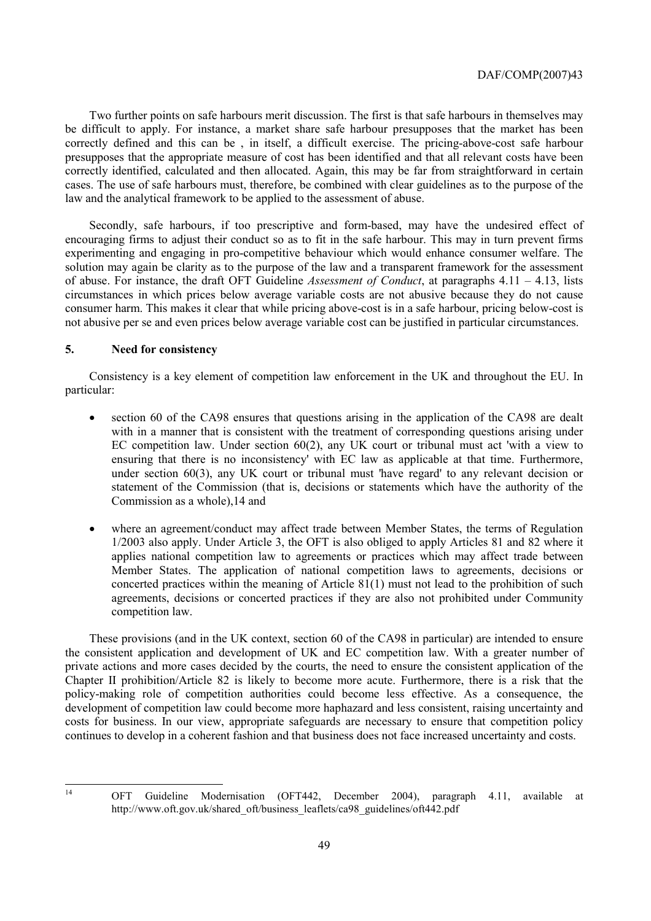Two further points on safe harbours merit discussion. The first is that safe harbours in themselves may be difficult to apply. For instance, a market share safe harbour presupposes that the market has been correctly defined and this can be , in itself, a difficult exercise. The pricing-above-cost safe harbour presupposes that the appropriate measure of cost has been identified and that all relevant costs have been correctly identified, calculated and then allocated. Again, this may be far from straightforward in certain cases. The use of safe harbours must, therefore, be combined with clear guidelines as to the purpose of the law and the analytical framework to be applied to the assessment of abuse.

Secondly, safe harbours, if too prescriptive and form-based, may have the undesired effect of encouraging firms to adjust their conduct so as to fit in the safe harbour. This may in turn prevent firms experimenting and engaging in pro-competitive behaviour which would enhance consumer welfare. The solution may again be clarity as to the purpose of the law and a transparent framework for the assessment of abuse. For instance, the draft OFT Guideline *Assessment of Conduct*, at paragraphs 4.11 – 4.13, lists circumstances in which prices below average variable costs are not abusive because they do not cause consumer harm. This makes it clear that while pricing above-cost is in a safe harbour, pricing below-cost is not abusive per se and even prices below average variable cost can be justified in particular circumstances.

# **5. Need for consistency**

Consistency is a key element of competition law enforcement in the UK and throughout the EU. In particular:

- section 60 of the CA98 ensures that questions arising in the application of the CA98 are dealt with in a manner that is consistent with the treatment of corresponding questions arising under EC competition law. Under section 60(2), any UK court or tribunal must act 'with a view to ensuring that there is no inconsistency' with EC law as applicable at that time. Furthermore, under section 60(3), any UK court or tribunal must 'have regard' to any relevant decision or statement of the Commission (that is, decisions or statements which have the authority of the Commission as a whole),14 and
- where an agreement/conduct may affect trade between Member States, the terms of Regulation 1/2003 also apply. Under Article 3, the OFT is also obliged to apply Articles 81 and 82 where it applies national competition law to agreements or practices which may affect trade between Member States. The application of national competition laws to agreements, decisions or concerted practices within the meaning of Article 81(1) must not lead to the prohibition of such agreements, decisions or concerted practices if they are also not prohibited under Community competition law.

These provisions (and in the UK context, section 60 of the CA98 in particular) are intended to ensure the consistent application and development of UK and EC competition law. With a greater number of private actions and more cases decided by the courts, the need to ensure the consistent application of the Chapter II prohibition/Article 82 is likely to become more acute. Furthermore, there is a risk that the policy-making role of competition authorities could become less effective. As a consequence, the development of competition law could become more haphazard and less consistent, raising uncertainty and costs for business. In our view, appropriate safeguards are necessary to ensure that competition policy continues to develop in a coherent fashion and that business does not face increased uncertainty and costs.

 $14$ 

<sup>14</sup> OFT Guideline Modernisation (OFT442, December 2004), paragraph 4.11, available at http://www.oft.gov.uk/shared\_oft/business\_leaflets/ca98\_guidelines/oft442.pdf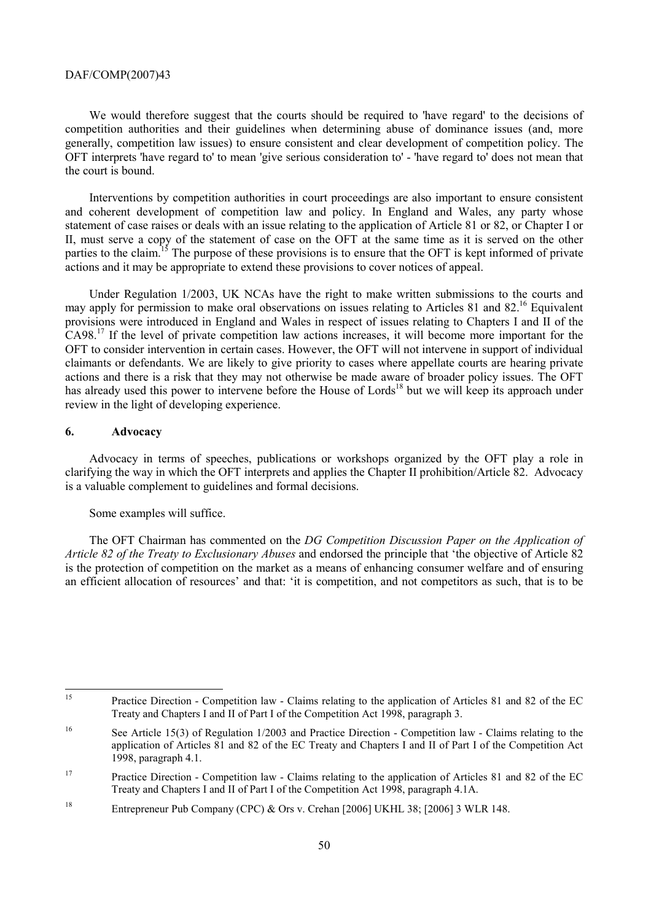We would therefore suggest that the courts should be required to 'have regard' to the decisions of competition authorities and their guidelines when determining abuse of dominance issues (and, more generally, competition law issues) to ensure consistent and clear development of competition policy. The OFT interprets 'have regard to' to mean 'give serious consideration to' - 'have regard to' does not mean that the court is bound.

Interventions by competition authorities in court proceedings are also important to ensure consistent and coherent development of competition law and policy. In England and Wales, any party whose statement of case raises or deals with an issue relating to the application of Article 81 or 82, or Chapter I or II, must serve a copy of the statement of case on the OFT at the same time as it is served on the other parties to the claim.<sup>15</sup> The purpose of these provisions is to ensure that the OFT is kept informed of private actions and it may be appropriate to extend these provisions to cover notices of appeal.

Under Regulation 1/2003, UK NCAs have the right to make written submissions to the courts and may apply for permission to make oral observations on issues relating to Articles 81 and 82.<sup>16</sup> Equivalent provisions were introduced in England and Wales in respect of issues relating to Chapters I and II of the CA98.17 If the level of private competition law actions increases, it will become more important for the OFT to consider intervention in certain cases. However, the OFT will not intervene in support of individual claimants or defendants. We are likely to give priority to cases where appellate courts are hearing private actions and there is a risk that they may not otherwise be made aware of broader policy issues. The OFT has already used this power to intervene before the House of Lords<sup>18</sup> but we will keep its approach under review in the light of developing experience.

#### **6. Advocacy**

Advocacy in terms of speeches, publications or workshops organized by the OFT play a role in clarifying the way in which the OFT interprets and applies the Chapter II prohibition/Article 82. Advocacy is a valuable complement to guidelines and formal decisions.

#### Some examples will suffice.

The OFT Chairman has commented on the *DG Competition Discussion Paper on the Application of Article 82 of the Treaty to Exclusionary Abuses* and endorsed the principle that 'the objective of Article 82 is the protection of competition on the market as a means of enhancing consumer welfare and of ensuring an efficient allocation of resources' and that: 'it is competition, and not competitors as such, that is to be

<sup>15</sup> 15 Practice Direction - Competition law - Claims relating to the application of Articles 81 and 82 of the EC Treaty and Chapters I and II of Part I of the Competition Act 1998, paragraph 3.

<sup>&</sup>lt;sup>16</sup> See Article 15(3) of Regulation 1/2003 and Practice Direction - Competition law - Claims relating to the application of Articles 81 and 82 of the EC Treaty and Chapters I and II of Part I of the Competition Act 1998, paragraph 4.1.

<sup>&</sup>lt;sup>17</sup> Practice Direction - Competition law - Claims relating to the application of Articles 81 and 82 of the EC Treaty and Chapters I and II of Part I of the Competition Act 1998, paragraph 4.1A.

<sup>18</sup> Entrepreneur Pub Company (CPC) & Ors v. Crehan [2006] UKHL 38; [2006] 3 WLR 148.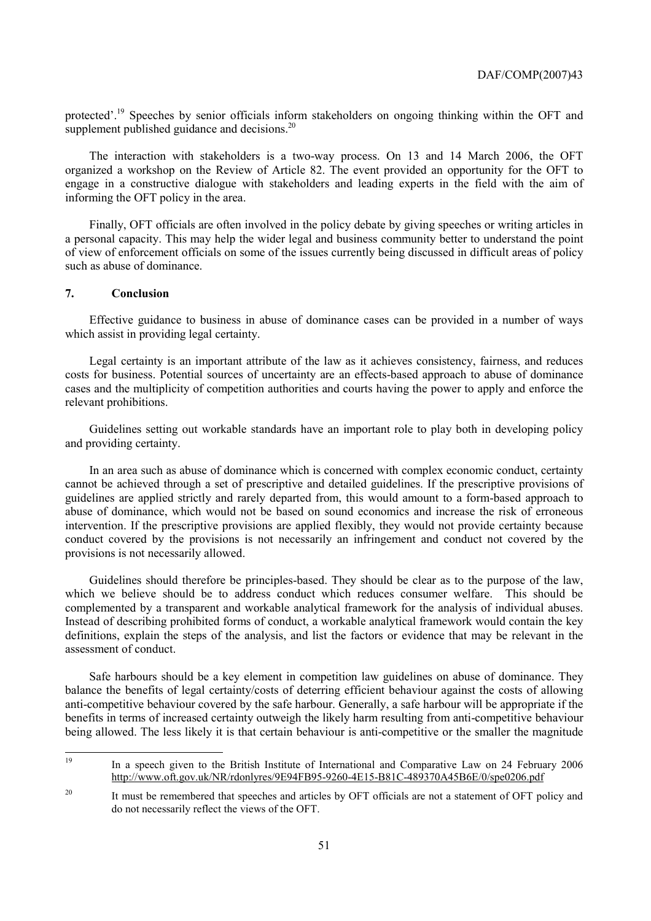protected'.<sup>19</sup> Speeches by senior officials inform stakeholders on ongoing thinking within the OFT and supplement published guidance and decisions.<sup>20</sup>

The interaction with stakeholders is a two-way process. On 13 and 14 March 2006, the OFT organized a workshop on the Review of Article 82. The event provided an opportunity for the OFT to engage in a constructive dialogue with stakeholders and leading experts in the field with the aim of informing the OFT policy in the area.

Finally, OFT officials are often involved in the policy debate by giving speeches or writing articles in a personal capacity. This may help the wider legal and business community better to understand the point of view of enforcement officials on some of the issues currently being discussed in difficult areas of policy such as abuse of dominance.

# **7. Conclusion**

Effective guidance to business in abuse of dominance cases can be provided in a number of ways which assist in providing legal certainty.

Legal certainty is an important attribute of the law as it achieves consistency, fairness, and reduces costs for business. Potential sources of uncertainty are an effects-based approach to abuse of dominance cases and the multiplicity of competition authorities and courts having the power to apply and enforce the relevant prohibitions.

Guidelines setting out workable standards have an important role to play both in developing policy and providing certainty.

In an area such as abuse of dominance which is concerned with complex economic conduct, certainty cannot be achieved through a set of prescriptive and detailed guidelines. If the prescriptive provisions of guidelines are applied strictly and rarely departed from, this would amount to a form-based approach to abuse of dominance, which would not be based on sound economics and increase the risk of erroneous intervention. If the prescriptive provisions are applied flexibly, they would not provide certainty because conduct covered by the provisions is not necessarily an infringement and conduct not covered by the provisions is not necessarily allowed.

Guidelines should therefore be principles-based. They should be clear as to the purpose of the law, which we believe should be to address conduct which reduces consumer welfare. This should be complemented by a transparent and workable analytical framework for the analysis of individual abuses. Instead of describing prohibited forms of conduct, a workable analytical framework would contain the key definitions, explain the steps of the analysis, and list the factors or evidence that may be relevant in the assessment of conduct.

Safe harbours should be a key element in competition law guidelines on abuse of dominance. They balance the benefits of legal certainty/costs of deterring efficient behaviour against the costs of allowing anti-competitive behaviour covered by the safe harbour. Generally, a safe harbour will be appropriate if the benefits in terms of increased certainty outweigh the likely harm resulting from anti-competitive behaviour being allowed. The less likely it is that certain behaviour is anti-competitive or the smaller the magnitude

<sup>19</sup> 19 In a speech given to the British Institute of International and Comparative Law on 24 February 2006 http://www.oft.gov.uk/NR/rdonlyres/9E94FB95-9260-4E15-B81C-489370A45B6E/0/spe0206.pdf

<sup>&</sup>lt;sup>20</sup> It must be remembered that speeches and articles by OFT officials are not a statement of OFT policy and do not necessarily reflect the views of the OFT.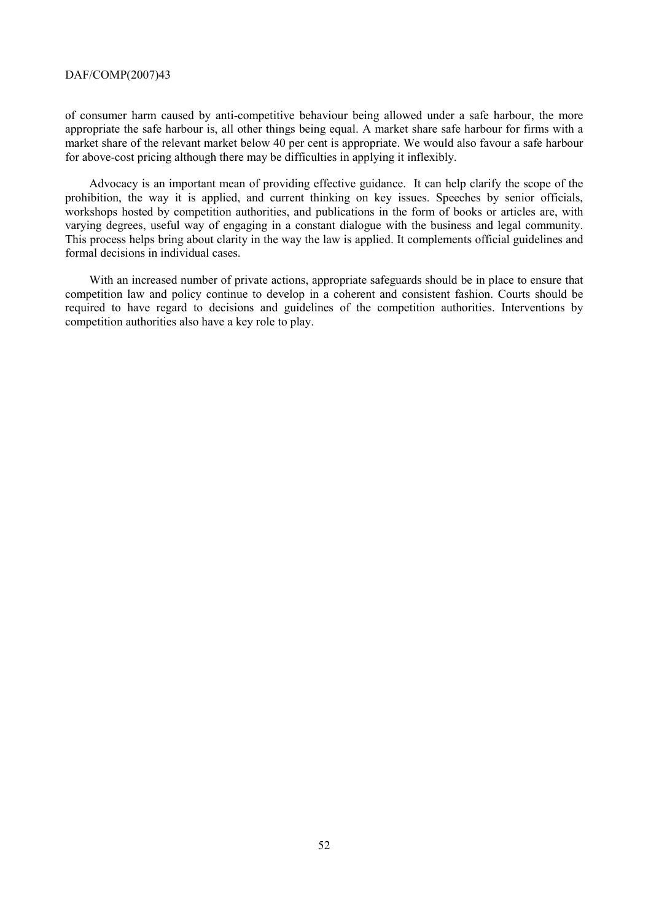of consumer harm caused by anti-competitive behaviour being allowed under a safe harbour, the more appropriate the safe harbour is, all other things being equal. A market share safe harbour for firms with a market share of the relevant market below 40 per cent is appropriate. We would also favour a safe harbour for above-cost pricing although there may be difficulties in applying it inflexibly.

Advocacy is an important mean of providing effective guidance. It can help clarify the scope of the prohibition, the way it is applied, and current thinking on key issues. Speeches by senior officials, workshops hosted by competition authorities, and publications in the form of books or articles are, with varying degrees, useful way of engaging in a constant dialogue with the business and legal community. This process helps bring about clarity in the way the law is applied. It complements official guidelines and formal decisions in individual cases.

With an increased number of private actions, appropriate safeguards should be in place to ensure that competition law and policy continue to develop in a coherent and consistent fashion. Courts should be required to have regard to decisions and guidelines of the competition authorities. Interventions by competition authorities also have a key role to play.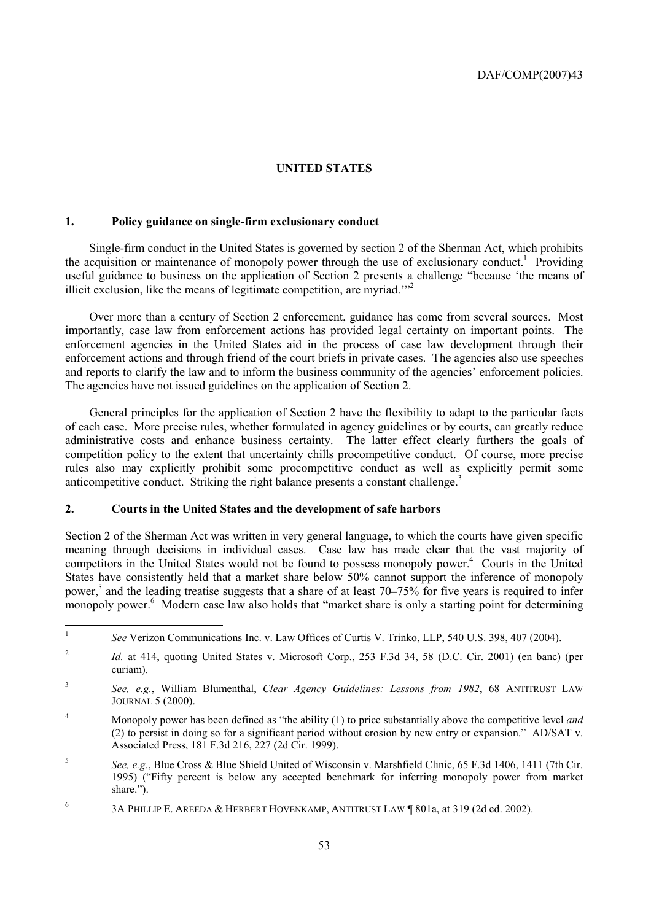# **UNITED STATES**

# **1. Policy guidance on single-firm exclusionary conduct**

Single-firm conduct in the United States is governed by section 2 of the Sherman Act, which prohibits the acquisition or maintenance of monopoly power through the use of exclusionary conduct.<sup>1</sup> Providing useful guidance to business on the application of Section 2 presents a challenge "because 'the means of illicit exclusion, like the means of legitimate competition, are myriad.<sup>"2</sup>

Over more than a century of Section 2 enforcement, guidance has come from several sources. Most importantly, case law from enforcement actions has provided legal certainty on important points. The enforcement agencies in the United States aid in the process of case law development through their enforcement actions and through friend of the court briefs in private cases. The agencies also use speeches and reports to clarify the law and to inform the business community of the agencies' enforcement policies. The agencies have not issued guidelines on the application of Section 2.

General principles for the application of Section 2 have the flexibility to adapt to the particular facts of each case. More precise rules, whether formulated in agency guidelines or by courts, can greatly reduce administrative costs and enhance business certainty. The latter effect clearly furthers the goals of competition policy to the extent that uncertainty chills procompetitive conduct. Of course, more precise rules also may explicitly prohibit some procompetitive conduct as well as explicitly permit some anticompetitive conduct. Striking the right balance presents a constant challenge. $3$ 

# **2. Courts in the United States and the development of safe harbors**

Section 2 of the Sherman Act was written in very general language, to which the courts have given specific meaning through decisions in individual cases. Case law has made clear that the vast majority of competitors in the United States would not be found to possess monopoly power.<sup>4</sup> Courts in the United States have consistently held that a market share below 50% cannot support the inference of monopoly power,<sup>5</sup> and the leading treatise suggests that a share of at least 70–75% for five years is required to infer monopoly power.<sup>6</sup> Modern case law also holds that "market share is only a starting point for determining

 $\mathbf{1}$ <sup>1</sup> *See* Verizon Communications Inc. v. Law Offices of Curtis V. Trinko, LLP, 540 U.S. 398, 407 (2004).

<sup>&</sup>lt;sup>2</sup> *Id.* at 414, quoting United States v. Microsoft Corp., 253 F.3d 34, 58 (D.C. Cir. 2001) (en banc) (per curiam).

<sup>3</sup> *See, e.g.*, William Blumenthal, *Clear Agency Guidelines: Lessons from 1982*, 68 ANTITRUST LAW JOURNAL 5 (2000).

<sup>4</sup> Monopoly power has been defined as "the ability (1) to price substantially above the competitive level *and* (2) to persist in doing so for a significant period without erosion by new entry or expansion." AD/SAT v. Associated Press, 181 F.3d 216, 227 (2d Cir. 1999).

<sup>5</sup> *See, e.g.*, Blue Cross & Blue Shield United of Wisconsin v. Marshfield Clinic, 65 F.3d 1406, 1411 (7th Cir. 1995) ("Fifty percent is below any accepted benchmark for inferring monopoly power from market share.").

<sup>6</sup> 3A PHILLIP E. AREEDA & HERBERT HOVENKAMP, ANTITRUST LAW ¶ 801a, at 319 (2d ed. 2002).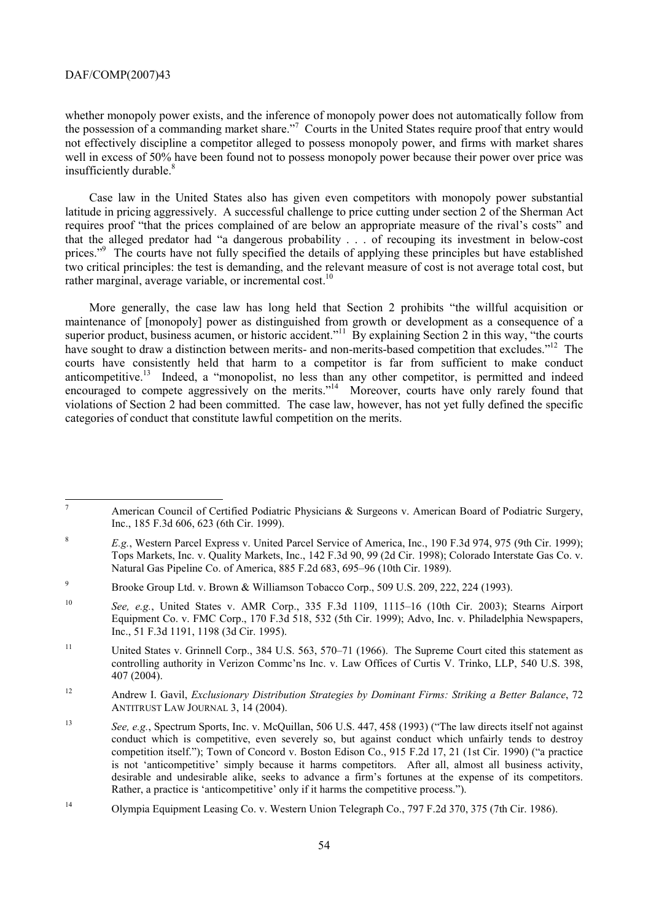whether monopoly power exists, and the inference of monopoly power does not automatically follow from the possession of a commanding market share."<sup>7</sup> Courts in the United States require proof that entry would not effectively discipline a competitor alleged to possess monopoly power, and firms with market shares well in excess of 50% have been found not to possess monopoly power because their power over price was insufficiently durable.<sup>8</sup>

Case law in the United States also has given even competitors with monopoly power substantial latitude in pricing aggressively. A successful challenge to price cutting under section 2 of the Sherman Act requires proof "that the prices complained of are below an appropriate measure of the rival's costs" and that the alleged predator had "a dangerous probability . . . of recouping its investment in below-cost prices."<sup>9</sup> The courts have not fully specified the details of applying these principles but have established two critical principles: the test is demanding, and the relevant measure of cost is not average total cost, but rather marginal, average variable, or incremental cost.<sup>10</sup>

More generally, the case law has long held that Section 2 prohibits "the willful acquisition or maintenance of [monopoly] power as distinguished from growth or development as a consequence of a superior product, business acumen, or historic accident."<sup>11</sup> By explaining Section 2 in this way, "the courts" have sought to draw a distinction between merits- and non-merits-based competition that excludes."<sup>12</sup> The courts have consistently held that harm to a competitor is far from sufficient to make conduct anticompetitive.<sup>13</sup> Indeed, a "monopolist, no less than any other competitor, is permitted and indeed encouraged to compete aggressively on the merits."<sup>14</sup> Moreover, courts have only rarely found that violations of Section 2 had been committed. The case law, however, has not yet fully defined the specific categories of conduct that constitute lawful competition on the merits.

<sup>&</sup>lt;sup>-</sup> American Council of Certified Podiatric Physicians & Surgeons v. American Board of Podiatric Surgery, Inc., 185 F.3d 606, 623 (6th Cir. 1999).

<sup>&</sup>lt;sup>8</sup> *E.g.*, Western Parcel Express v. United Parcel Service of America, Inc., 190 F.3d 974, 975 (9th Cir. 1999); Tops Markets, Inc. v. Quality Markets, Inc., 142 F.3d 90, 99 (2d Cir. 1998); Colorado Interstate Gas Co. v. Natural Gas Pipeline Co. of America, 885 F.2d 683, 695–96 (10th Cir. 1989).

<sup>9</sup> Brooke Group Ltd. v. Brown & Williamson Tobacco Corp., 509 U.S. 209, 222, 224 (1993).

<sup>10</sup> *See, e.g.*, United States v. AMR Corp., 335 F.3d 1109, 1115–16 (10th Cir. 2003); Stearns Airport Equipment Co. v. FMC Corp., 170 F.3d 518, 532 (5th Cir. 1999); Advo, Inc. v. Philadelphia Newspapers, Inc., 51 F.3d 1191, 1198 (3d Cir. 1995).

<sup>&</sup>lt;sup>11</sup> United States v. Grinnell Corp., 384 U.S. 563, 570–71 (1966). The Supreme Court cited this statement as controlling authority in Verizon Commc'ns Inc. v. Law Offices of Curtis V. Trinko, LLP, 540 U.S. 398, 407 (2004).

<sup>12</sup> Andrew I. Gavil, *Exclusionary Distribution Strategies by Dominant Firms: Striking a Better Balance*, 72 ANTITRUST LAW JOURNAL 3, 14 (2004).

<sup>13</sup> *See, e.g.*, Spectrum Sports, Inc. v. McQuillan, 506 U.S. 447, 458 (1993) ("The law directs itself not against conduct which is competitive, even severely so, but against conduct which unfairly tends to destroy competition itself."); Town of Concord v. Boston Edison Co., 915 F.2d 17, 21 (1st Cir. 1990) ("a practice is not 'anticompetitive' simply because it harms competitors. After all, almost all business activity, desirable and undesirable alike, seeks to advance a firm's fortunes at the expense of its competitors. Rather, a practice is 'anticompetitive' only if it harms the competitive process.").

<sup>14</sup> Olympia Equipment Leasing Co. v. Western Union Telegraph Co., 797 F.2d 370, 375 (7th Cir. 1986).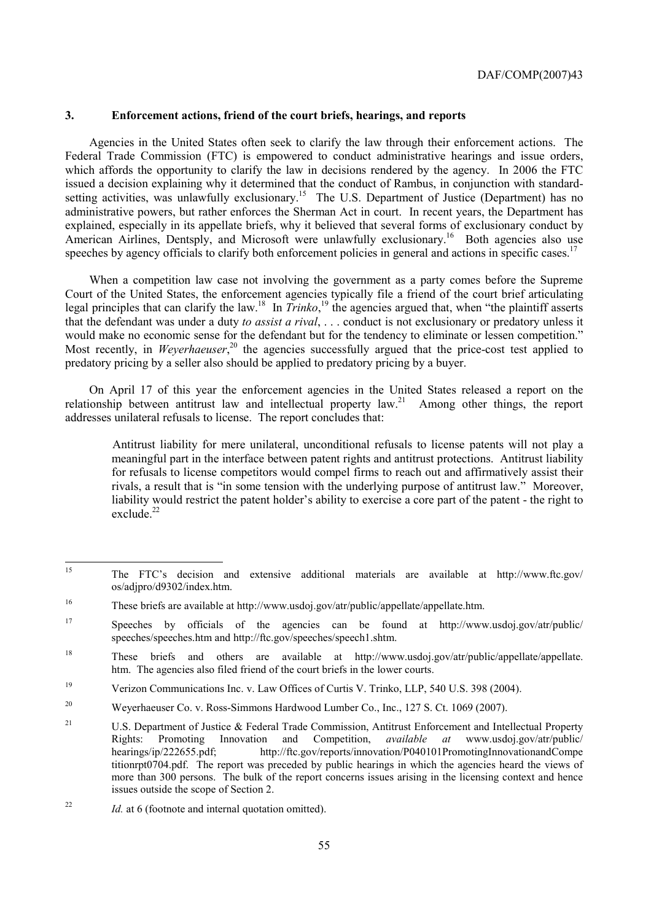# **3. Enforcement actions, friend of the court briefs, hearings, and reports**

Agencies in the United States often seek to clarify the law through their enforcement actions. The Federal Trade Commission (FTC) is empowered to conduct administrative hearings and issue orders, which affords the opportunity to clarify the law in decisions rendered by the agency. In 2006 the FTC issued a decision explaining why it determined that the conduct of Rambus, in conjunction with standardsetting activities, was unlawfully exclusionary.<sup>15</sup> The U.S. Department of Justice (Department) has no administrative powers, but rather enforces the Sherman Act in court. In recent years, the Department has explained, especially in its appellate briefs, why it believed that several forms of exclusionary conduct by American Airlines, Dentsply, and Microsoft were unlawfully exclusionary.<sup>16</sup> Both agencies also use speeches by agency officials to clarify both enforcement policies in general and actions in specific cases.<sup>17</sup>

When a competition law case not involving the government as a party comes before the Supreme Court of the United States, the enforcement agencies typically file a friend of the court brief articulating legal principles that can clarify the law.18 In *Trinko*, 19 the agencies argued that, when "the plaintiff asserts that the defendant was under a duty *to assist a rival*, . . . conduct is not exclusionary or predatory unless it would make no economic sense for the defendant but for the tendency to eliminate or lessen competition." Most recently, in *Weyerhaeuser*<sup>20</sup> the agencies successfully argued that the price-cost test applied to predatory pricing by a seller also should be applied to predatory pricing by a buyer.

On April 17 of this year the enforcement agencies in the United States released a report on the relationship between antitrust law and intellectual property  $law^{21}$ . Among other things, the report addresses unilateral refusals to license. The report concludes that:

Antitrust liability for mere unilateral, unconditional refusals to license patents will not play a meaningful part in the interface between patent rights and antitrust protections. Antitrust liability for refusals to license competitors would compel firms to reach out and affirmatively assist their rivals, a result that is "in some tension with the underlying purpose of antitrust law." Moreover, liability would restrict the patent holder's ability to exercise a core part of the patent - the right to exclude  $^{22}$ 

 $15$ 15 The FTC's decision and extensive additional materials are available at http://www.ftc.gov/ os/adjpro/d9302/index.htm.

<sup>16</sup> These briefs are available at http://www.usdoj.gov/atr/public/appellate/appellate.htm.

<sup>17</sup> Speeches by officials of the agencies can be found at http://www.usdoj.gov/atr/public/ speeches/speeches.htm and http://ftc.gov/speeches/speech1.shtm.

<sup>&</sup>lt;sup>18</sup> These briefs and others are available at http://www.usdoj.gov/atr/public/appellate/appellate. htm. The agencies also filed friend of the court briefs in the lower courts.

<sup>19</sup> Verizon Communications Inc. v. Law Offices of Curtis V. Trinko, LLP, 540 U.S. 398 (2004).

<sup>20</sup> Weyerhaeuser Co. v. Ross-Simmons Hardwood Lumber Co., Inc., 127 S. Ct. 1069 (2007).

<sup>&</sup>lt;sup>21</sup> U.S. Department of Justice & Federal Trade Commission, Antitrust Enforcement and Intellectual Property Rights: Promoting Innovation and Competition, *available at* www.usdoj.gov/atr/public/ hearings/ip/222655.pdf; http://ftc.gov/reports/innovation/P040101PromotingInnovationandCompe titionrpt0704.pdf. The report was preceded by public hearings in which the agencies heard the views of more than 300 persons. The bulk of the report concerns issues arising in the licensing context and hence issues outside the scope of Section 2.

<sup>22</sup> *Id.* at 6 (footnote and internal quotation omitted).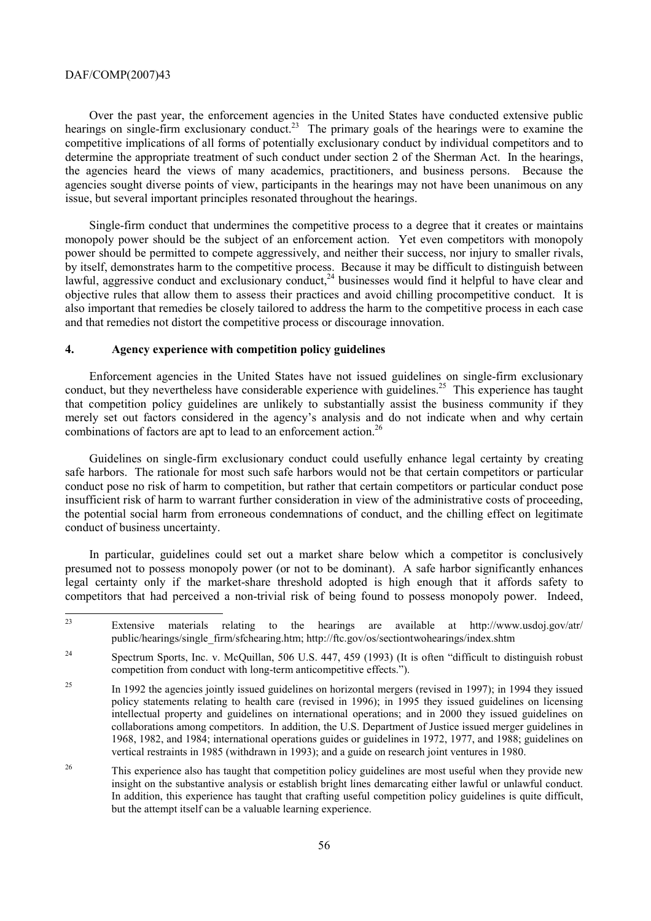Over the past year, the enforcement agencies in the United States have conducted extensive public hearings on single-firm exclusionary conduct.<sup>23</sup> The primary goals of the hearings were to examine the competitive implications of all forms of potentially exclusionary conduct by individual competitors and to determine the appropriate treatment of such conduct under section 2 of the Sherman Act. In the hearings, the agencies heard the views of many academics, practitioners, and business persons. Because the agencies sought diverse points of view, participants in the hearings may not have been unanimous on any issue, but several important principles resonated throughout the hearings.

Single-firm conduct that undermines the competitive process to a degree that it creates or maintains monopoly power should be the subject of an enforcement action. Yet even competitors with monopoly power should be permitted to compete aggressively, and neither their success, nor injury to smaller rivals, by itself, demonstrates harm to the competitive process. Because it may be difficult to distinguish between lawful, aggressive conduct and exclusionary conduct,<sup>24</sup> businesses would find it helpful to have clear and objective rules that allow them to assess their practices and avoid chilling procompetitive conduct. It is also important that remedies be closely tailored to address the harm to the competitive process in each case and that remedies not distort the competitive process or discourage innovation.

### **4. Agency experience with competition policy guidelines**

Enforcement agencies in the United States have not issued guidelines on single-firm exclusionary conduct, but they nevertheless have considerable experience with guidelines.<sup>25</sup> This experience has taught that competition policy guidelines are unlikely to substantially assist the business community if they merely set out factors considered in the agency's analysis and do not indicate when and why certain combinations of factors are apt to lead to an enforcement action.<sup>26</sup>

Guidelines on single-firm exclusionary conduct could usefully enhance legal certainty by creating safe harbors. The rationale for most such safe harbors would not be that certain competitors or particular conduct pose no risk of harm to competition, but rather that certain competitors or particular conduct pose insufficient risk of harm to warrant further consideration in view of the administrative costs of proceeding, the potential social harm from erroneous condemnations of conduct, and the chilling effect on legitimate conduct of business uncertainty.

In particular, guidelines could set out a market share below which a competitor is conclusively presumed not to possess monopoly power (or not to be dominant). A safe harbor significantly enhances legal certainty only if the market-share threshold adopted is high enough that it affords safety to competitors that had perceived a non-trivial risk of being found to possess monopoly power. Indeed,

 $23$ Extensive materials relating to the hearings are available at http://www.usdoj.gov/atr/ public/hearings/single\_firm/sfchearing.htm; http://ftc.gov/os/sectiontwohearings/index.shtm

<sup>&</sup>lt;sup>24</sup> Spectrum Sports, Inc. v. McQuillan, 506 U.S. 447, 459 (1993) (It is often "difficult to distinguish robust competition from conduct with long-term anticompetitive effects.").

<sup>&</sup>lt;sup>25</sup> In 1992 the agencies jointly issued guidelines on horizontal mergers (revised in 1997); in 1994 they issued policy statements relating to health care (revised in 1996); in 1995 they issued guidelines on licensing intellectual property and guidelines on international operations; and in 2000 they issued guidelines on collaborations among competitors. In addition, the U.S. Department of Justice issued merger guidelines in 1968, 1982, and 1984; international operations guides or guidelines in 1972, 1977, and 1988; guidelines on vertical restraints in 1985 (withdrawn in 1993); and a guide on research joint ventures in 1980.

<sup>&</sup>lt;sup>26</sup> This experience also has taught that competition policy guidelines are most useful when they provide new insight on the substantive analysis or establish bright lines demarcating either lawful or unlawful conduct. In addition, this experience has taught that crafting useful competition policy guidelines is quite difficult, but the attempt itself can be a valuable learning experience.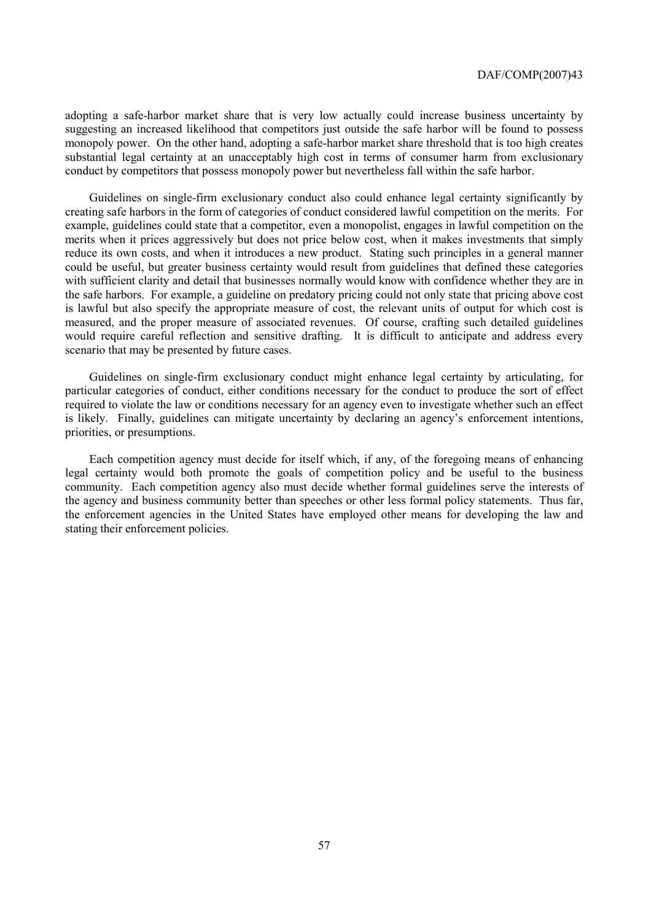adopting a safe-harbor market share that is very low actually could increase business uncertainty by suggesting an increased likelihood that competitors just outside the safe harbor will be found to possess monopoly power. On the other hand, adopting a safe-harbor market share threshold that is too high creates substantial legal certainty at an unacceptably high cost in terms of consumer harm from exclusionary conduct by competitors that possess monopoly power but nevertheless fall within the safe harbor.

Guidelines on single-firm exclusionary conduct also could enhance legal certainty significantly by creating safe harbors in the form of categories of conduct considered lawful competition on the merits. For example, guidelines could state that a competitor, even a monopolist, engages in lawful competition on the merits when it prices aggressively but does not price below cost, when it makes investments that simply reduce its own costs, and when it introduces a new product. Stating such principles in a general manner could be useful, but greater business certainty would result from guidelines that defined these categories with sufficient clarity and detail that businesses normally would know with confidence whether they are in the safe harbors. For example, a guideline on predatory pricing could not only state that pricing above cost is lawful but also specify the appropriate measure of cost, the relevant units of output for which cost is measured, and the proper measure of associated revenues. Of course, crafting such detailed guidelines would require careful reflection and sensitive drafting. It is difficult to anticipate and address every scenario that may be presented by future cases.

Guidelines on single-firm exclusionary conduct might enhance legal certainty by articulating, for particular categories of conduct, either conditions necessary for the conduct to produce the sort of effect required to violate the law or conditions necessary for an agency even to investigate whether such an effect is likely. Finally, guidelines can mitigate uncertainty by declaring an agency's enforcement intentions, priorities, or presumptions.

Each competition agency must decide for itself which, if any, of the foregoing means of enhancing legal certainty would both promote the goals of competition policy and be useful to the business community. Each competition agency also must decide whether formal guidelines serve the interests of the agency and business community better than speeches or other less formal policy statements. Thus far, the enforcement agencies in the United States have employed other means for developing the law and stating their enforcement policies.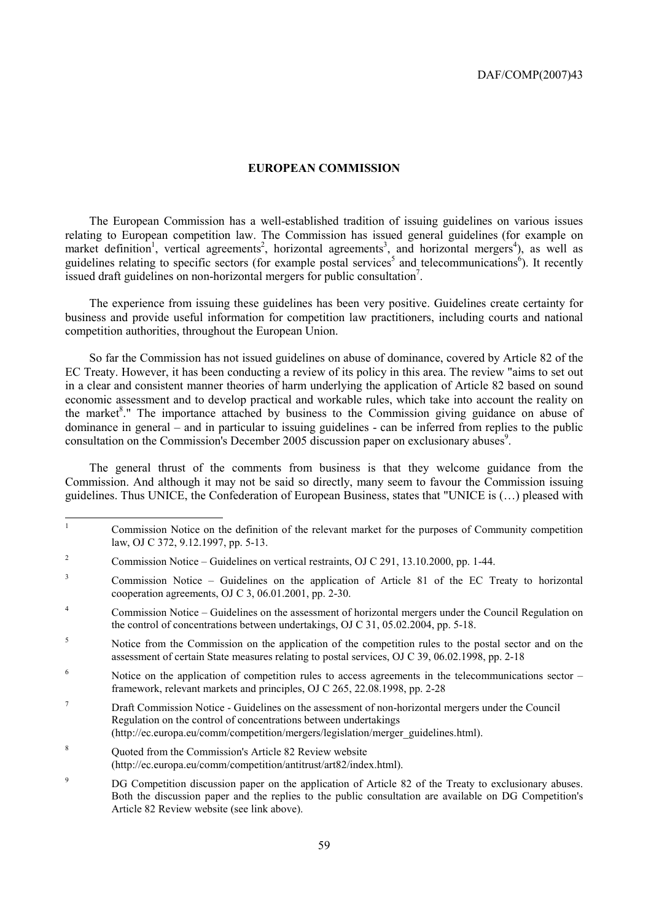#### **EUROPEAN COMMISSION**

The European Commission has a well-established tradition of issuing guidelines on various issues relating to European competition law. The Commission has issued general guidelines (for example on market definition<sup>1</sup>, vertical agreements<sup>2</sup>, horizontal agreements<sup>3</sup>, and horizontal mergers<sup>4</sup>), as well as guidelines relating to specific sectors (for example postal services<sup>5</sup> and telecommunications<sup>6</sup>). It recently issued draft guidelines on non-horizontal mergers for public consultation<sup>7</sup>.

The experience from issuing these guidelines has been very positive. Guidelines create certainty for business and provide useful information for competition law practitioners, including courts and national competition authorities, throughout the European Union.

So far the Commission has not issued guidelines on abuse of dominance, covered by Article 82 of the EC Treaty. However, it has been conducting a review of its policy in this area. The review "aims to set out in a clear and consistent manner theories of harm underlying the application of Article 82 based on sound economic assessment and to develop practical and workable rules, which take into account the reality on the market<sup>8</sup>." The importance attached by business to the Commission giving guidance on abuse of dominance in general – and in particular to issuing guidelines - can be inferred from replies to the public consultation on the Commission's December 2005 discussion paper on exclusionary abuses<sup>9</sup>.

The general thrust of the comments from business is that they welcome guidance from the Commission. And although it may not be said so directly, many seem to favour the Commission issuing guidelines. Thus UNICE, the Confederation of European Business, states that "UNICE is (…) pleased with

- 3 Commission Notice – Guidelines on the application of Article 81 of the EC Treaty to horizontal cooperation agreements, OJ C 3, 06.01.2001, pp. 2-30.
- 4 Commission Notice – Guidelines on the assessment of horizontal mergers under the Council Regulation on the control of concentrations between undertakings, OJ C 31, 05.02.2004, pp. 5-18.
- 5 Notice from the Commission on the application of the competition rules to the postal sector and on the assessment of certain State measures relating to postal services, OJ C 39, 06.02.1998, pp. 2-18
- 6 Notice on the application of competition rules to access agreements in the telecommunications sector – framework, relevant markets and principles, OJ C 265, 22.08.1998, pp. 2-28
- 7 Draft Commission Notice - Guidelines on the assessment of non-horizontal mergers under the Council Regulation on the control of concentrations between undertakings (http://ec.europa.eu/comm/competition/mergers/legislation/merger\_guidelines.html).
- 8 Quoted from the Commission's Article 82 Review website (http://ec.europa.eu/comm/competition/antitrust/art82/index.html).
- 9 DG Competition discussion paper on the application of Article 82 of the Treaty to exclusionary abuses. Both the discussion paper and the replies to the public consultation are available on DG Competition's Article 82 Review website (see link above).

<sup>|&</sup>lt;br>|<br>| Commission Notice on the definition of the relevant market for the purposes of Community competition law, OJ C 372, 9.12.1997, pp. 5-13.

<sup>2</sup> Commission Notice – Guidelines on vertical restraints, OJ C 291, 13.10.2000, pp. 1-44.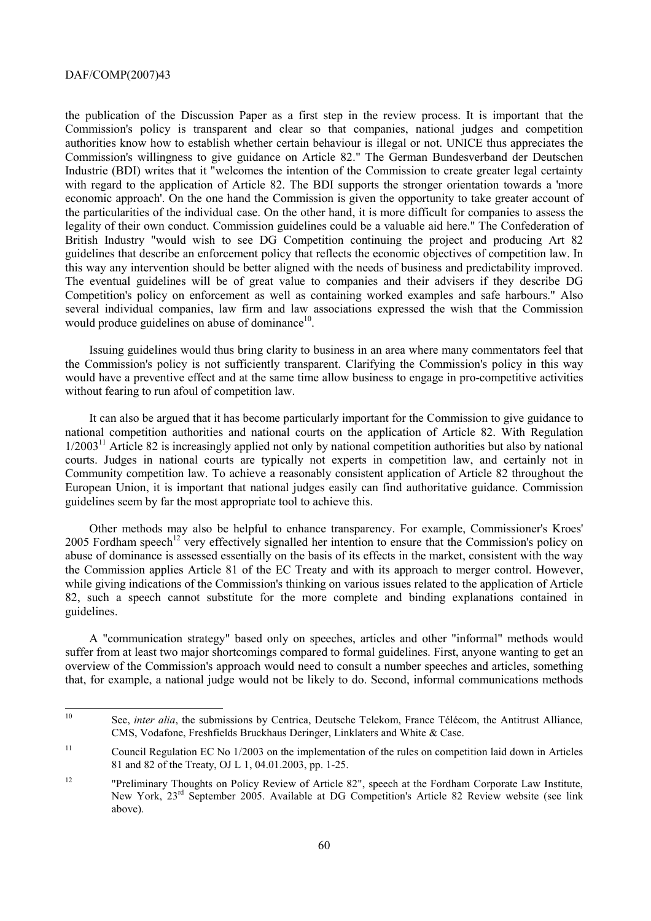the publication of the Discussion Paper as a first step in the review process. It is important that the Commission's policy is transparent and clear so that companies, national judges and competition authorities know how to establish whether certain behaviour is illegal or not. UNICE thus appreciates the Commission's willingness to give guidance on Article 82." The German Bundesverband der Deutschen Industrie (BDI) writes that it "welcomes the intention of the Commission to create greater legal certainty with regard to the application of Article 82. The BDI supports the stronger orientation towards a 'more economic approach'. On the one hand the Commission is given the opportunity to take greater account of the particularities of the individual case. On the other hand, it is more difficult for companies to assess the legality of their own conduct. Commission guidelines could be a valuable aid here." The Confederation of British Industry "would wish to see DG Competition continuing the project and producing Art 82 guidelines that describe an enforcement policy that reflects the economic objectives of competition law. In this way any intervention should be better aligned with the needs of business and predictability improved. The eventual guidelines will be of great value to companies and their advisers if they describe DG Competition's policy on enforcement as well as containing worked examples and safe harbours." Also several individual companies, law firm and law associations expressed the wish that the Commission would produce guidelines on abuse of dominance $10$ .

Issuing guidelines would thus bring clarity to business in an area where many commentators feel that the Commission's policy is not sufficiently transparent. Clarifying the Commission's policy in this way would have a preventive effect and at the same time allow business to engage in pro-competitive activities without fearing to run afoul of competition law.

It can also be argued that it has become particularly important for the Commission to give guidance to national competition authorities and national courts on the application of Article 82. With Regulation  $1/2003<sup>11</sup>$  Article 82 is increasingly applied not only by national competition authorities but also by national courts. Judges in national courts are typically not experts in competition law, and certainly not in Community competition law. To achieve a reasonably consistent application of Article 82 throughout the European Union, it is important that national judges easily can find authoritative guidance. Commission guidelines seem by far the most appropriate tool to achieve this.

Other methods may also be helpful to enhance transparency. For example, Commissioner's Kroes' 2005 Fordham speech<sup>12</sup> very effectively signalled her intention to ensure that the Commission's policy on abuse of dominance is assessed essentially on the basis of its effects in the market, consistent with the way the Commission applies Article 81 of the EC Treaty and with its approach to merger control. However, while giving indications of the Commission's thinking on various issues related to the application of Article 82, such a speech cannot substitute for the more complete and binding explanations contained in guidelines.

A "communication strategy" based only on speeches, articles and other "informal" methods would suffer from at least two major shortcomings compared to formal guidelines. First, anyone wanting to get an overview of the Commission's approach would need to consult a number speeches and articles, something that, for example, a national judge would not be likely to do. Second, informal communications methods

 $10<sup>10</sup>$ 10 See, *inter alia*, the submissions by Centrica, Deutsche Telekom, France Télécom, the Antitrust Alliance, CMS, Vodafone, Freshfields Bruckhaus Deringer, Linklaters and White & Case.

<sup>&</sup>lt;sup>11</sup> Council Regulation EC No 1/2003 on the implementation of the rules on competition laid down in Articles 81 and 82 of the Treaty, OJ L 1, 04.01.2003, pp. 1-25.

<sup>&</sup>lt;sup>12</sup> "Preliminary Thoughts on Policy Review of Article 82", speech at the Fordham Corporate Law Institute, New York, 23rd September 2005. Available at DG Competition's Article 82 Review website (see link above).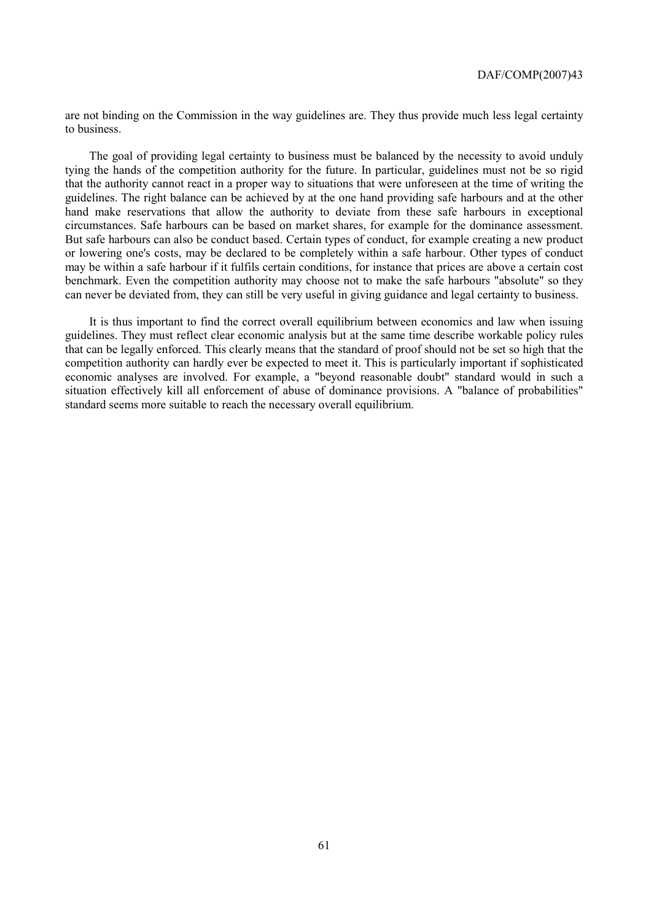are not binding on the Commission in the way guidelines are. They thus provide much less legal certainty to business.

The goal of providing legal certainty to business must be balanced by the necessity to avoid unduly tying the hands of the competition authority for the future. In particular, guidelines must not be so rigid that the authority cannot react in a proper way to situations that were unforeseen at the time of writing the guidelines. The right balance can be achieved by at the one hand providing safe harbours and at the other hand make reservations that allow the authority to deviate from these safe harbours in exceptional circumstances. Safe harbours can be based on market shares, for example for the dominance assessment. But safe harbours can also be conduct based. Certain types of conduct, for example creating a new product or lowering one's costs, may be declared to be completely within a safe harbour. Other types of conduct may be within a safe harbour if it fulfils certain conditions, for instance that prices are above a certain cost benchmark. Even the competition authority may choose not to make the safe harbours "absolute" so they can never be deviated from, they can still be very useful in giving guidance and legal certainty to business.

It is thus important to find the correct overall equilibrium between economics and law when issuing guidelines. They must reflect clear economic analysis but at the same time describe workable policy rules that can be legally enforced. This clearly means that the standard of proof should not be set so high that the competition authority can hardly ever be expected to meet it. This is particularly important if sophisticated economic analyses are involved. For example, a "beyond reasonable doubt" standard would in such a situation effectively kill all enforcement of abuse of dominance provisions. A "balance of probabilities" standard seems more suitable to reach the necessary overall equilibrium.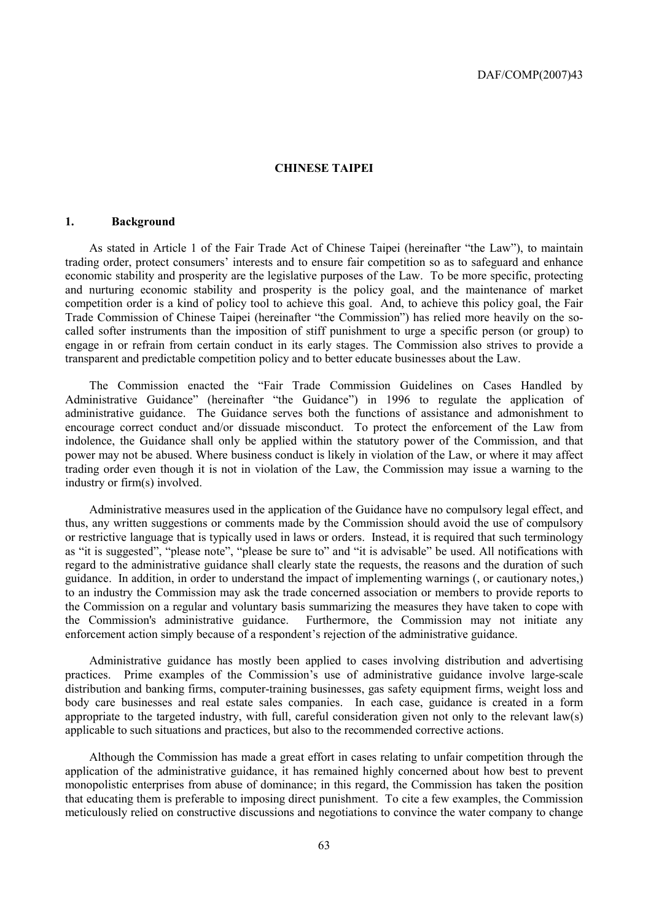### **CHINESE TAIPEI**

#### **1. Background**

As stated in Article 1 of the Fair Trade Act of Chinese Taipei (hereinafter "the Law"), to maintain trading order, protect consumers' interests and to ensure fair competition so as to safeguard and enhance economic stability and prosperity are the legislative purposes of the Law. To be more specific, protecting and nurturing economic stability and prosperity is the policy goal, and the maintenance of market competition order is a kind of policy tool to achieve this goal. And, to achieve this policy goal, the Fair Trade Commission of Chinese Taipei (hereinafter "the Commission") has relied more heavily on the socalled softer instruments than the imposition of stiff punishment to urge a specific person (or group) to engage in or refrain from certain conduct in its early stages. The Commission also strives to provide a transparent and predictable competition policy and to better educate businesses about the Law.

The Commission enacted the "Fair Trade Commission Guidelines on Cases Handled by Administrative Guidance" (hereinafter "the Guidance") in 1996 to regulate the application of administrative guidance. The Guidance serves both the functions of assistance and admonishment to encourage correct conduct and/or dissuade misconduct. To protect the enforcement of the Law from indolence, the Guidance shall only be applied within the statutory power of the Commission, and that power may not be abused. Where business conduct is likely in violation of the Law, or where it may affect trading order even though it is not in violation of the Law, the Commission may issue a warning to the industry or firm(s) involved.

Administrative measures used in the application of the Guidance have no compulsory legal effect, and thus, any written suggestions or comments made by the Commission should avoid the use of compulsory or restrictive language that is typically used in laws or orders. Instead, it is required that such terminology as "it is suggested", "please note", "please be sure to" and "it is advisable" be used. All notifications with regard to the administrative guidance shall clearly state the requests, the reasons and the duration of such guidance. In addition, in order to understand the impact of implementing warnings (, or cautionary notes,) to an industry the Commission may ask the trade concerned association or members to provide reports to the Commission on a regular and voluntary basis summarizing the measures they have taken to cope with the Commission's administrative guidance. Furthermore, the Commission may not initiate any enforcement action simply because of a respondent's rejection of the administrative guidance.

Administrative guidance has mostly been applied to cases involving distribution and advertising practices. Prime examples of the Commission's use of administrative guidance involve large-scale distribution and banking firms, computer-training businesses, gas safety equipment firms, weight loss and body care businesses and real estate sales companies. In each case, guidance is created in a form appropriate to the targeted industry, with full, careful consideration given not only to the relevant law(s) applicable to such situations and practices, but also to the recommended corrective actions.

Although the Commission has made a great effort in cases relating to unfair competition through the application of the administrative guidance, it has remained highly concerned about how best to prevent monopolistic enterprises from abuse of dominance; in this regard, the Commission has taken the position that educating them is preferable to imposing direct punishment. To cite a few examples, the Commission meticulously relied on constructive discussions and negotiations to convince the water company to change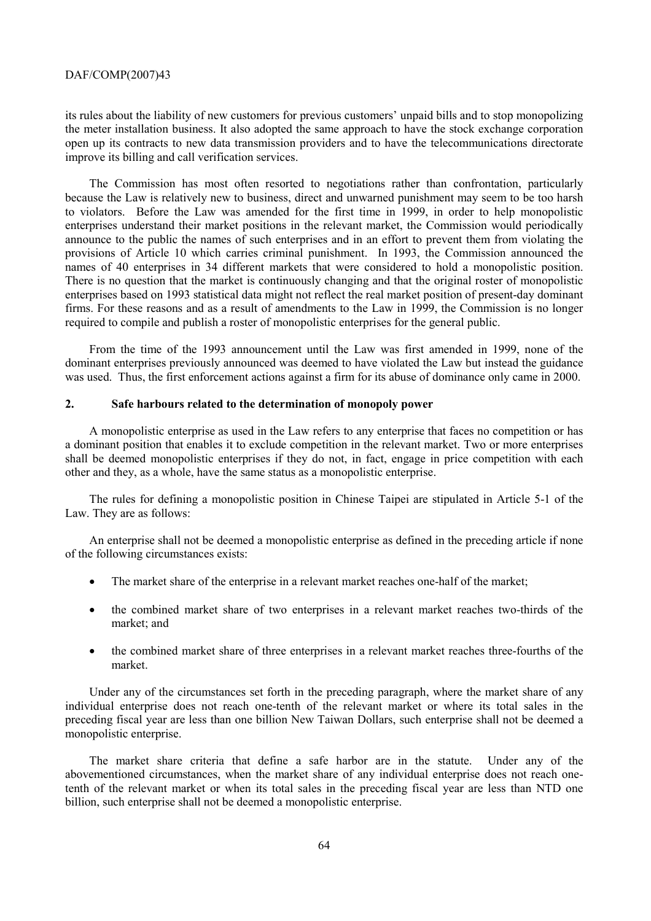its rules about the liability of new customers for previous customers' unpaid bills and to stop monopolizing the meter installation business. It also adopted the same approach to have the stock exchange corporation open up its contracts to new data transmission providers and to have the telecommunications directorate improve its billing and call verification services.

The Commission has most often resorted to negotiations rather than confrontation, particularly because the Law is relatively new to business, direct and unwarned punishment may seem to be too harsh to violators. Before the Law was amended for the first time in 1999, in order to help monopolistic enterprises understand their market positions in the relevant market, the Commission would periodically announce to the public the names of such enterprises and in an effort to prevent them from violating the provisions of Article 10 which carries criminal punishment. In 1993, the Commission announced the names of 40 enterprises in 34 different markets that were considered to hold a monopolistic position. There is no question that the market is continuously changing and that the original roster of monopolistic enterprises based on 1993 statistical data might not reflect the real market position of present-day dominant firms. For these reasons and as a result of amendments to the Law in 1999, the Commission is no longer required to compile and publish a roster of monopolistic enterprises for the general public.

From the time of the 1993 announcement until the Law was first amended in 1999, none of the dominant enterprises previously announced was deemed to have violated the Law but instead the guidance was used. Thus, the first enforcement actions against a firm for its abuse of dominance only came in 2000.

# **2. Safe harbours related to the determination of monopoly power**

A monopolistic enterprise as used in the Law refers to any enterprise that faces no competition or has a dominant position that enables it to exclude competition in the relevant market. Two or more enterprises shall be deemed monopolistic enterprises if they do not, in fact, engage in price competition with each other and they, as a whole, have the same status as a monopolistic enterprise.

The rules for defining a monopolistic position in Chinese Taipei are stipulated in Article 5-1 of the Law. They are as follows:

An enterprise shall not be deemed a monopolistic enterprise as defined in the preceding article if none of the following circumstances exists:

- The market share of the enterprise in a relevant market reaches one-half of the market;
- the combined market share of two enterprises in a relevant market reaches two-thirds of the market; and
- the combined market share of three enterprises in a relevant market reaches three-fourths of the market.

Under any of the circumstances set forth in the preceding paragraph, where the market share of any individual enterprise does not reach one-tenth of the relevant market or where its total sales in the preceding fiscal year are less than one billion New Taiwan Dollars, such enterprise shall not be deemed a monopolistic enterprise.

The market share criteria that define a safe harbor are in the statute. Under any of the abovementioned circumstances, when the market share of any individual enterprise does not reach onetenth of the relevant market or when its total sales in the preceding fiscal year are less than NTD one billion, such enterprise shall not be deemed a monopolistic enterprise.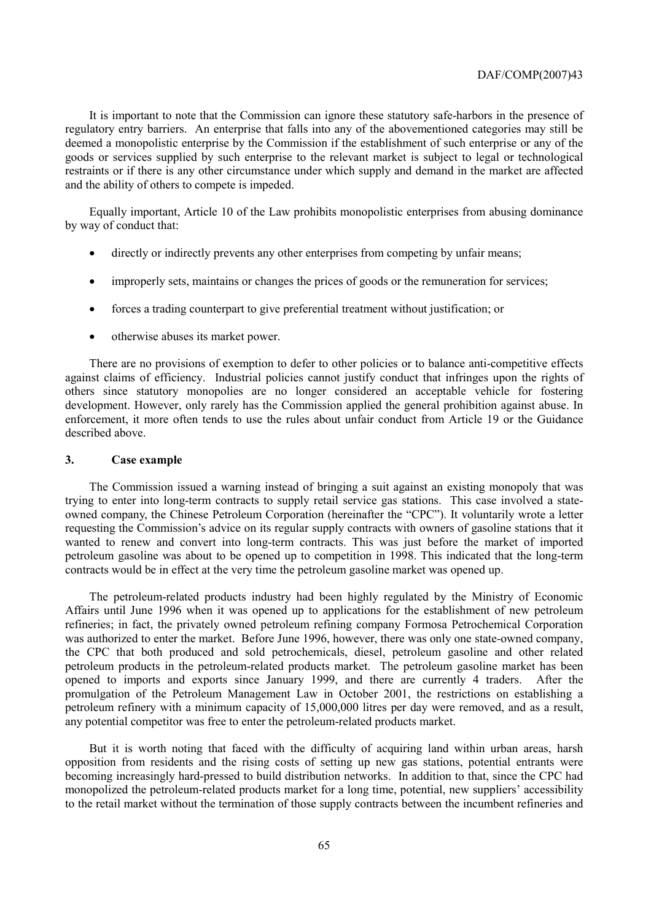It is important to note that the Commission can ignore these statutory safe-harbors in the presence of regulatory entry barriers. An enterprise that falls into any of the abovementioned categories may still be deemed a monopolistic enterprise by the Commission if the establishment of such enterprise or any of the goods or services supplied by such enterprise to the relevant market is subject to legal or technological restraints or if there is any other circumstance under which supply and demand in the market are affected and the ability of others to compete is impeded.

Equally important, Article 10 of the Law prohibits monopolistic enterprises from abusing dominance by way of conduct that:

- directly or indirectly prevents any other enterprises from competing by unfair means;
- improperly sets, maintains or changes the prices of goods or the remuneration for services;
- forces a trading counterpart to give preferential treatment without justification; or
- otherwise abuses its market power.

There are no provisions of exemption to defer to other policies or to balance anti-competitive effects against claims of efficiency. Industrial policies cannot justify conduct that infringes upon the rights of others since statutory monopolies are no longer considered an acceptable vehicle for fostering development. However, only rarely has the Commission applied the general prohibition against abuse. In enforcement, it more often tends to use the rules about unfair conduct from Article 19 or the Guidance described above.

#### **3. Case example**

The Commission issued a warning instead of bringing a suit against an existing monopoly that was trying to enter into long-term contracts to supply retail service gas stations. This case involved a stateowned company, the Chinese Petroleum Corporation (hereinafter the "CPC"). It voluntarily wrote a letter requesting the Commission's advice on its regular supply contracts with owners of gasoline stations that it wanted to renew and convert into long-term contracts. This was just before the market of imported petroleum gasoline was about to be opened up to competition in 1998. This indicated that the long-term contracts would be in effect at the very time the petroleum gasoline market was opened up.

The petroleum-related products industry had been highly regulated by the Ministry of Economic Affairs until June 1996 when it was opened up to applications for the establishment of new petroleum refineries; in fact, the privately owned petroleum refining company Formosa Petrochemical Corporation was authorized to enter the market. Before June 1996, however, there was only one state-owned company, the CPC that both produced and sold petrochemicals, diesel, petroleum gasoline and other related petroleum products in the petroleum-related products market. The petroleum gasoline market has been opened to imports and exports since January 1999, and there are currently 4 traders. After the promulgation of the Petroleum Management Law in October 2001, the restrictions on establishing a petroleum refinery with a minimum capacity of 15,000,000 litres per day were removed, and as a result, any potential competitor was free to enter the petroleum-related products market.

But it is worth noting that faced with the difficulty of acquiring land within urban areas, harsh opposition from residents and the rising costs of setting up new gas stations, potential entrants were becoming increasingly hard-pressed to build distribution networks. In addition to that, since the CPC had monopolized the petroleum-related products market for a long time, potential, new suppliers' accessibility to the retail market without the termination of those supply contracts between the incumbent refineries and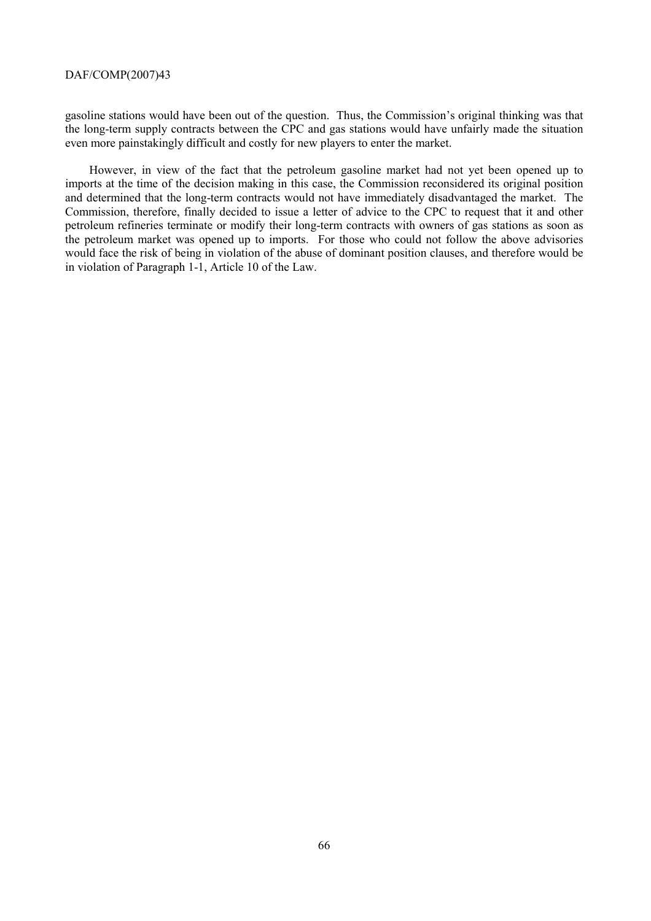gasoline stations would have been out of the question. Thus, the Commission's original thinking was that the long-term supply contracts between the CPC and gas stations would have unfairly made the situation even more painstakingly difficult and costly for new players to enter the market.

However, in view of the fact that the petroleum gasoline market had not yet been opened up to imports at the time of the decision making in this case, the Commission reconsidered its original position and determined that the long-term contracts would not have immediately disadvantaged the market. The Commission, therefore, finally decided to issue a letter of advice to the CPC to request that it and other petroleum refineries terminate or modify their long-term contracts with owners of gas stations as soon as the petroleum market was opened up to imports. For those who could not follow the above advisories would face the risk of being in violation of the abuse of dominant position clauses, and therefore would be in violation of Paragraph 1-1, Article 10 of the Law.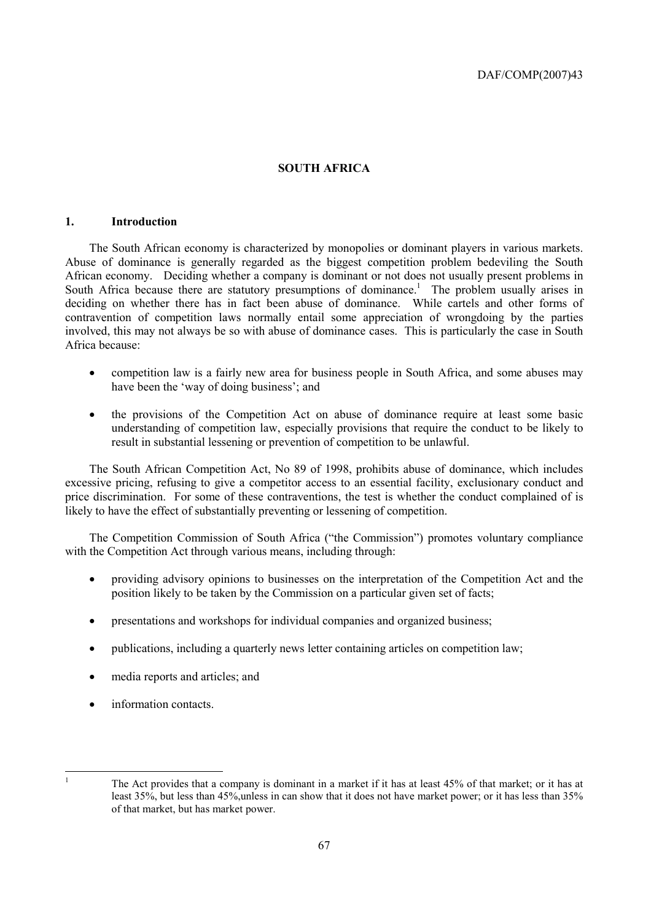# **SOUTH AFRICA**

# **1. Introduction**

The South African economy is characterized by monopolies or dominant players in various markets. Abuse of dominance is generally regarded as the biggest competition problem bedeviling the South African economy. Deciding whether a company is dominant or not does not usually present problems in South Africa because there are statutory presumptions of dominance.<sup>1</sup> The problem usually arises in deciding on whether there has in fact been abuse of dominance. While cartels and other forms of contravention of competition laws normally entail some appreciation of wrongdoing by the parties involved, this may not always be so with abuse of dominance cases. This is particularly the case in South Africa because:

- competition law is a fairly new area for business people in South Africa, and some abuses may have been the 'way of doing business'; and
- the provisions of the Competition Act on abuse of dominance require at least some basic understanding of competition law, especially provisions that require the conduct to be likely to result in substantial lessening or prevention of competition to be unlawful.

The South African Competition Act, No 89 of 1998, prohibits abuse of dominance, which includes excessive pricing, refusing to give a competitor access to an essential facility, exclusionary conduct and price discrimination. For some of these contraventions, the test is whether the conduct complained of is likely to have the effect of substantially preventing or lessening of competition.

The Competition Commission of South Africa ("the Commission") promotes voluntary compliance with the Competition Act through various means, including through:

- providing advisory opinions to businesses on the interpretation of the Competition Act and the position likely to be taken by the Commission on a particular given set of facts;
- presentations and workshops for individual companies and organized business;
- publications, including a quarterly news letter containing articles on competition law;
- media reports and articles; and
- information contacts.

 $\frac{1}{1}$ 

The Act provides that a company is dominant in a market if it has at least 45% of that market; or it has at least 35%, but less than 45%,unless in can show that it does not have market power; or it has less than 35% of that market, but has market power.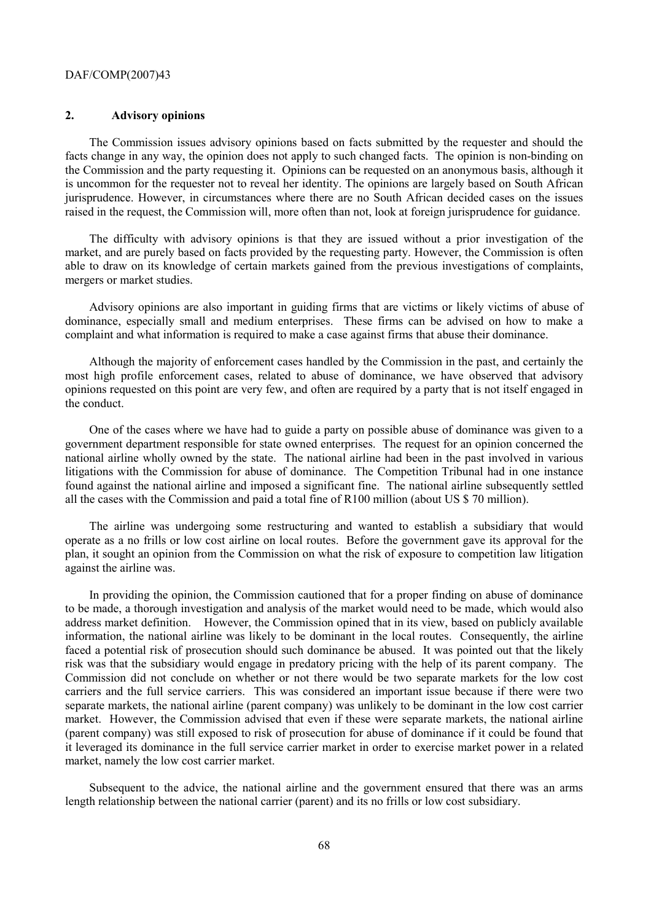### **2. Advisory opinions**

The Commission issues advisory opinions based on facts submitted by the requester and should the facts change in any way, the opinion does not apply to such changed facts. The opinion is non-binding on the Commission and the party requesting it. Opinions can be requested on an anonymous basis, although it is uncommon for the requester not to reveal her identity. The opinions are largely based on South African jurisprudence. However, in circumstances where there are no South African decided cases on the issues raised in the request, the Commission will, more often than not, look at foreign jurisprudence for guidance.

The difficulty with advisory opinions is that they are issued without a prior investigation of the market, and are purely based on facts provided by the requesting party. However, the Commission is often able to draw on its knowledge of certain markets gained from the previous investigations of complaints, mergers or market studies.

Advisory opinions are also important in guiding firms that are victims or likely victims of abuse of dominance, especially small and medium enterprises. These firms can be advised on how to make a complaint and what information is required to make a case against firms that abuse their dominance.

Although the majority of enforcement cases handled by the Commission in the past, and certainly the most high profile enforcement cases, related to abuse of dominance, we have observed that advisory opinions requested on this point are very few, and often are required by a party that is not itself engaged in the conduct.

One of the cases where we have had to guide a party on possible abuse of dominance was given to a government department responsible for state owned enterprises. The request for an opinion concerned the national airline wholly owned by the state. The national airline had been in the past involved in various litigations with the Commission for abuse of dominance. The Competition Tribunal had in one instance found against the national airline and imposed a significant fine. The national airline subsequently settled all the cases with the Commission and paid a total fine of R100 million (about US \$ 70 million).

The airline was undergoing some restructuring and wanted to establish a subsidiary that would operate as a no frills or low cost airline on local routes. Before the government gave its approval for the plan, it sought an opinion from the Commission on what the risk of exposure to competition law litigation against the airline was.

In providing the opinion, the Commission cautioned that for a proper finding on abuse of dominance to be made, a thorough investigation and analysis of the market would need to be made, which would also address market definition. However, the Commission opined that in its view, based on publicly available information, the national airline was likely to be dominant in the local routes. Consequently, the airline faced a potential risk of prosecution should such dominance be abused. It was pointed out that the likely risk was that the subsidiary would engage in predatory pricing with the help of its parent company. The Commission did not conclude on whether or not there would be two separate markets for the low cost carriers and the full service carriers. This was considered an important issue because if there were two separate markets, the national airline (parent company) was unlikely to be dominant in the low cost carrier market. However, the Commission advised that even if these were separate markets, the national airline (parent company) was still exposed to risk of prosecution for abuse of dominance if it could be found that it leveraged its dominance in the full service carrier market in order to exercise market power in a related market, namely the low cost carrier market.

Subsequent to the advice, the national airline and the government ensured that there was an arms length relationship between the national carrier (parent) and its no frills or low cost subsidiary.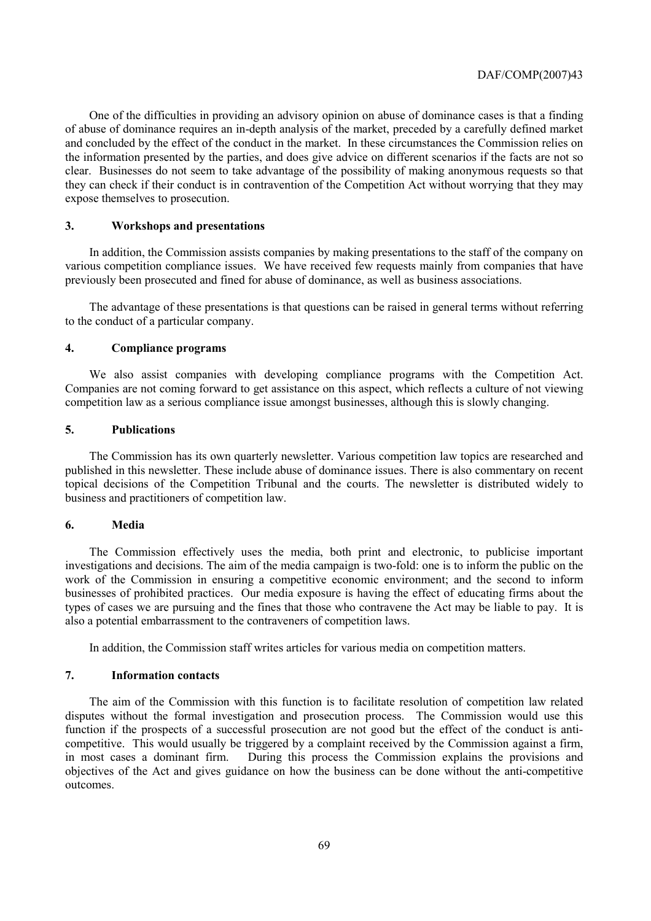One of the difficulties in providing an advisory opinion on abuse of dominance cases is that a finding of abuse of dominance requires an in-depth analysis of the market, preceded by a carefully defined market and concluded by the effect of the conduct in the market. In these circumstances the Commission relies on the information presented by the parties, and does give advice on different scenarios if the facts are not so clear. Businesses do not seem to take advantage of the possibility of making anonymous requests so that they can check if their conduct is in contravention of the Competition Act without worrying that they may expose themselves to prosecution.

# **3. Workshops and presentations**

In addition, the Commission assists companies by making presentations to the staff of the company on various competition compliance issues. We have received few requests mainly from companies that have previously been prosecuted and fined for abuse of dominance, as well as business associations.

The advantage of these presentations is that questions can be raised in general terms without referring to the conduct of a particular company.

#### **4. Compliance programs**

We also assist companies with developing compliance programs with the Competition Act. Companies are not coming forward to get assistance on this aspect, which reflects a culture of not viewing competition law as a serious compliance issue amongst businesses, although this is slowly changing.

# **5. Publications**

The Commission has its own quarterly newsletter. Various competition law topics are researched and published in this newsletter. These include abuse of dominance issues. There is also commentary on recent topical decisions of the Competition Tribunal and the courts. The newsletter is distributed widely to business and practitioners of competition law.

# **6. Media**

The Commission effectively uses the media, both print and electronic, to publicise important investigations and decisions. The aim of the media campaign is two-fold: one is to inform the public on the work of the Commission in ensuring a competitive economic environment; and the second to inform businesses of prohibited practices. Our media exposure is having the effect of educating firms about the types of cases we are pursuing and the fines that those who contravene the Act may be liable to pay. It is also a potential embarrassment to the contraveners of competition laws.

In addition, the Commission staff writes articles for various media on competition matters.

### **7. Information contacts**

The aim of the Commission with this function is to facilitate resolution of competition law related disputes without the formal investigation and prosecution process. The Commission would use this function if the prospects of a successful prosecution are not good but the effect of the conduct is anticompetitive. This would usually be triggered by a complaint received by the Commission against a firm, in most cases a dominant firm. During this process the Commission explains the provisions and objectives of the Act and gives guidance on how the business can be done without the anti-competitive outcomes.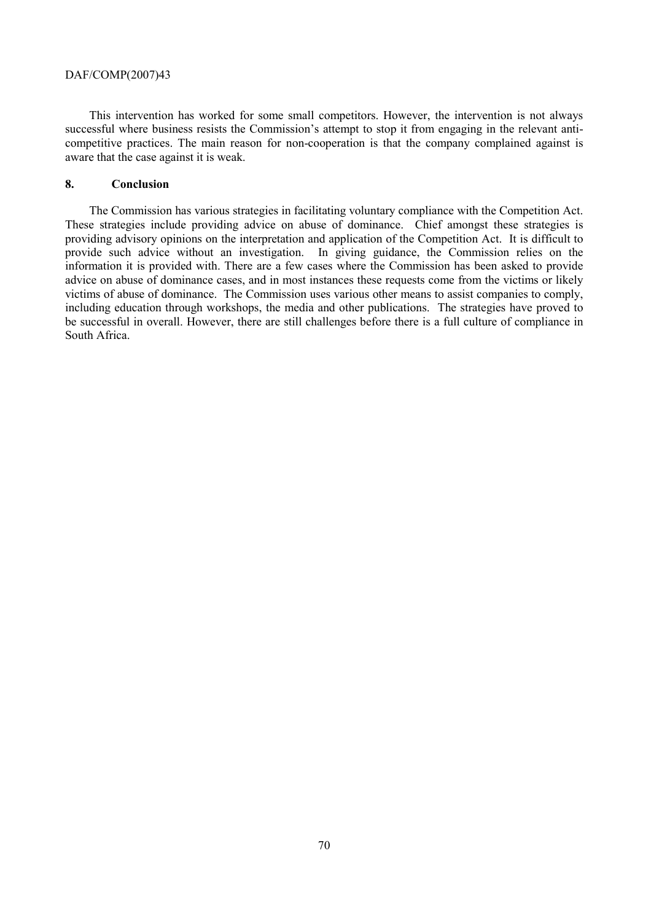This intervention has worked for some small competitors. However, the intervention is not always successful where business resists the Commission's attempt to stop it from engaging in the relevant anticompetitive practices. The main reason for non-cooperation is that the company complained against is aware that the case against it is weak.

# **8. Conclusion**

The Commission has various strategies in facilitating voluntary compliance with the Competition Act. These strategies include providing advice on abuse of dominance. Chief amongst these strategies is providing advisory opinions on the interpretation and application of the Competition Act. It is difficult to provide such advice without an investigation. In giving guidance, the Commission relies on the information it is provided with. There are a few cases where the Commission has been asked to provide advice on abuse of dominance cases, and in most instances these requests come from the victims or likely victims of abuse of dominance. The Commission uses various other means to assist companies to comply, including education through workshops, the media and other publications. The strategies have proved to be successful in overall. However, there are still challenges before there is a full culture of compliance in South Africa.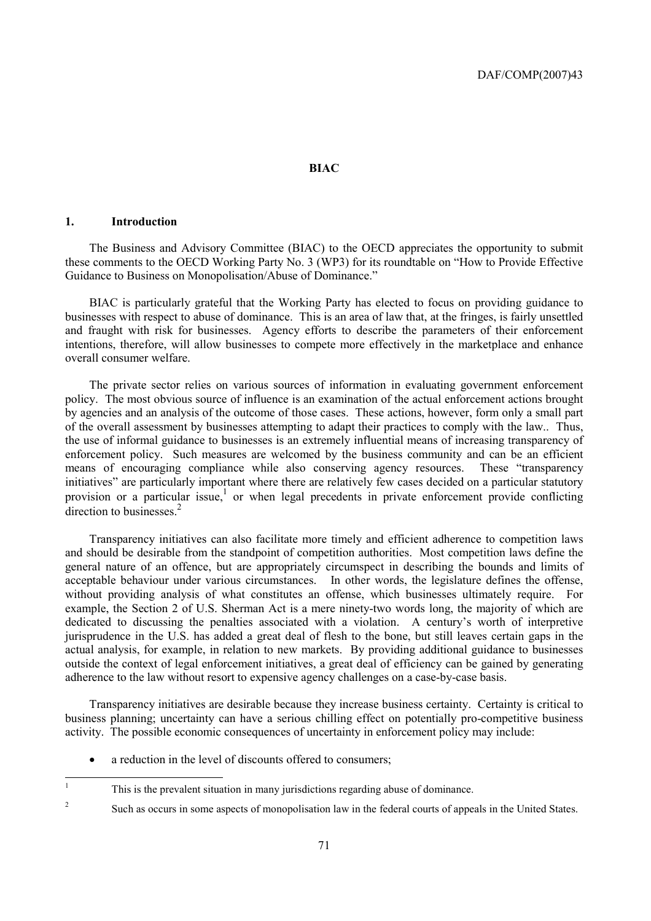#### **BIAC**

# **1. Introduction**

The Business and Advisory Committee (BIAC) to the OECD appreciates the opportunity to submit these comments to the OECD Working Party No. 3 (WP3) for its roundtable on "How to Provide Effective Guidance to Business on Monopolisation/Abuse of Dominance."

BIAC is particularly grateful that the Working Party has elected to focus on providing guidance to businesses with respect to abuse of dominance. This is an area of law that, at the fringes, is fairly unsettled and fraught with risk for businesses. Agency efforts to describe the parameters of their enforcement intentions, therefore, will allow businesses to compete more effectively in the marketplace and enhance overall consumer welfare.

The private sector relies on various sources of information in evaluating government enforcement policy. The most obvious source of influence is an examination of the actual enforcement actions brought by agencies and an analysis of the outcome of those cases. These actions, however, form only a small part of the overall assessment by businesses attempting to adapt their practices to comply with the law.. Thus, the use of informal guidance to businesses is an extremely influential means of increasing transparency of enforcement policy. Such measures are welcomed by the business community and can be an efficient means of encouraging compliance while also conserving agency resources. These "transparency initiatives" are particularly important where there are relatively few cases decided on a particular statutory provision or a particular issue,<sup>1</sup> or when legal precedents in private enforcement provide conflicting direction to businesses $<sup>2</sup>$ </sup>

Transparency initiatives can also facilitate more timely and efficient adherence to competition laws and should be desirable from the standpoint of competition authorities. Most competition laws define the general nature of an offence, but are appropriately circumspect in describing the bounds and limits of acceptable behaviour under various circumstances. In other words, the legislature defines the offense, without providing analysis of what constitutes an offense, which businesses ultimately require. For example, the Section 2 of U.S. Sherman Act is a mere ninety-two words long, the majority of which are dedicated to discussing the penalties associated with a violation. A century's worth of interpretive jurisprudence in the U.S. has added a great deal of flesh to the bone, but still leaves certain gaps in the actual analysis, for example, in relation to new markets. By providing additional guidance to businesses outside the context of legal enforcement initiatives, a great deal of efficiency can be gained by generating adherence to the law without resort to expensive agency challenges on a case-by-case basis.

Transparency initiatives are desirable because they increase business certainty. Certainty is critical to business planning; uncertainty can have a serious chilling effect on potentially pro-competitive business activity. The possible economic consequences of uncertainty in enforcement policy may include:

a reduction in the level of discounts offered to consumers;

|<br>|<br>| This is the prevalent situation in many jurisdictions regarding abuse of dominance.

 $\overline{2}$ Such as occurs in some aspects of monopolisation law in the federal courts of appeals in the United States.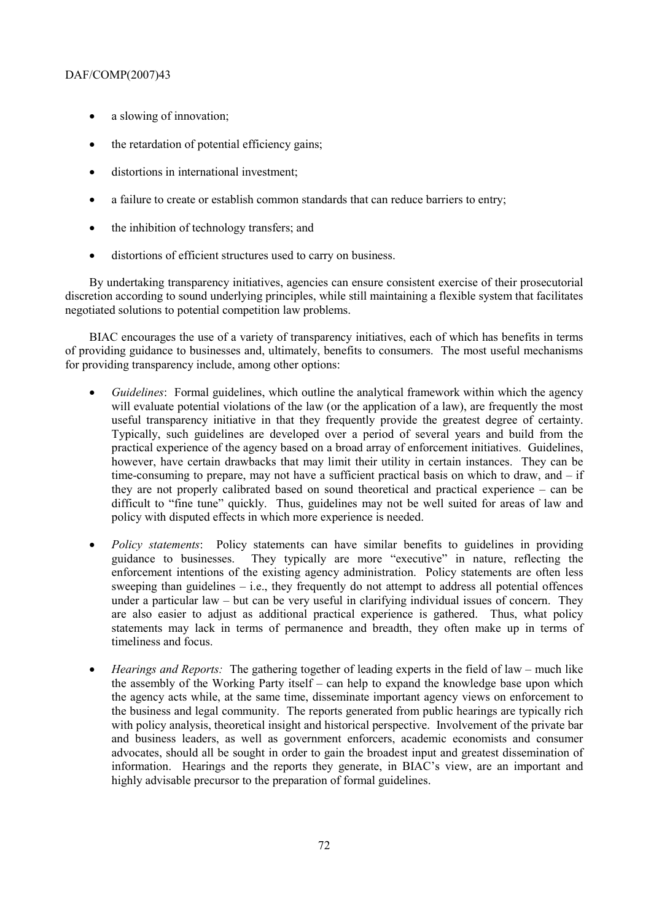- a slowing of innovation;
- the retardation of potential efficiency gains;
- distortions in international investment:
- a failure to create or establish common standards that can reduce barriers to entry;
- the inhibition of technology transfers; and
- distortions of efficient structures used to carry on business.

By undertaking transparency initiatives, agencies can ensure consistent exercise of their prosecutorial discretion according to sound underlying principles, while still maintaining a flexible system that facilitates negotiated solutions to potential competition law problems.

BIAC encourages the use of a variety of transparency initiatives, each of which has benefits in terms of providing guidance to businesses and, ultimately, benefits to consumers. The most useful mechanisms for providing transparency include, among other options:

- *Guidelines*: Formal guidelines, which outline the analytical framework within which the agency will evaluate potential violations of the law (or the application of a law), are frequently the most useful transparency initiative in that they frequently provide the greatest degree of certainty. Typically, such guidelines are developed over a period of several years and build from the practical experience of the agency based on a broad array of enforcement initiatives. Guidelines, however, have certain drawbacks that may limit their utility in certain instances. They can be time-consuming to prepare, may not have a sufficient practical basis on which to draw, and  $-$  if they are not properly calibrated based on sound theoretical and practical experience – can be difficult to "fine tune" quickly. Thus, guidelines may not be well suited for areas of law and policy with disputed effects in which more experience is needed.
- *Policy statements*: Policy statements can have similar benefits to guidelines in providing guidance to businesses. They typically are more "executive" in nature, reflecting the enforcement intentions of the existing agency administration. Policy statements are often less sweeping than guidelines  $-$  i.e., they frequently do not attempt to address all potential offences under a particular law – but can be very useful in clarifying individual issues of concern. They are also easier to adjust as additional practical experience is gathered. Thus, what policy statements may lack in terms of permanence and breadth, they often make up in terms of timeliness and focus.
- *Hearings and Reports:* The gathering together of leading experts in the field of law much like the assembly of the Working Party itself – can help to expand the knowledge base upon which the agency acts while, at the same time, disseminate important agency views on enforcement to the business and legal community. The reports generated from public hearings are typically rich with policy analysis, theoretical insight and historical perspective. Involvement of the private bar and business leaders, as well as government enforcers, academic economists and consumer advocates, should all be sought in order to gain the broadest input and greatest dissemination of information. Hearings and the reports they generate, in BIAC's view, are an important and highly advisable precursor to the preparation of formal guidelines.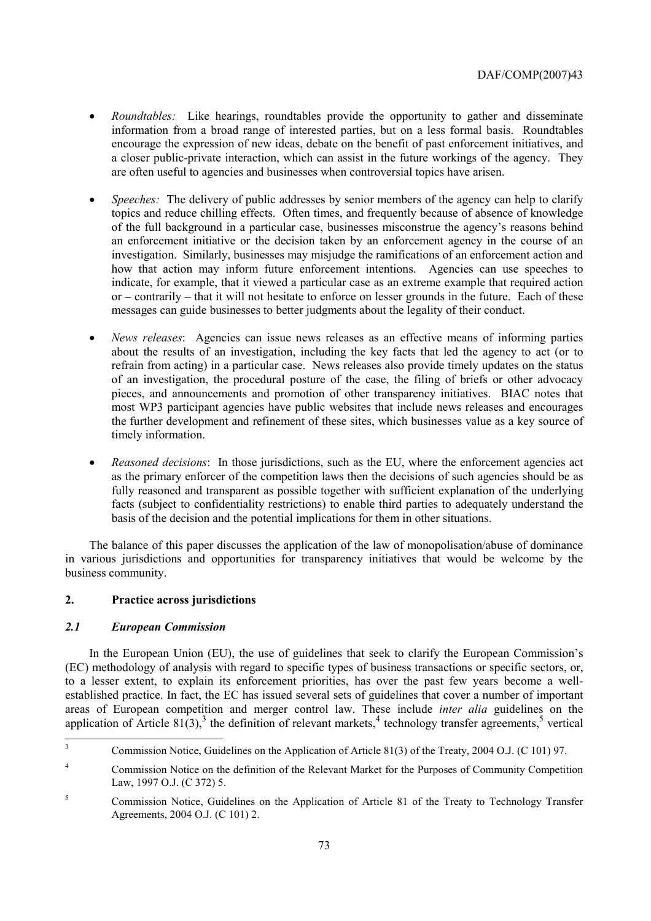- *Roundtables:* Like hearings, roundtables provide the opportunity to gather and disseminate information from a broad range of interested parties, but on a less formal basis. Roundtables encourage the expression of new ideas, debate on the benefit of past enforcement initiatives, and a closer public-private interaction, which can assist in the future workings of the agency. They are often useful to agencies and businesses when controversial topics have arisen.
- *Speeches:* The delivery of public addresses by senior members of the agency can help to clarify topics and reduce chilling effects. Often times, and frequently because of absence of knowledge of the full background in a particular case, businesses misconstrue the agency's reasons behind an enforcement initiative or the decision taken by an enforcement agency in the course of an investigation. Similarly, businesses may misjudge the ramifications of an enforcement action and how that action may inform future enforcement intentions. Agencies can use speeches to indicate, for example, that it viewed a particular case as an extreme example that required action or – contrarily – that it will not hesitate to enforce on lesser grounds in the future. Each of these messages can guide businesses to better judgments about the legality of their conduct.
- *News releases*: Agencies can issue news releases as an effective means of informing parties about the results of an investigation, including the key facts that led the agency to act (or to refrain from acting) in a particular case. News releases also provide timely updates on the status of an investigation, the procedural posture of the case, the filing of briefs or other advocacy pieces, and announcements and promotion of other transparency initiatives. BIAC notes that most WP3 participant agencies have public websites that include news releases and encourages the further development and refinement of these sites, which businesses value as a key source of timely information.
- *Reasoned decisions*: In those jurisdictions, such as the EU, where the enforcement agencies act as the primary enforcer of the competition laws then the decisions of such agencies should be as fully reasoned and transparent as possible together with sufficient explanation of the underlying facts (subject to confidentiality restrictions) to enable third parties to adequately understand the basis of the decision and the potential implications for them in other situations.

The balance of this paper discusses the application of the law of monopolisation/abuse of dominance in various jurisdictions and opportunities for transparency initiatives that would be welcome by the business community.

# **2. Practice across jurisdictions**

## *2.1 European Commission*

In the European Union (EU), the use of guidelines that seek to clarify the European Commission's (EC) methodology of analysis with regard to specific types of business transactions or specific sectors, or, to a lesser extent, to explain its enforcement priorities, has over the past few years become a wellestablished practice. In fact, the EC has issued several sets of guidelines that cover a number of important areas of European competition and merger control law. These include *inter alia* guidelines on the application of Article  $81(3)$ ,<sup>3</sup> the definition of relevant markets,<sup>4</sup> technology transfer agreements,<sup>5</sup> vertical

 3 Commission Notice, Guidelines on the Application of Article 81(3) of the Treaty, 2004 O.J. (C 101) 97.

<sup>4</sup> Commission Notice on the definition of the Relevant Market for the Purposes of Community Competition Law, 1997 O.J. (C 372) 5.

<sup>5</sup> Commission Notice, Guidelines on the Application of Article 81 of the Treaty to Technology Transfer Agreements, 2004 O.J. (C 101) 2.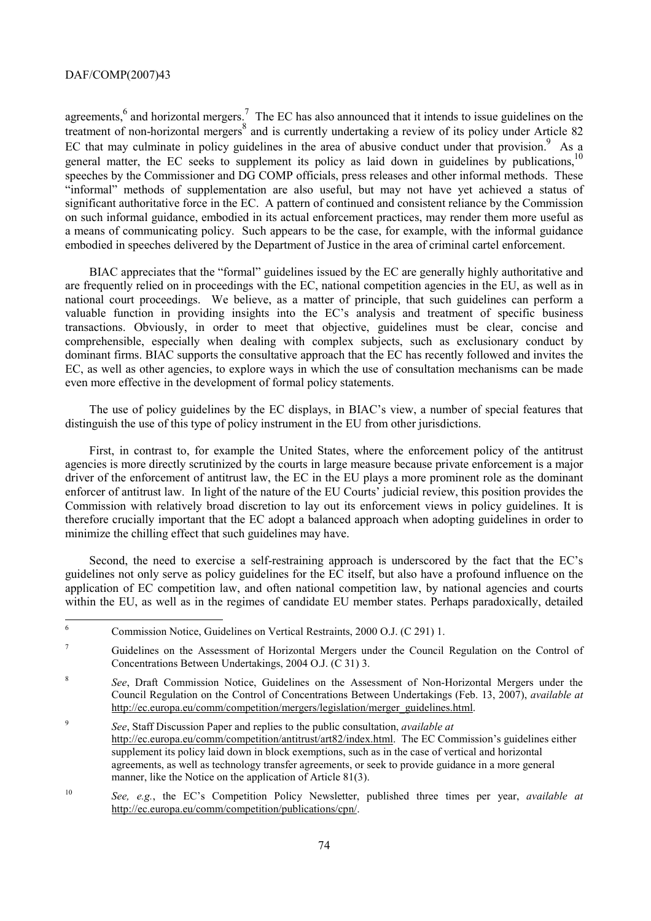agreements,  $6$  and horizontal mergers.<sup>7</sup> The EC has also announced that it intends to issue guidelines on the treatment of non-horizontal mergers<sup>8</sup> and is currently undertaking a review of its policy under Article 82 EC that may culminate in policy guidelines in the area of abusive conduct under that provision. $9$  As a general matter, the EC seeks to supplement its policy as laid down in guidelines by publications,<sup>10</sup> speeches by the Commissioner and DG COMP officials, press releases and other informal methods. These "informal" methods of supplementation are also useful, but may not have yet achieved a status of significant authoritative force in the EC. A pattern of continued and consistent reliance by the Commission on such informal guidance, embodied in its actual enforcement practices, may render them more useful as a means of communicating policy. Such appears to be the case, for example, with the informal guidance embodied in speeches delivered by the Department of Justice in the area of criminal cartel enforcement.

BIAC appreciates that the "formal" guidelines issued by the EC are generally highly authoritative and are frequently relied on in proceedings with the EC, national competition agencies in the EU, as well as in national court proceedings. We believe, as a matter of principle, that such guidelines can perform a valuable function in providing insights into the EC's analysis and treatment of specific business transactions. Obviously, in order to meet that objective, guidelines must be clear, concise and comprehensible, especially when dealing with complex subjects, such as exclusionary conduct by dominant firms. BIAC supports the consultative approach that the EC has recently followed and invites the EC, as well as other agencies, to explore ways in which the use of consultation mechanisms can be made even more effective in the development of formal policy statements.

The use of policy guidelines by the EC displays, in BIAC's view, a number of special features that distinguish the use of this type of policy instrument in the EU from other jurisdictions.

First, in contrast to, for example the United States, where the enforcement policy of the antitrust agencies is more directly scrutinized by the courts in large measure because private enforcement is a major driver of the enforcement of antitrust law, the EC in the EU plays a more prominent role as the dominant enforcer of antitrust law. In light of the nature of the EU Courts' judicial review, this position provides the Commission with relatively broad discretion to lay out its enforcement views in policy guidelines. It is therefore crucially important that the EC adopt a balanced approach when adopting guidelines in order to minimize the chilling effect that such guidelines may have.

Second, the need to exercise a self-restraining approach is underscored by the fact that the EC's guidelines not only serve as policy guidelines for the EC itself, but also have a profound influence on the application of EC competition law, and often national competition law, by national agencies and courts within the EU, as well as in the regimes of candidate EU member states. Perhaps paradoxically, detailed

 6 Commission Notice, Guidelines on Vertical Restraints, 2000 O.J. (C 291) 1.

<sup>7</sup> Guidelines on the Assessment of Horizontal Mergers under the Council Regulation on the Control of Concentrations Between Undertakings, 2004 O.J. (C 31) 3.

<sup>8</sup> *See*, Draft Commission Notice, Guidelines on the Assessment of Non-Horizontal Mergers under the Council Regulation on the Control of Concentrations Between Undertakings (Feb. 13, 2007), *available at* http://ec.europa.eu/comm/competition/mergers/legislation/merger\_guidelines.html.

<sup>9</sup> *See*, Staff Discussion Paper and replies to the public consultation, *available at* http://ec.europa.eu/comm/competition/antitrust/art82/index.html. The EC Commission's guidelines either supplement its policy laid down in block exemptions, such as in the case of vertical and horizontal agreements, as well as technology transfer agreements, or seek to provide guidance in a more general manner, like the Notice on the application of Article 81(3).

<sup>10</sup> *See, e.g.*, the EC's Competition Policy Newsletter, published three times per year, *available at* http://ec.europa.eu/comm/competition/publications/cpn/.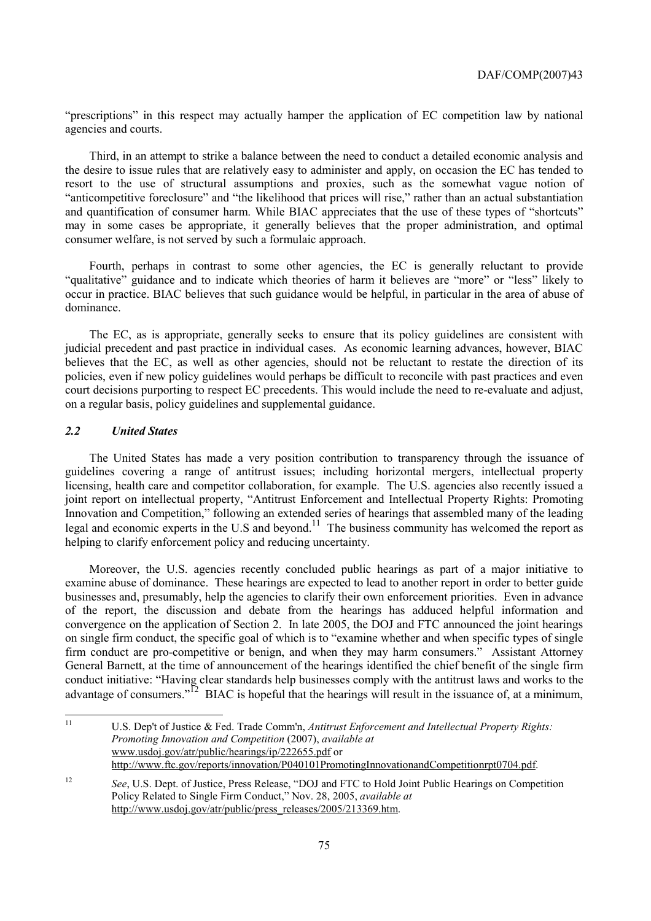"prescriptions" in this respect may actually hamper the application of EC competition law by national agencies and courts.

Third, in an attempt to strike a balance between the need to conduct a detailed economic analysis and the desire to issue rules that are relatively easy to administer and apply, on occasion the EC has tended to resort to the use of structural assumptions and proxies, such as the somewhat vague notion of "anticompetitive foreclosure" and "the likelihood that prices will rise," rather than an actual substantiation and quantification of consumer harm. While BIAC appreciates that the use of these types of "shortcuts" may in some cases be appropriate, it generally believes that the proper administration, and optimal consumer welfare, is not served by such a formulaic approach.

Fourth, perhaps in contrast to some other agencies, the EC is generally reluctant to provide "qualitative" guidance and to indicate which theories of harm it believes are "more" or "less" likely to occur in practice. BIAC believes that such guidance would be helpful, in particular in the area of abuse of dominance.

The EC, as is appropriate, generally seeks to ensure that its policy guidelines are consistent with judicial precedent and past practice in individual cases. As economic learning advances, however, BIAC believes that the EC, as well as other agencies, should not be reluctant to restate the direction of its policies, even if new policy guidelines would perhaps be difficult to reconcile with past practices and even court decisions purporting to respect EC precedents. This would include the need to re-evaluate and adjust, on a regular basis, policy guidelines and supplemental guidance.

## *2.2 United States*

The United States has made a very position contribution to transparency through the issuance of guidelines covering a range of antitrust issues; including horizontal mergers, intellectual property licensing, health care and competitor collaboration, for example. The U.S. agencies also recently issued a joint report on intellectual property, "Antitrust Enforcement and Intellectual Property Rights: Promoting Innovation and Competition," following an extended series of hearings that assembled many of the leading legal and economic experts in the U.S and beyond.<sup>11</sup> The business community has welcomed the report as helping to clarify enforcement policy and reducing uncertainty.

Moreover, the U.S. agencies recently concluded public hearings as part of a major initiative to examine abuse of dominance. These hearings are expected to lead to another report in order to better guide businesses and, presumably, help the agencies to clarify their own enforcement priorities. Even in advance of the report, the discussion and debate from the hearings has adduced helpful information and convergence on the application of Section 2. In late 2005, the DOJ and FTC announced the joint hearings on single firm conduct, the specific goal of which is to "examine whether and when specific types of single firm conduct are pro-competitive or benign, and when they may harm consumers." Assistant Attorney General Barnett, at the time of announcement of the hearings identified the chief benefit of the single firm conduct initiative: "Having clear standards help businesses comply with the antitrust laws and works to the advantage of consumers."<sup>12</sup> BIAC is hopeful that the hearings will result in the issuance of, at a minimum,

 $11$ 11 U.S. Dep't of Justice & Fed. Trade Comm'n, *Antitrust Enforcement and Intellectual Property Rights: Promoting Innovation and Competition* (2007), *available at* www.usdoj.gov/atr/public/hearings/ip/222655.pdf or http://www.ftc.gov/reports/innovation/P040101PromotingInnovationandCompetitionrpt0704.pdf.

<sup>12</sup> *See*, U.S. Dept. of Justice, Press Release, "DOJ and FTC to Hold Joint Public Hearings on Competition Policy Related to Single Firm Conduct," Nov. 28, 2005, *available at* http://www.usdoj.gov/atr/public/press\_releases/2005/213369.htm.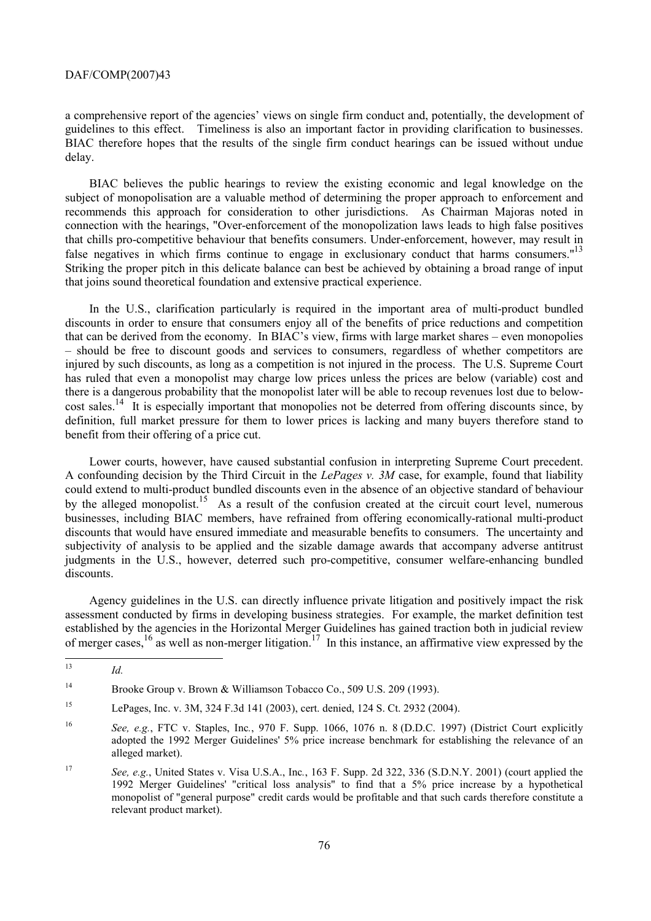a comprehensive report of the agencies' views on single firm conduct and, potentially, the development of guidelines to this effect. Timeliness is also an important factor in providing clarification to businesses. BIAC therefore hopes that the results of the single firm conduct hearings can be issued without undue delay.

BIAC believes the public hearings to review the existing economic and legal knowledge on the subject of monopolisation are a valuable method of determining the proper approach to enforcement and recommends this approach for consideration to other jurisdictions. As Chairman Majoras noted in connection with the hearings, "Over-enforcement of the monopolization laws leads to high false positives that chills pro-competitive behaviour that benefits consumers. Under-enforcement, however, may result in false negatives in which firms continue to engage in exclusionary conduct that harms consumers."<sup>13</sup> Striking the proper pitch in this delicate balance can best be achieved by obtaining a broad range of input that joins sound theoretical foundation and extensive practical experience.

In the U.S., clarification particularly is required in the important area of multi-product bundled discounts in order to ensure that consumers enjoy all of the benefits of price reductions and competition that can be derived from the economy. In BIAC's view, firms with large market shares – even monopolies – should be free to discount goods and services to consumers, regardless of whether competitors are injured by such discounts, as long as a competition is not injured in the process. The U.S. Supreme Court has ruled that even a monopolist may charge low prices unless the prices are below (variable) cost and there is a dangerous probability that the monopolist later will be able to recoup revenues lost due to belowcost sales.<sup>14</sup> It is especially important that monopolies not be deterred from offering discounts since, by definition, full market pressure for them to lower prices is lacking and many buyers therefore stand to benefit from their offering of a price cut.

Lower courts, however, have caused substantial confusion in interpreting Supreme Court precedent. A confounding decision by the Third Circuit in the *LePages v. 3M* case, for example, found that liability could extend to multi-product bundled discounts even in the absence of an objective standard of behaviour by the alleged monopolist.<sup>15</sup> As a result of the confusion created at the circuit court level, numerous businesses, including BIAC members, have refrained from offering economically-rational multi-product discounts that would have ensured immediate and measurable benefits to consumers. The uncertainty and subjectivity of analysis to be applied and the sizable damage awards that accompany adverse antitrust judgments in the U.S., however, deterred such pro-competitive, consumer welfare-enhancing bundled discounts.

Agency guidelines in the U.S. can directly influence private litigation and positively impact the risk assessment conducted by firms in developing business strategies. For example, the market definition test established by the agencies in the Horizontal Merger Guidelines has gained traction both in judicial review of merger cases,16 as well as non-merger litigation.17 In this instance, an affirmative view expressed by the

 $13$ <sup>13</sup> *Id.*

<sup>14</sup> Brooke Group v. Brown & Williamson Tobacco Co., 509 U.S. 209 (1993).

<sup>15</sup> LePages, Inc. v. 3M, 324 F.3d 141 (2003), cert. denied, 124 S. Ct. 2932 (2004).

<sup>16</sup> *See, e.g.*, FTC v. Staples, Inc*.*, 970 F. Supp. 1066, 1076 n. 8 (D.D.C. 1997) (District Court explicitly adopted the 1992 Merger Guidelines' 5% price increase benchmark for establishing the relevance of an alleged market).

<sup>17</sup> *See, e.g.*, United States v. Visa U.S.A., Inc*.*, 163 F. Supp. 2d 322, 336 (S.D.N.Y. 2001) (court applied the 1992 Merger Guidelines' "critical loss analysis" to find that a 5% price increase by a hypothetical monopolist of "general purpose" credit cards would be profitable and that such cards therefore constitute a relevant product market).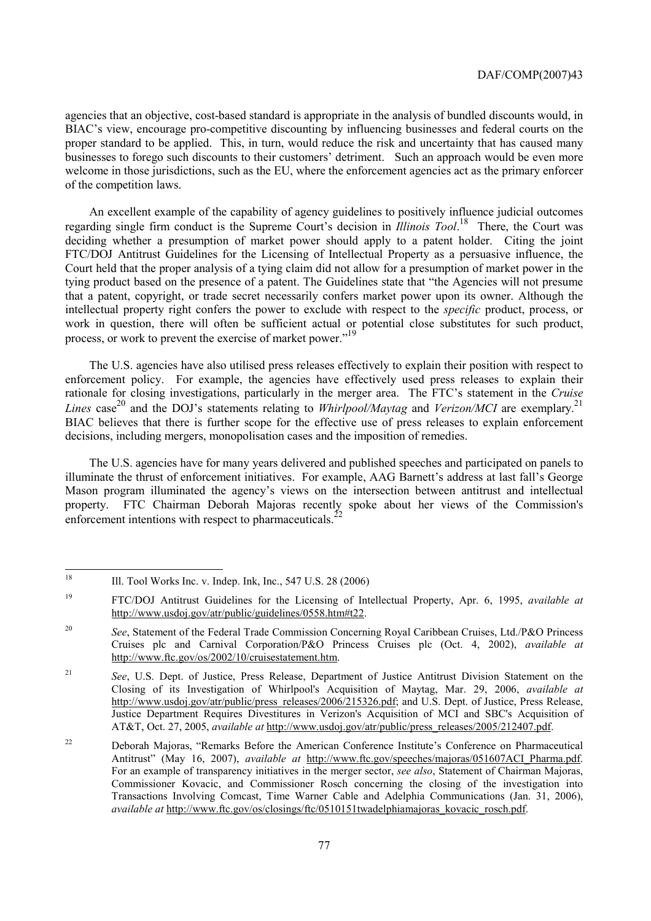agencies that an objective, cost-based standard is appropriate in the analysis of bundled discounts would, in BIAC's view, encourage pro-competitive discounting by influencing businesses and federal courts on the proper standard to be applied. This, in turn, would reduce the risk and uncertainty that has caused many businesses to forego such discounts to their customers' detriment. Such an approach would be even more welcome in those jurisdictions, such as the EU, where the enforcement agencies act as the primary enforcer of the competition laws.

An excellent example of the capability of agency guidelines to positively influence judicial outcomes regarding single firm conduct is the Supreme Court's decision in *Illinois Tool*. 18 There, the Court was deciding whether a presumption of market power should apply to a patent holder. Citing the joint FTC/DOJ Antitrust Guidelines for the Licensing of Intellectual Property as a persuasive influence, the Court held that the proper analysis of a tying claim did not allow for a presumption of market power in the tying product based on the presence of a patent. The Guidelines state that "the Agencies will not presume that a patent, copyright, or trade secret necessarily confers market power upon its owner. Although the intellectual property right confers the power to exclude with respect to the *specific* product, process, or work in question, there will often be sufficient actual or potential close substitutes for such product, process, or work to prevent the exercise of market power."<sup>19</sup>

The U.S. agencies have also utilised press releases effectively to explain their position with respect to enforcement policy. For example, the agencies have effectively used press releases to explain their rationale for closing investigations, particularly in the merger area. The FTC's statement in the *Cruise Lines* case 20 and the DOJ's statements relating to *Whirlpool/Maytag* and *Verizon/MCI* are exemplary.21 BIAC believes that there is further scope for the effective use of press releases to explain enforcement decisions, including mergers, monopolisation cases and the imposition of remedies.

The U.S. agencies have for many years delivered and published speeches and participated on panels to illuminate the thrust of enforcement initiatives. For example, AAG Barnett's address at last fall's George Mason program illuminated the agency's views on the intersection between antitrust and intellectual property. FTC Chairman Deborah Majoras recently spoke about her views of the Commission's enforcement intentions with respect to pharmaceuticals.<sup>22</sup>

<sup>18</sup> 18 Ill. Tool Works Inc. v. Indep. Ink, Inc., 547 U.S. 28 (2006)

<sup>19</sup> FTC/DOJ Antitrust Guidelines for the Licensing of Intellectual Property, Apr. 6, 1995, *available at* http://www.usdoj.gov/atr/public/guidelines/0558.htm#t22.

<sup>20</sup> *See*, Statement of the Federal Trade Commission Concerning Royal Caribbean Cruises, Ltd./P&O Princess Cruises plc and Carnival Corporation/P&O Princess Cruises plc (Oct. 4, 2002), *available at* http://www.ftc.gov/os/2002/10/cruisestatement.htm.

<sup>21</sup> *See*, U.S. Dept. of Justice, Press Release, Department of Justice Antitrust Division Statement on the Closing of its Investigation of Whirlpool's Acquisition of Maytag, Mar. 29, 2006, *available at* http://www.usdoj.gov/atr/public/press\_releases/2006/215326.pdf; and U.S. Dept. of Justice, Press Release, Justice Department Requires Divestitures in Verizon's Acquisition of MCI and SBC's Acquisition of AT&T, Oct. 27, 2005, *available at* http://www.usdoj.gov/atr/public/press\_releases/2005/212407.pdf.

<sup>&</sup>lt;sup>22</sup> Deborah Majoras, "Remarks Before the American Conference Institute's Conference on Pharmaceutical Antitrust" (May 16, 2007), *available at* http://www.ftc.gov/speeches/majoras/051607ACI\_Pharma.pdf. For an example of transparency initiatives in the merger sector, *see also*, Statement of Chairman Majoras, Commissioner Kovacic, and Commissioner Rosch concerning the closing of the investigation into Transactions Involving Comcast, Time Warner Cable and Adelphia Communications (Jan. 31, 2006), *available at* http://www.ftc.gov/os/closings/ftc/0510151twadelphiamajoras\_kovacic\_rosch.pdf.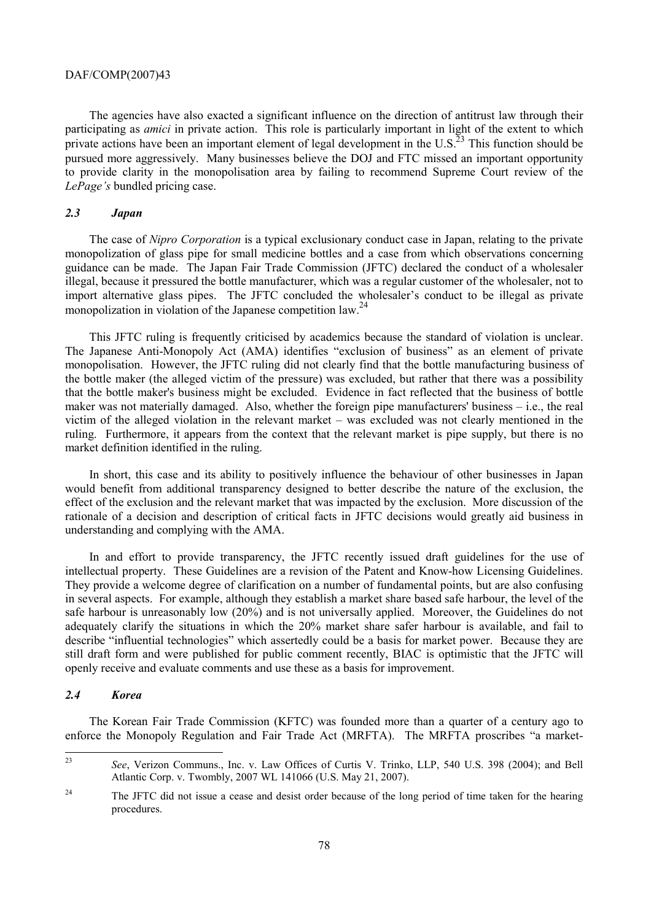The agencies have also exacted a significant influence on the direction of antitrust law through their participating as *amici* in private action. This role is particularly important in light of the extent to which private actions have been an important element of legal development in the U.S.<sup>23</sup> This function should be pursued more aggressively. Many businesses believe the DOJ and FTC missed an important opportunity to provide clarity in the monopolisation area by failing to recommend Supreme Court review of the *LePage's* bundled pricing case.

# *2.3 Japan*

The case of *Nipro Corporation* is a typical exclusionary conduct case in Japan, relating to the private monopolization of glass pipe for small medicine bottles and a case from which observations concerning guidance can be made. The Japan Fair Trade Commission (JFTC) declared the conduct of a wholesaler illegal, because it pressured the bottle manufacturer, which was a regular customer of the wholesaler, not to import alternative glass pipes. The JFTC concluded the wholesaler's conduct to be illegal as private monopolization in violation of the Japanese competition law.<sup>24</sup>

This JFTC ruling is frequently criticised by academics because the standard of violation is unclear. The Japanese Anti-Monopoly Act (AMA) identifies "exclusion of business" as an element of private monopolisation. However, the JFTC ruling did not clearly find that the bottle manufacturing business of the bottle maker (the alleged victim of the pressure) was excluded, but rather that there was a possibility that the bottle maker's business might be excluded. Evidence in fact reflected that the business of bottle maker was not materially damaged. Also, whether the foreign pipe manufacturers' business – i.e., the real victim of the alleged violation in the relevant market – was excluded was not clearly mentioned in the ruling. Furthermore, it appears from the context that the relevant market is pipe supply, but there is no market definition identified in the ruling.

In short, this case and its ability to positively influence the behaviour of other businesses in Japan would benefit from additional transparency designed to better describe the nature of the exclusion, the effect of the exclusion and the relevant market that was impacted by the exclusion. More discussion of the rationale of a decision and description of critical facts in JFTC decisions would greatly aid business in understanding and complying with the AMA.

In and effort to provide transparency, the JFTC recently issued draft guidelines for the use of intellectual property. These Guidelines are a revision of the Patent and Know-how Licensing Guidelines. They provide a welcome degree of clarification on a number of fundamental points, but are also confusing in several aspects. For example, although they establish a market share based safe harbour, the level of the safe harbour is unreasonably low (20%) and is not universally applied. Moreover, the Guidelines do not adequately clarify the situations in which the 20% market share safer harbour is available, and fail to describe "influential technologies" which assertedly could be a basis for market power. Because they are still draft form and were published for public comment recently, BIAC is optimistic that the JFTC will openly receive and evaluate comments and use these as a basis for improvement.

# *2.4 Korea*

The Korean Fair Trade Commission (KFTC) was founded more than a quarter of a century ago to enforce the Monopoly Regulation and Fair Trade Act (MRFTA). The MRFTA proscribes "a market-

 $2<sub>3</sub>$ <sup>23</sup> *See*, Verizon Communs., Inc. v. Law Offices of Curtis V. Trinko, LLP, 540 U.S. 398 (2004); and Bell Atlantic Corp. v. Twombly, 2007 WL 141066 (U.S. May 21, 2007).

<sup>&</sup>lt;sup>24</sup> The JFTC did not issue a cease and desist order because of the long period of time taken for the hearing procedures.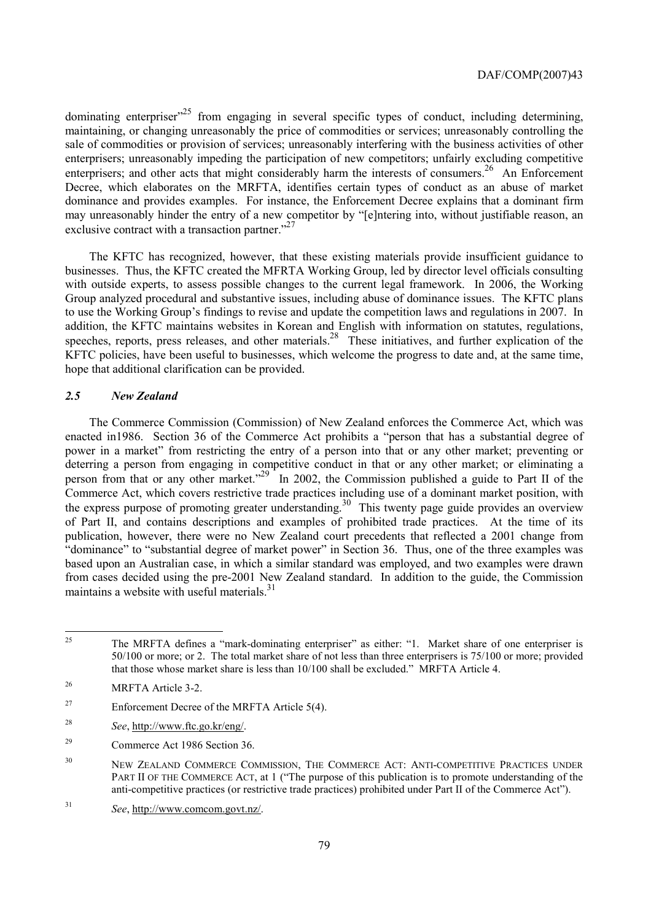dominating enterpriser<sup> $25$ </sup> from engaging in several specific types of conduct, including determining, maintaining, or changing unreasonably the price of commodities or services; unreasonably controlling the sale of commodities or provision of services; unreasonably interfering with the business activities of other enterprisers; unreasonably impeding the participation of new competitors; unfairly excluding competitive enterprisers; and other acts that might considerably harm the interests of consumers.<sup>26</sup> An Enforcement Decree, which elaborates on the MRFTA, identifies certain types of conduct as an abuse of market dominance and provides examples. For instance, the Enforcement Decree explains that a dominant firm may unreasonably hinder the entry of a new competitor by "[e]ntering into, without justifiable reason, an exclusive contract with a transaction partner. $^{27}$ 

The KFTC has recognized, however, that these existing materials provide insufficient guidance to businesses. Thus, the KFTC created the MFRTA Working Group, led by director level officials consulting with outside experts, to assess possible changes to the current legal framework. In 2006, the Working Group analyzed procedural and substantive issues, including abuse of dominance issues. The KFTC plans to use the Working Group's findings to revise and update the competition laws and regulations in 2007. In addition, the KFTC maintains websites in Korean and English with information on statutes, regulations, speeches, reports, press releases, and other materials.<sup>28</sup> These initiatives, and further explication of the KFTC policies, have been useful to businesses, which welcome the progress to date and, at the same time, hope that additional clarification can be provided.

### *2.5 New Zealand*

The Commerce Commission (Commission) of New Zealand enforces the Commerce Act, which was enacted in1986. Section 36 of the Commerce Act prohibits a "person that has a substantial degree of power in a market" from restricting the entry of a person into that or any other market; preventing or deterring a person from engaging in competitive conduct in that or any other market; or eliminating a person from that or any other market."<sup>29</sup> In 2002, the Commission published a guide to Part II of the Commerce Act, which covers restrictive trade practices including use of a dominant market position, with the express purpose of promoting greater understanding.<sup>30</sup> This twenty page guide provides an overview of Part II, and contains descriptions and examples of prohibited trade practices. At the time of its publication, however, there were no New Zealand court precedents that reflected a 2001 change from "dominance" to "substantial degree of market power" in Section 36. Thus, one of the three examples was based upon an Australian case, in which a similar standard was employed, and two examples were drawn from cases decided using the pre-2001 New Zealand standard. In addition to the guide, the Commission maintains a website with useful materials.<sup>31</sup>

 $25$ 25 The MRFTA defines a "mark-dominating enterpriser" as either: "1. Market share of one enterpriser is 50/100 or more; or 2. The total market share of not less than three enterprisers is 75/100 or more; provided that those whose market share is less than 10/100 shall be excluded." MRFTA Article 4.

<sup>26</sup> MRFTA Article 3-2.

 $27$  Enforcement Decree of the MRFTA Article 5(4).

<sup>28</sup> *See*, http://www.ftc.go.kr/eng/.

<sup>29</sup> Commerce Act 1986 Section 36.

<sup>&</sup>lt;sup>30</sup> NEW ZEALAND COMMERCE COMMISSION, THE COMMERCE ACT: ANTI-COMPETITIVE PRACTICES UNDER PART II OF THE COMMERCE ACT, at 1 ("The purpose of this publication is to promote understanding of the anti-competitive practices (or restrictive trade practices) prohibited under Part II of the Commerce Act").

<sup>31</sup> *See*, http://www.comcom.govt.nz/.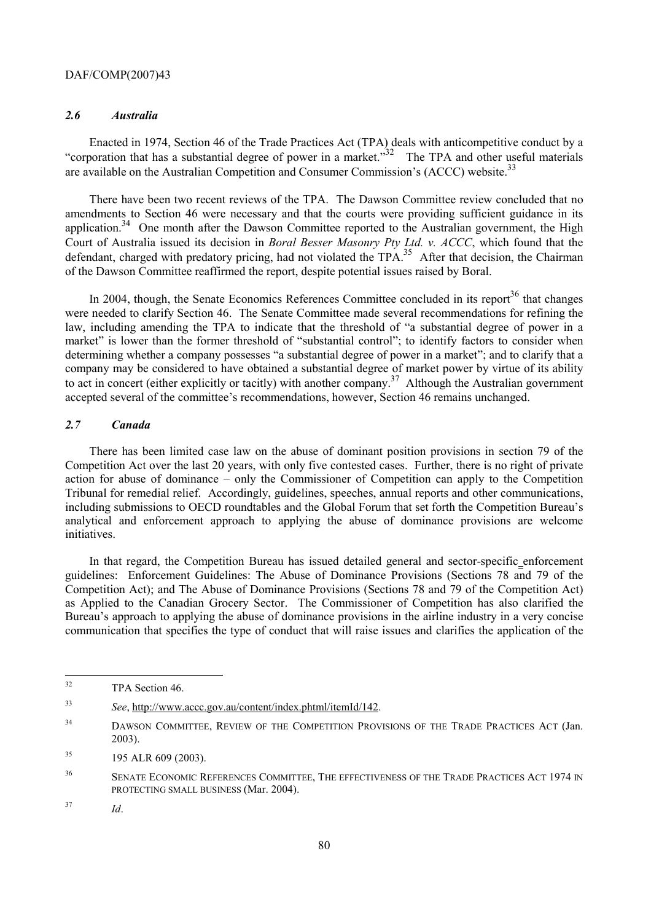# *2.6 Australia*

Enacted in 1974, Section 46 of the Trade Practices Act (TPA) deals with anticompetitive conduct by a "corporation that has a substantial degree of power in a market." $32$  The TPA and other useful materials are available on the Australian Competition and Consumer Commission's (ACCC) website.<sup>33</sup>

There have been two recent reviews of the TPA. The Dawson Committee review concluded that no amendments to Section 46 were necessary and that the courts were providing sufficient guidance in its application.<sup>34</sup> One month after the Dawson Committee reported to the Australian government, the High Court of Australia issued its decision in *Boral Besser Masonry Pty Ltd. v. ACCC*, which found that the defendant, charged with predatory pricing, had not violated the TPA.<sup>35</sup> After that decision, the Chairman of the Dawson Committee reaffirmed the report, despite potential issues raised by Boral.

In 2004, though, the Senate Economics References Committee concluded in its report $36$  that changes were needed to clarify Section 46. The Senate Committee made several recommendations for refining the law, including amending the TPA to indicate that the threshold of "a substantial degree of power in a market" is lower than the former threshold of "substantial control"; to identify factors to consider when determining whether a company possesses "a substantial degree of power in a market"; and to clarify that a company may be considered to have obtained a substantial degree of market power by virtue of its ability to act in concert (either explicitly or tacitly) with another company.<sup>37</sup> Although the Australian government accepted several of the committee's recommendations, however, Section 46 remains unchanged.

# *2.7 Canada*

There has been limited case law on the abuse of dominant position provisions in section 79 of the Competition Act over the last 20 years, with only five contested cases. Further, there is no right of private action for abuse of dominance – only the Commissioner of Competition can apply to the Competition Tribunal for remedial relief. Accordingly, guidelines, speeches, annual reports and other communications, including submissions to OECD roundtables and the Global Forum that set forth the Competition Bureau's analytical and enforcement approach to applying the abuse of dominance provisions are welcome initiatives.

In that regard, the Competition Bureau has issued detailed general and sector-specific enforcement guidelines: Enforcement Guidelines: The Abuse of Dominance Provisions (Sections 78 and 79 of the Competition Act); and The Abuse of Dominance Provisions (Sections 78 and 79 of the Competition Act) as Applied to the Canadian Grocery Sector. The Commissioner of Competition has also clarified the Bureau's approach to applying the abuse of dominance provisions in the airline industry in a very concise communication that specifies the type of conduct that will raise issues and clarifies the application of the

 $32$ TPA Section 46.

<sup>33</sup> *See*, http://www.accc.gov.au/content/index.phtml/itemId/142.

<sup>&</sup>lt;sup>34</sup> DAWSON COMMITTEE, REVIEW OF THE COMPETITION PROVISIONS OF THE TRADE PRACTICES ACT (Jan. 2003).

 $195$  ALR 609 (2003).

<sup>&</sup>lt;sup>36</sup> SENATE ECONOMIC REFERENCES COMMITTEE, THE EFFECTIVENESS OF THE TRADE PRACTICES ACT 1974 IN PROTECTING SMALL BUSINESS (Mar. 2004).

<sup>37</sup> *Id*.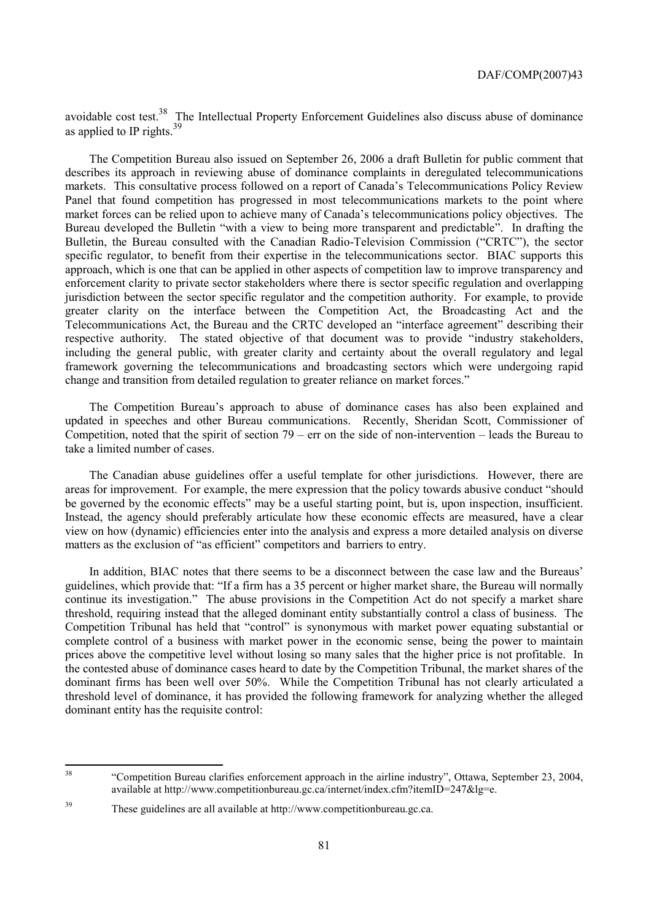avoidable cost test.<sup>38</sup> The Intellectual Property Enforcement Guidelines also discuss abuse of dominance as applied to IP rights.<sup>39</sup>

The Competition Bureau also issued on September 26, 2006 a draft Bulletin for public comment that describes its approach in reviewing abuse of dominance complaints in deregulated telecommunications markets. This consultative process followed on a report of Canada's Telecommunications Policy Review Panel that found competition has progressed in most telecommunications markets to the point where market forces can be relied upon to achieve many of Canada's telecommunications policy objectives. The Bureau developed the Bulletin "with a view to being more transparent and predictable". In drafting the Bulletin, the Bureau consulted with the Canadian Radio-Television Commission ("CRTC"), the sector specific regulator, to benefit from their expertise in the telecommunications sector. BIAC supports this approach, which is one that can be applied in other aspects of competition law to improve transparency and enforcement clarity to private sector stakeholders where there is sector specific regulation and overlapping jurisdiction between the sector specific regulator and the competition authority. For example, to provide greater clarity on the interface between the Competition Act, the Broadcasting Act and the Telecommunications Act, the Bureau and the CRTC developed an "interface agreement" describing their respective authority. The stated objective of that document was to provide "industry stakeholders, including the general public, with greater clarity and certainty about the overall regulatory and legal framework governing the telecommunications and broadcasting sectors which were undergoing rapid change and transition from detailed regulation to greater reliance on market forces."

The Competition Bureau's approach to abuse of dominance cases has also been explained and updated in speeches and other Bureau communications. Recently, Sheridan Scott, Commissioner of Competition, noted that the spirit of section 79 – err on the side of non-intervention – leads the Bureau to take a limited number of cases.

The Canadian abuse guidelines offer a useful template for other jurisdictions. However, there are areas for improvement. For example, the mere expression that the policy towards abusive conduct "should be governed by the economic effects" may be a useful starting point, but is, upon inspection, insufficient. Instead, the agency should preferably articulate how these economic effects are measured, have a clear view on how (dynamic) efficiencies enter into the analysis and express a more detailed analysis on diverse matters as the exclusion of "as efficient" competitors and barriers to entry.

In addition, BIAC notes that there seems to be a disconnect between the case law and the Bureaus' guidelines, which provide that: "If a firm has a 35 percent or higher market share, the Bureau will normally continue its investigation." The abuse provisions in the Competition Act do not specify a market share threshold, requiring instead that the alleged dominant entity substantially control a class of business. The Competition Tribunal has held that "control" is synonymous with market power equating substantial or complete control of a business with market power in the economic sense, being the power to maintain prices above the competitive level without losing so many sales that the higher price is not profitable. In the contested abuse of dominance cases heard to date by the Competition Tribunal, the market shares of the dominant firms has been well over 50%. While the Competition Tribunal has not clearly articulated a threshold level of dominance, it has provided the following framework for analyzing whether the alleged dominant entity has the requisite control:

<sup>38</sup> 38 "Competition Bureau clarifies enforcement approach in the airline industry", Ottawa, September 23, 2004, available at http://www.competitionbureau.gc.ca/internet/index.cfm?itemID=247&lg=e.

<sup>39</sup> These guidelines are all available at http://www.competitionbureau.gc.ca.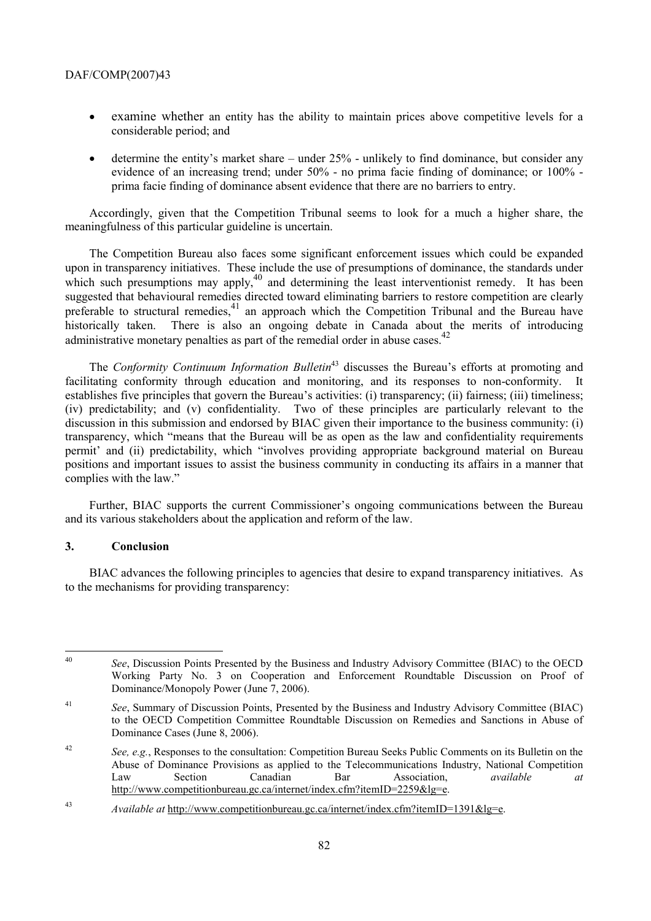- examine whether an entity has the ability to maintain prices above competitive levels for a considerable period; and
- determine the entity's market share under 25% unlikely to find dominance, but consider any evidence of an increasing trend; under 50% - no prima facie finding of dominance; or 100% prima facie finding of dominance absent evidence that there are no barriers to entry.

Accordingly, given that the Competition Tribunal seems to look for a much a higher share, the meaningfulness of this particular guideline is uncertain.

The Competition Bureau also faces some significant enforcement issues which could be expanded upon in transparency initiatives. These include the use of presumptions of dominance, the standards under which such presumptions may apply,  $40$  and determining the least interventionist remedy. It has been suggested that behavioural remedies directed toward eliminating barriers to restore competition are clearly preferable to structural remedies,<sup>41</sup> an approach which the Competition Tribunal and the Bureau have historically taken. There is also an ongoing debate in Canada about the merits of introducing administrative monetary penalties as part of the remedial order in abuse cases.<sup>42</sup>

The *Conformity Continuum Information Bulletin*<sup>43</sup> discusses the Bureau's efforts at promoting and facilitating conformity through education and monitoring, and its responses to non-conformity. It establishes five principles that govern the Bureau's activities: (i) transparency; (ii) fairness; (iii) timeliness; (iv) predictability; and (v) confidentiality. Two of these principles are particularly relevant to the discussion in this submission and endorsed by BIAC given their importance to the business community: (i) transparency, which "means that the Bureau will be as open as the law and confidentiality requirements permit' and (ii) predictability, which "involves providing appropriate background material on Bureau positions and important issues to assist the business community in conducting its affairs in a manner that complies with the law."

Further, BIAC supports the current Commissioner's ongoing communications between the Bureau and its various stakeholders about the application and reform of the law.

# **3. Conclusion**

BIAC advances the following principles to agencies that desire to expand transparency initiatives. As to the mechanisms for providing transparency:

 $\Delta 0$ <sup>40</sup> *See*, Discussion Points Presented by the Business and Industry Advisory Committee (BIAC) to the OECD Working Party No. 3 on Cooperation and Enforcement Roundtable Discussion on Proof of Dominance/Monopoly Power (June 7, 2006).

<sup>41</sup> *See*, Summary of Discussion Points, Presented by the Business and Industry Advisory Committee (BIAC) to the OECD Competition Committee Roundtable Discussion on Remedies and Sanctions in Abuse of Dominance Cases (June 8, 2006).

<sup>42</sup> *See, e.g.*, Responses to the consultation: Competition Bureau Seeks Public Comments on its Bulletin on the Abuse of Dominance Provisions as applied to the Telecommunications Industry, National Competition Law Section Canadian Bar Association, *available at* http://www.competitionbureau.gc.ca/internet/index.cfm?itemID=2259&lg=e.

<sup>43</sup> *Available at* http://www.competitionbureau.gc.ca/internet/index.cfm?itemID=1391&lg=e.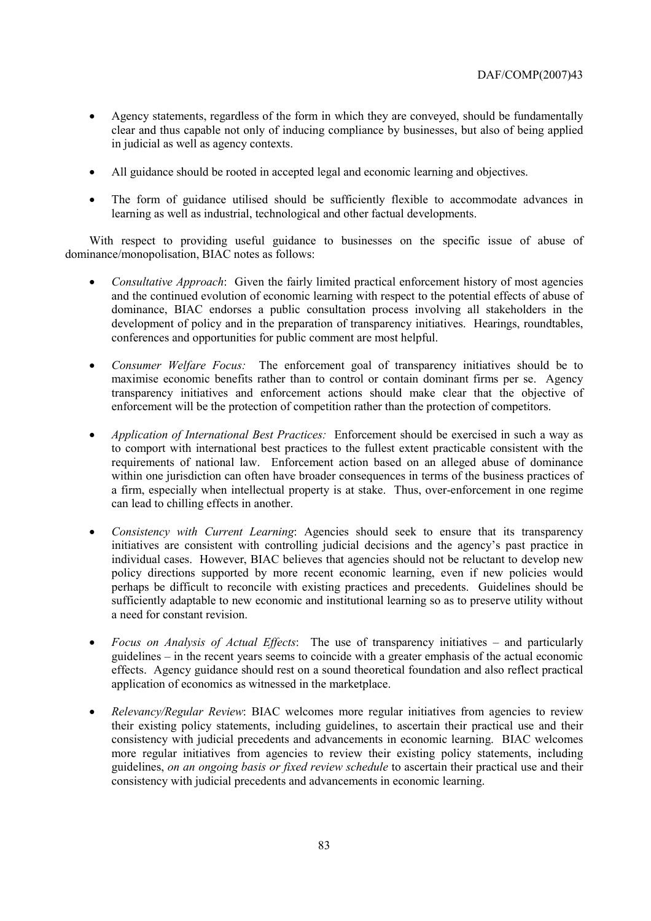- Agency statements, regardless of the form in which they are conveyed, should be fundamentally clear and thus capable not only of inducing compliance by businesses, but also of being applied in judicial as well as agency contexts.
- All guidance should be rooted in accepted legal and economic learning and objectives.
- The form of guidance utilised should be sufficiently flexible to accommodate advances in learning as well as industrial, technological and other factual developments.

With respect to providing useful guidance to businesses on the specific issue of abuse of dominance/monopolisation, BIAC notes as follows:

- *Consultative Approach*: Given the fairly limited practical enforcement history of most agencies and the continued evolution of economic learning with respect to the potential effects of abuse of dominance, BIAC endorses a public consultation process involving all stakeholders in the development of policy and in the preparation of transparency initiatives. Hearings, roundtables, conferences and opportunities for public comment are most helpful.
- *Consumer Welfare Focus:* The enforcement goal of transparency initiatives should be to maximise economic benefits rather than to control or contain dominant firms per se. Agency transparency initiatives and enforcement actions should make clear that the objective of enforcement will be the protection of competition rather than the protection of competitors.
- *Application of International Best Practices:* Enforcement should be exercised in such a way as to comport with international best practices to the fullest extent practicable consistent with the requirements of national law. Enforcement action based on an alleged abuse of dominance within one jurisdiction can often have broader consequences in terms of the business practices of a firm, especially when intellectual property is at stake. Thus, over-enforcement in one regime can lead to chilling effects in another.
- *Consistency with Current Learning*: Agencies should seek to ensure that its transparency initiatives are consistent with controlling judicial decisions and the agency's past practice in individual cases. However, BIAC believes that agencies should not be reluctant to develop new policy directions supported by more recent economic learning, even if new policies would perhaps be difficult to reconcile with existing practices and precedents. Guidelines should be sufficiently adaptable to new economic and institutional learning so as to preserve utility without a need for constant revision.
- *Focus on Analysis of Actual Effects*: The use of transparency initiatives and particularly guidelines – in the recent years seems to coincide with a greater emphasis of the actual economic effects. Agency guidance should rest on a sound theoretical foundation and also reflect practical application of economics as witnessed in the marketplace.
- *Relevancy/Regular Review*: BIAC welcomes more regular initiatives from agencies to review their existing policy statements, including guidelines, to ascertain their practical use and their consistency with judicial precedents and advancements in economic learning. BIAC welcomes more regular initiatives from agencies to review their existing policy statements, including guidelines, *on an ongoing basis or fixed review schedule* to ascertain their practical use and their consistency with judicial precedents and advancements in economic learning.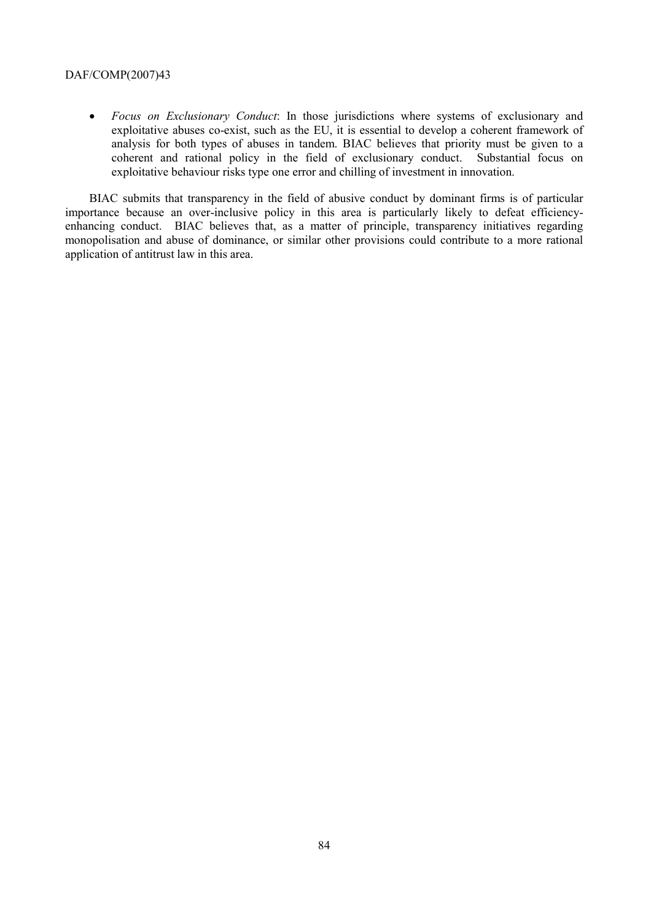• *Focus on Exclusionary Conduct*: In those jurisdictions where systems of exclusionary and exploitative abuses co-exist, such as the EU, it is essential to develop a coherent framework of analysis for both types of abuses in tandem. BIAC believes that priority must be given to a coherent and rational policy in the field of exclusionary conduct. Substantial focus on exploitative behaviour risks type one error and chilling of investment in innovation.

BIAC submits that transparency in the field of abusive conduct by dominant firms is of particular importance because an over-inclusive policy in this area is particularly likely to defeat efficiencyenhancing conduct. BIAC believes that, as a matter of principle, transparency initiatives regarding monopolisation and abuse of dominance, or similar other provisions could contribute to a more rational application of antitrust law in this area.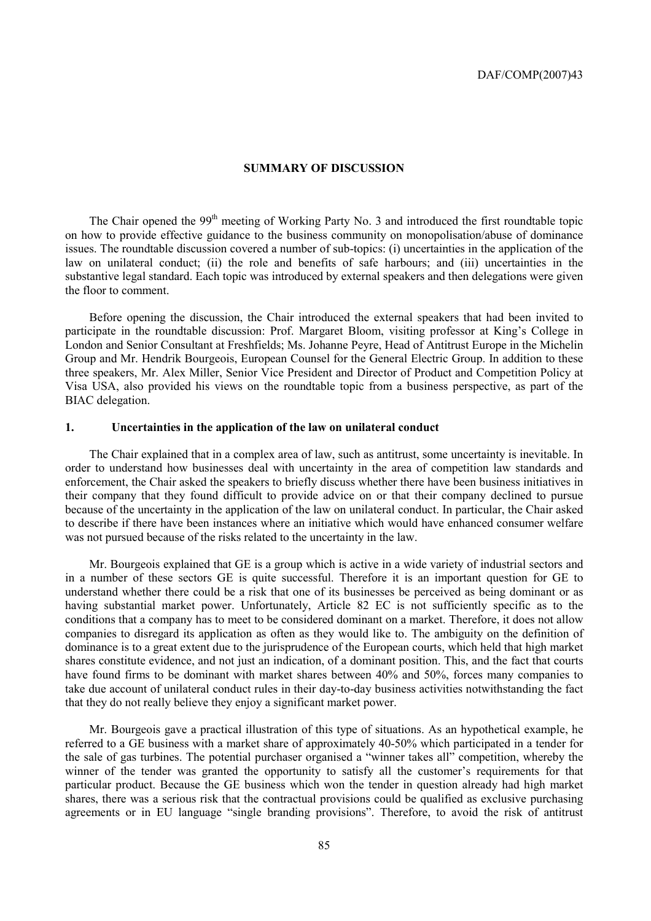### **SUMMARY OF DISCUSSION**

The Chair opened the 99<sup>th</sup> meeting of Working Party No. 3 and introduced the first roundtable topic on how to provide effective guidance to the business community on monopolisation/abuse of dominance issues. The roundtable discussion covered a number of sub-topics: (i) uncertainties in the application of the law on unilateral conduct; (ii) the role and benefits of safe harbours; and (iii) uncertainties in the substantive legal standard. Each topic was introduced by external speakers and then delegations were given the floor to comment.

Before opening the discussion, the Chair introduced the external speakers that had been invited to participate in the roundtable discussion: Prof. Margaret Bloom, visiting professor at King's College in London and Senior Consultant at Freshfields; Ms. Johanne Peyre, Head of Antitrust Europe in the Michelin Group and Mr. Hendrik Bourgeois, European Counsel for the General Electric Group. In addition to these three speakers, Mr. Alex Miller, Senior Vice President and Director of Product and Competition Policy at Visa USA, also provided his views on the roundtable topic from a business perspective, as part of the BIAC delegation.

# **1. Uncertainties in the application of the law on unilateral conduct**

The Chair explained that in a complex area of law, such as antitrust, some uncertainty is inevitable. In order to understand how businesses deal with uncertainty in the area of competition law standards and enforcement, the Chair asked the speakers to briefly discuss whether there have been business initiatives in their company that they found difficult to provide advice on or that their company declined to pursue because of the uncertainty in the application of the law on unilateral conduct. In particular, the Chair asked to describe if there have been instances where an initiative which would have enhanced consumer welfare was not pursued because of the risks related to the uncertainty in the law.

Mr. Bourgeois explained that GE is a group which is active in a wide variety of industrial sectors and in a number of these sectors GE is quite successful. Therefore it is an important question for GE to understand whether there could be a risk that one of its businesses be perceived as being dominant or as having substantial market power. Unfortunately, Article 82 EC is not sufficiently specific as to the conditions that a company has to meet to be considered dominant on a market. Therefore, it does not allow companies to disregard its application as often as they would like to. The ambiguity on the definition of dominance is to a great extent due to the jurisprudence of the European courts, which held that high market shares constitute evidence, and not just an indication, of a dominant position. This, and the fact that courts have found firms to be dominant with market shares between 40% and 50%, forces many companies to take due account of unilateral conduct rules in their day-to-day business activities notwithstanding the fact that they do not really believe they enjoy a significant market power.

Mr. Bourgeois gave a practical illustration of this type of situations. As an hypothetical example, he referred to a GE business with a market share of approximately 40-50% which participated in a tender for the sale of gas turbines. The potential purchaser organised a "winner takes all" competition, whereby the winner of the tender was granted the opportunity to satisfy all the customer's requirements for that particular product. Because the GE business which won the tender in question already had high market shares, there was a serious risk that the contractual provisions could be qualified as exclusive purchasing agreements or in EU language "single branding provisions". Therefore, to avoid the risk of antitrust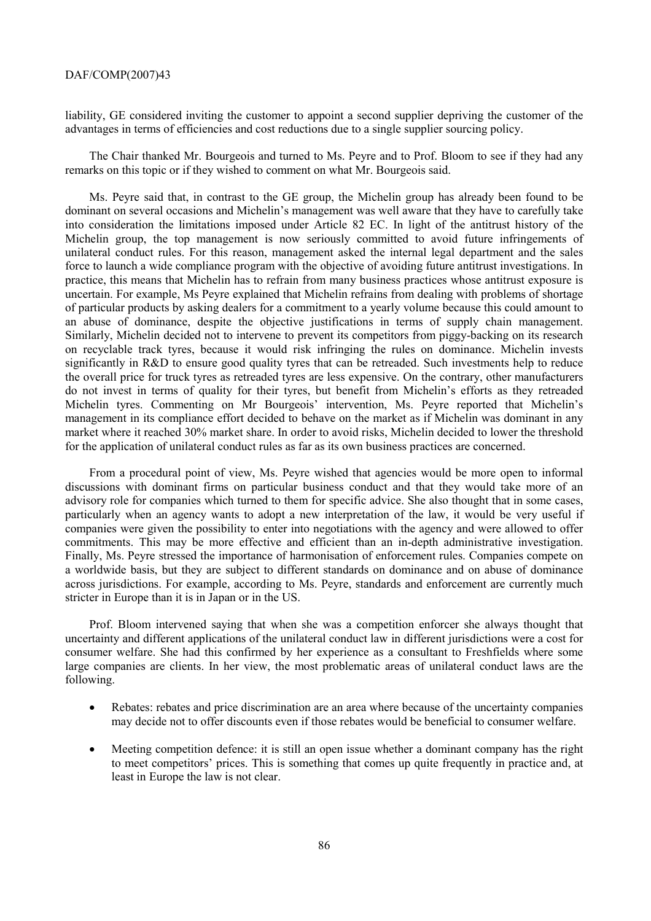liability, GE considered inviting the customer to appoint a second supplier depriving the customer of the advantages in terms of efficiencies and cost reductions due to a single supplier sourcing policy.

The Chair thanked Mr. Bourgeois and turned to Ms. Peyre and to Prof. Bloom to see if they had any remarks on this topic or if they wished to comment on what Mr. Bourgeois said.

Ms. Peyre said that, in contrast to the GE group, the Michelin group has already been found to be dominant on several occasions and Michelin's management was well aware that they have to carefully take into consideration the limitations imposed under Article 82 EC. In light of the antitrust history of the Michelin group, the top management is now seriously committed to avoid future infringements of unilateral conduct rules. For this reason, management asked the internal legal department and the sales force to launch a wide compliance program with the objective of avoiding future antitrust investigations. In practice, this means that Michelin has to refrain from many business practices whose antitrust exposure is uncertain. For example, Ms Peyre explained that Michelin refrains from dealing with problems of shortage of particular products by asking dealers for a commitment to a yearly volume because this could amount to an abuse of dominance, despite the objective justifications in terms of supply chain management. Similarly, Michelin decided not to intervene to prevent its competitors from piggy-backing on its research on recyclable track tyres, because it would risk infringing the rules on dominance. Michelin invests significantly in R&D to ensure good quality tyres that can be retreaded. Such investments help to reduce the overall price for truck tyres as retreaded tyres are less expensive. On the contrary, other manufacturers do not invest in terms of quality for their tyres, but benefit from Michelin's efforts as they retreaded Michelin tyres. Commenting on Mr Bourgeois' intervention, Ms. Peyre reported that Michelin's management in its compliance effort decided to behave on the market as if Michelin was dominant in any market where it reached 30% market share. In order to avoid risks, Michelin decided to lower the threshold for the application of unilateral conduct rules as far as its own business practices are concerned.

From a procedural point of view, Ms. Peyre wished that agencies would be more open to informal discussions with dominant firms on particular business conduct and that they would take more of an advisory role for companies which turned to them for specific advice. She also thought that in some cases, particularly when an agency wants to adopt a new interpretation of the law, it would be very useful if companies were given the possibility to enter into negotiations with the agency and were allowed to offer commitments. This may be more effective and efficient than an in-depth administrative investigation. Finally, Ms. Peyre stressed the importance of harmonisation of enforcement rules. Companies compete on a worldwide basis, but they are subject to different standards on dominance and on abuse of dominance across jurisdictions. For example, according to Ms. Peyre, standards and enforcement are currently much stricter in Europe than it is in Japan or in the US.

Prof. Bloom intervened saying that when she was a competition enforcer she always thought that uncertainty and different applications of the unilateral conduct law in different jurisdictions were a cost for consumer welfare. She had this confirmed by her experience as a consultant to Freshfields where some large companies are clients. In her view, the most problematic areas of unilateral conduct laws are the following.

- Rebates: rebates and price discrimination are an area where because of the uncertainty companies may decide not to offer discounts even if those rebates would be beneficial to consumer welfare.
- Meeting competition defence: it is still an open issue whether a dominant company has the right to meet competitors' prices. This is something that comes up quite frequently in practice and, at least in Europe the law is not clear.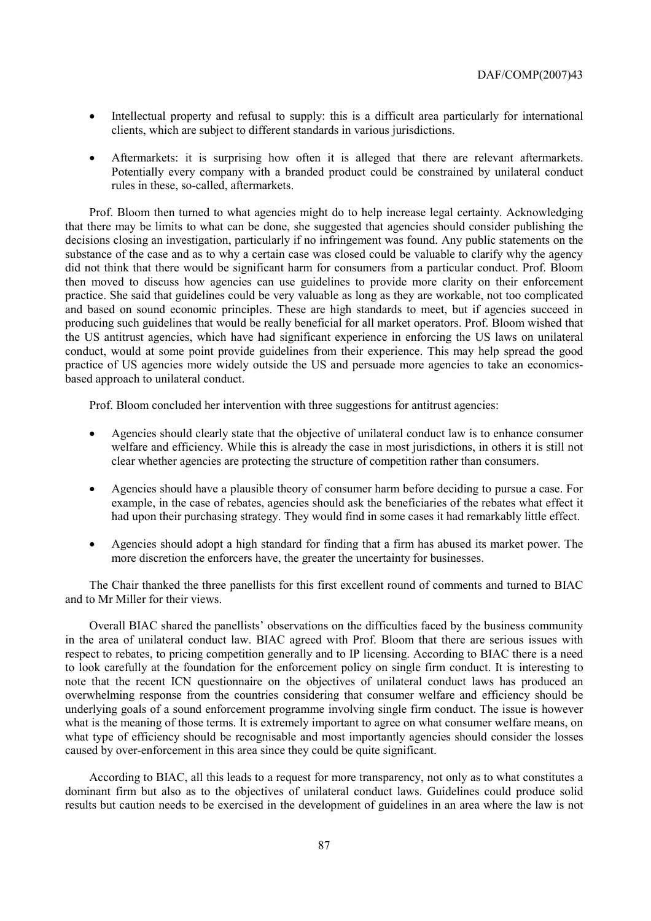- Intellectual property and refusal to supply: this is a difficult area particularly for international clients, which are subject to different standards in various jurisdictions.
- Aftermarkets: it is surprising how often it is alleged that there are relevant aftermarkets. Potentially every company with a branded product could be constrained by unilateral conduct rules in these, so-called, aftermarkets.

Prof. Bloom then turned to what agencies might do to help increase legal certainty. Acknowledging that there may be limits to what can be done, she suggested that agencies should consider publishing the decisions closing an investigation, particularly if no infringement was found. Any public statements on the substance of the case and as to why a certain case was closed could be valuable to clarify why the agency did not think that there would be significant harm for consumers from a particular conduct. Prof. Bloom then moved to discuss how agencies can use guidelines to provide more clarity on their enforcement practice. She said that guidelines could be very valuable as long as they are workable, not too complicated and based on sound economic principles. These are high standards to meet, but if agencies succeed in producing such guidelines that would be really beneficial for all market operators. Prof. Bloom wished that the US antitrust agencies, which have had significant experience in enforcing the US laws on unilateral conduct, would at some point provide guidelines from their experience. This may help spread the good practice of US agencies more widely outside the US and persuade more agencies to take an economicsbased approach to unilateral conduct.

Prof. Bloom concluded her intervention with three suggestions for antitrust agencies:

- Agencies should clearly state that the objective of unilateral conduct law is to enhance consumer welfare and efficiency. While this is already the case in most jurisdictions, in others it is still not clear whether agencies are protecting the structure of competition rather than consumers.
- Agencies should have a plausible theory of consumer harm before deciding to pursue a case. For example, in the case of rebates, agencies should ask the beneficiaries of the rebates what effect it had upon their purchasing strategy. They would find in some cases it had remarkably little effect.
- Agencies should adopt a high standard for finding that a firm has abused its market power. The more discretion the enforcers have, the greater the uncertainty for businesses.

The Chair thanked the three panellists for this first excellent round of comments and turned to BIAC and to Mr Miller for their views.

Overall BIAC shared the panellists' observations on the difficulties faced by the business community in the area of unilateral conduct law. BIAC agreed with Prof. Bloom that there are serious issues with respect to rebates, to pricing competition generally and to IP licensing. According to BIAC there is a need to look carefully at the foundation for the enforcement policy on single firm conduct. It is interesting to note that the recent ICN questionnaire on the objectives of unilateral conduct laws has produced an overwhelming response from the countries considering that consumer welfare and efficiency should be underlying goals of a sound enforcement programme involving single firm conduct. The issue is however what is the meaning of those terms. It is extremely important to agree on what consumer welfare means, on what type of efficiency should be recognisable and most importantly agencies should consider the losses caused by over-enforcement in this area since they could be quite significant.

According to BIAC, all this leads to a request for more transparency, not only as to what constitutes a dominant firm but also as to the objectives of unilateral conduct laws. Guidelines could produce solid results but caution needs to be exercised in the development of guidelines in an area where the law is not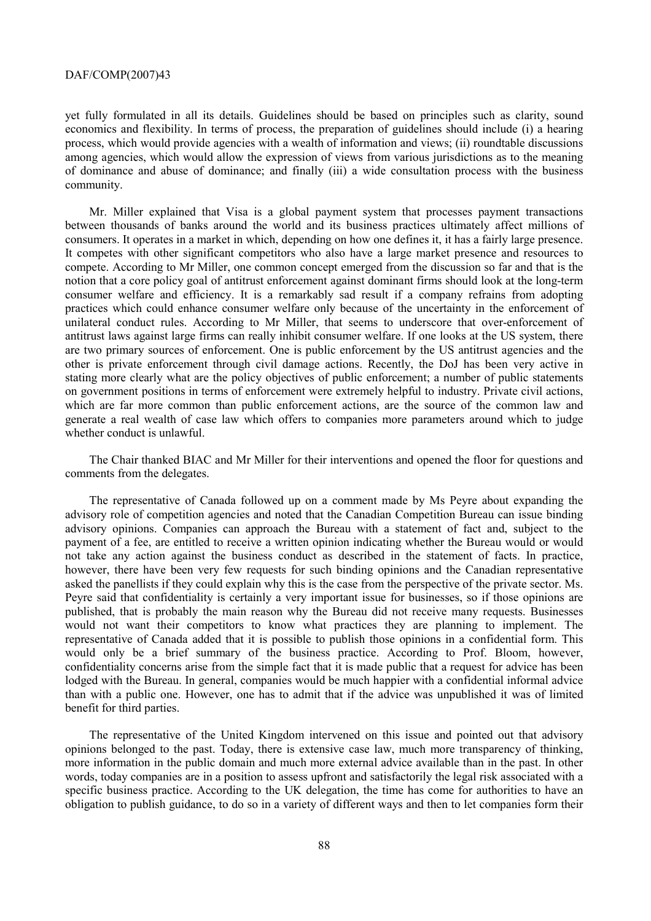yet fully formulated in all its details. Guidelines should be based on principles such as clarity, sound economics and flexibility. In terms of process, the preparation of guidelines should include (i) a hearing process, which would provide agencies with a wealth of information and views; (ii) roundtable discussions among agencies, which would allow the expression of views from various jurisdictions as to the meaning of dominance and abuse of dominance; and finally (iii) a wide consultation process with the business community.

Mr. Miller explained that Visa is a global payment system that processes payment transactions between thousands of banks around the world and its business practices ultimately affect millions of consumers. It operates in a market in which, depending on how one defines it, it has a fairly large presence. It competes with other significant competitors who also have a large market presence and resources to compete. According to Mr Miller, one common concept emerged from the discussion so far and that is the notion that a core policy goal of antitrust enforcement against dominant firms should look at the long-term consumer welfare and efficiency. It is a remarkably sad result if a company refrains from adopting practices which could enhance consumer welfare only because of the uncertainty in the enforcement of unilateral conduct rules. According to Mr Miller, that seems to underscore that over-enforcement of antitrust laws against large firms can really inhibit consumer welfare. If one looks at the US system, there are two primary sources of enforcement. One is public enforcement by the US antitrust agencies and the other is private enforcement through civil damage actions. Recently, the DoJ has been very active in stating more clearly what are the policy objectives of public enforcement; a number of public statements on government positions in terms of enforcement were extremely helpful to industry. Private civil actions, which are far more common than public enforcement actions, are the source of the common law and generate a real wealth of case law which offers to companies more parameters around which to judge whether conduct is unlawful.

The Chair thanked BIAC and Mr Miller for their interventions and opened the floor for questions and comments from the delegates.

The representative of Canada followed up on a comment made by Ms Peyre about expanding the advisory role of competition agencies and noted that the Canadian Competition Bureau can issue binding advisory opinions. Companies can approach the Bureau with a statement of fact and, subject to the payment of a fee, are entitled to receive a written opinion indicating whether the Bureau would or would not take any action against the business conduct as described in the statement of facts. In practice, however, there have been very few requests for such binding opinions and the Canadian representative asked the panellists if they could explain why this is the case from the perspective of the private sector. Ms. Peyre said that confidentiality is certainly a very important issue for businesses, so if those opinions are published, that is probably the main reason why the Bureau did not receive many requests. Businesses would not want their competitors to know what practices they are planning to implement. The representative of Canada added that it is possible to publish those opinions in a confidential form. This would only be a brief summary of the business practice. According to Prof. Bloom, however, confidentiality concerns arise from the simple fact that it is made public that a request for advice has been lodged with the Bureau. In general, companies would be much happier with a confidential informal advice than with a public one. However, one has to admit that if the advice was unpublished it was of limited benefit for third parties.

The representative of the United Kingdom intervened on this issue and pointed out that advisory opinions belonged to the past. Today, there is extensive case law, much more transparency of thinking, more information in the public domain and much more external advice available than in the past. In other words, today companies are in a position to assess upfront and satisfactorily the legal risk associated with a specific business practice. According to the UK delegation, the time has come for authorities to have an obligation to publish guidance, to do so in a variety of different ways and then to let companies form their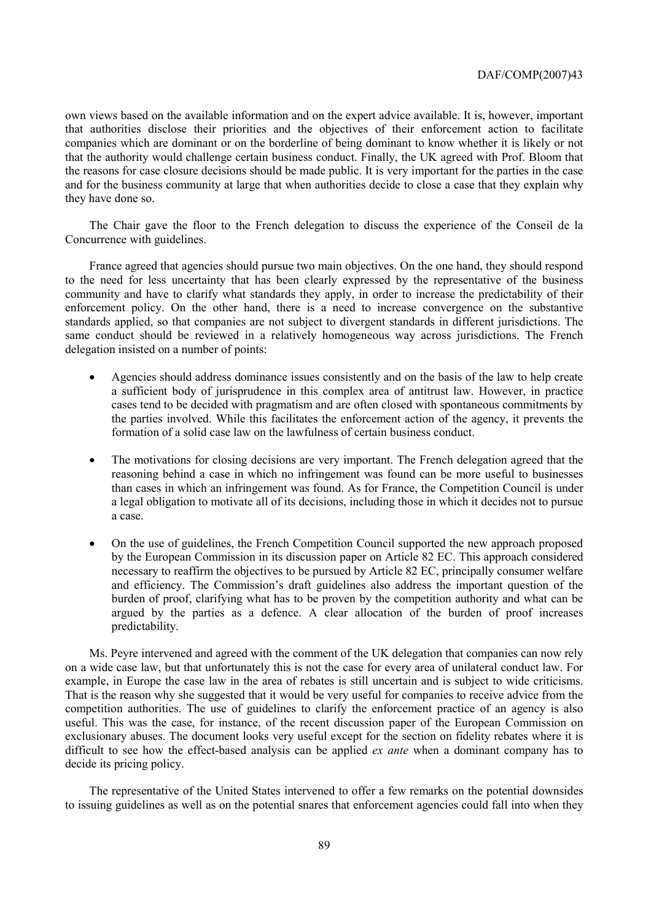own views based on the available information and on the expert advice available. It is, however, important that authorities disclose their priorities and the objectives of their enforcement action to facilitate companies which are dominant or on the borderline of being dominant to know whether it is likely or not that the authority would challenge certain business conduct. Finally, the UK agreed with Prof. Bloom that the reasons for case closure decisions should be made public. It is very important for the parties in the case and for the business community at large that when authorities decide to close a case that they explain why they have done so.

The Chair gave the floor to the French delegation to discuss the experience of the Conseil de la Concurrence with guidelines.

France agreed that agencies should pursue two main objectives. On the one hand, they should respond to the need for less uncertainty that has been clearly expressed by the representative of the business community and have to clarify what standards they apply, in order to increase the predictability of their enforcement policy. On the other hand, there is a need to increase convergence on the substantive standards applied, so that companies are not subject to divergent standards in different jurisdictions. The same conduct should be reviewed in a relatively homogeneous way across jurisdictions. The French delegation insisted on a number of points:

- Agencies should address dominance issues consistently and on the basis of the law to help create a sufficient body of jurisprudence in this complex area of antitrust law. However, in practice cases tend to be decided with pragmatism and are often closed with spontaneous commitments by the parties involved. While this facilitates the enforcement action of the agency, it prevents the formation of a solid case law on the lawfulness of certain business conduct.
- The motivations for closing decisions are very important. The French delegation agreed that the reasoning behind a case in which no infringement was found can be more useful to businesses than cases in which an infringement was found. As for France, the Competition Council is under a legal obligation to motivate all of its decisions, including those in which it decides not to pursue a case.
- On the use of guidelines, the French Competition Council supported the new approach proposed by the European Commission in its discussion paper on Article 82 EC. This approach considered necessary to reaffirm the objectives to be pursued by Article 82 EC, principally consumer welfare and efficiency. The Commission's draft guidelines also address the important question of the burden of proof, clarifying what has to be proven by the competition authority and what can be argued by the parties as a defence. A clear allocation of the burden of proof increases predictability.

Ms. Peyre intervened and agreed with the comment of the UK delegation that companies can now rely on a wide case law, but that unfortunately this is not the case for every area of unilateral conduct law. For example, in Europe the case law in the area of rebates is still uncertain and is subject to wide criticisms. That is the reason why she suggested that it would be very useful for companies to receive advice from the competition authorities. The use of guidelines to clarify the enforcement practice of an agency is also useful. This was the case, for instance, of the recent discussion paper of the European Commission on exclusionary abuses. The document looks very useful except for the section on fidelity rebates where it is difficult to see how the effect-based analysis can be applied *ex ante* when a dominant company has to decide its pricing policy.

The representative of the United States intervened to offer a few remarks on the potential downsides to issuing guidelines as well as on the potential snares that enforcement agencies could fall into when they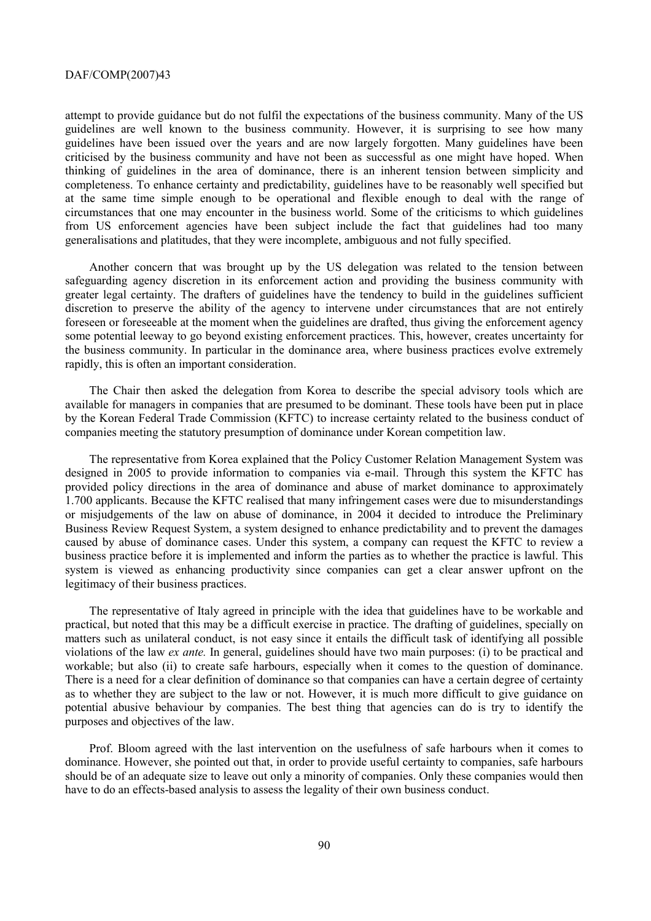attempt to provide guidance but do not fulfil the expectations of the business community. Many of the US guidelines are well known to the business community. However, it is surprising to see how many guidelines have been issued over the years and are now largely forgotten. Many guidelines have been criticised by the business community and have not been as successful as one might have hoped. When thinking of guidelines in the area of dominance, there is an inherent tension between simplicity and completeness. To enhance certainty and predictability, guidelines have to be reasonably well specified but at the same time simple enough to be operational and flexible enough to deal with the range of circumstances that one may encounter in the business world. Some of the criticisms to which guidelines from US enforcement agencies have been subject include the fact that guidelines had too many generalisations and platitudes, that they were incomplete, ambiguous and not fully specified.

Another concern that was brought up by the US delegation was related to the tension between safeguarding agency discretion in its enforcement action and providing the business community with greater legal certainty. The drafters of guidelines have the tendency to build in the guidelines sufficient discretion to preserve the ability of the agency to intervene under circumstances that are not entirely foreseen or foreseeable at the moment when the guidelines are drafted, thus giving the enforcement agency some potential leeway to go beyond existing enforcement practices. This, however, creates uncertainty for the business community. In particular in the dominance area, where business practices evolve extremely rapidly, this is often an important consideration.

The Chair then asked the delegation from Korea to describe the special advisory tools which are available for managers in companies that are presumed to be dominant. These tools have been put in place by the Korean Federal Trade Commission (KFTC) to increase certainty related to the business conduct of companies meeting the statutory presumption of dominance under Korean competition law.

The representative from Korea explained that the Policy Customer Relation Management System was designed in 2005 to provide information to companies via e-mail. Through this system the KFTC has provided policy directions in the area of dominance and abuse of market dominance to approximately 1.700 applicants. Because the KFTC realised that many infringement cases were due to misunderstandings or misjudgements of the law on abuse of dominance, in 2004 it decided to introduce the Preliminary Business Review Request System, a system designed to enhance predictability and to prevent the damages caused by abuse of dominance cases. Under this system, a company can request the KFTC to review a business practice before it is implemented and inform the parties as to whether the practice is lawful. This system is viewed as enhancing productivity since companies can get a clear answer upfront on the legitimacy of their business practices.

The representative of Italy agreed in principle with the idea that guidelines have to be workable and practical, but noted that this may be a difficult exercise in practice. The drafting of guidelines, specially on matters such as unilateral conduct, is not easy since it entails the difficult task of identifying all possible violations of the law *ex ante.* In general, guidelines should have two main purposes: (i) to be practical and workable; but also (ii) to create safe harbours, especially when it comes to the question of dominance. There is a need for a clear definition of dominance so that companies can have a certain degree of certainty as to whether they are subject to the law or not. However, it is much more difficult to give guidance on potential abusive behaviour by companies. The best thing that agencies can do is try to identify the purposes and objectives of the law.

Prof. Bloom agreed with the last intervention on the usefulness of safe harbours when it comes to dominance. However, she pointed out that, in order to provide useful certainty to companies, safe harbours should be of an adequate size to leave out only a minority of companies. Only these companies would then have to do an effects-based analysis to assess the legality of their own business conduct.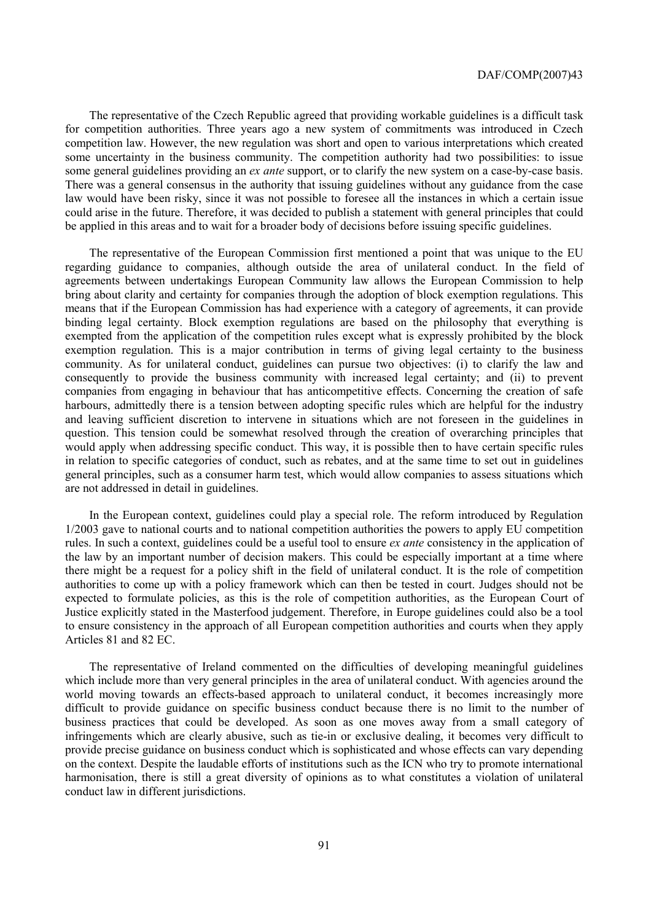The representative of the Czech Republic agreed that providing workable guidelines is a difficult task for competition authorities. Three years ago a new system of commitments was introduced in Czech competition law. However, the new regulation was short and open to various interpretations which created some uncertainty in the business community. The competition authority had two possibilities: to issue some general guidelines providing an *ex ante* support, or to clarify the new system on a case-by-case basis. There was a general consensus in the authority that issuing guidelines without any guidance from the case law would have been risky, since it was not possible to foresee all the instances in which a certain issue could arise in the future. Therefore, it was decided to publish a statement with general principles that could be applied in this areas and to wait for a broader body of decisions before issuing specific guidelines.

The representative of the European Commission first mentioned a point that was unique to the EU regarding guidance to companies, although outside the area of unilateral conduct. In the field of agreements between undertakings European Community law allows the European Commission to help bring about clarity and certainty for companies through the adoption of block exemption regulations. This means that if the European Commission has had experience with a category of agreements, it can provide binding legal certainty. Block exemption regulations are based on the philosophy that everything is exempted from the application of the competition rules except what is expressly prohibited by the block exemption regulation. This is a major contribution in terms of giving legal certainty to the business community. As for unilateral conduct, guidelines can pursue two objectives: (i) to clarify the law and consequently to provide the business community with increased legal certainty; and (ii) to prevent companies from engaging in behaviour that has anticompetitive effects. Concerning the creation of safe harbours, admittedly there is a tension between adopting specific rules which are helpful for the industry and leaving sufficient discretion to intervene in situations which are not foreseen in the guidelines in question. This tension could be somewhat resolved through the creation of overarching principles that would apply when addressing specific conduct. This way, it is possible then to have certain specific rules in relation to specific categories of conduct, such as rebates, and at the same time to set out in guidelines general principles, such as a consumer harm test, which would allow companies to assess situations which are not addressed in detail in guidelines.

In the European context, guidelines could play a special role. The reform introduced by Regulation 1/2003 gave to national courts and to national competition authorities the powers to apply EU competition rules. In such a context, guidelines could be a useful tool to ensure *ex ante* consistency in the application of the law by an important number of decision makers. This could be especially important at a time where there might be a request for a policy shift in the field of unilateral conduct. It is the role of competition authorities to come up with a policy framework which can then be tested in court. Judges should not be expected to formulate policies, as this is the role of competition authorities, as the European Court of Justice explicitly stated in the Masterfood judgement. Therefore, in Europe guidelines could also be a tool to ensure consistency in the approach of all European competition authorities and courts when they apply Articles 81 and 82 EC.

The representative of Ireland commented on the difficulties of developing meaningful guidelines which include more than very general principles in the area of unilateral conduct. With agencies around the world moving towards an effects-based approach to unilateral conduct, it becomes increasingly more difficult to provide guidance on specific business conduct because there is no limit to the number of business practices that could be developed. As soon as one moves away from a small category of infringements which are clearly abusive, such as tie-in or exclusive dealing, it becomes very difficult to provide precise guidance on business conduct which is sophisticated and whose effects can vary depending on the context. Despite the laudable efforts of institutions such as the ICN who try to promote international harmonisation, there is still a great diversity of opinions as to what constitutes a violation of unilateral conduct law in different jurisdictions.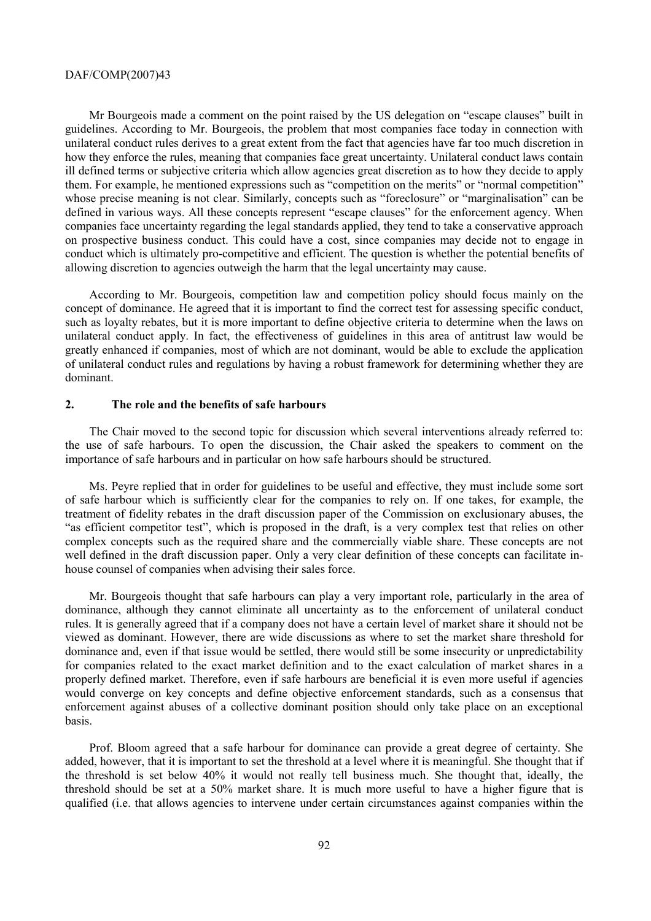Mr Bourgeois made a comment on the point raised by the US delegation on "escape clauses" built in guidelines. According to Mr. Bourgeois, the problem that most companies face today in connection with unilateral conduct rules derives to a great extent from the fact that agencies have far too much discretion in how they enforce the rules, meaning that companies face great uncertainty. Unilateral conduct laws contain ill defined terms or subjective criteria which allow agencies great discretion as to how they decide to apply them. For example, he mentioned expressions such as "competition on the merits" or "normal competition" whose precise meaning is not clear. Similarly, concepts such as "foreclosure" or "marginalisation" can be defined in various ways. All these concepts represent "escape clauses" for the enforcement agency. When companies face uncertainty regarding the legal standards applied, they tend to take a conservative approach on prospective business conduct. This could have a cost, since companies may decide not to engage in conduct which is ultimately pro-competitive and efficient. The question is whether the potential benefits of allowing discretion to agencies outweigh the harm that the legal uncertainty may cause.

According to Mr. Bourgeois, competition law and competition policy should focus mainly on the concept of dominance. He agreed that it is important to find the correct test for assessing specific conduct, such as loyalty rebates, but it is more important to define objective criteria to determine when the laws on unilateral conduct apply. In fact, the effectiveness of guidelines in this area of antitrust law would be greatly enhanced if companies, most of which are not dominant, would be able to exclude the application of unilateral conduct rules and regulations by having a robust framework for determining whether they are dominant.

# **2. The role and the benefits of safe harbours**

The Chair moved to the second topic for discussion which several interventions already referred to: the use of safe harbours. To open the discussion, the Chair asked the speakers to comment on the importance of safe harbours and in particular on how safe harbours should be structured.

Ms. Peyre replied that in order for guidelines to be useful and effective, they must include some sort of safe harbour which is sufficiently clear for the companies to rely on. If one takes, for example, the treatment of fidelity rebates in the draft discussion paper of the Commission on exclusionary abuses, the "as efficient competitor test", which is proposed in the draft, is a very complex test that relies on other complex concepts such as the required share and the commercially viable share. These concepts are not well defined in the draft discussion paper. Only a very clear definition of these concepts can facilitate inhouse counsel of companies when advising their sales force.

Mr. Bourgeois thought that safe harbours can play a very important role, particularly in the area of dominance, although they cannot eliminate all uncertainty as to the enforcement of unilateral conduct rules. It is generally agreed that if a company does not have a certain level of market share it should not be viewed as dominant. However, there are wide discussions as where to set the market share threshold for dominance and, even if that issue would be settled, there would still be some insecurity or unpredictability for companies related to the exact market definition and to the exact calculation of market shares in a properly defined market. Therefore, even if safe harbours are beneficial it is even more useful if agencies would converge on key concepts and define objective enforcement standards, such as a consensus that enforcement against abuses of a collective dominant position should only take place on an exceptional basis.

Prof. Bloom agreed that a safe harbour for dominance can provide a great degree of certainty. She added, however, that it is important to set the threshold at a level where it is meaningful. She thought that if the threshold is set below 40% it would not really tell business much. She thought that, ideally, the threshold should be set at a 50% market share. It is much more useful to have a higher figure that is qualified (i.e. that allows agencies to intervene under certain circumstances against companies within the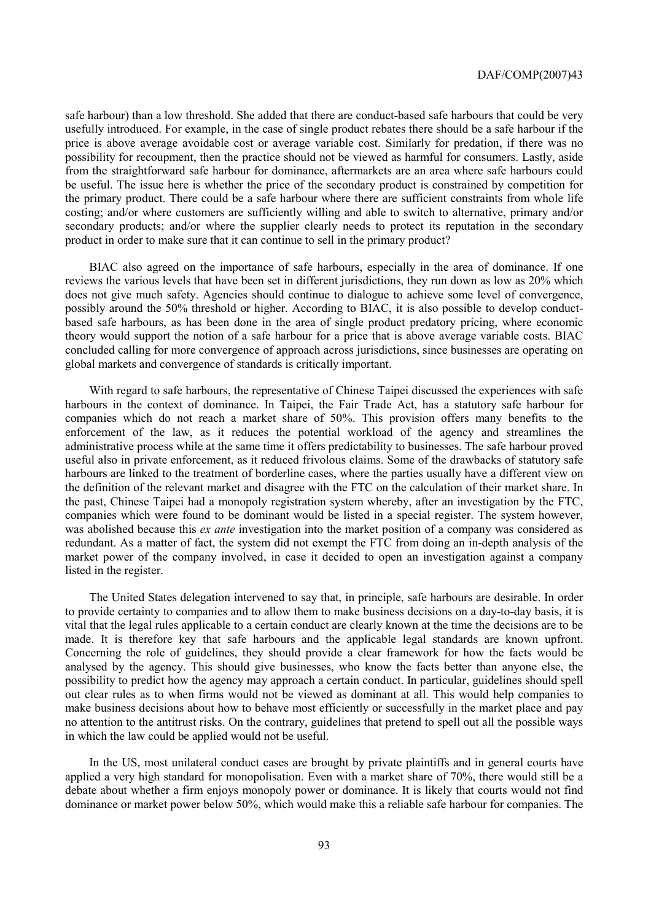safe harbour) than a low threshold. She added that there are conduct-based safe harbours that could be very usefully introduced. For example, in the case of single product rebates there should be a safe harbour if the price is above average avoidable cost or average variable cost. Similarly for predation, if there was no possibility for recoupment, then the practice should not be viewed as harmful for consumers. Lastly, aside from the straightforward safe harbour for dominance, aftermarkets are an area where safe harbours could be useful. The issue here is whether the price of the secondary product is constrained by competition for the primary product. There could be a safe harbour where there are sufficient constraints from whole life costing; and/or where customers are sufficiently willing and able to switch to alternative, primary and/or secondary products; and/or where the supplier clearly needs to protect its reputation in the secondary product in order to make sure that it can continue to sell in the primary product?

BIAC also agreed on the importance of safe harbours, especially in the area of dominance. If one reviews the various levels that have been set in different jurisdictions, they run down as low as 20% which does not give much safety. Agencies should continue to dialogue to achieve some level of convergence, possibly around the 50% threshold or higher. According to BIAC, it is also possible to develop conductbased safe harbours, as has been done in the area of single product predatory pricing, where economic theory would support the notion of a safe harbour for a price that is above average variable costs. BIAC concluded calling for more convergence of approach across jurisdictions, since businesses are operating on global markets and convergence of standards is critically important.

With regard to safe harbours, the representative of Chinese Taipei discussed the experiences with safe harbours in the context of dominance. In Taipei, the Fair Trade Act, has a statutory safe harbour for companies which do not reach a market share of 50%. This provision offers many benefits to the enforcement of the law, as it reduces the potential workload of the agency and streamlines the administrative process while at the same time it offers predictability to businesses. The safe harbour proved useful also in private enforcement, as it reduced frivolous claims. Some of the drawbacks of statutory safe harbours are linked to the treatment of borderline cases, where the parties usually have a different view on the definition of the relevant market and disagree with the FTC on the calculation of their market share. In the past, Chinese Taipei had a monopoly registration system whereby, after an investigation by the FTC, companies which were found to be dominant would be listed in a special register. The system however, was abolished because this *ex ante* investigation into the market position of a company was considered as redundant. As a matter of fact, the system did not exempt the FTC from doing an in-depth analysis of the market power of the company involved, in case it decided to open an investigation against a company listed in the register.

The United States delegation intervened to say that, in principle, safe harbours are desirable. In order to provide certainty to companies and to allow them to make business decisions on a day-to-day basis, it is vital that the legal rules applicable to a certain conduct are clearly known at the time the decisions are to be made. It is therefore key that safe harbours and the applicable legal standards are known upfront. Concerning the role of guidelines, they should provide a clear framework for how the facts would be analysed by the agency. This should give businesses, who know the facts better than anyone else, the possibility to predict how the agency may approach a certain conduct. In particular, guidelines should spell out clear rules as to when firms would not be viewed as dominant at all. This would help companies to make business decisions about how to behave most efficiently or successfully in the market place and pay no attention to the antitrust risks. On the contrary, guidelines that pretend to spell out all the possible ways in which the law could be applied would not be useful.

In the US, most unilateral conduct cases are brought by private plaintiffs and in general courts have applied a very high standard for monopolisation. Even with a market share of 70%, there would still be a debate about whether a firm enjoys monopoly power or dominance. It is likely that courts would not find dominance or market power below 50%, which would make this a reliable safe harbour for companies. The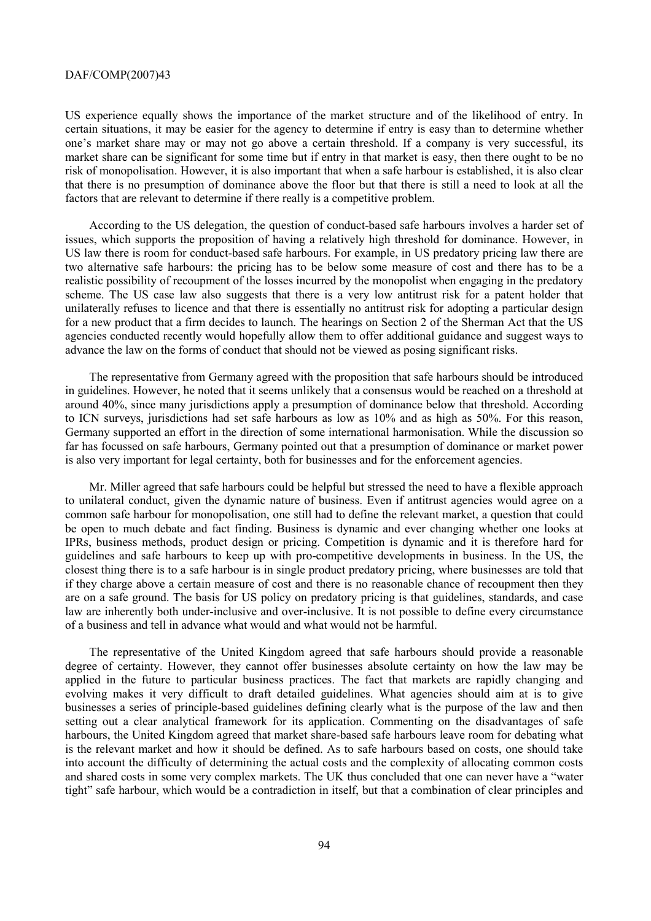US experience equally shows the importance of the market structure and of the likelihood of entry. In certain situations, it may be easier for the agency to determine if entry is easy than to determine whether one's market share may or may not go above a certain threshold. If a company is very successful, its market share can be significant for some time but if entry in that market is easy, then there ought to be no risk of monopolisation. However, it is also important that when a safe harbour is established, it is also clear that there is no presumption of dominance above the floor but that there is still a need to look at all the factors that are relevant to determine if there really is a competitive problem.

According to the US delegation, the question of conduct-based safe harbours involves a harder set of issues, which supports the proposition of having a relatively high threshold for dominance. However, in US law there is room for conduct-based safe harbours. For example, in US predatory pricing law there are two alternative safe harbours: the pricing has to be below some measure of cost and there has to be a realistic possibility of recoupment of the losses incurred by the monopolist when engaging in the predatory scheme. The US case law also suggests that there is a very low antitrust risk for a patent holder that unilaterally refuses to licence and that there is essentially no antitrust risk for adopting a particular design for a new product that a firm decides to launch. The hearings on Section 2 of the Sherman Act that the US agencies conducted recently would hopefully allow them to offer additional guidance and suggest ways to advance the law on the forms of conduct that should not be viewed as posing significant risks.

The representative from Germany agreed with the proposition that safe harbours should be introduced in guidelines. However, he noted that it seems unlikely that a consensus would be reached on a threshold at around 40%, since many jurisdictions apply a presumption of dominance below that threshold. According to ICN surveys, jurisdictions had set safe harbours as low as 10% and as high as 50%. For this reason, Germany supported an effort in the direction of some international harmonisation. While the discussion so far has focussed on safe harbours, Germany pointed out that a presumption of dominance or market power is also very important for legal certainty, both for businesses and for the enforcement agencies.

Mr. Miller agreed that safe harbours could be helpful but stressed the need to have a flexible approach to unilateral conduct, given the dynamic nature of business. Even if antitrust agencies would agree on a common safe harbour for monopolisation, one still had to define the relevant market, a question that could be open to much debate and fact finding. Business is dynamic and ever changing whether one looks at IPRs, business methods, product design or pricing. Competition is dynamic and it is therefore hard for guidelines and safe harbours to keep up with pro-competitive developments in business. In the US, the closest thing there is to a safe harbour is in single product predatory pricing, where businesses are told that if they charge above a certain measure of cost and there is no reasonable chance of recoupment then they are on a safe ground. The basis for US policy on predatory pricing is that guidelines, standards, and case law are inherently both under-inclusive and over-inclusive. It is not possible to define every circumstance of a business and tell in advance what would and what would not be harmful.

The representative of the United Kingdom agreed that safe harbours should provide a reasonable degree of certainty. However, they cannot offer businesses absolute certainty on how the law may be applied in the future to particular business practices. The fact that markets are rapidly changing and evolving makes it very difficult to draft detailed guidelines. What agencies should aim at is to give businesses a series of principle-based guidelines defining clearly what is the purpose of the law and then setting out a clear analytical framework for its application. Commenting on the disadvantages of safe harbours, the United Kingdom agreed that market share-based safe harbours leave room for debating what is the relevant market and how it should be defined. As to safe harbours based on costs, one should take into account the difficulty of determining the actual costs and the complexity of allocating common costs and shared costs in some very complex markets. The UK thus concluded that one can never have a "water tight" safe harbour, which would be a contradiction in itself, but that a combination of clear principles and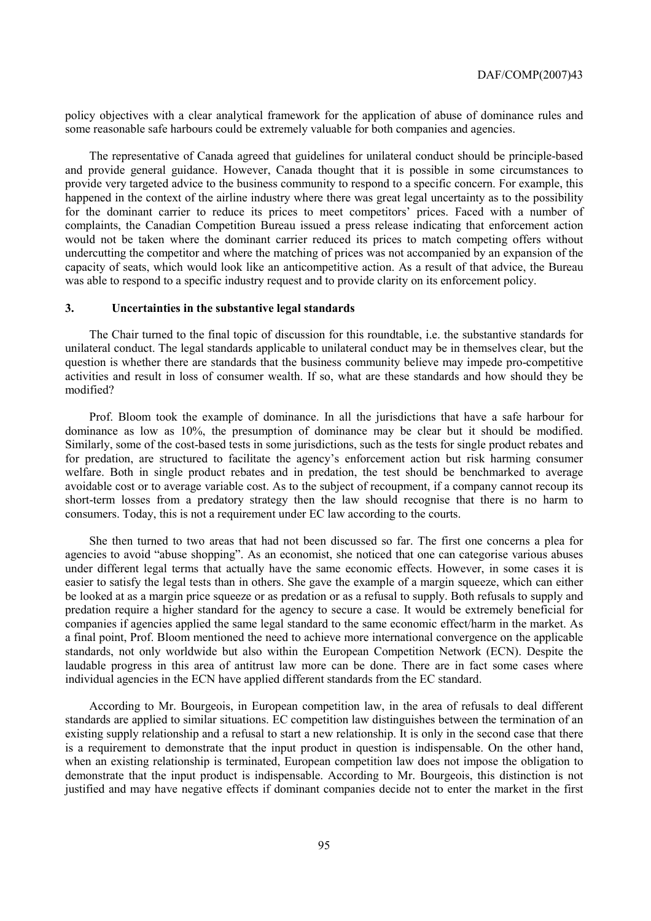policy objectives with a clear analytical framework for the application of abuse of dominance rules and some reasonable safe harbours could be extremely valuable for both companies and agencies.

The representative of Canada agreed that guidelines for unilateral conduct should be principle-based and provide general guidance. However, Canada thought that it is possible in some circumstances to provide very targeted advice to the business community to respond to a specific concern. For example, this happened in the context of the airline industry where there was great legal uncertainty as to the possibility for the dominant carrier to reduce its prices to meet competitors' prices. Faced with a number of complaints, the Canadian Competition Bureau issued a press release indicating that enforcement action would not be taken where the dominant carrier reduced its prices to match competing offers without undercutting the competitor and where the matching of prices was not accompanied by an expansion of the capacity of seats, which would look like an anticompetitive action. As a result of that advice, the Bureau was able to respond to a specific industry request and to provide clarity on its enforcement policy.

## **3. Uncertainties in the substantive legal standards**

The Chair turned to the final topic of discussion for this roundtable, i.e. the substantive standards for unilateral conduct. The legal standards applicable to unilateral conduct may be in themselves clear, but the question is whether there are standards that the business community believe may impede pro-competitive activities and result in loss of consumer wealth. If so, what are these standards and how should they be modified?

Prof. Bloom took the example of dominance. In all the jurisdictions that have a safe harbour for dominance as low as 10%, the presumption of dominance may be clear but it should be modified. Similarly, some of the cost-based tests in some jurisdictions, such as the tests for single product rebates and for predation, are structured to facilitate the agency's enforcement action but risk harming consumer welfare. Both in single product rebates and in predation, the test should be benchmarked to average avoidable cost or to average variable cost. As to the subject of recoupment, if a company cannot recoup its short-term losses from a predatory strategy then the law should recognise that there is no harm to consumers. Today, this is not a requirement under EC law according to the courts.

She then turned to two areas that had not been discussed so far. The first one concerns a plea for agencies to avoid "abuse shopping". As an economist, she noticed that one can categorise various abuses under different legal terms that actually have the same economic effects. However, in some cases it is easier to satisfy the legal tests than in others. She gave the example of a margin squeeze, which can either be looked at as a margin price squeeze or as predation or as a refusal to supply. Both refusals to supply and predation require a higher standard for the agency to secure a case. It would be extremely beneficial for companies if agencies applied the same legal standard to the same economic effect/harm in the market. As a final point, Prof. Bloom mentioned the need to achieve more international convergence on the applicable standards, not only worldwide but also within the European Competition Network (ECN). Despite the laudable progress in this area of antitrust law more can be done. There are in fact some cases where individual agencies in the ECN have applied different standards from the EC standard.

According to Mr. Bourgeois, in European competition law, in the area of refusals to deal different standards are applied to similar situations. EC competition law distinguishes between the termination of an existing supply relationship and a refusal to start a new relationship. It is only in the second case that there is a requirement to demonstrate that the input product in question is indispensable. On the other hand, when an existing relationship is terminated, European competition law does not impose the obligation to demonstrate that the input product is indispensable. According to Mr. Bourgeois, this distinction is not justified and may have negative effects if dominant companies decide not to enter the market in the first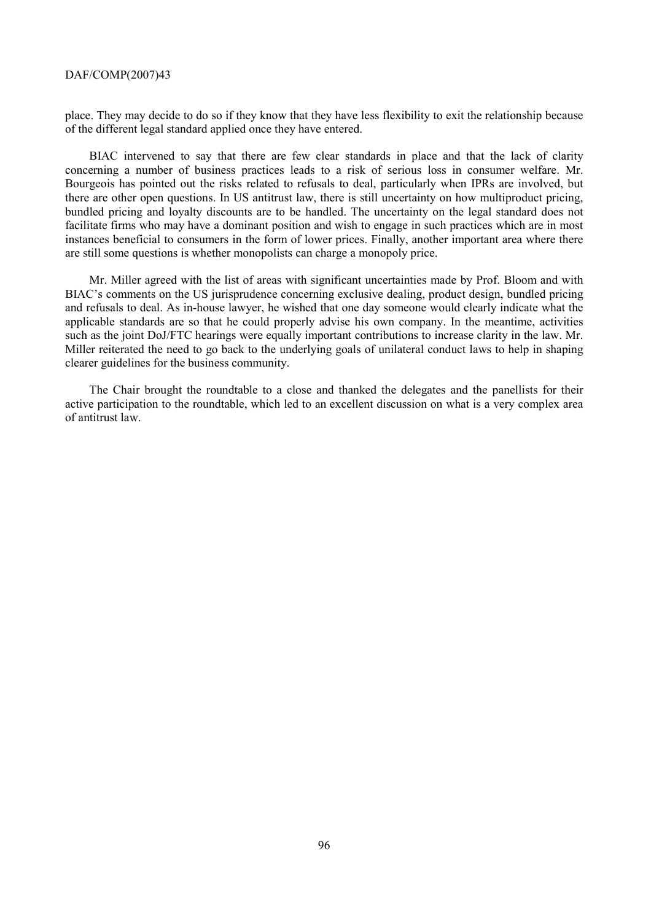place. They may decide to do so if they know that they have less flexibility to exit the relationship because of the different legal standard applied once they have entered.

BIAC intervened to say that there are few clear standards in place and that the lack of clarity concerning a number of business practices leads to a risk of serious loss in consumer welfare. Mr. Bourgeois has pointed out the risks related to refusals to deal, particularly when IPRs are involved, but there are other open questions. In US antitrust law, there is still uncertainty on how multiproduct pricing, bundled pricing and loyalty discounts are to be handled. The uncertainty on the legal standard does not facilitate firms who may have a dominant position and wish to engage in such practices which are in most instances beneficial to consumers in the form of lower prices. Finally, another important area where there are still some questions is whether monopolists can charge a monopoly price.

Mr. Miller agreed with the list of areas with significant uncertainties made by Prof. Bloom and with BIAC's comments on the US jurisprudence concerning exclusive dealing, product design, bundled pricing and refusals to deal. As in-house lawyer, he wished that one day someone would clearly indicate what the applicable standards are so that he could properly advise his own company. In the meantime, activities such as the joint DoJ/FTC hearings were equally important contributions to increase clarity in the law. Mr. Miller reiterated the need to go back to the underlying goals of unilateral conduct laws to help in shaping clearer guidelines for the business community.

The Chair brought the roundtable to a close and thanked the delegates and the panellists for their active participation to the roundtable, which led to an excellent discussion on what is a very complex area of antitrust law.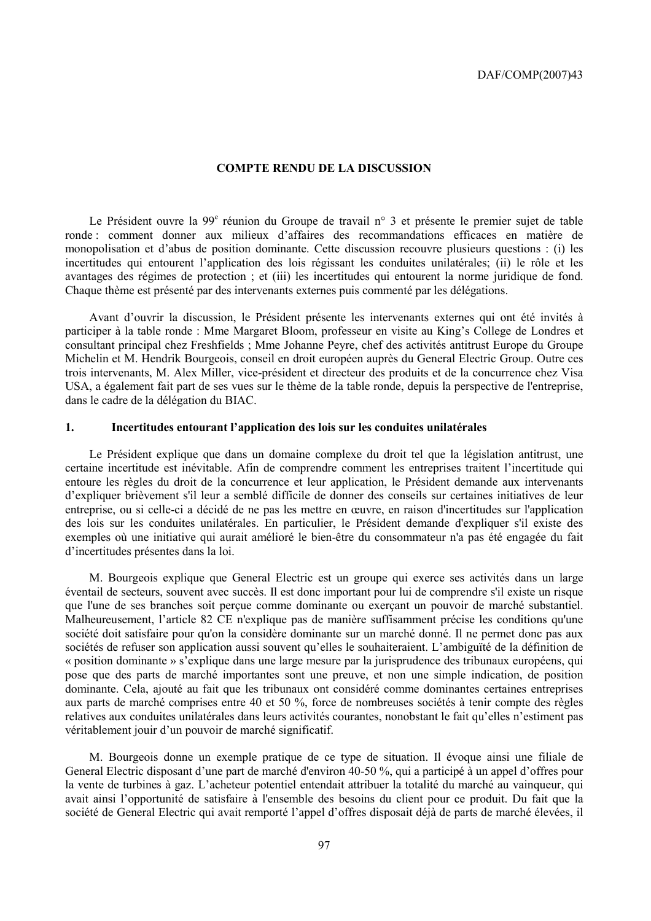### **COMPTE RENDU DE LA DISCUSSION**

Le Président ouvre la 99<sup>e</sup> réunion du Groupe de travail n° 3 et présente le premier sujet de table ronde : comment donner aux milieux d'affaires des recommandations efficaces en matière de monopolisation et d'abus de position dominante. Cette discussion recouvre plusieurs questions : (i) les incertitudes qui entourent l'application des lois régissant les conduites unilatérales; (ii) le rôle et les avantages des régimes de protection ; et (iii) les incertitudes qui entourent la norme juridique de fond. Chaque thème est présenté par des intervenants externes puis commenté par les délégations.

Avant d'ouvrir la discussion, le Président présente les intervenants externes qui ont été invités à participer à la table ronde : Mme Margaret Bloom, professeur en visite au King's College de Londres et consultant principal chez Freshfields ; Mme Johanne Peyre, chef des activités antitrust Europe du Groupe Michelin et M. Hendrik Bourgeois, conseil en droit européen auprès du General Electric Group. Outre ces trois intervenants, M. Alex Miller, vice-président et directeur des produits et de la concurrence chez Visa USA, a également fait part de ses vues sur le thème de la table ronde, depuis la perspective de l'entreprise, dans le cadre de la délégation du BIAC.

# **1. Incertitudes entourant l'application des lois sur les conduites unilatérales**

Le Président explique que dans un domaine complexe du droit tel que la législation antitrust, une certaine incertitude est inévitable. Afin de comprendre comment les entreprises traitent l'incertitude qui entoure les règles du droit de la concurrence et leur application, le Président demande aux intervenants d'expliquer brièvement s'il leur a semblé difficile de donner des conseils sur certaines initiatives de leur entreprise, ou si celle-ci a décidé de ne pas les mettre en œuvre, en raison d'incertitudes sur l'application des lois sur les conduites unilatérales. En particulier, le Président demande d'expliquer s'il existe des exemples où une initiative qui aurait amélioré le bien-être du consommateur n'a pas été engagée du fait d'incertitudes présentes dans la loi.

M. Bourgeois explique que General Electric est un groupe qui exerce ses activités dans un large éventail de secteurs, souvent avec succès. Il est donc important pour lui de comprendre s'il existe un risque que l'une de ses branches soit perçue comme dominante ou exerçant un pouvoir de marché substantiel. Malheureusement, l'article 82 CE n'explique pas de manière suffisamment précise les conditions qu'une société doit satisfaire pour qu'on la considère dominante sur un marché donné. Il ne permet donc pas aux sociétés de refuser son application aussi souvent qu'elles le souhaiteraient. L'ambiguïté de la définition de « position dominante » s'explique dans une large mesure par la jurisprudence des tribunaux européens, qui pose que des parts de marché importantes sont une preuve, et non une simple indication, de position dominante. Cela, ajouté au fait que les tribunaux ont considéré comme dominantes certaines entreprises aux parts de marché comprises entre 40 et 50 %, force de nombreuses sociétés à tenir compte des règles relatives aux conduites unilatérales dans leurs activités courantes, nonobstant le fait qu'elles n'estiment pas véritablement jouir d'un pouvoir de marché significatif.

M. Bourgeois donne un exemple pratique de ce type de situation. Il évoque ainsi une filiale de General Electric disposant d'une part de marché d'environ 40-50 %, qui a participé à un appel d'offres pour la vente de turbines à gaz. L'acheteur potentiel entendait attribuer la totalité du marché au vainqueur, qui avait ainsi l'opportunité de satisfaire à l'ensemble des besoins du client pour ce produit. Du fait que la société de General Electric qui avait remporté l'appel d'offres disposait déjà de parts de marché élevées, il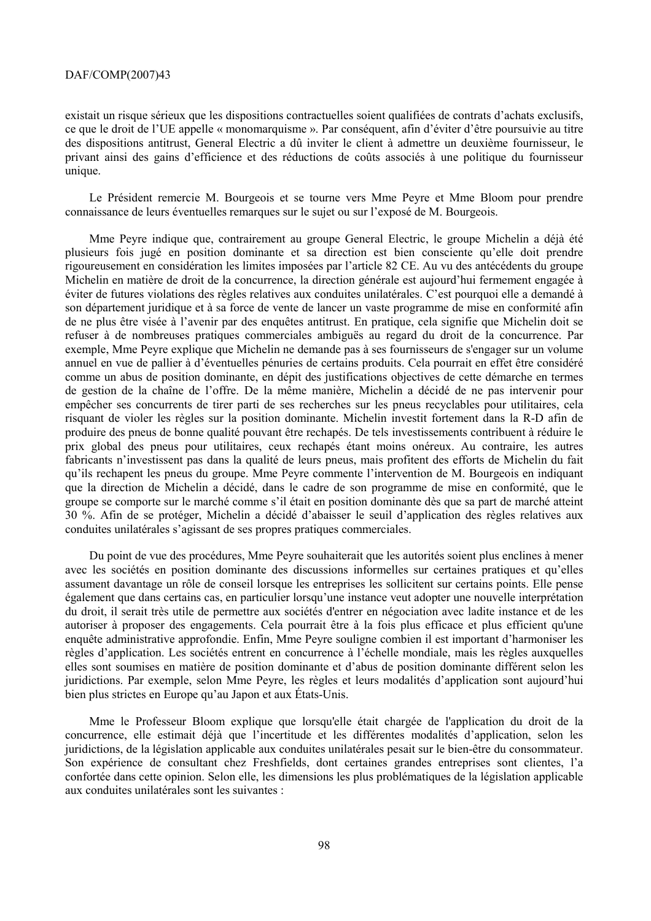existait un risque sérieux que les dispositions contractuelles soient qualifiées de contrats d'achats exclusifs, ce que le droit de l'UE appelle « monomarquisme ». Par conséquent, afin d'éviter d'être poursuivie au titre des dispositions antitrust, General Electric a dû inviter le client à admettre un deuxième fournisseur, le privant ainsi des gains d'efficience et des réductions de coûts associés à une politique du fournisseur unique.

Le Président remercie M. Bourgeois et se tourne vers Mme Peyre et Mme Bloom pour prendre connaissance de leurs éventuelles remarques sur le sujet ou sur l'exposé de M. Bourgeois.

Mme Peyre indique que, contrairement au groupe General Electric, le groupe Michelin a déjà été plusieurs fois jugé en position dominante et sa direction est bien consciente qu'elle doit prendre rigoureusement en considération les limites imposées par l'article 82 CE. Au vu des antécédents du groupe Michelin en matière de droit de la concurrence, la direction générale est aujourd'hui fermement engagée à éviter de futures violations des règles relatives aux conduites unilatérales. C'est pourquoi elle a demandé à son département juridique et à sa force de vente de lancer un vaste programme de mise en conformité afin de ne plus être visée à l'avenir par des enquêtes antitrust. En pratique, cela signifie que Michelin doit se refuser à de nombreuses pratiques commerciales ambiguës au regard du droit de la concurrence. Par exemple, Mme Peyre explique que Michelin ne demande pas à ses fournisseurs de s'engager sur un volume annuel en vue de pallier à d'éventuelles pénuries de certains produits. Cela pourrait en effet être considéré comme un abus de position dominante, en dépit des justifications objectives de cette démarche en termes de gestion de la chaîne de l'offre. De la même manière, Michelin a décidé de ne pas intervenir pour empêcher ses concurrents de tirer parti de ses recherches sur les pneus recyclables pour utilitaires, cela risquant de violer les règles sur la position dominante. Michelin investit fortement dans la R-D afin de produire des pneus de bonne qualité pouvant être rechapés. De tels investissements contribuent à réduire le prix global des pneus pour utilitaires, ceux rechapés étant moins onéreux. Au contraire, les autres fabricants n'investissent pas dans la qualité de leurs pneus, mais profitent des efforts de Michelin du fait qu'ils rechapent les pneus du groupe. Mme Peyre commente l'intervention de M. Bourgeois en indiquant que la direction de Michelin a décidé, dans le cadre de son programme de mise en conformité, que le groupe se comporte sur le marché comme s'il était en position dominante dès que sa part de marché atteint 30 %. Afin de se protéger, Michelin a décidé d'abaisser le seuil d'application des règles relatives aux conduites unilatérales s'agissant de ses propres pratiques commerciales.

Du point de vue des procédures, Mme Peyre souhaiterait que les autorités soient plus enclines à mener avec les sociétés en position dominante des discussions informelles sur certaines pratiques et qu'elles assument davantage un rôle de conseil lorsque les entreprises les sollicitent sur certains points. Elle pense également que dans certains cas, en particulier lorsqu'une instance veut adopter une nouvelle interprétation du droit, il serait très utile de permettre aux sociétés d'entrer en négociation avec ladite instance et de les autoriser à proposer des engagements. Cela pourrait être à la fois plus efficace et plus efficient qu'une enquête administrative approfondie. Enfin, Mme Peyre souligne combien il est important d'harmoniser les règles d'application. Les sociétés entrent en concurrence à l'échelle mondiale, mais les règles auxquelles elles sont soumises en matière de position dominante et d'abus de position dominante différent selon les juridictions. Par exemple, selon Mme Peyre, les règles et leurs modalités d'application sont aujourd'hui bien plus strictes en Europe qu'au Japon et aux États-Unis.

Mme le Professeur Bloom explique que lorsqu'elle était chargée de l'application du droit de la concurrence, elle estimait déjà que l'incertitude et les différentes modalités d'application, selon les juridictions, de la législation applicable aux conduites unilatérales pesait sur le bien-être du consommateur. Son expérience de consultant chez Freshfields, dont certaines grandes entreprises sont clientes, l'a confortée dans cette opinion. Selon elle, les dimensions les plus problématiques de la législation applicable aux conduites unilatérales sont les suivantes :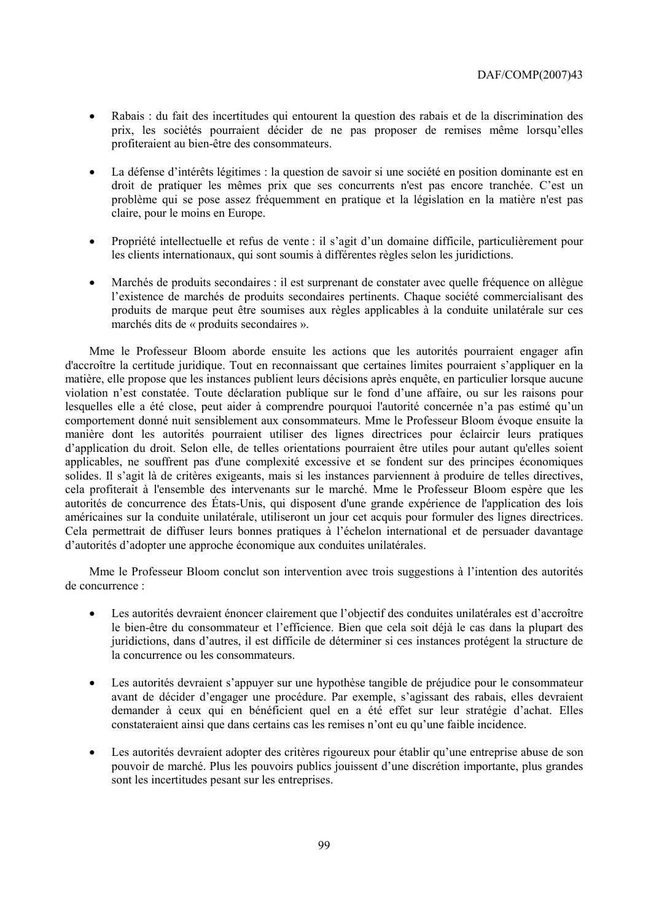- Rabais : du fait des incertitudes qui entourent la question des rabais et de la discrimination des prix, les sociétés pourraient décider de ne pas proposer de remises même lorsqu'elles profiteraient au bien-être des consommateurs.
- La défense d'intérêts légitimes : la question de savoir si une société en position dominante est en droit de pratiquer les mêmes prix que ses concurrents n'est pas encore tranchée. C'est un problème qui se pose assez fréquemment en pratique et la législation en la matière n'est pas claire, pour le moins en Europe.
- Propriété intellectuelle et refus de vente : il s'agit d'un domaine difficile, particulièrement pour les clients internationaux, qui sont soumis à différentes règles selon les juridictions.
- Marchés de produits secondaires : il est surprenant de constater avec quelle fréquence on allègue l'existence de marchés de produits secondaires pertinents. Chaque société commercialisant des produits de marque peut être soumises aux règles applicables à la conduite unilatérale sur ces marchés dits de « produits secondaires ».

Mme le Professeur Bloom aborde ensuite les actions que les autorités pourraient engager afin d'accroître la certitude juridique. Tout en reconnaissant que certaines limites pourraient s'appliquer en la matière, elle propose que les instances publient leurs décisions après enquête, en particulier lorsque aucune violation n'est constatée. Toute déclaration publique sur le fond d'une affaire, ou sur les raisons pour lesquelles elle a été close, peut aider à comprendre pourquoi l'autorité concernée n'a pas estimé qu'un comportement donné nuit sensiblement aux consommateurs. Mme le Professeur Bloom évoque ensuite la manière dont les autorités pourraient utiliser des lignes directrices pour éclaircir leurs pratiques d'application du droit. Selon elle, de telles orientations pourraient être utiles pour autant qu'elles soient applicables, ne souffrent pas d'une complexité excessive et se fondent sur des principes économiques solides. Il s'agit là de critères exigeants, mais si les instances parviennent à produire de telles directives, cela profiterait à l'ensemble des intervenants sur le marché. Mme le Professeur Bloom espère que les autorités de concurrence des États-Unis, qui disposent d'une grande expérience de l'application des lois américaines sur la conduite unilatérale, utiliseront un jour cet acquis pour formuler des lignes directrices. Cela permettrait de diffuser leurs bonnes pratiques à l'échelon international et de persuader davantage d'autorités d'adopter une approche économique aux conduites unilatérales.

Mme le Professeur Bloom conclut son intervention avec trois suggestions à l'intention des autorités de concurrence :

- Les autorités devraient énoncer clairement que l'objectif des conduites unilatérales est d'accroître le bien-être du consommateur et l'efficience. Bien que cela soit déjà le cas dans la plupart des juridictions, dans d'autres, il est difficile de déterminer si ces instances protégent la structure de la concurrence ou les consommateurs.
- Les autorités devraient s'appuyer sur une hypothèse tangible de préjudice pour le consommateur avant de décider d'engager une procédure. Par exemple, s'agissant des rabais, elles devraient demander à ceux qui en bénéficient quel en a été effet sur leur stratégie d'achat. Elles constateraient ainsi que dans certains cas les remises n'ont eu qu'une faible incidence.
- Les autorités devraient adopter des critères rigoureux pour établir qu'une entreprise abuse de son pouvoir de marché. Plus les pouvoirs publics jouissent d'une discrétion importante, plus grandes sont les incertitudes pesant sur les entreprises.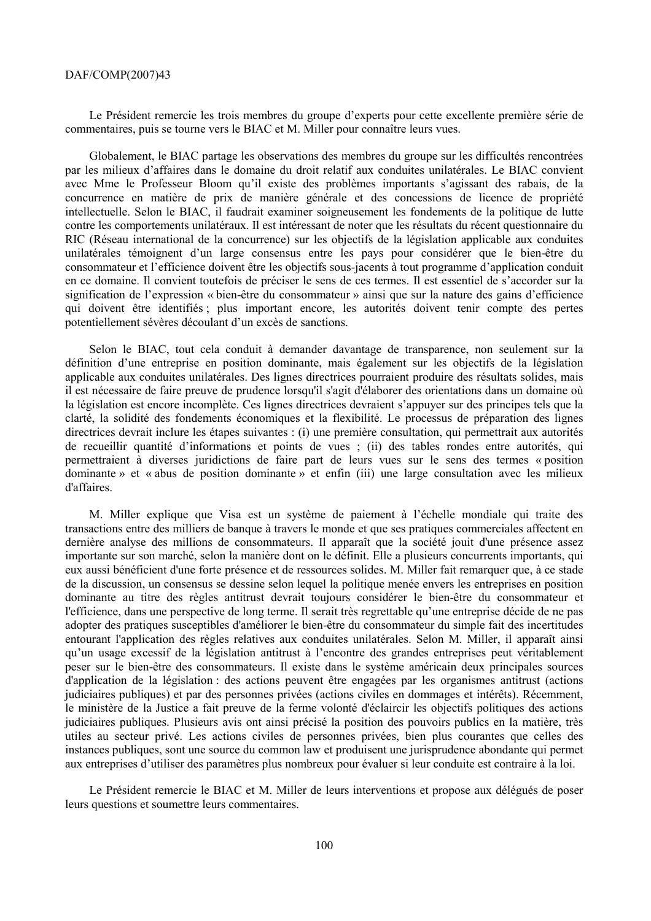Le Président remercie les trois membres du groupe d'experts pour cette excellente première série de commentaires, puis se tourne vers le BIAC et M. Miller pour connaître leurs vues.

Globalement, le BIAC partage les observations des membres du groupe sur les difficultés rencontrées par les milieux d'affaires dans le domaine du droit relatif aux conduites unilatérales. Le BIAC convient avec Mme le Professeur Bloom qu'il existe des problèmes importants s'agissant des rabais, de la concurrence en matière de prix de manière générale et des concessions de licence de propriété intellectuelle. Selon le BIAC, il faudrait examiner soigneusement les fondements de la politique de lutte contre les comportements unilatéraux. Il est intéressant de noter que les résultats du récent questionnaire du RIC (Réseau international de la concurrence) sur les objectifs de la législation applicable aux conduites unilatérales témoignent d'un large consensus entre les pays pour considérer que le bien-être du consommateur et l'efficience doivent être les objectifs sous-jacents à tout programme d'application conduit en ce domaine. Il convient toutefois de préciser le sens de ces termes. Il est essentiel de s'accorder sur la signification de l'expression « bien-être du consommateur » ainsi que sur la nature des gains d'efficience qui doivent être identifiés ; plus important encore, les autorités doivent tenir compte des pertes potentiellement sévères découlant d'un excès de sanctions.

Selon le BIAC, tout cela conduit à demander davantage de transparence, non seulement sur la définition d'une entreprise en position dominante, mais également sur les objectifs de la législation applicable aux conduites unilatérales. Des lignes directrices pourraient produire des résultats solides, mais il est nécessaire de faire preuve de prudence lorsqu'il s'agit d'élaborer des orientations dans un domaine où la législation est encore incomplète. Ces lignes directrices devraient s'appuyer sur des principes tels que la clarté, la solidité des fondements économiques et la flexibilité. Le processus de préparation des lignes directrices devrait inclure les étapes suivantes : (i) une première consultation, qui permettrait aux autorités de recueillir quantité d'informations et points de vues ; (ii) des tables rondes entre autorités, qui permettraient à diverses juridictions de faire part de leurs vues sur le sens des termes « position dominante » et « abus de position dominante » et enfin (iii) une large consultation avec les milieux d'affaires.

M. Miller explique que Visa est un système de paiement à l'échelle mondiale qui traite des transactions entre des milliers de banque à travers le monde et que ses pratiques commerciales affectent en dernière analyse des millions de consommateurs. Il apparaît que la société jouit d'une présence assez importante sur son marché, selon la manière dont on le définit. Elle a plusieurs concurrents importants, qui eux aussi bénéficient d'une forte présence et de ressources solides. M. Miller fait remarquer que, à ce stade de la discussion, un consensus se dessine selon lequel la politique menée envers les entreprises en position dominante au titre des règles antitrust devrait toujours considérer le bien-être du consommateur et l'efficience, dans une perspective de long terme. Il serait très regrettable qu'une entreprise décide de ne pas adopter des pratiques susceptibles d'améliorer le bien-être du consommateur du simple fait des incertitudes entourant l'application des règles relatives aux conduites unilatérales. Selon M. Miller, il apparaît ainsi qu'un usage excessif de la législation antitrust à l'encontre des grandes entreprises peut véritablement peser sur le bien-être des consommateurs. Il existe dans le système américain deux principales sources d'application de la législation : des actions peuvent être engagées par les organismes antitrust (actions judiciaires publiques) et par des personnes privées (actions civiles en dommages et intérêts). Récemment, le ministère de la Justice a fait preuve de la ferme volonté d'éclaircir les objectifs politiques des actions judiciaires publiques. Plusieurs avis ont ainsi précisé la position des pouvoirs publics en la matière, très utiles au secteur privé. Les actions civiles de personnes privées, bien plus courantes que celles des instances publiques, sont une source du common law et produisent une jurisprudence abondante qui permet aux entreprises d'utiliser des paramètres plus nombreux pour évaluer si leur conduite est contraire à la loi.

Le Président remercie le BIAC et M. Miller de leurs interventions et propose aux délégués de poser leurs questions et soumettre leurs commentaires.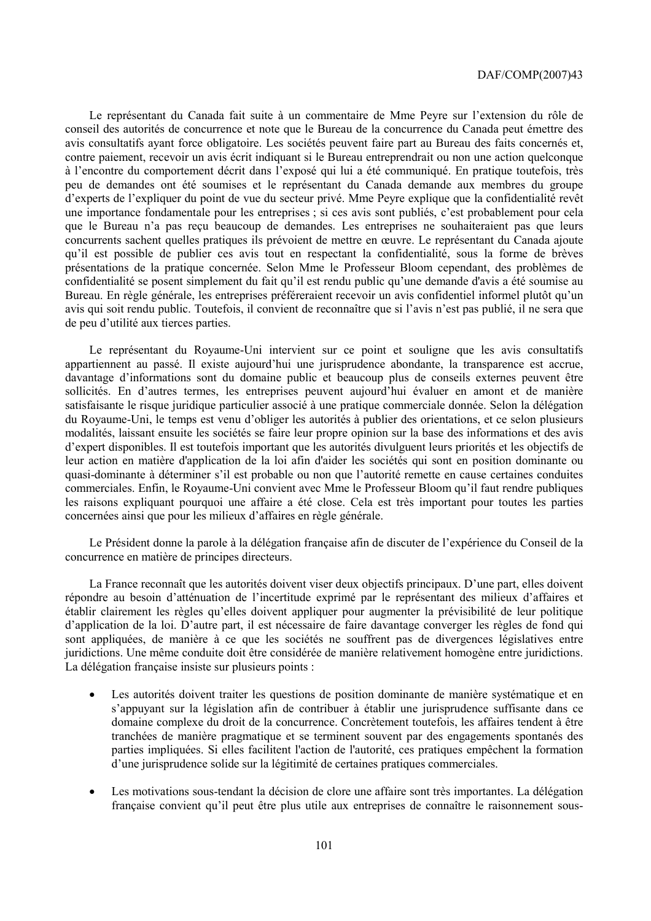Le représentant du Canada fait suite à un commentaire de Mme Peyre sur l'extension du rôle de conseil des autorités de concurrence et note que le Bureau de la concurrence du Canada peut émettre des avis consultatifs ayant force obligatoire. Les sociétés peuvent faire part au Bureau des faits concernés et, contre paiement, recevoir un avis écrit indiquant si le Bureau entreprendrait ou non une action quelconque à l'encontre du comportement décrit dans l'exposé qui lui a été communiqué. En pratique toutefois, très peu de demandes ont été soumises et le représentant du Canada demande aux membres du groupe d'experts de l'expliquer du point de vue du secteur privé. Mme Peyre explique que la confidentialité revêt une importance fondamentale pour les entreprises ; si ces avis sont publiés, c'est probablement pour cela que le Bureau n'a pas reçu beaucoup de demandes. Les entreprises ne souhaiteraient pas que leurs concurrents sachent quelles pratiques ils prévoient de mettre en œuvre. Le représentant du Canada ajoute qu'il est possible de publier ces avis tout en respectant la confidentialité, sous la forme de brèves présentations de la pratique concernée. Selon Mme le Professeur Bloom cependant, des problèmes de confidentialité se posent simplement du fait qu'il est rendu public qu'une demande d'avis a été soumise au Bureau. En règle générale, les entreprises préféreraient recevoir un avis confidentiel informel plutôt qu'un avis qui soit rendu public. Toutefois, il convient de reconnaître que si l'avis n'est pas publié, il ne sera que de peu d'utilité aux tierces parties.

Le représentant du Royaume-Uni intervient sur ce point et souligne que les avis consultatifs appartiennent au passé. Il existe aujourd'hui une jurisprudence abondante, la transparence est accrue, davantage d'informations sont du domaine public et beaucoup plus de conseils externes peuvent être sollicités. En d'autres termes, les entreprises peuvent aujourd'hui évaluer en amont et de manière satisfaisante le risque juridique particulier associé à une pratique commerciale donnée. Selon la délégation du Royaume-Uni, le temps est venu d'obliger les autorités à publier des orientations, et ce selon plusieurs modalités, laissant ensuite les sociétés se faire leur propre opinion sur la base des informations et des avis d'expert disponibles. Il est toutefois important que les autorités divulguent leurs priorités et les objectifs de leur action en matière d'application de la loi afin d'aider les sociétés qui sont en position dominante ou quasi-dominante à déterminer s'il est probable ou non que l'autorité remette en cause certaines conduites commerciales. Enfin, le Royaume-Uni convient avec Mme le Professeur Bloom qu'il faut rendre publiques les raisons expliquant pourquoi une affaire a été close. Cela est très important pour toutes les parties concernées ainsi que pour les milieux d'affaires en règle générale.

Le Président donne la parole à la délégation française afin de discuter de l'expérience du Conseil de la concurrence en matière de principes directeurs.

La France reconnaît que les autorités doivent viser deux objectifs principaux. D'une part, elles doivent répondre au besoin d'atténuation de l'incertitude exprimé par le représentant des milieux d'affaires et établir clairement les règles qu'elles doivent appliquer pour augmenter la prévisibilité de leur politique d'application de la loi. D'autre part, il est nécessaire de faire davantage converger les règles de fond qui sont appliquées, de manière à ce que les sociétés ne souffrent pas de divergences législatives entre juridictions. Une même conduite doit être considérée de manière relativement homogène entre juridictions. La délégation française insiste sur plusieurs points :

- Les autorités doivent traiter les questions de position dominante de manière systématique et en s'appuyant sur la législation afin de contribuer à établir une jurisprudence suffisante dans ce domaine complexe du droit de la concurrence. Concrètement toutefois, les affaires tendent à être tranchées de manière pragmatique et se terminent souvent par des engagements spontanés des parties impliquées. Si elles facilitent l'action de l'autorité, ces pratiques empêchent la formation d'une jurisprudence solide sur la légitimité de certaines pratiques commerciales.
- Les motivations sous-tendant la décision de clore une affaire sont très importantes. La délégation française convient qu'il peut être plus utile aux entreprises de connaître le raisonnement sous-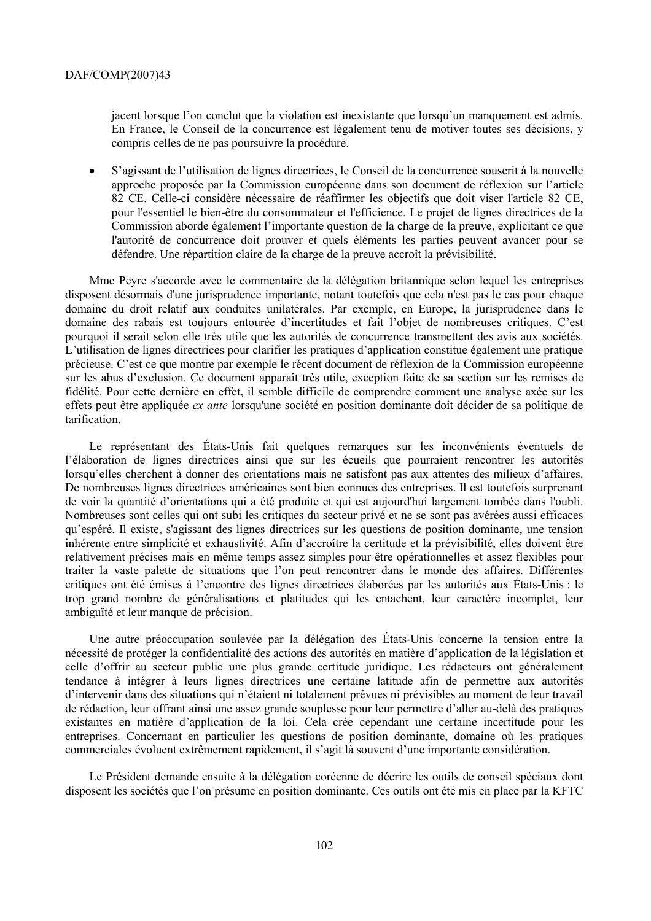jacent lorsque l'on conclut que la violation est inexistante que lorsqu'un manquement est admis. En France, le Conseil de la concurrence est légalement tenu de motiver toutes ses décisions, y compris celles de ne pas poursuivre la procédure.

• S'agissant de l'utilisation de lignes directrices, le Conseil de la concurrence souscrit à la nouvelle approche proposée par la Commission européenne dans son document de réflexion sur l'article 82 CE. Celle-ci considère nécessaire de réaffirmer les objectifs que doit viser l'article 82 CE, pour l'essentiel le bien-être du consommateur et l'efficience. Le projet de lignes directrices de la Commission aborde également l'importante question de la charge de la preuve, explicitant ce que l'autorité de concurrence doit prouver et quels éléments les parties peuvent avancer pour se défendre. Une répartition claire de la charge de la preuve accroît la prévisibilité.

Mme Peyre s'accorde avec le commentaire de la délégation britannique selon lequel les entreprises disposent désormais d'une jurisprudence importante, notant toutefois que cela n'est pas le cas pour chaque domaine du droit relatif aux conduites unilatérales. Par exemple, en Europe, la jurisprudence dans le domaine des rabais est toujours entourée d'incertitudes et fait l'objet de nombreuses critiques. C'est pourquoi il serait selon elle très utile que les autorités de concurrence transmettent des avis aux sociétés. L'utilisation de lignes directrices pour clarifier les pratiques d'application constitue également une pratique précieuse. C'est ce que montre par exemple le récent document de réflexion de la Commission européenne sur les abus d'exclusion. Ce document apparaît très utile, exception faite de sa section sur les remises de fidélité. Pour cette dernière en effet, il semble difficile de comprendre comment une analyse axée sur les effets peut être appliquée *ex ante* lorsqu'une société en position dominante doit décider de sa politique de tarification.

Le représentant des États-Unis fait quelques remarques sur les inconvénients éventuels de l'élaboration de lignes directrices ainsi que sur les écueils que pourraient rencontrer les autorités lorsqu'elles cherchent à donner des orientations mais ne satisfont pas aux attentes des milieux d'affaires. De nombreuses lignes directrices américaines sont bien connues des entreprises. Il est toutefois surprenant de voir la quantité d'orientations qui a été produite et qui est aujourd'hui largement tombée dans l'oubli. Nombreuses sont celles qui ont subi les critiques du secteur privé et ne se sont pas avérées aussi efficaces qu'espéré. Il existe, s'agissant des lignes directrices sur les questions de position dominante, une tension inhérente entre simplicité et exhaustivité. Afin d'accroître la certitude et la prévisibilité, elles doivent être relativement précises mais en même temps assez simples pour être opérationnelles et assez flexibles pour traiter la vaste palette de situations que l'on peut rencontrer dans le monde des affaires. Différentes critiques ont été émises à l'encontre des lignes directrices élaborées par les autorités aux États-Unis : le trop grand nombre de généralisations et platitudes qui les entachent, leur caractère incomplet, leur ambiguïté et leur manque de précision.

Une autre préoccupation soulevée par la délégation des États-Unis concerne la tension entre la nécessité de protéger la confidentialité des actions des autorités en matière d'application de la législation et celle d'offrir au secteur public une plus grande certitude juridique. Les rédacteurs ont généralement tendance à intégrer à leurs lignes directrices une certaine latitude afin de permettre aux autorités d'intervenir dans des situations qui n'étaient ni totalement prévues ni prévisibles au moment de leur travail de rédaction, leur offrant ainsi une assez grande souplesse pour leur permettre d'aller au-delà des pratiques existantes en matière d'application de la loi. Cela crée cependant une certaine incertitude pour les entreprises. Concernant en particulier les questions de position dominante, domaine où les pratiques commerciales évoluent extrêmement rapidement, il s'agit là souvent d'une importante considération.

Le Président demande ensuite à la délégation coréenne de décrire les outils de conseil spéciaux dont disposent les sociétés que l'on présume en position dominante. Ces outils ont été mis en place par la KFTC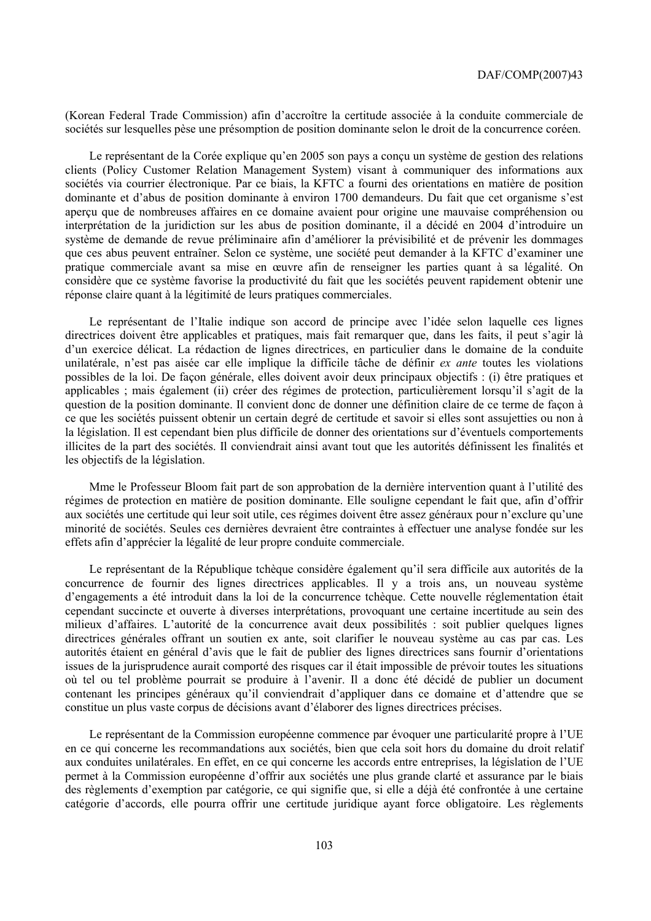(Korean Federal Trade Commission) afin d'accroître la certitude associée à la conduite commerciale de sociétés sur lesquelles pèse une présomption de position dominante selon le droit de la concurrence coréen.

Le représentant de la Corée explique qu'en 2005 son pays a conçu un système de gestion des relations clients (Policy Customer Relation Management System) visant à communiquer des informations aux sociétés via courrier électronique. Par ce biais, la KFTC a fourni des orientations en matière de position dominante et d'abus de position dominante à environ 1700 demandeurs. Du fait que cet organisme s'est aperçu que de nombreuses affaires en ce domaine avaient pour origine une mauvaise compréhension ou interprétation de la juridiction sur les abus de position dominante, il a décidé en 2004 d'introduire un système de demande de revue préliminaire afin d'améliorer la prévisibilité et de prévenir les dommages que ces abus peuvent entraîner. Selon ce système, une société peut demander à la KFTC d'examiner une pratique commerciale avant sa mise en œuvre afin de renseigner les parties quant à sa légalité. On considère que ce système favorise la productivité du fait que les sociétés peuvent rapidement obtenir une réponse claire quant à la légitimité de leurs pratiques commerciales.

Le représentant de l'Italie indique son accord de principe avec l'idée selon laquelle ces lignes directrices doivent être applicables et pratiques, mais fait remarquer que, dans les faits, il peut s'agir là d'un exercice délicat. La rédaction de lignes directrices, en particulier dans le domaine de la conduite unilatérale, n'est pas aisée car elle implique la difficile tâche de définir *ex ante* toutes les violations possibles de la loi. De façon générale, elles doivent avoir deux principaux objectifs : (i) être pratiques et applicables ; mais également (ii) créer des régimes de protection, particulièrement lorsqu'il s'agit de la question de la position dominante. Il convient donc de donner une définition claire de ce terme de façon à ce que les sociétés puissent obtenir un certain degré de certitude et savoir si elles sont assujetties ou non à la législation. Il est cependant bien plus difficile de donner des orientations sur d'éventuels comportements illicites de la part des sociétés. Il conviendrait ainsi avant tout que les autorités définissent les finalités et les objectifs de la législation.

Mme le Professeur Bloom fait part de son approbation de la dernière intervention quant à l'utilité des régimes de protection en matière de position dominante. Elle souligne cependant le fait que, afin d'offrir aux sociétés une certitude qui leur soit utile, ces régimes doivent être assez généraux pour n'exclure qu'une minorité de sociétés. Seules ces dernières devraient être contraintes à effectuer une analyse fondée sur les effets afin d'apprécier la légalité de leur propre conduite commerciale.

Le représentant de la République tchèque considère également qu'il sera difficile aux autorités de la concurrence de fournir des lignes directrices applicables. Il y a trois ans, un nouveau système d'engagements a été introduit dans la loi de la concurrence tchèque. Cette nouvelle réglementation était cependant succincte et ouverte à diverses interprétations, provoquant une certaine incertitude au sein des milieux d'affaires. L'autorité de la concurrence avait deux possibilités : soit publier quelques lignes directrices générales offrant un soutien ex ante, soit clarifier le nouveau système au cas par cas. Les autorités étaient en général d'avis que le fait de publier des lignes directrices sans fournir d'orientations issues de la jurisprudence aurait comporté des risques car il était impossible de prévoir toutes les situations où tel ou tel problème pourrait se produire à l'avenir. Il a donc été décidé de publier un document contenant les principes généraux qu'il conviendrait d'appliquer dans ce domaine et d'attendre que se constitue un plus vaste corpus de décisions avant d'élaborer des lignes directrices précises.

Le représentant de la Commission européenne commence par évoquer une particularité propre à l'UE en ce qui concerne les recommandations aux sociétés, bien que cela soit hors du domaine du droit relatif aux conduites unilatérales. En effet, en ce qui concerne les accords entre entreprises, la législation de l'UE permet à la Commission européenne d'offrir aux sociétés une plus grande clarté et assurance par le biais des règlements d'exemption par catégorie, ce qui signifie que, si elle a déjà été confrontée à une certaine catégorie d'accords, elle pourra offrir une certitude juridique ayant force obligatoire. Les règlements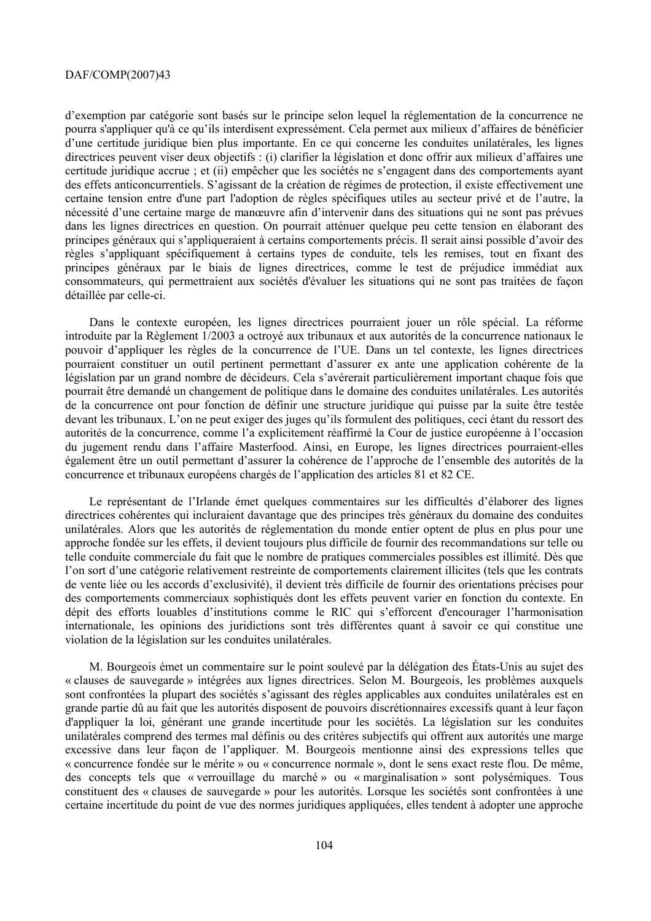d'exemption par catégorie sont basés sur le principe selon lequel la réglementation de la concurrence ne pourra s'appliquer qu'à ce qu'ils interdisent expressément. Cela permet aux milieux d'affaires de bénéficier d'une certitude juridique bien plus importante. En ce qui concerne les conduites unilatérales, les lignes directrices peuvent viser deux objectifs : (i) clarifier la législation et donc offrir aux milieux d'affaires une certitude juridique accrue ; et (ii) empêcher que les sociétés ne s'engagent dans des comportements ayant des effets anticoncurrentiels. S'agissant de la création de régimes de protection, il existe effectivement une certaine tension entre d'une part l'adoption de règles spécifiques utiles au secteur privé et de l'autre, la nécessité d'une certaine marge de manœuvre afin d'intervenir dans des situations qui ne sont pas prévues dans les lignes directrices en question. On pourrait atténuer quelque peu cette tension en élaborant des principes généraux qui s'appliqueraient à certains comportements précis. Il serait ainsi possible d'avoir des règles s'appliquant spécifiquement à certains types de conduite, tels les remises, tout en fixant des principes généraux par le biais de lignes directrices, comme le test de préjudice immédiat aux consommateurs, qui permettraient aux sociétés d'évaluer les situations qui ne sont pas traitées de façon détaillée par celle-ci.

Dans le contexte européen, les lignes directrices pourraient jouer un rôle spécial. La réforme introduite par la Règlement 1/2003 a octroyé aux tribunaux et aux autorités de la concurrence nationaux le pouvoir d'appliquer les règles de la concurrence de l'UE. Dans un tel contexte, les lignes directrices pourraient constituer un outil pertinent permettant d'assurer ex ante une application cohérente de la législation par un grand nombre de décideurs. Cela s'avérerait particulièrement important chaque fois que pourrait être demandé un changement de politique dans le domaine des conduites unilatérales. Les autorités de la concurrence ont pour fonction de définir une structure juridique qui puisse par la suite être testée devant les tribunaux. L'on ne peut exiger des juges qu'ils formulent des politiques, ceci étant du ressort des autorités de la concurrence, comme l'a explicitement réaffirmé la Cour de justice européenne à l'occasion du jugement rendu dans l'affaire Masterfood. Ainsi, en Europe, les lignes directrices pourraient-elles également être un outil permettant d'assurer la cohérence de l'approche de l'ensemble des autorités de la concurrence et tribunaux européens chargés de l'application des articles 81 et 82 CE.

Le représentant de l'Irlande émet quelques commentaires sur les difficultés d'élaborer des lignes directrices cohérentes qui incluraient davantage que des principes très généraux du domaine des conduites unilatérales. Alors que les autorités de réglementation du monde entier optent de plus en plus pour une approche fondée sur les effets, il devient toujours plus difficile de fournir des recommandations sur telle ou telle conduite commerciale du fait que le nombre de pratiques commerciales possibles est illimité. Dès que l'on sort d'une catégorie relativement restreinte de comportements clairement illicites (tels que les contrats de vente liée ou les accords d'exclusivité), il devient très difficile de fournir des orientations précises pour des comportements commerciaux sophistiqués dont les effets peuvent varier en fonction du contexte. En dépit des efforts louables d'institutions comme le RIC qui s'efforcent d'encourager l'harmonisation internationale, les opinions des juridictions sont très différentes quant à savoir ce qui constitue une violation de la législation sur les conduites unilatérales.

M. Bourgeois émet un commentaire sur le point soulevé par la délégation des États-Unis au sujet des « clauses de sauvegarde » intégrées aux lignes directrices. Selon M. Bourgeois, les problèmes auxquels sont confrontées la plupart des sociétés s'agissant des règles applicables aux conduites unilatérales est en grande partie dû au fait que les autorités disposent de pouvoirs discrétionnaires excessifs quant à leur façon d'appliquer la loi, générant une grande incertitude pour les sociétés. La législation sur les conduites unilatérales comprend des termes mal définis ou des critères subjectifs qui offrent aux autorités une marge excessive dans leur façon de l'appliquer. M. Bourgeois mentionne ainsi des expressions telles que « concurrence fondée sur le mérite » ou « concurrence normale », dont le sens exact reste flou. De même, des concepts tels que « verrouillage du marché » ou « marginalisation » sont polysémiques. Tous constituent des « clauses de sauvegarde » pour les autorités. Lorsque les sociétés sont confrontées à une certaine incertitude du point de vue des normes juridiques appliquées, elles tendent à adopter une approche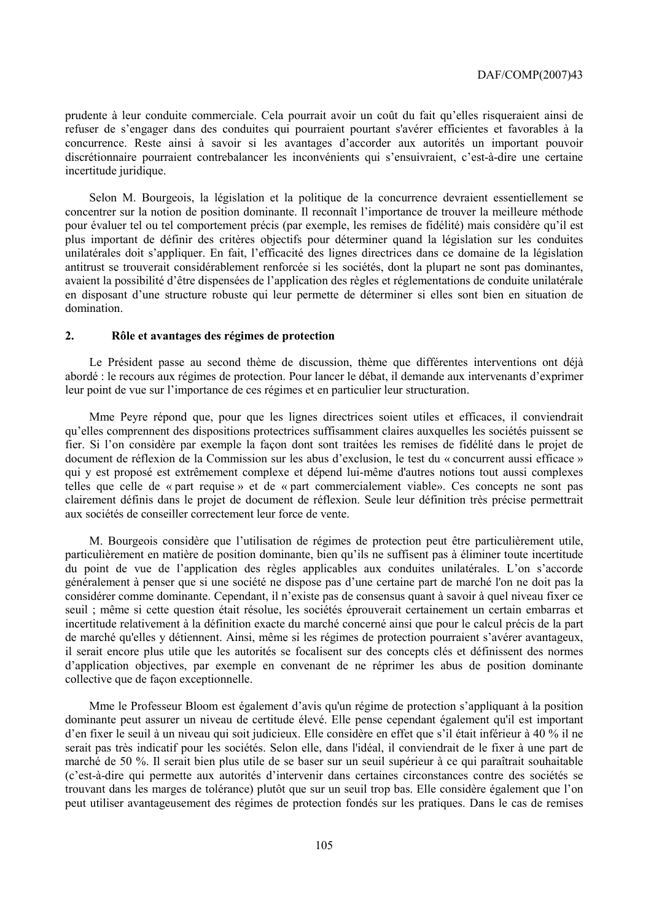prudente à leur conduite commerciale. Cela pourrait avoir un coût du fait qu'elles risqueraient ainsi de refuser de s'engager dans des conduites qui pourraient pourtant s'avérer efficientes et favorables à la concurrence. Reste ainsi à savoir si les avantages d'accorder aux autorités un important pouvoir discrétionnaire pourraient contrebalancer les inconvénients qui s'ensuivraient, c'est-à-dire une certaine incertitude juridique.

Selon M. Bourgeois, la législation et la politique de la concurrence devraient essentiellement se concentrer sur la notion de position dominante. Il reconnaît l'importance de trouver la meilleure méthode pour évaluer tel ou tel comportement précis (par exemple, les remises de fidélité) mais considère qu'il est plus important de définir des critères objectifs pour déterminer quand la législation sur les conduites unilatérales doit s'appliquer. En fait, l'efficacité des lignes directrices dans ce domaine de la législation antitrust se trouverait considérablement renforcée si les sociétés, dont la plupart ne sont pas dominantes, avaient la possibilité d'être dispensées de l'application des règles et réglementations de conduite unilatérale en disposant d'une structure robuste qui leur permette de déterminer si elles sont bien en situation de domination.

### **2. Rôle et avantages des régimes de protection**

Le Président passe au second thème de discussion, thème que différentes interventions ont déjà abordé : le recours aux régimes de protection. Pour lancer le débat, il demande aux intervenants d'exprimer leur point de vue sur l'importance de ces régimes et en particulier leur structuration.

Mme Peyre répond que, pour que les lignes directrices soient utiles et efficaces, il conviendrait qu'elles comprennent des dispositions protectrices suffisamment claires auxquelles les sociétés puissent se fier. Si l'on considère par exemple la façon dont sont traitées les remises de fidélité dans le projet de document de réflexion de la Commission sur les abus d'exclusion, le test du « concurrent aussi efficace » qui y est proposé est extrêmement complexe et dépend lui-même d'autres notions tout aussi complexes telles que celle de « part requise » et de « part commercialement viable». Ces concepts ne sont pas clairement définis dans le projet de document de réflexion. Seule leur définition très précise permettrait aux sociétés de conseiller correctement leur force de vente.

M. Bourgeois considère que l'utilisation de régimes de protection peut être particulièrement utile, particulièrement en matière de position dominante, bien qu'ils ne suffisent pas à éliminer toute incertitude du point de vue de l'application des règles applicables aux conduites unilatérales. L'on s'accorde généralement à penser que si une société ne dispose pas d'une certaine part de marché l'on ne doit pas la considérer comme dominante. Cependant, il n'existe pas de consensus quant à savoir à quel niveau fixer ce seuil ; même si cette question était résolue, les sociétés éprouverait certainement un certain embarras et incertitude relativement à la définition exacte du marché concerné ainsi que pour le calcul précis de la part de marché qu'elles y détiennent. Ainsi, même si les régimes de protection pourraient s'avérer avantageux, il serait encore plus utile que les autorités se focalisent sur des concepts clés et définissent des normes d'application objectives, par exemple en convenant de ne réprimer les abus de position dominante collective que de façon exceptionnelle.

Mme le Professeur Bloom est également d'avis qu'un régime de protection s'appliquant à la position dominante peut assurer un niveau de certitude élevé. Elle pense cependant également qu'il est important d'en fixer le seuil à un niveau qui soit judicieux. Elle considère en effet que s'il était inférieur à 40 % il ne serait pas très indicatif pour les sociétés. Selon elle, dans l'idéal, il conviendrait de le fixer à une part de marché de 50 %. Il serait bien plus utile de se baser sur un seuil supérieur à ce qui paraîtrait souhaitable (c'est-à-dire qui permette aux autorités d'intervenir dans certaines circonstances contre des sociétés se trouvant dans les marges de tolérance) plutôt que sur un seuil trop bas. Elle considère également que l'on peut utiliser avantageusement des régimes de protection fondés sur les pratiques. Dans le cas de remises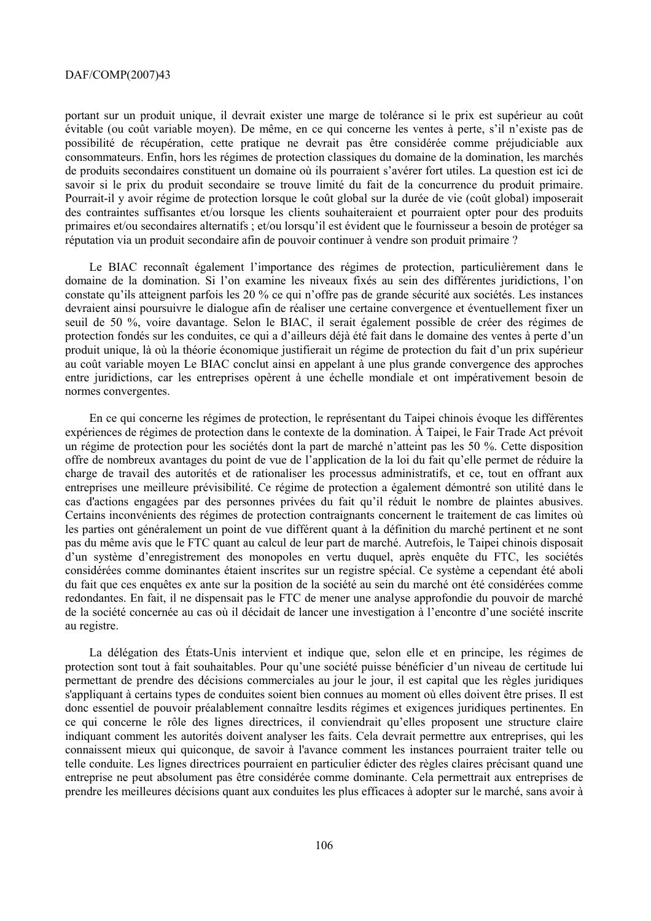portant sur un produit unique, il devrait exister une marge de tolérance si le prix est supérieur au coût évitable (ou coût variable moyen). De même, en ce qui concerne les ventes à perte, s'il n'existe pas de possibilité de récupération, cette pratique ne devrait pas être considérée comme préjudiciable aux consommateurs. Enfin, hors les régimes de protection classiques du domaine de la domination, les marchés de produits secondaires constituent un domaine où ils pourraient s'avérer fort utiles. La question est ici de savoir si le prix du produit secondaire se trouve limité du fait de la concurrence du produit primaire. Pourrait-il y avoir régime de protection lorsque le coût global sur la durée de vie (coût global) imposerait des contraintes suffisantes et/ou lorsque les clients souhaiteraient et pourraient opter pour des produits primaires et/ou secondaires alternatifs ; et/ou lorsqu'il est évident que le fournisseur a besoin de protéger sa réputation via un produit secondaire afin de pouvoir continuer à vendre son produit primaire ?

Le BIAC reconnaît également l'importance des régimes de protection, particulièrement dans le domaine de la domination. Si l'on examine les niveaux fixés au sein des différentes juridictions, l'on constate qu'ils atteignent parfois les 20 % ce qui n'offre pas de grande sécurité aux sociétés. Les instances devraient ainsi poursuivre le dialogue afin de réaliser une certaine convergence et éventuellement fixer un seuil de 50 %, voire davantage. Selon le BIAC, il serait également possible de créer des régimes de protection fondés sur les conduites, ce qui a d'ailleurs déjà été fait dans le domaine des ventes à perte d'un produit unique, là où la théorie économique justifierait un régime de protection du fait d'un prix supérieur au coût variable moyen Le BIAC conclut ainsi en appelant à une plus grande convergence des approches entre juridictions, car les entreprises opèrent à une échelle mondiale et ont impérativement besoin de normes convergentes.

En ce qui concerne les régimes de protection, le représentant du Taipei chinois évoque les différentes expériences de régimes de protection dans le contexte de la domination. À Taipei, le Fair Trade Act prévoit un régime de protection pour les sociétés dont la part de marché n'atteint pas les 50 %. Cette disposition offre de nombreux avantages du point de vue de l'application de la loi du fait qu'elle permet de réduire la charge de travail des autorités et de rationaliser les processus administratifs, et ce, tout en offrant aux entreprises une meilleure prévisibilité. Ce régime de protection a également démontré son utilité dans le cas d'actions engagées par des personnes privées du fait qu'il réduit le nombre de plaintes abusives. Certains inconvénients des régimes de protection contraignants concernent le traitement de cas limites où les parties ont généralement un point de vue différent quant à la définition du marché pertinent et ne sont pas du même avis que le FTC quant au calcul de leur part de marché. Autrefois, le Taipei chinois disposait d'un système d'enregistrement des monopoles en vertu duquel, après enquête du FTC, les sociétés considérées comme dominantes étaient inscrites sur un registre spécial. Ce système a cependant été aboli du fait que ces enquêtes ex ante sur la position de la société au sein du marché ont été considérées comme redondantes. En fait, il ne dispensait pas le FTC de mener une analyse approfondie du pouvoir de marché de la société concernée au cas où il décidait de lancer une investigation à l'encontre d'une société inscrite au registre.

La délégation des États-Unis intervient et indique que, selon elle et en principe, les régimes de protection sont tout à fait souhaitables. Pour qu'une société puisse bénéficier d'un niveau de certitude lui permettant de prendre des décisions commerciales au jour le jour, il est capital que les règles juridiques s'appliquant à certains types de conduites soient bien connues au moment où elles doivent être prises. Il est donc essentiel de pouvoir préalablement connaître lesdits régimes et exigences juridiques pertinentes. En ce qui concerne le rôle des lignes directrices, il conviendrait qu'elles proposent une structure claire indiquant comment les autorités doivent analyser les faits. Cela devrait permettre aux entreprises, qui les connaissent mieux qui quiconque, de savoir à l'avance comment les instances pourraient traiter telle ou telle conduite. Les lignes directrices pourraient en particulier édicter des règles claires précisant quand une entreprise ne peut absolument pas être considérée comme dominante. Cela permettrait aux entreprises de prendre les meilleures décisions quant aux conduites les plus efficaces à adopter sur le marché, sans avoir à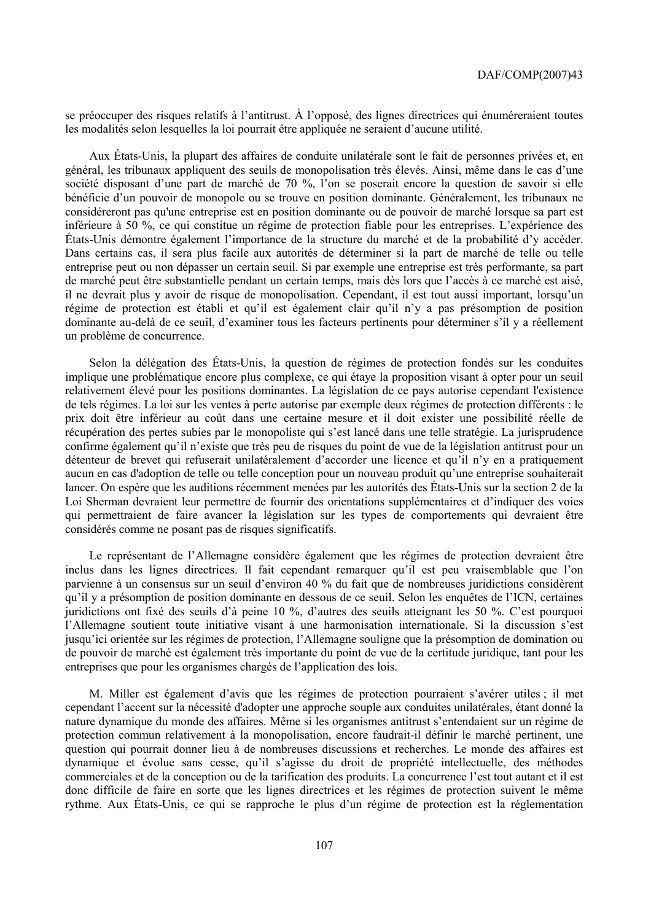se préoccuper des risques relatifs à l'antitrust. À l'opposé, des lignes directrices qui énuméreraient toutes les modalités selon lesquelles la loi pourrait être appliquée ne seraient d'aucune utilité.

Aux États-Unis, la plupart des affaires de conduite unilatérale sont le fait de personnes privées et, en général, les tribunaux appliquent des seuils de monopolisation très élevés. Ainsi, même dans le cas d'une société disposant d'une part de marché de 70 %, l'on se poserait encore la question de savoir si elle bénéficie d'un pouvoir de monopole ou se trouve en position dominante. Généralement, les tribunaux ne considéreront pas qu'une entreprise est en position dominante ou de pouvoir de marché lorsque sa part est inférieure à 50 %, ce qui constitue un régime de protection fiable pour les entreprises. L'expérience des États-Unis démontre également l'importance de la structure du marché et de la probabilité d'y accéder. Dans certains cas, il sera plus facile aux autorités de déterminer si la part de marché de telle ou telle entreprise peut ou non dépasser un certain seuil. Si par exemple une entreprise est très performante, sa part de marché peut être substantielle pendant un certain temps, mais dès lors que l'accès à ce marché est aisé, il ne devrait plus y avoir de risque de monopolisation. Cependant, il est tout aussi important, lorsqu'un régime de protection est établi et qu'il est également clair qu'il n'y a pas présomption de position dominante au-delà de ce seuil, d'examiner tous les facteurs pertinents pour déterminer s'il y a réellement un problème de concurrence.

Selon la délégation des États-Unis, la question de régimes de protection fondés sur les conduites implique une problématique encore plus complexe, ce qui étaye la proposition visant à opter pour un seuil relativement élevé pour les positions dominantes. La législation de ce pays autorise cependant l'existence de tels régimes. La loi sur les ventes à perte autorise par exemple deux régimes de protection différents : le prix doit être inférieur au coût dans une certaine mesure et il doit exister une possibilité réelle de récupération des pertes subies par le monopoliste qui s'est lancé dans une telle stratégie. La jurisprudence confirme également qu'il n'existe que très peu de risques du point de vue de la législation antitrust pour un détenteur de brevet qui refuserait unilatéralement d'accorder une licence et qu'il n'y en a pratiquement aucun en cas d'adoption de telle ou telle conception pour un nouveau produit qu'une entreprise souhaiterait lancer. On espère que les auditions récemment menées par les autorités des États-Unis sur la section 2 de la Loi Sherman devraient leur permettre de fournir des orientations supplémentaires et d'indiquer des voies qui permettraient de faire avancer la législation sur les types de comportements qui devraient être considérés comme ne posant pas de risques significatifs.

Le représentant de l'Allemagne considère également que les régimes de protection devraient être inclus dans les lignes directrices. Il fait cependant remarquer qu'il est peu vraisemblable que l'on parvienne à un consensus sur un seuil d'environ 40 % du fait que de nombreuses juridictions considèrent qu'il y a présomption de position dominante en dessous de ce seuil. Selon les enquêtes de l'ICN, certaines juridictions ont fixé des seuils d'à peine 10 %, d'autres des seuils atteignant les 50 %. C'est pourquoi l'Allemagne soutient toute initiative visant à une harmonisation internationale. Si la discussion s'est jusqu'ici orientée sur les régimes de protection, l'Allemagne souligne que la présomption de domination ou de pouvoir de marché est également très importante du point de vue de la certitude juridique, tant pour les entreprises que pour les organismes chargés de l'application des lois.

M. Miller est également d'avis que les régimes de protection pourraient s'avérer utiles ; il met cependant l'accent sur la nécessité d'adopter une approche souple aux conduites unilatérales, étant donné la nature dynamique du monde des affaires. Même si les organismes antitrust s'entendaient sur un régime de protection commun relativement à la monopolisation, encore faudrait-il définir le marché pertinent, une question qui pourrait donner lieu à de nombreuses discussions et recherches. Le monde des affaires est dynamique et évolue sans cesse, qu'il s'agisse du droit de propriété intellectuelle, des méthodes commerciales et de la conception ou de la tarification des produits. La concurrence l'est tout autant et il est donc difficile de faire en sorte que les lignes directrices et les régimes de protection suivent le même rythme. Aux États-Unis, ce qui se rapproche le plus d'un régime de protection est la réglementation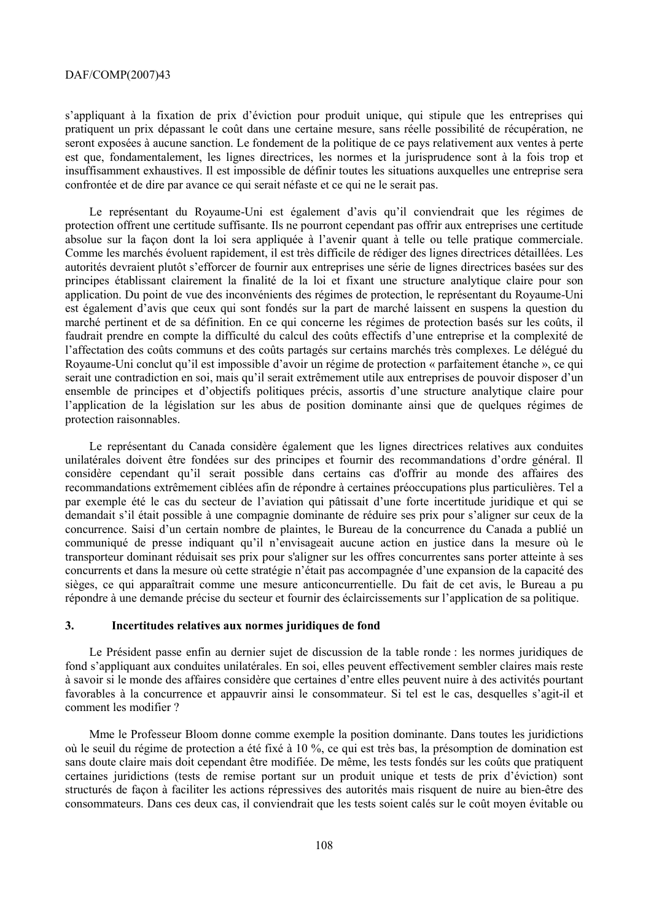## DAF/COMP(2007)43

s'appliquant à la fixation de prix d'éviction pour produit unique, qui stipule que les entreprises qui pratiquent un prix dépassant le coût dans une certaine mesure, sans réelle possibilité de récupération, ne seront exposées à aucune sanction. Le fondement de la politique de ce pays relativement aux ventes à perte est que, fondamentalement, les lignes directrices, les normes et la jurisprudence sont à la fois trop et insuffisamment exhaustives. Il est impossible de définir toutes les situations auxquelles une entreprise sera confrontée et de dire par avance ce qui serait néfaste et ce qui ne le serait pas.

Le représentant du Royaume-Uni est également d'avis qu'il conviendrait que les régimes de protection offrent une certitude suffisante. Ils ne pourront cependant pas offrir aux entreprises une certitude absolue sur la façon dont la loi sera appliquée à l'avenir quant à telle ou telle pratique commerciale. Comme les marchés évoluent rapidement, il est très difficile de rédiger des lignes directrices détaillées. Les autorités devraient plutôt s'efforcer de fournir aux entreprises une série de lignes directrices basées sur des principes établissant clairement la finalité de la loi et fixant une structure analytique claire pour son application. Du point de vue des inconvénients des régimes de protection, le représentant du Royaume-Uni est également d'avis que ceux qui sont fondés sur la part de marché laissent en suspens la question du marché pertinent et de sa définition. En ce qui concerne les régimes de protection basés sur les coûts, il faudrait prendre en compte la difficulté du calcul des coûts effectifs d'une entreprise et la complexité de l'affectation des coûts communs et des coûts partagés sur certains marchés très complexes. Le délégué du Royaume-Uni conclut qu'il est impossible d'avoir un régime de protection « parfaitement étanche », ce qui serait une contradiction en soi, mais qu'il serait extrêmement utile aux entreprises de pouvoir disposer d'un ensemble de principes et d'objectifs politiques précis, assortis d'une structure analytique claire pour l'application de la législation sur les abus de position dominante ainsi que de quelques régimes de protection raisonnables.

Le représentant du Canada considère également que les lignes directrices relatives aux conduites unilatérales doivent être fondées sur des principes et fournir des recommandations d'ordre général. Il considère cependant qu'il serait possible dans certains cas d'offrir au monde des affaires des recommandations extrêmement ciblées afin de répondre à certaines préoccupations plus particulières. Tel a par exemple été le cas du secteur de l'aviation qui pâtissait d'une forte incertitude juridique et qui se demandait s'il était possible à une compagnie dominante de réduire ses prix pour s'aligner sur ceux de la concurrence. Saisi d'un certain nombre de plaintes, le Bureau de la concurrence du Canada a publié un communiqué de presse indiquant qu'il n'envisageait aucune action en justice dans la mesure où le transporteur dominant réduisait ses prix pour s'aligner sur les offres concurrentes sans porter atteinte à ses concurrents et dans la mesure où cette stratégie n'était pas accompagnée d'une expansion de la capacité des sièges, ce qui apparaîtrait comme une mesure anticoncurrentielle. Du fait de cet avis, le Bureau a pu répondre à une demande précise du secteur et fournir des éclaircissements sur l'application de sa politique.

## **3. Incertitudes relatives aux normes juridiques de fond**

Le Président passe enfin au dernier sujet de discussion de la table ronde : les normes juridiques de fond s'appliquant aux conduites unilatérales. En soi, elles peuvent effectivement sembler claires mais reste à savoir si le monde des affaires considère que certaines d'entre elles peuvent nuire à des activités pourtant favorables à la concurrence et appauvrir ainsi le consommateur. Si tel est le cas, desquelles s'agit-il et comment les modifier ?

Mme le Professeur Bloom donne comme exemple la position dominante. Dans toutes les juridictions où le seuil du régime de protection a été fixé à 10 %, ce qui est très bas, la présomption de domination est sans doute claire mais doit cependant être modifiée. De même, les tests fondés sur les coûts que pratiquent certaines juridictions (tests de remise portant sur un produit unique et tests de prix d'éviction) sont structurés de façon à faciliter les actions répressives des autorités mais risquent de nuire au bien-être des consommateurs. Dans ces deux cas, il conviendrait que les tests soient calés sur le coût moyen évitable ou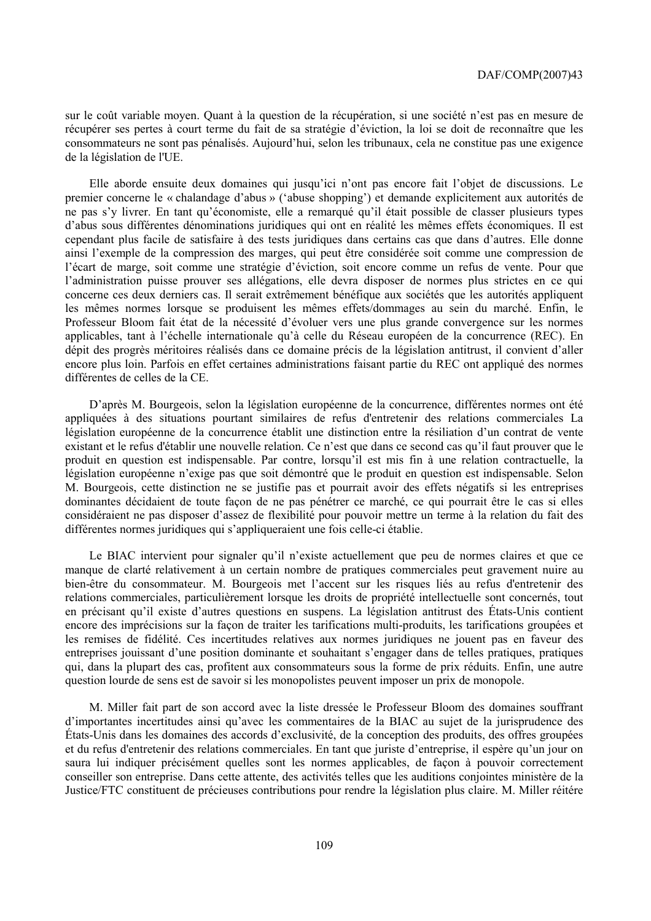sur le coût variable moyen. Quant à la question de la récupération, si une société n'est pas en mesure de récupérer ses pertes à court terme du fait de sa stratégie d'éviction, la loi se doit de reconnaître que les consommateurs ne sont pas pénalisés. Aujourd'hui, selon les tribunaux, cela ne constitue pas une exigence de la législation de l'UE.

Elle aborde ensuite deux domaines qui jusqu'ici n'ont pas encore fait l'objet de discussions. Le premier concerne le « chalandage d'abus » ('abuse shopping') et demande explicitement aux autorités de ne pas s'y livrer. En tant qu'économiste, elle a remarqué qu'il était possible de classer plusieurs types d'abus sous différentes dénominations juridiques qui ont en réalité les mêmes effets économiques. Il est cependant plus facile de satisfaire à des tests juridiques dans certains cas que dans d'autres. Elle donne ainsi l'exemple de la compression des marges, qui peut être considérée soit comme une compression de l'écart de marge, soit comme une stratégie d'éviction, soit encore comme un refus de vente. Pour que l'administration puisse prouver ses allégations, elle devra disposer de normes plus strictes en ce qui concerne ces deux derniers cas. Il serait extrêmement bénéfique aux sociétés que les autorités appliquent les mêmes normes lorsque se produisent les mêmes effets/dommages au sein du marché. Enfin, le Professeur Bloom fait état de la nécessité d'évoluer vers une plus grande convergence sur les normes applicables, tant à l'échelle internationale qu'à celle du Réseau européen de la concurrence (REC). En dépit des progrès méritoires réalisés dans ce domaine précis de la législation antitrust, il convient d'aller encore plus loin. Parfois en effet certaines administrations faisant partie du REC ont appliqué des normes différentes de celles de la CE.

D'après M. Bourgeois, selon la législation européenne de la concurrence, différentes normes ont été appliquées à des situations pourtant similaires de refus d'entretenir des relations commerciales La législation européenne de la concurrence établit une distinction entre la résiliation d'un contrat de vente existant et le refus d'établir une nouvelle relation. Ce n'est que dans ce second cas qu'il faut prouver que le produit en question est indispensable. Par contre, lorsqu'il est mis fin à une relation contractuelle, la législation européenne n'exige pas que soit démontré que le produit en question est indispensable. Selon M. Bourgeois, cette distinction ne se justifie pas et pourrait avoir des effets négatifs si les entreprises dominantes décidaient de toute façon de ne pas pénétrer ce marché, ce qui pourrait être le cas si elles considéraient ne pas disposer d'assez de flexibilité pour pouvoir mettre un terme à la relation du fait des différentes normes juridiques qui s'appliqueraient une fois celle-ci établie.

Le BIAC intervient pour signaler qu'il n'existe actuellement que peu de normes claires et que ce manque de clarté relativement à un certain nombre de pratiques commerciales peut gravement nuire au bien-être du consommateur. M. Bourgeois met l'accent sur les risques liés au refus d'entretenir des relations commerciales, particulièrement lorsque les droits de propriété intellectuelle sont concernés, tout en précisant qu'il existe d'autres questions en suspens. La législation antitrust des États-Unis contient encore des imprécisions sur la façon de traiter les tarifications multi-produits, les tarifications groupées et les remises de fidélité. Ces incertitudes relatives aux normes juridiques ne jouent pas en faveur des entreprises jouissant d'une position dominante et souhaitant s'engager dans de telles pratiques, pratiques qui, dans la plupart des cas, profitent aux consommateurs sous la forme de prix réduits. Enfin, une autre question lourde de sens est de savoir si les monopolistes peuvent imposer un prix de monopole.

M. Miller fait part de son accord avec la liste dressée le Professeur Bloom des domaines souffrant d'importantes incertitudes ainsi qu'avec les commentaires de la BIAC au sujet de la jurisprudence des États-Unis dans les domaines des accords d'exclusivité, de la conception des produits, des offres groupées et du refus d'entretenir des relations commerciales. En tant que juriste d'entreprise, il espère qu'un jour on saura lui indiquer précisément quelles sont les normes applicables, de façon à pouvoir correctement conseiller son entreprise. Dans cette attente, des activités telles que les auditions conjointes ministère de la Justice/FTC constituent de précieuses contributions pour rendre la législation plus claire. M. Miller réitére